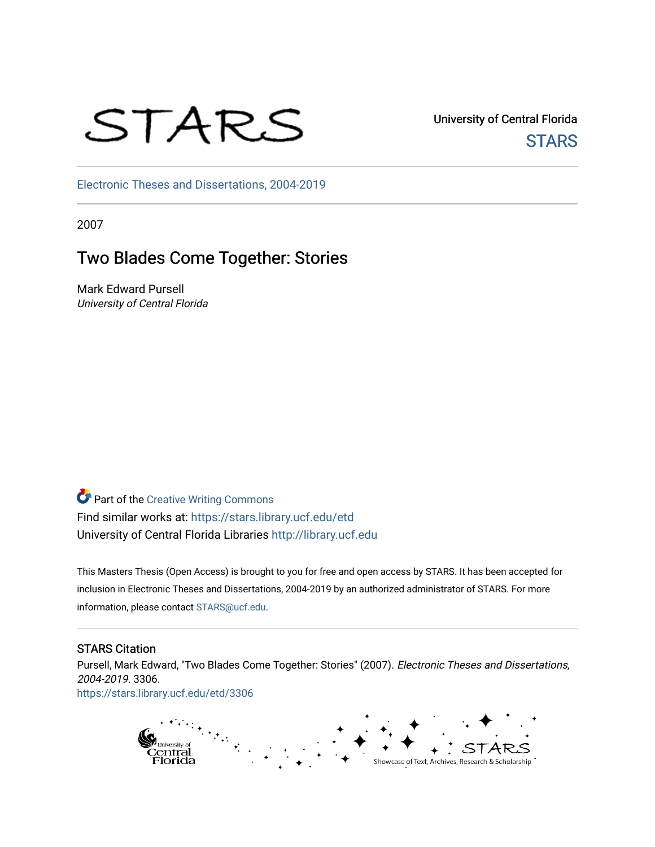# STARS

University of Central Florida **STARS** 

[Electronic Theses and Dissertations, 2004-2019](https://stars.library.ucf.edu/etd) 

2007

# Two Blades Come Together: Stories

Mark Edward Pursell University of Central Florida

**Part of the Creative Writing Commons** Find similar works at: <https://stars.library.ucf.edu/etd> University of Central Florida Libraries [http://library.ucf.edu](http://library.ucf.edu/) 

This Masters Thesis (Open Access) is brought to you for free and open access by STARS. It has been accepted for inclusion in Electronic Theses and Dissertations, 2004-2019 by an authorized administrator of STARS. For more information, please contact [STARS@ucf.edu.](mailto:STARS@ucf.edu)

### STARS Citation

Pursell, Mark Edward, "Two Blades Come Together: Stories" (2007). Electronic Theses and Dissertations, 2004-2019. 3306.

[https://stars.library.ucf.edu/etd/3306](https://stars.library.ucf.edu/etd/3306?utm_source=stars.library.ucf.edu%2Fetd%2F3306&utm_medium=PDF&utm_campaign=PDFCoverPages) 

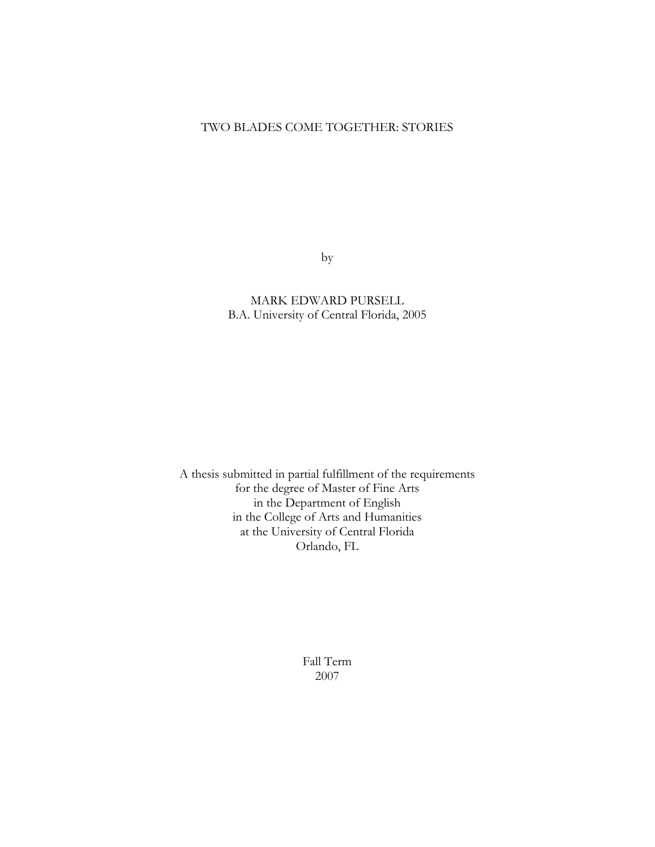#### TWO BLADES COME TOGETHER: STORIES

by

MARK EDWARD PURSELL B.A. University of Central Florida, 2005

A thesis submitted in partial fulfillment of the requirements for the degree of Master of Fine Arts in the Department of English in the College of Arts and Humanities at the University of Central Florida Orlando, FL

> Fall Term 2007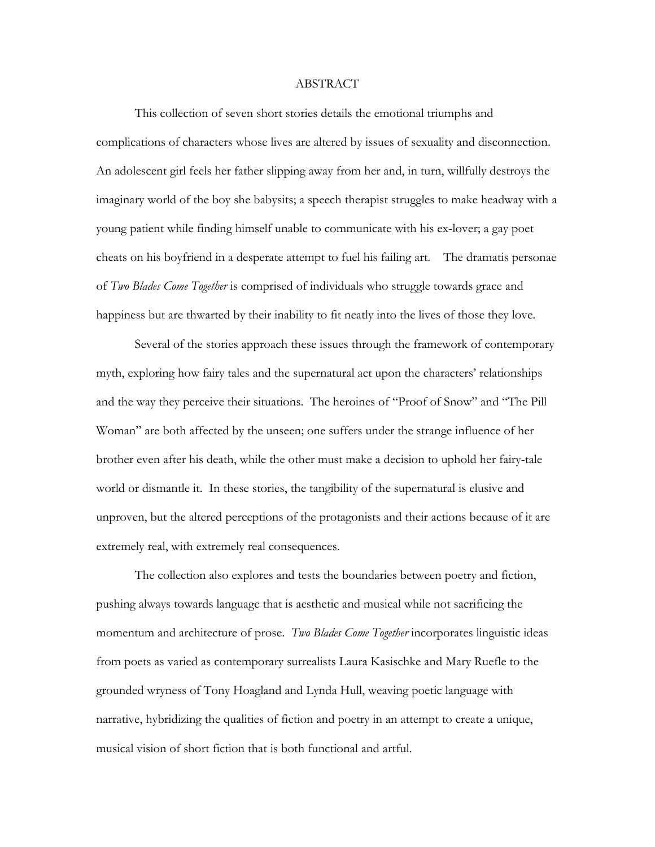#### ABSTRACT

This collection of seven short stories details the emotional triumphs and complications of characters whose lives are altered by issues of sexuality and disconnection. An adolescent girl feels her father slipping away from her and, in turn, willfully destroys the imaginary world of the boy she babysits; a speech therapist struggles to make headway with a young patient while finding himself unable to communicate with his ex-lover; a gay poet cheats on his boyfriend in a desperate attempt to fuel his failing art. The dramatis personae of *Two Blades Come Together* is comprised of individuals who struggle towards grace and happiness but are thwarted by their inability to fit neatly into the lives of those they love.

 Several of the stories approach these issues through the framework of contemporary myth, exploring how fairy tales and the supernatural act upon the characters' relationships and the way they perceive their situations. The heroines of "Proof of Snow" and "The Pill Woman" are both affected by the unseen; one suffers under the strange influence of her brother even after his death, while the other must make a decision to uphold her fairy-tale world or dismantle it. In these stories, the tangibility of the supernatural is elusive and unproven, but the altered perceptions of the protagonists and their actions because of it are extremely real, with extremely real consequences.

 The collection also explores and tests the boundaries between poetry and fiction, pushing always towards language that is aesthetic and musical while not sacrificing the momentum and architecture of prose. *Two Blades Come Together* incorporates linguistic ideas from poets as varied as contemporary surrealists Laura Kasischke and Mary Ruefle to the grounded wryness of Tony Hoagland and Lynda Hull, weaving poetic language with narrative, hybridizing the qualities of fiction and poetry in an attempt to create a unique, musical vision of short fiction that is both functional and artful.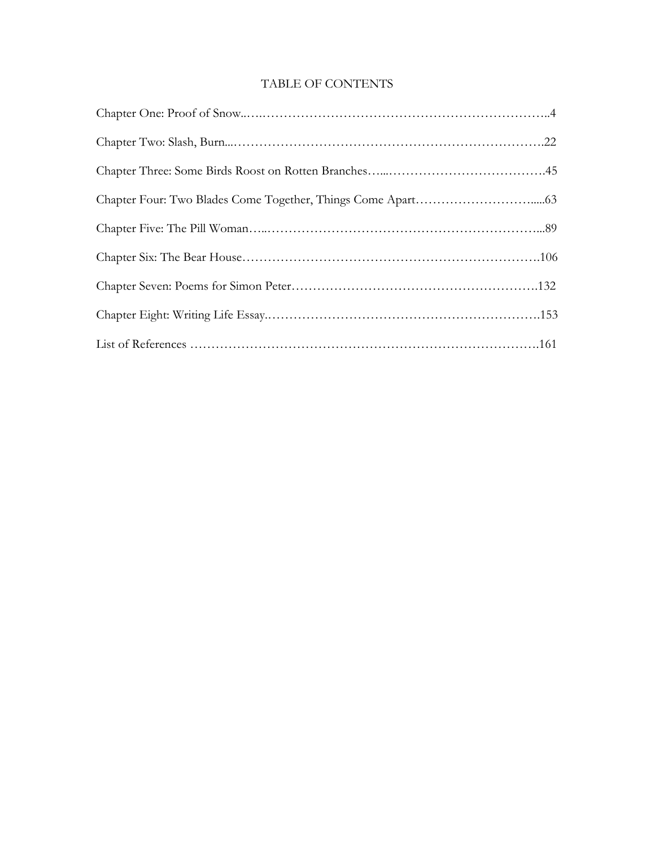## TABLE OF CONTENTS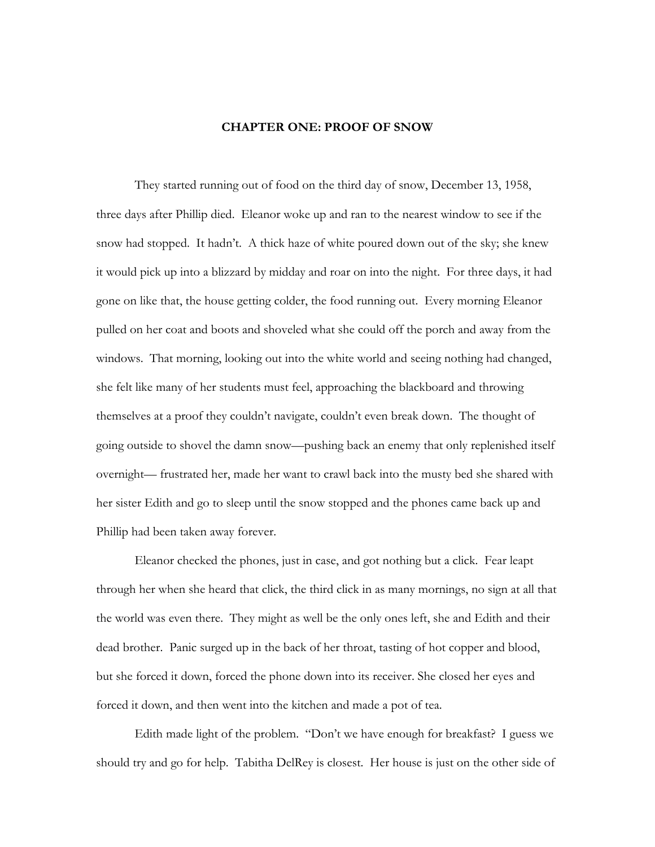#### **CHAPTER ONE: PROOF OF SNOW**

<span id="page-4-0"></span> They started running out of food on the third day of snow, December 13, 1958, three days after Phillip died. Eleanor woke up and ran to the nearest window to see if the snow had stopped. It hadn't. A thick haze of white poured down out of the sky; she knew it would pick up into a blizzard by midday and roar on into the night. For three days, it had gone on like that, the house getting colder, the food running out. Every morning Eleanor pulled on her coat and boots and shoveled what she could off the porch and away from the windows. That morning, looking out into the white world and seeing nothing had changed, she felt like many of her students must feel, approaching the blackboard and throwing themselves at a proof they couldn't navigate, couldn't even break down. The thought of going outside to shovel the damn snow—pushing back an enemy that only replenished itself overnight— frustrated her, made her want to crawl back into the musty bed she shared with her sister Edith and go to sleep until the snow stopped and the phones came back up and Phillip had been taken away forever.

 Eleanor checked the phones, just in case, and got nothing but a click. Fear leapt through her when she heard that click, the third click in as many mornings, no sign at all that the world was even there. They might as well be the only ones left, she and Edith and their dead brother. Panic surged up in the back of her throat, tasting of hot copper and blood, but she forced it down, forced the phone down into its receiver. She closed her eyes and forced it down, and then went into the kitchen and made a pot of tea.

 Edith made light of the problem. "Don't we have enough for breakfast? I guess we should try and go for help. Tabitha DelRey is closest. Her house is just on the other side of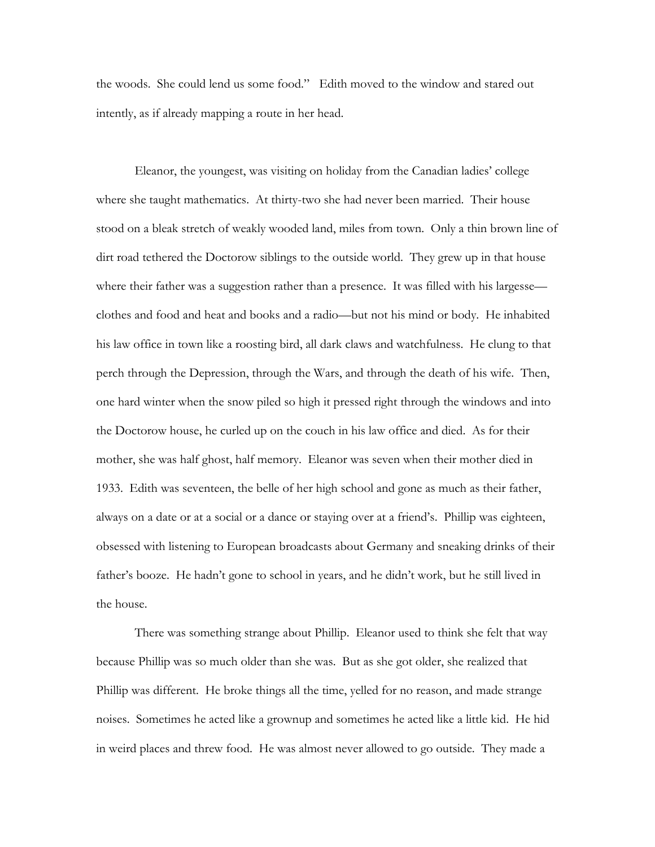the woods. She could lend us some food." Edith moved to the window and stared out intently, as if already mapping a route in her head.

 Eleanor, the youngest, was visiting on holiday from the Canadian ladies' college where she taught mathematics. At thirty-two she had never been married. Their house stood on a bleak stretch of weakly wooded land, miles from town. Only a thin brown line of dirt road tethered the Doctorow siblings to the outside world. They grew up in that house where their father was a suggestion rather than a presence. It was filled with his largesse clothes and food and heat and books and a radio—but not his mind or body. He inhabited his law office in town like a roosting bird, all dark claws and watchfulness. He clung to that perch through the Depression, through the Wars, and through the death of his wife. Then, one hard winter when the snow piled so high it pressed right through the windows and into the Doctorow house, he curled up on the couch in his law office and died. As for their mother, she was half ghost, half memory. Eleanor was seven when their mother died in 1933. Edith was seventeen, the belle of her high school and gone as much as their father, always on a date or at a social or a dance or staying over at a friend's. Phillip was eighteen, obsessed with listening to European broadcasts about Germany and sneaking drinks of their father's booze. He hadn't gone to school in years, and he didn't work, but he still lived in the house.

 There was something strange about Phillip. Eleanor used to think she felt that way because Phillip was so much older than she was. But as she got older, she realized that Phillip was different. He broke things all the time, yelled for no reason, and made strange noises. Sometimes he acted like a grownup and sometimes he acted like a little kid. He hid in weird places and threw food. He was almost never allowed to go outside. They made a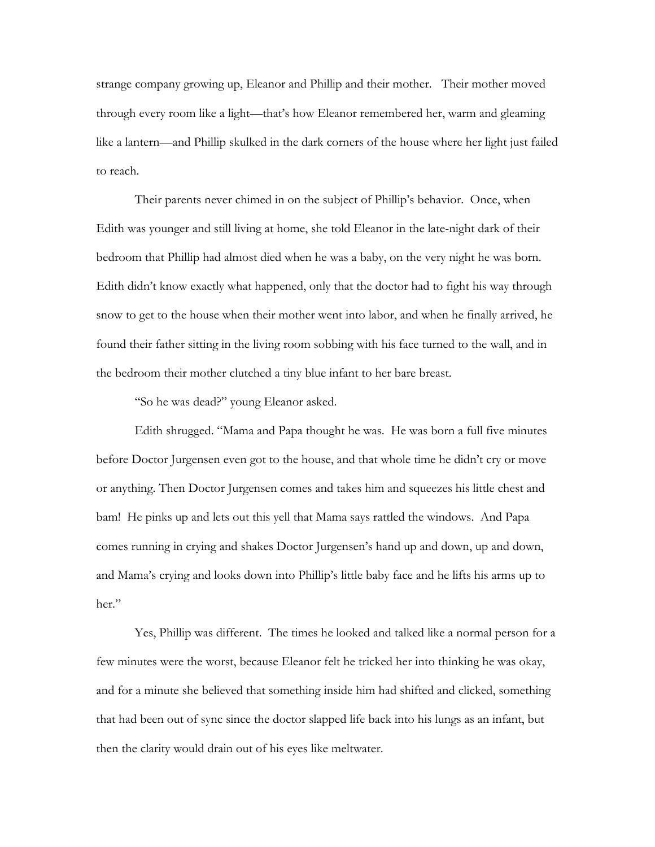strange company growing up, Eleanor and Phillip and their mother. Their mother moved through every room like a light—that's how Eleanor remembered her, warm and gleaming like a lantern—and Phillip skulked in the dark corners of the house where her light just failed to reach.

 Their parents never chimed in on the subject of Phillip's behavior. Once, when Edith was younger and still living at home, she told Eleanor in the late-night dark of their bedroom that Phillip had almost died when he was a baby, on the very night he was born. Edith didn't know exactly what happened, only that the doctor had to fight his way through snow to get to the house when their mother went into labor, and when he finally arrived, he found their father sitting in the living room sobbing with his face turned to the wall, and in the bedroom their mother clutched a tiny blue infant to her bare breast.

"So he was dead?" young Eleanor asked.

 Edith shrugged. "Mama and Papa thought he was. He was born a full five minutes before Doctor Jurgensen even got to the house, and that whole time he didn't cry or move or anything. Then Doctor Jurgensen comes and takes him and squeezes his little chest and bam! He pinks up and lets out this yell that Mama says rattled the windows. And Papa comes running in crying and shakes Doctor Jurgensen's hand up and down, up and down, and Mama's crying and looks down into Phillip's little baby face and he lifts his arms up to her."

 Yes, Phillip was different. The times he looked and talked like a normal person for a few minutes were the worst, because Eleanor felt he tricked her into thinking he was okay, and for a minute she believed that something inside him had shifted and clicked, something that had been out of sync since the doctor slapped life back into his lungs as an infant, but then the clarity would drain out of his eyes like meltwater.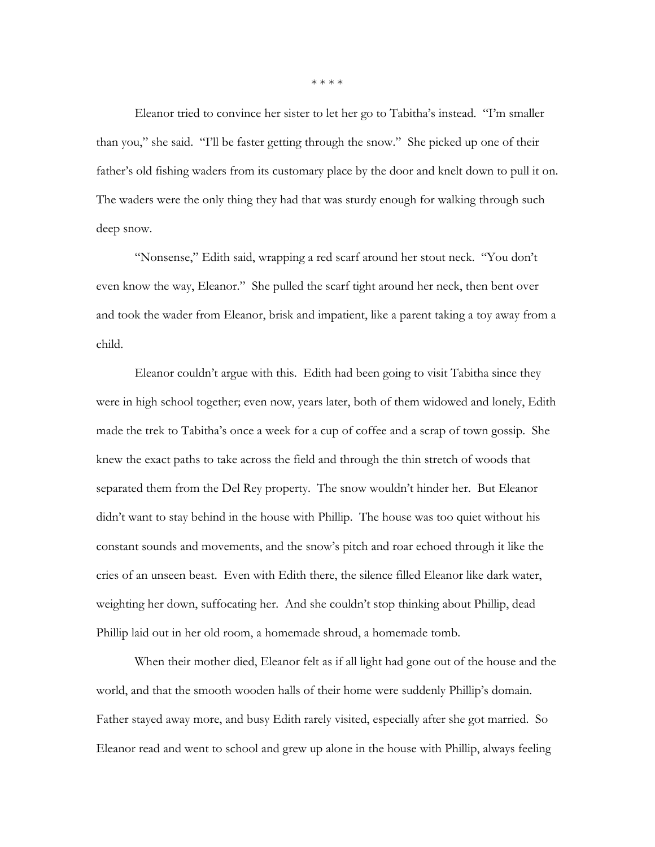Eleanor tried to convince her sister to let her go to Tabitha's instead. "I'm smaller than you," she said. "I'll be faster getting through the snow." She picked up one of their father's old fishing waders from its customary place by the door and knelt down to pull it on. The waders were the only thing they had that was sturdy enough for walking through such deep snow.

 "Nonsense," Edith said, wrapping a red scarf around her stout neck. "You don't even know the way, Eleanor." She pulled the scarf tight around her neck, then bent over and took the wader from Eleanor, brisk and impatient, like a parent taking a toy away from a child.

 Eleanor couldn't argue with this. Edith had been going to visit Tabitha since they were in high school together; even now, years later, both of them widowed and lonely, Edith made the trek to Tabitha's once a week for a cup of coffee and a scrap of town gossip. She knew the exact paths to take across the field and through the thin stretch of woods that separated them from the Del Rey property. The snow wouldn't hinder her. But Eleanor didn't want to stay behind in the house with Phillip. The house was too quiet without his constant sounds and movements, and the snow's pitch and roar echoed through it like the cries of an unseen beast. Even with Edith there, the silence filled Eleanor like dark water, weighting her down, suffocating her. And she couldn't stop thinking about Phillip, dead Phillip laid out in her old room, a homemade shroud, a homemade tomb.

 When their mother died, Eleanor felt as if all light had gone out of the house and the world, and that the smooth wooden halls of their home were suddenly Phillip's domain. Father stayed away more, and busy Edith rarely visited, especially after she got married. So Eleanor read and went to school and grew up alone in the house with Phillip, always feeling

\* \* \* \*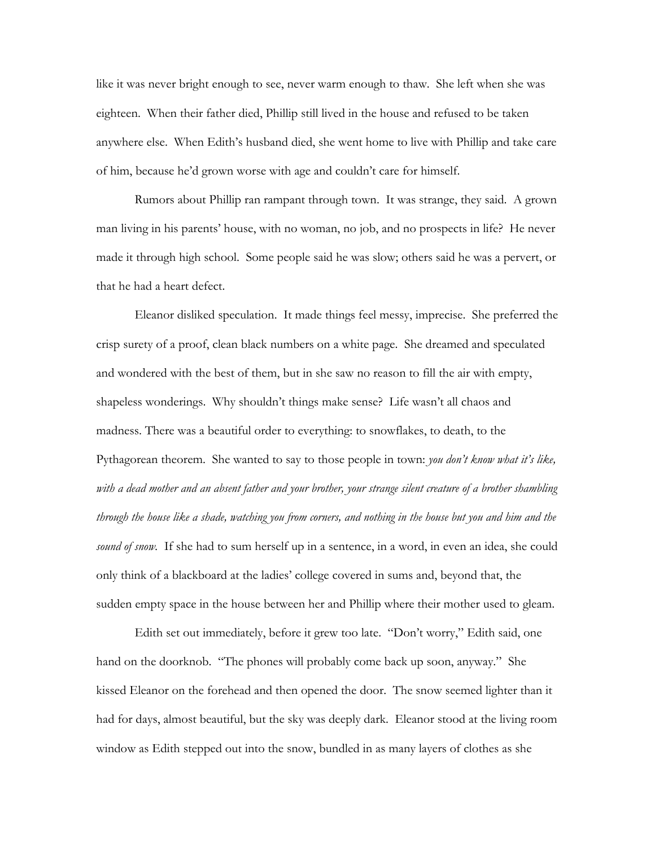like it was never bright enough to see, never warm enough to thaw. She left when she was eighteen. When their father died, Phillip still lived in the house and refused to be taken anywhere else. When Edith's husband died, she went home to live with Phillip and take care of him, because he'd grown worse with age and couldn't care for himself.

 Rumors about Phillip ran rampant through town. It was strange, they said. A grown man living in his parents' house, with no woman, no job, and no prospects in life? He never made it through high school. Some people said he was slow; others said he was a pervert, or that he had a heart defect.

 Eleanor disliked speculation. It made things feel messy, imprecise. She preferred the crisp surety of a proof, clean black numbers on a white page. She dreamed and speculated and wondered with the best of them, but in she saw no reason to fill the air with empty, shapeless wonderings. Why shouldn't things make sense? Life wasn't all chaos and madness. There was a beautiful order to everything: to snowflakes, to death, to the Pythagorean theorem. She wanted to say to those people in town: *you don't know what it's like, with a dead mother and an absent father and your brother, your strange silent creature of a brother shambling through the house like a shade, watching you from corners, and nothing in the house but you and him and the sound of snow.* If she had to sum herself up in a sentence, in a word, in even an idea, she could only think of a blackboard at the ladies' college covered in sums and, beyond that, the sudden empty space in the house between her and Phillip where their mother used to gleam.

 Edith set out immediately, before it grew too late. "Don't worry," Edith said, one hand on the doorknob. "The phones will probably come back up soon, anyway." She kissed Eleanor on the forehead and then opened the door. The snow seemed lighter than it had for days, almost beautiful, but the sky was deeply dark. Eleanor stood at the living room window as Edith stepped out into the snow, bundled in as many layers of clothes as she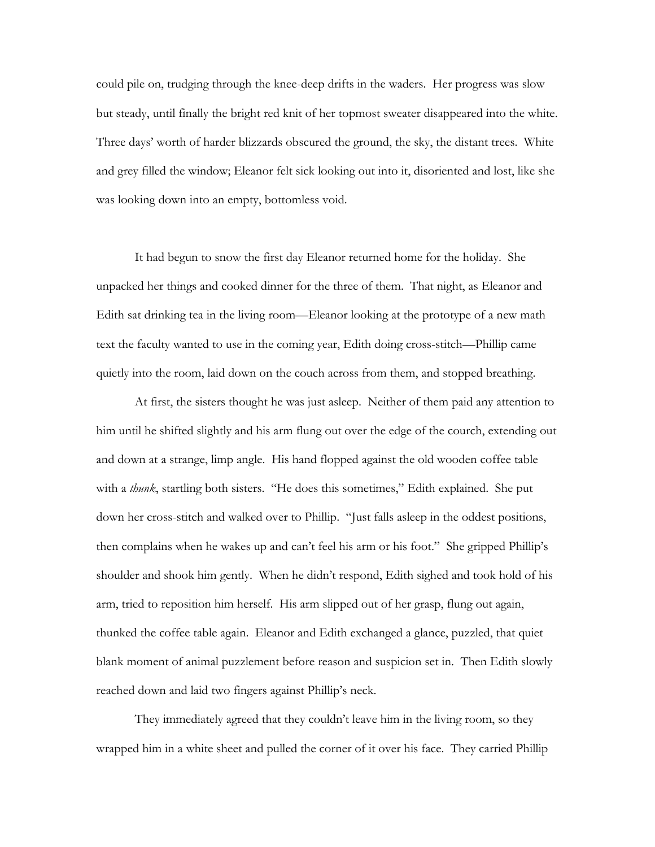could pile on, trudging through the knee-deep drifts in the waders. Her progress was slow but steady, until finally the bright red knit of her topmost sweater disappeared into the white. Three days' worth of harder blizzards obscured the ground, the sky, the distant trees. White and grey filled the window; Eleanor felt sick looking out into it, disoriented and lost, like she was looking down into an empty, bottomless void.

 It had begun to snow the first day Eleanor returned home for the holiday. She unpacked her things and cooked dinner for the three of them. That night, as Eleanor and Edith sat drinking tea in the living room—Eleanor looking at the prototype of a new math text the faculty wanted to use in the coming year, Edith doing cross-stitch—Phillip came quietly into the room, laid down on the couch across from them, and stopped breathing.

 At first, the sisters thought he was just asleep. Neither of them paid any attention to him until he shifted slightly and his arm flung out over the edge of the courch, extending out and down at a strange, limp angle. His hand flopped against the old wooden coffee table with a *thunk*, startling both sisters. "He does this sometimes," Edith explained. She put down her cross-stitch and walked over to Phillip. "Just falls asleep in the oddest positions, then complains when he wakes up and can't feel his arm or his foot." She gripped Phillip's shoulder and shook him gently. When he didn't respond, Edith sighed and took hold of his arm, tried to reposition him herself. His arm slipped out of her grasp, flung out again, thunked the coffee table again. Eleanor and Edith exchanged a glance, puzzled, that quiet blank moment of animal puzzlement before reason and suspicion set in. Then Edith slowly reached down and laid two fingers against Phillip's neck.

 They immediately agreed that they couldn't leave him in the living room, so they wrapped him in a white sheet and pulled the corner of it over his face. They carried Phillip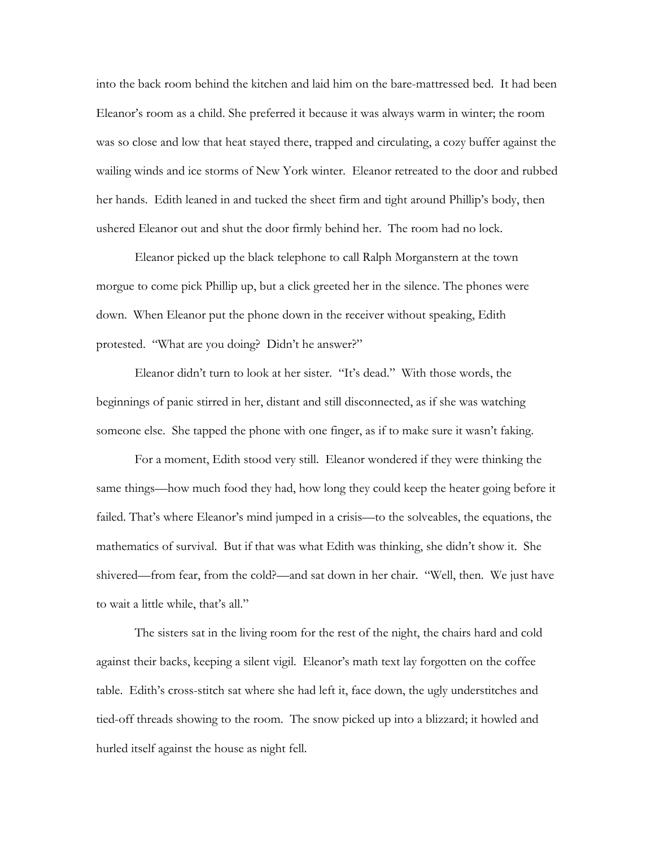into the back room behind the kitchen and laid him on the bare-mattressed bed. It had been Eleanor's room as a child. She preferred it because it was always warm in winter; the room was so close and low that heat stayed there, trapped and circulating, a cozy buffer against the wailing winds and ice storms of New York winter. Eleanor retreated to the door and rubbed her hands. Edith leaned in and tucked the sheet firm and tight around Phillip's body, then ushered Eleanor out and shut the door firmly behind her. The room had no lock.

 Eleanor picked up the black telephone to call Ralph Morganstern at the town morgue to come pick Phillip up, but a click greeted her in the silence. The phones were down. When Eleanor put the phone down in the receiver without speaking, Edith protested. "What are you doing? Didn't he answer?"

 Eleanor didn't turn to look at her sister. "It's dead." With those words, the beginnings of panic stirred in her, distant and still disconnected, as if she was watching someone else. She tapped the phone with one finger, as if to make sure it wasn't faking.

 For a moment, Edith stood very still. Eleanor wondered if they were thinking the same things—how much food they had, how long they could keep the heater going before it failed. That's where Eleanor's mind jumped in a crisis—to the solveables, the equations, the mathematics of survival. But if that was what Edith was thinking, she didn't show it. She shivered—from fear, from the cold?—and sat down in her chair. "Well, then. We just have to wait a little while, that's all."

The sisters sat in the living room for the rest of the night, the chairs hard and cold against their backs, keeping a silent vigil. Eleanor's math text lay forgotten on the coffee table. Edith's cross-stitch sat where she had left it, face down, the ugly understitches and tied-off threads showing to the room. The snow picked up into a blizzard; it howled and hurled itself against the house as night fell.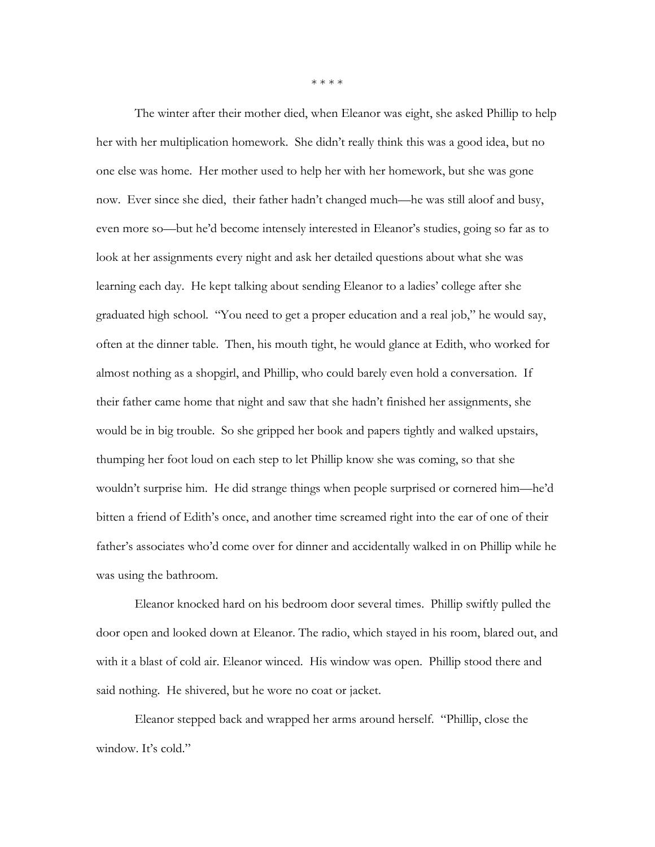\* \* \* \*

 The winter after their mother died, when Eleanor was eight, she asked Phillip to help her with her multiplication homework. She didn't really think this was a good idea, but no one else was home. Her mother used to help her with her homework, but she was gone now. Ever since she died, their father hadn't changed much—he was still aloof and busy, even more so—but he'd become intensely interested in Eleanor's studies, going so far as to look at her assignments every night and ask her detailed questions about what she was learning each day. He kept talking about sending Eleanor to a ladies' college after she graduated high school. "You need to get a proper education and a real job," he would say, often at the dinner table. Then, his mouth tight, he would glance at Edith, who worked for almost nothing as a shopgirl, and Phillip, who could barely even hold a conversation. If their father came home that night and saw that she hadn't finished her assignments, she would be in big trouble. So she gripped her book and papers tightly and walked upstairs, thumping her foot loud on each step to let Phillip know she was coming, so that she wouldn't surprise him. He did strange things when people surprised or cornered him—he'd bitten a friend of Edith's once, and another time screamed right into the ear of one of their father's associates who'd come over for dinner and accidentally walked in on Phillip while he was using the bathroom.

 Eleanor knocked hard on his bedroom door several times. Phillip swiftly pulled the door open and looked down at Eleanor. The radio, which stayed in his room, blared out, and with it a blast of cold air. Eleanor winced. His window was open. Phillip stood there and said nothing. He shivered, but he wore no coat or jacket.

 Eleanor stepped back and wrapped her arms around herself. "Phillip, close the window. It's cold."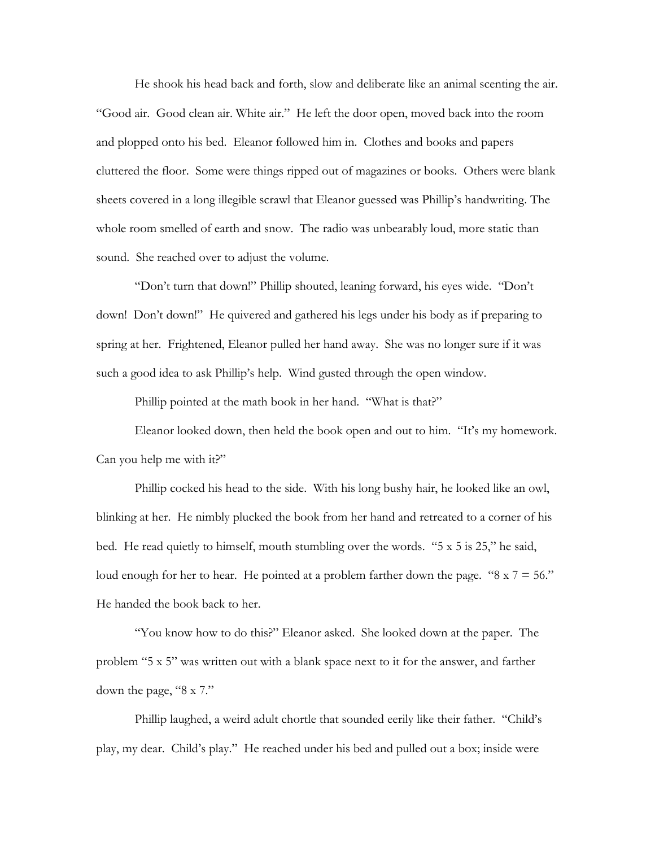He shook his head back and forth, slow and deliberate like an animal scenting the air. "Good air. Good clean air. White air." He left the door open, moved back into the room and plopped onto his bed. Eleanor followed him in. Clothes and books and papers cluttered the floor. Some were things ripped out of magazines or books. Others were blank sheets covered in a long illegible scrawl that Eleanor guessed was Phillip's handwriting. The whole room smelled of earth and snow. The radio was unbearably loud, more static than sound. She reached over to adjust the volume.

 "Don't turn that down!" Phillip shouted, leaning forward, his eyes wide. "Don't down! Don't down!" He quivered and gathered his legs under his body as if preparing to spring at her. Frightened, Eleanor pulled her hand away. She was no longer sure if it was such a good idea to ask Phillip's help. Wind gusted through the open window.

Phillip pointed at the math book in her hand. "What is that?"

 Eleanor looked down, then held the book open and out to him. "It's my homework. Can you help me with it?"

 Phillip cocked his head to the side. With his long bushy hair, he looked like an owl, blinking at her. He nimbly plucked the book from her hand and retreated to a corner of his bed. He read quietly to himself, mouth stumbling over the words. "5 x 5 is 25," he said, loud enough for her to hear. He pointed at a problem farther down the page. " $8 \times 7 = 56$ ." He handed the book back to her.

 "You know how to do this?" Eleanor asked. She looked down at the paper. The problem "5 x 5" was written out with a blank space next to it for the answer, and farther down the page, "8 x 7."

 Phillip laughed, a weird adult chortle that sounded eerily like their father. "Child's play, my dear. Child's play." He reached under his bed and pulled out a box; inside were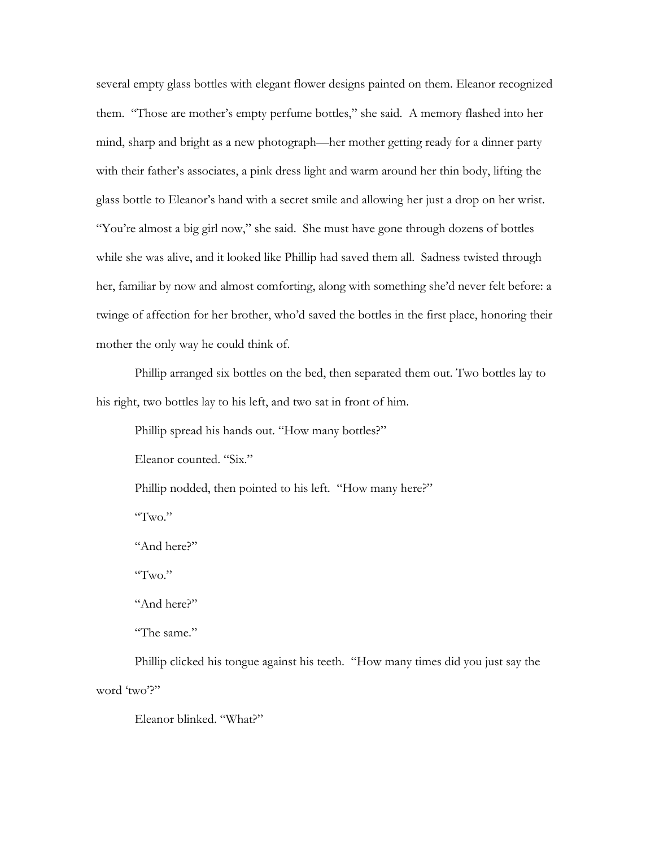several empty glass bottles with elegant flower designs painted on them. Eleanor recognized them. "Those are mother's empty perfume bottles," she said. A memory flashed into her mind, sharp and bright as a new photograph—her mother getting ready for a dinner party with their father's associates, a pink dress light and warm around her thin body, lifting the glass bottle to Eleanor's hand with a secret smile and allowing her just a drop on her wrist. "You're almost a big girl now," she said. She must have gone through dozens of bottles while she was alive, and it looked like Phillip had saved them all. Sadness twisted through her, familiar by now and almost comforting, along with something she'd never felt before: a twinge of affection for her brother, who'd saved the bottles in the first place, honoring their mother the only way he could think of.

 Phillip arranged six bottles on the bed, then separated them out. Two bottles lay to his right, two bottles lay to his left, and two sat in front of him.

Phillip spread his hands out. "How many bottles?"

Eleanor counted. "Six."

Phillip nodded, then pointed to his left. "How many here?"

"Two."

"And here?"

"Two."

"And here?"

"The same."

 Phillip clicked his tongue against his teeth. "How many times did you just say the word 'two'?"

Eleanor blinked. "What?"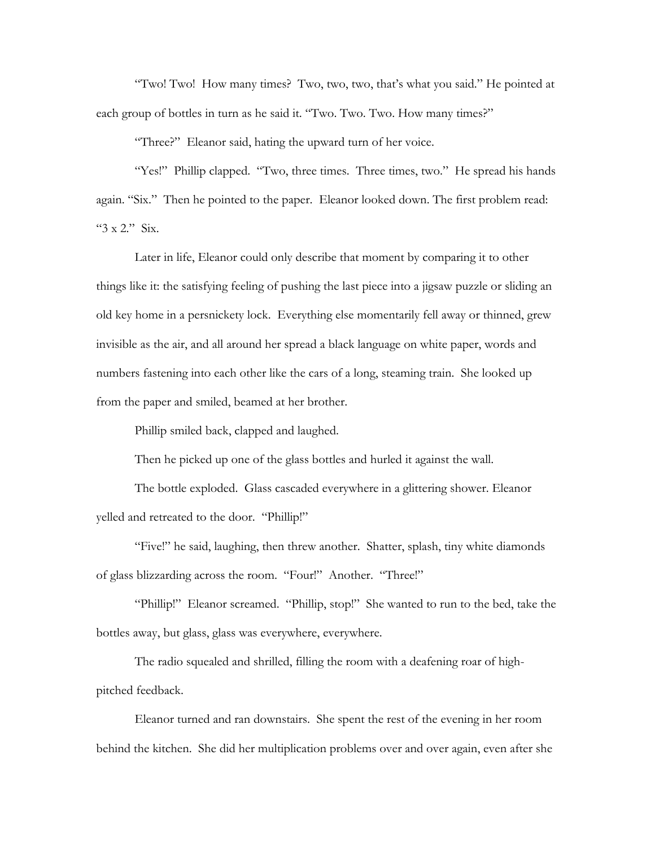"Two! Two! How many times? Two, two, two, that's what you said." He pointed at each group of bottles in turn as he said it. "Two. Two. Two. How many times?"

"Three?" Eleanor said, hating the upward turn of her voice.

"Yes!" Phillip clapped. "Two, three times. Three times, two." He spread his hands again. "Six." Then he pointed to the paper. Eleanor looked down. The first problem read: "3 x 2." Six.

 Later in life, Eleanor could only describe that moment by comparing it to other things like it: the satisfying feeling of pushing the last piece into a jigsaw puzzle or sliding an old key home in a persnickety lock. Everything else momentarily fell away or thinned, grew invisible as the air, and all around her spread a black language on white paper, words and numbers fastening into each other like the cars of a long, steaming train. She looked up from the paper and smiled, beamed at her brother.

Phillip smiled back, clapped and laughed.

Then he picked up one of the glass bottles and hurled it against the wall.

 The bottle exploded. Glass cascaded everywhere in a glittering shower. Eleanor yelled and retreated to the door. "Phillip!"

 "Five!" he said, laughing, then threw another. Shatter, splash, tiny white diamonds of glass blizzarding across the room. "Four!" Another. "Three!"

 "Phillip!" Eleanor screamed. "Phillip, stop!" She wanted to run to the bed, take the bottles away, but glass, glass was everywhere, everywhere.

 The radio squealed and shrilled, filling the room with a deafening roar of highpitched feedback.

 Eleanor turned and ran downstairs. She spent the rest of the evening in her room behind the kitchen. She did her multiplication problems over and over again, even after she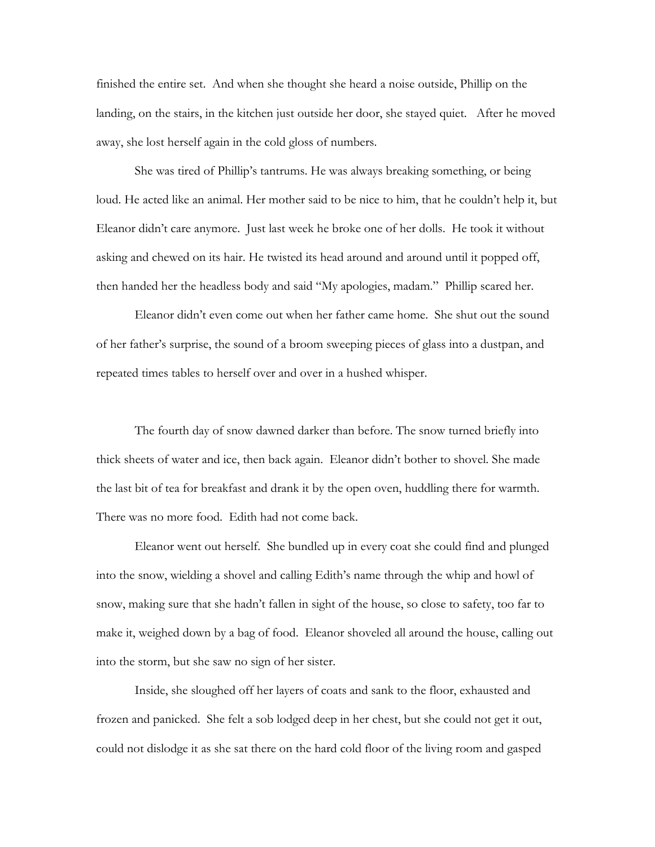finished the entire set. And when she thought she heard a noise outside, Phillip on the landing, on the stairs, in the kitchen just outside her door, she stayed quiet. After he moved away, she lost herself again in the cold gloss of numbers.

 She was tired of Phillip's tantrums. He was always breaking something, or being loud. He acted like an animal. Her mother said to be nice to him, that he couldn't help it, but Eleanor didn't care anymore. Just last week he broke one of her dolls. He took it without asking and chewed on its hair. He twisted its head around and around until it popped off, then handed her the headless body and said "My apologies, madam." Phillip scared her.

 Eleanor didn't even come out when her father came home. She shut out the sound of her father's surprise, the sound of a broom sweeping pieces of glass into a dustpan, and repeated times tables to herself over and over in a hushed whisper.

 The fourth day of snow dawned darker than before. The snow turned briefly into thick sheets of water and ice, then back again. Eleanor didn't bother to shovel. She made the last bit of tea for breakfast and drank it by the open oven, huddling there for warmth. There was no more food. Edith had not come back.

 Eleanor went out herself. She bundled up in every coat she could find and plunged into the snow, wielding a shovel and calling Edith's name through the whip and howl of snow, making sure that she hadn't fallen in sight of the house, so close to safety, too far to make it, weighed down by a bag of food. Eleanor shoveled all around the house, calling out into the storm, but she saw no sign of her sister.

 Inside, she sloughed off her layers of coats and sank to the floor, exhausted and frozen and panicked. She felt a sob lodged deep in her chest, but she could not get it out, could not dislodge it as she sat there on the hard cold floor of the living room and gasped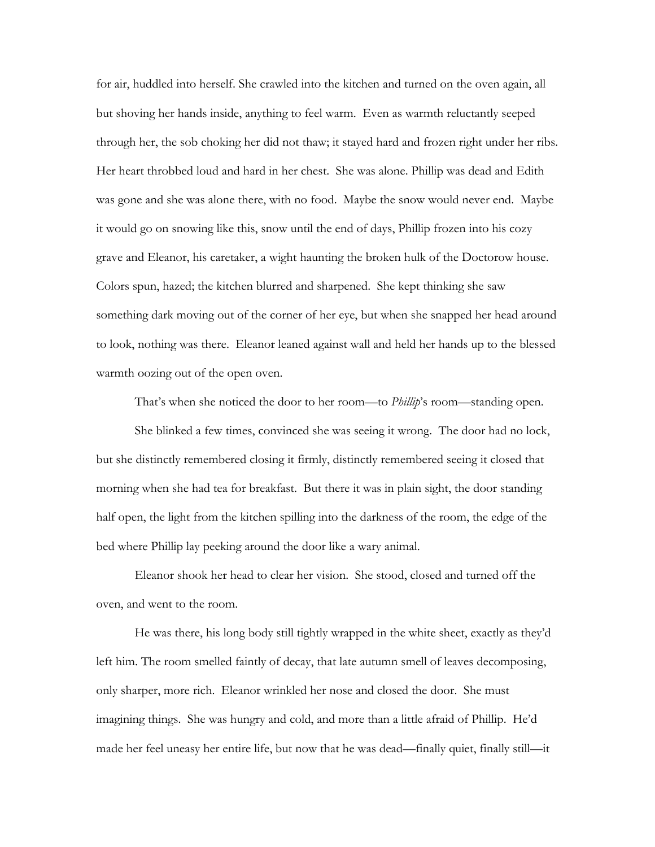for air, huddled into herself. She crawled into the kitchen and turned on the oven again, all but shoving her hands inside, anything to feel warm. Even as warmth reluctantly seeped through her, the sob choking her did not thaw; it stayed hard and frozen right under her ribs. Her heart throbbed loud and hard in her chest. She was alone. Phillip was dead and Edith was gone and she was alone there, with no food. Maybe the snow would never end. Maybe it would go on snowing like this, snow until the end of days, Phillip frozen into his cozy grave and Eleanor, his caretaker, a wight haunting the broken hulk of the Doctorow house. Colors spun, hazed; the kitchen blurred and sharpened. She kept thinking she saw something dark moving out of the corner of her eye, but when she snapped her head around to look, nothing was there. Eleanor leaned against wall and held her hands up to the blessed warmth oozing out of the open oven.

That's when she noticed the door to her room—to *Phillip*'s room—standing open.

 She blinked a few times, convinced she was seeing it wrong. The door had no lock, but she distinctly remembered closing it firmly, distinctly remembered seeing it closed that morning when she had tea for breakfast. But there it was in plain sight, the door standing half open, the light from the kitchen spilling into the darkness of the room, the edge of the bed where Phillip lay peeking around the door like a wary animal.

 Eleanor shook her head to clear her vision. She stood, closed and turned off the oven, and went to the room.

 He was there, his long body still tightly wrapped in the white sheet, exactly as they'd left him. The room smelled faintly of decay, that late autumn smell of leaves decomposing, only sharper, more rich. Eleanor wrinkled her nose and closed the door. She must imagining things. She was hungry and cold, and more than a little afraid of Phillip. He'd made her feel uneasy her entire life, but now that he was dead—finally quiet, finally still—it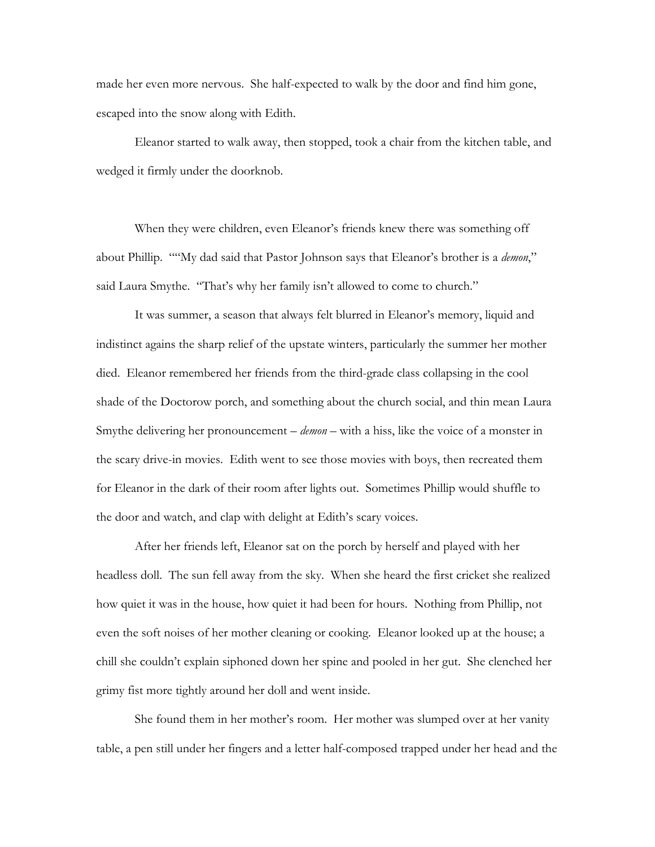made her even more nervous. She half-expected to walk by the door and find him gone, escaped into the snow along with Edith.

 Eleanor started to walk away, then stopped, took a chair from the kitchen table, and wedged it firmly under the doorknob.

 When they were children, even Eleanor's friends knew there was something off about Phillip. ""My dad said that Pastor Johnson says that Eleanor's brother is a *demon*," said Laura Smythe. "That's why her family isn't allowed to come to church."

 It was summer, a season that always felt blurred in Eleanor's memory, liquid and indistinct agains the sharp relief of the upstate winters, particularly the summer her mother died. Eleanor remembered her friends from the third-grade class collapsing in the cool shade of the Doctorow porch, and something about the church social, and thin mean Laura Smythe delivering her pronouncement – *demon* – with a hiss, like the voice of a monster in the scary drive-in movies. Edith went to see those movies with boys, then recreated them for Eleanor in the dark of their room after lights out. Sometimes Phillip would shuffle to the door and watch, and clap with delight at Edith's scary voices.

 After her friends left, Eleanor sat on the porch by herself and played with her headless doll. The sun fell away from the sky. When she heard the first cricket she realized how quiet it was in the house, how quiet it had been for hours. Nothing from Phillip, not even the soft noises of her mother cleaning or cooking. Eleanor looked up at the house; a chill she couldn't explain siphoned down her spine and pooled in her gut. She clenched her grimy fist more tightly around her doll and went inside.

 She found them in her mother's room. Her mother was slumped over at her vanity table, a pen still under her fingers and a letter half-composed trapped under her head and the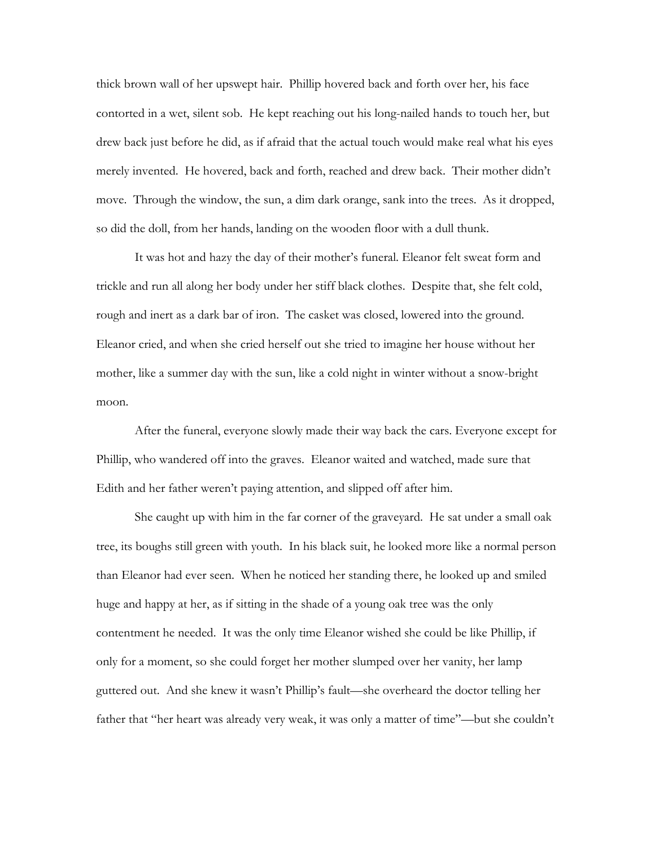thick brown wall of her upswept hair. Phillip hovered back and forth over her, his face contorted in a wet, silent sob. He kept reaching out his long-nailed hands to touch her, but drew back just before he did, as if afraid that the actual touch would make real what his eyes merely invented. He hovered, back and forth, reached and drew back. Their mother didn't move. Through the window, the sun, a dim dark orange, sank into the trees. As it dropped, so did the doll, from her hands, landing on the wooden floor with a dull thunk.

 It was hot and hazy the day of their mother's funeral. Eleanor felt sweat form and trickle and run all along her body under her stiff black clothes. Despite that, she felt cold, rough and inert as a dark bar of iron. The casket was closed, lowered into the ground. Eleanor cried, and when she cried herself out she tried to imagine her house without her mother, like a summer day with the sun, like a cold night in winter without a snow-bright moon.

 After the funeral, everyone slowly made their way back the cars. Everyone except for Phillip, who wandered off into the graves. Eleanor waited and watched, made sure that Edith and her father weren't paying attention, and slipped off after him.

 She caught up with him in the far corner of the graveyard. He sat under a small oak tree, its boughs still green with youth. In his black suit, he looked more like a normal person than Eleanor had ever seen. When he noticed her standing there, he looked up and smiled huge and happy at her, as if sitting in the shade of a young oak tree was the only contentment he needed. It was the only time Eleanor wished she could be like Phillip, if only for a moment, so she could forget her mother slumped over her vanity, her lamp guttered out. And she knew it wasn't Phillip's fault—she overheard the doctor telling her father that "her heart was already very weak, it was only a matter of time"—but she couldn't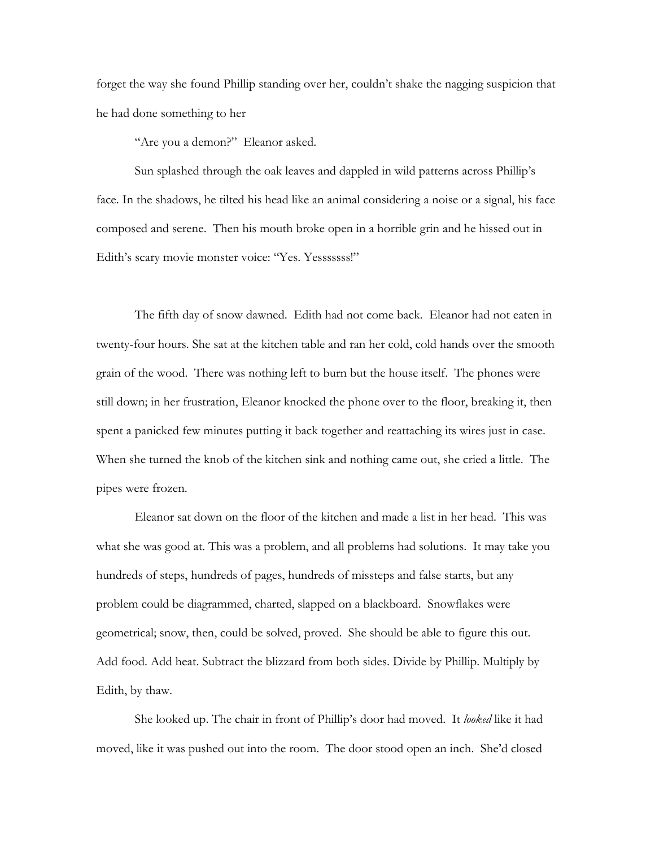forget the way she found Phillip standing over her, couldn't shake the nagging suspicion that he had done something to her

"Are you a demon?" Eleanor asked.

 Sun splashed through the oak leaves and dappled in wild patterns across Phillip's face. In the shadows, he tilted his head like an animal considering a noise or a signal, his face composed and serene. Then his mouth broke open in a horrible grin and he hissed out in Edith's scary movie monster voice: "Yes. Yesssssss!"

 The fifth day of snow dawned. Edith had not come back. Eleanor had not eaten in twenty-four hours. She sat at the kitchen table and ran her cold, cold hands over the smooth grain of the wood. There was nothing left to burn but the house itself. The phones were still down; in her frustration, Eleanor knocked the phone over to the floor, breaking it, then spent a panicked few minutes putting it back together and reattaching its wires just in case. When she turned the knob of the kitchen sink and nothing came out, she cried a little. The pipes were frozen.

 Eleanor sat down on the floor of the kitchen and made a list in her head. This was what she was good at. This was a problem, and all problems had solutions. It may take you hundreds of steps, hundreds of pages, hundreds of missteps and false starts, but any problem could be diagrammed, charted, slapped on a blackboard. Snowflakes were geometrical; snow, then, could be solved, proved. She should be able to figure this out. Add food. Add heat. Subtract the blizzard from both sides. Divide by Phillip. Multiply by Edith, by thaw.

 She looked up. The chair in front of Phillip's door had moved. It *looked* like it had moved, like it was pushed out into the room. The door stood open an inch. She'd closed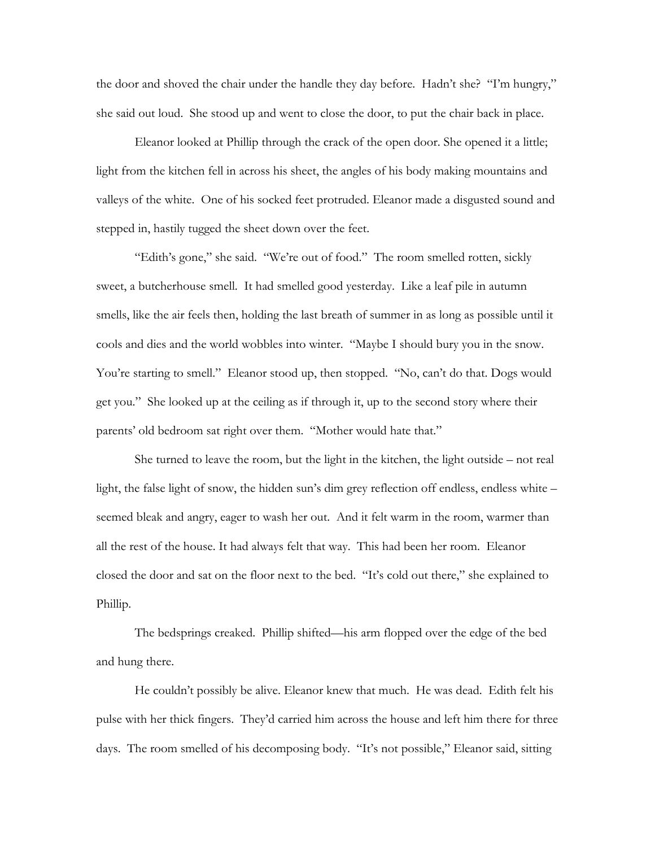the door and shoved the chair under the handle they day before. Hadn't she? "I'm hungry," she said out loud. She stood up and went to close the door, to put the chair back in place.

 Eleanor looked at Phillip through the crack of the open door. She opened it a little; light from the kitchen fell in across his sheet, the angles of his body making mountains and valleys of the white. One of his socked feet protruded. Eleanor made a disgusted sound and stepped in, hastily tugged the sheet down over the feet.

 "Edith's gone," she said. "We're out of food." The room smelled rotten, sickly sweet, a butcherhouse smell. It had smelled good yesterday. Like a leaf pile in autumn smells, like the air feels then, holding the last breath of summer in as long as possible until it cools and dies and the world wobbles into winter. "Maybe I should bury you in the snow. You're starting to smell." Eleanor stood up, then stopped. "No, can't do that. Dogs would get you." She looked up at the ceiling as if through it, up to the second story where their parents' old bedroom sat right over them."Mother would hate that."

 She turned to leave the room, but the light in the kitchen, the light outside – not real light, the false light of snow, the hidden sun's dim grey reflection off endless, endless white – seemed bleak and angry, eager to wash her out. And it felt warm in the room, warmer than all the rest of the house. It had always felt that way. This had been her room. Eleanor closed the door and sat on the floor next to the bed. "It's cold out there," she explained to Phillip.

 The bedsprings creaked. Phillip shifted—his arm flopped over the edge of the bed and hung there.

 He couldn't possibly be alive. Eleanor knew that much. He was dead. Edith felt his pulse with her thick fingers. They'd carried him across the house and left him there for three days. The room smelled of his decomposing body. "It's not possible," Eleanor said, sitting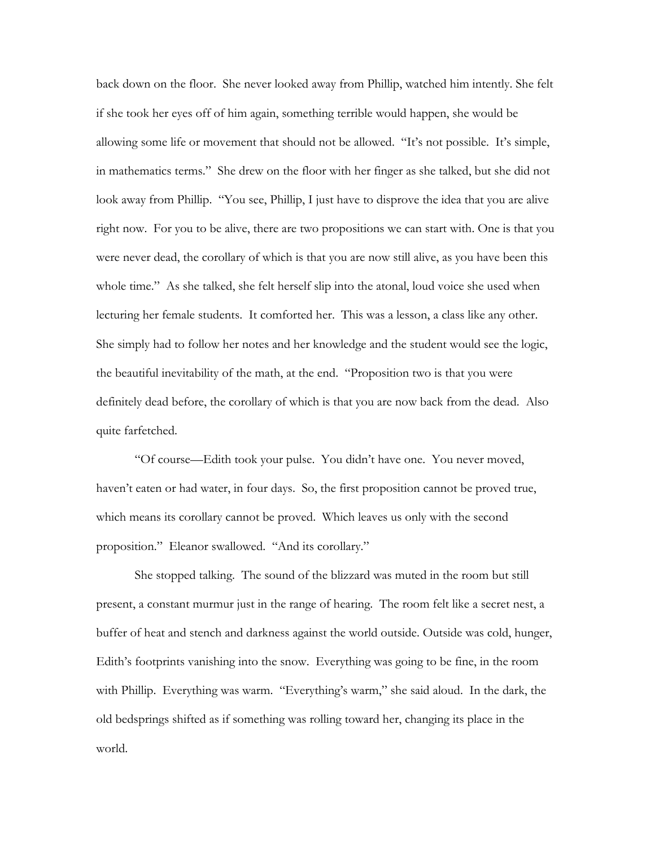back down on the floor. She never looked away from Phillip, watched him intently. She felt if she took her eyes off of him again, something terrible would happen, she would be allowing some life or movement that should not be allowed. "It's not possible. It's simple, in mathematics terms." She drew on the floor with her finger as she talked, but she did not look away from Phillip. "You see, Phillip, I just have to disprove the idea that you are alive right now. For you to be alive, there are two propositions we can start with. One is that you were never dead, the corollary of which is that you are now still alive, as you have been this whole time." As she talked, she felt herself slip into the atonal, loud voice she used when lecturing her female students. It comforted her. This was a lesson, a class like any other. She simply had to follow her notes and her knowledge and the student would see the logic, the beautiful inevitability of the math, at the end. "Proposition two is that you were definitely dead before, the corollary of which is that you are now back from the dead. Also quite farfetched.

 "Of course—Edith took your pulse. You didn't have one. You never moved, haven't eaten or had water, in four days. So, the first proposition cannot be proved true, which means its corollary cannot be proved. Which leaves us only with the second proposition." Eleanor swallowed. "And its corollary."

 She stopped talking. The sound of the blizzard was muted in the room but still present, a constant murmur just in the range of hearing. The room felt like a secret nest, a buffer of heat and stench and darkness against the world outside. Outside was cold, hunger, Edith's footprints vanishing into the snow. Everything was going to be fine, in the room with Phillip. Everything was warm. "Everything's warm," she said aloud. In the dark, the old bedsprings shifted as if something was rolling toward her, changing its place in the world.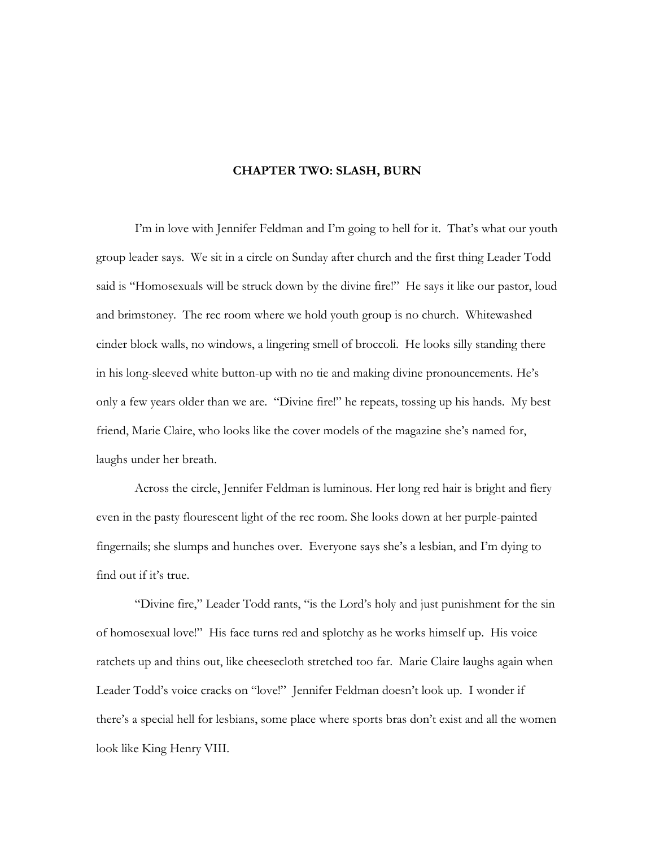#### **CHAPTER TWO: SLASH, BURN**

<span id="page-22-0"></span> I'm in love with Jennifer Feldman and I'm going to hell for it. That's what our youth group leader says. We sit in a circle on Sunday after church and the first thing Leader Todd said is "Homosexuals will be struck down by the divine fire!" He says it like our pastor, loud and brimstoney. The rec room where we hold youth group is no church. Whitewashed cinder block walls, no windows, a lingering smell of broccoli. He looks silly standing there in his long-sleeved white button-up with no tie and making divine pronouncements. He's only a few years older than we are. "Divine fire!" he repeats, tossing up his hands. My best friend, Marie Claire, who looks like the cover models of the magazine she's named for, laughs under her breath.

 Across the circle, Jennifer Feldman is luminous. Her long red hair is bright and fiery even in the pasty flourescent light of the rec room. She looks down at her purple-painted fingernails; she slumps and hunches over. Everyone says she's a lesbian, and I'm dying to find out if it's true.

 "Divine fire," Leader Todd rants, "is the Lord's holy and just punishment for the sin of homosexual love!" His face turns red and splotchy as he works himself up. His voice ratchets up and thins out, like cheesecloth stretched too far. Marie Claire laughs again when Leader Todd's voice cracks on "love!" Jennifer Feldman doesn't look up. I wonder if there's a special hell for lesbians, some place where sports bras don't exist and all the women look like King Henry VIII.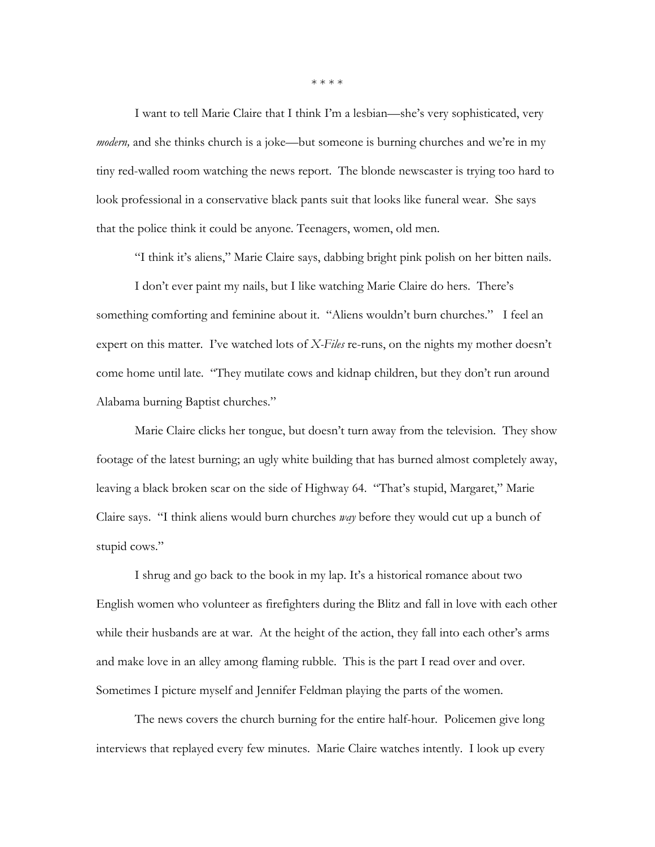\* \* \* \*

 I want to tell Marie Claire that I think I'm a lesbian—she's very sophisticated, very *modern*, and she thinks church is a joke—but someone is burning churches and we're in my tiny red-walled room watching the news report. The blonde newscaster is trying too hard to look professional in a conservative black pants suit that looks like funeral wear. She says that the police think it could be anyone. Teenagers, women, old men.

"I think it's aliens," Marie Claire says, dabbing bright pink polish on her bitten nails.

 I don't ever paint my nails, but I like watching Marie Claire do hers. There's something comforting and feminine about it. "Aliens wouldn't burn churches." I feel an expert on this matter. I've watched lots of *X-Files* re-runs, on the nights my mother doesn't come home until late. "They mutilate cows and kidnap children, but they don't run around Alabama burning Baptist churches."

 Marie Claire clicks her tongue, but doesn't turn away from the television. They show footage of the latest burning; an ugly white building that has burned almost completely away, leaving a black broken scar on the side of Highway 64. "That's stupid, Margaret," Marie Claire says. "I think aliens would burn churches *way* before they would cut up a bunch of stupid cows."

 I shrug and go back to the book in my lap. It's a historical romance about two English women who volunteer as firefighters during the Blitz and fall in love with each other while their husbands are at war. At the height of the action, they fall into each other's arms and make love in an alley among flaming rubble. This is the part I read over and over. Sometimes I picture myself and Jennifer Feldman playing the parts of the women.

 The news covers the church burning for the entire half-hour. Policemen give long interviews that replayed every few minutes. Marie Claire watches intently. I look up every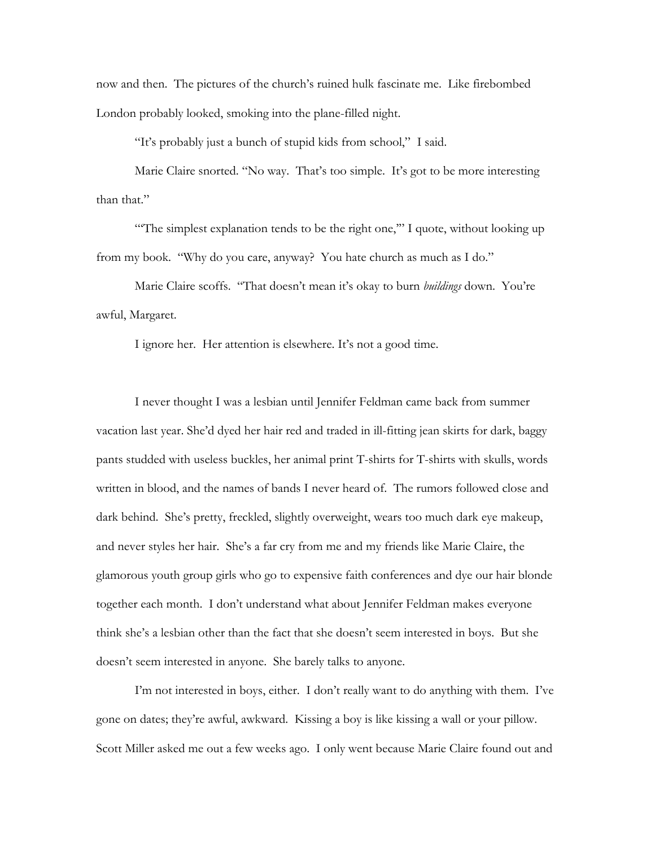now and then. The pictures of the church's ruined hulk fascinate me. Like firebombed London probably looked, smoking into the plane-filled night.

"It's probably just a bunch of stupid kids from school," I said.

 Marie Claire snorted. "No way. That's too simple. It's got to be more interesting than that."

"The simplest explanation tends to be the right one," I quote, without looking up from my book. "Why do you care, anyway? You hate church as much as I do."

 Marie Claire scoffs. "That doesn't mean it's okay to burn *buildings* down. You're awful, Margaret.

I ignore her. Her attention is elsewhere. It's not a good time.

 I never thought I was a lesbian until Jennifer Feldman came back from summer vacation last year. She'd dyed her hair red and traded in ill-fitting jean skirts for dark, baggy pants studded with useless buckles, her animal print T-shirts for T-shirts with skulls, words written in blood, and the names of bands I never heard of. The rumors followed close and dark behind. She's pretty, freckled, slightly overweight, wears too much dark eye makeup, and never styles her hair. She's a far cry from me and my friends like Marie Claire, the glamorous youth group girls who go to expensive faith conferences and dye our hair blonde together each month. I don't understand what about Jennifer Feldman makes everyone think she's a lesbian other than the fact that she doesn't seem interested in boys. But she doesn't seem interested in anyone. She barely talks to anyone.

 I'm not interested in boys, either. I don't really want to do anything with them. I've gone on dates; they're awful, awkward. Kissing a boy is like kissing a wall or your pillow. Scott Miller asked me out a few weeks ago. I only went because Marie Claire found out and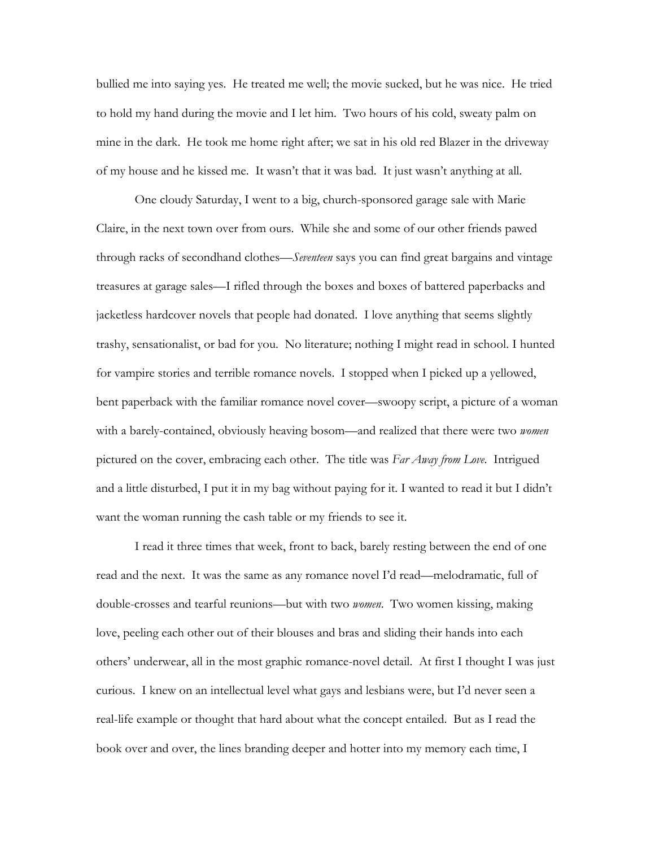bullied me into saying yes. He treated me well; the movie sucked, but he was nice. He tried to hold my hand during the movie and I let him. Two hours of his cold, sweaty palm on mine in the dark. He took me home right after; we sat in his old red Blazer in the driveway of my house and he kissed me. It wasn't that it was bad. It just wasn't anything at all.

 One cloudy Saturday, I went to a big, church-sponsored garage sale with Marie Claire, in the next town over from ours. While she and some of our other friends pawed through racks of secondhand clothes—*Seventeen* says you can find great bargains and vintage treasures at garage sales—I rifled through the boxes and boxes of battered paperbacks and jacketless hardcover novels that people had donated. I love anything that seems slightly trashy, sensationalist, or bad for you. No literature; nothing I might read in school. I hunted for vampire stories and terrible romance novels. I stopped when I picked up a yellowed, bent paperback with the familiar romance novel cover—swoopy script, a picture of a woman with a barely-contained, obviously heaving bosom—and realized that there were two *women*  pictured on the cover, embracing each other. The title was *Far Away from Love*. Intrigued and a little disturbed, I put it in my bag without paying for it. I wanted to read it but I didn't want the woman running the cash table or my friends to see it.

 I read it three times that week, front to back, barely resting between the end of one read and the next. It was the same as any romance novel I'd read—melodramatic, full of double-crosses and tearful reunions—but with two *women*. Two women kissing, making love, peeling each other out of their blouses and bras and sliding their hands into each others' underwear, all in the most graphic romance-novel detail. At first I thought I was just curious. I knew on an intellectual level what gays and lesbians were, but I'd never seen a real-life example or thought that hard about what the concept entailed. But as I read the book over and over, the lines branding deeper and hotter into my memory each time, I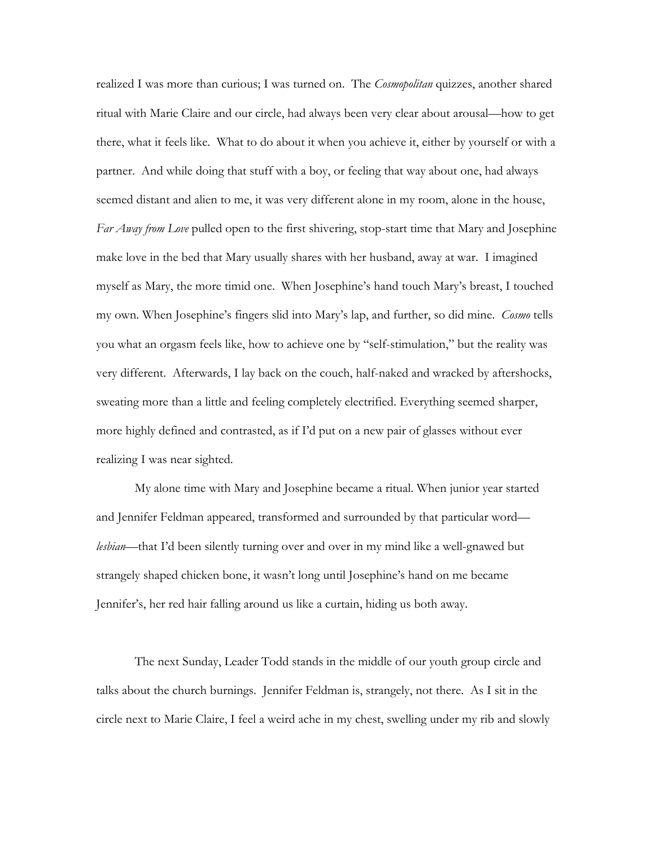realized I was more than curious; I was turned on. The *Cosmopolitan* quizzes, another shared ritual with Marie Claire and our circle, had always been very clear about arousal—how to get there, what it feels like. What to do about it when you achieve it, either by yourself or with a partner. And while doing that stuff with a boy, or feeling that way about one, had always seemed distant and alien to me, it was very different alone in my room, alone in the house, *Far Away from Love* pulled open to the first shivering, stop-start time that Mary and Josephine make love in the bed that Mary usually shares with her husband, away at war. I imagined myself as Mary, the more timid one. When Josephine's hand touch Mary's breast, I touched my own. When Josephine's fingers slid into Mary's lap, and further, so did mine. *Cosmo* tells you what an orgasm feels like, how to achieve one by "self-stimulation," but the reality was very different. Afterwards, I lay back on the couch, half-naked and wracked by aftershocks, sweating more than a little and feeling completely electrified. Everything seemed sharper, more highly defined and contrasted, as if I'd put on a new pair of glasses without ever realizing I was near sighted.

 My alone time with Mary and Josephine became a ritual. When junior year started and Jennifer Feldman appeared, transformed and surrounded by that particular word *lesbian*—that I'd been silently turning over and over in my mind like a well-gnawed but strangely shaped chicken bone, it wasn't long until Josephine's hand on me became Jennifer's, her red hair falling around us like a curtain, hiding us both away.

 The next Sunday, Leader Todd stands in the middle of our youth group circle and talks about the church burnings. Jennifer Feldman is, strangely, not there. As I sit in the circle next to Marie Claire, I feel a weird ache in my chest, swelling under my rib and slowly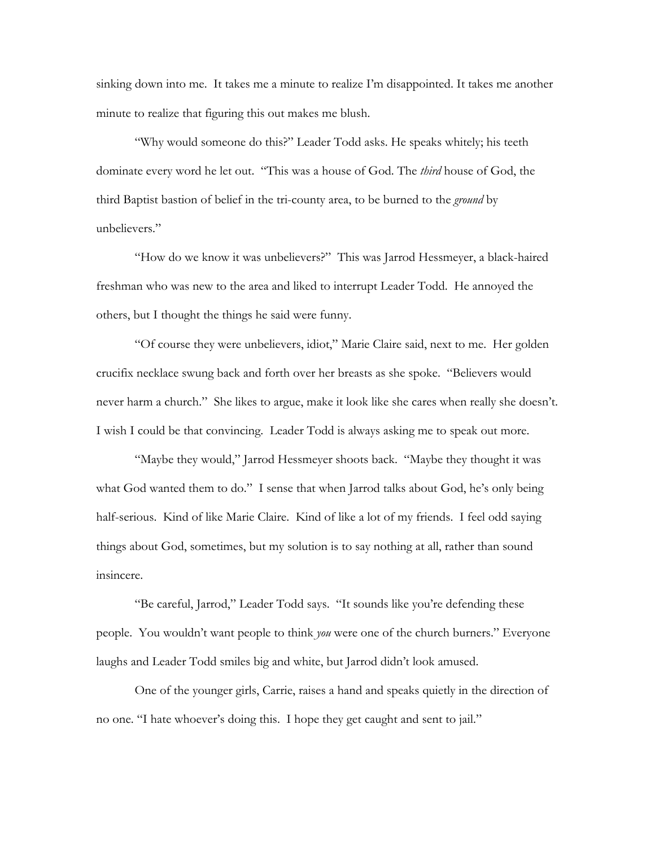sinking down into me. It takes me a minute to realize I'm disappointed. It takes me another minute to realize that figuring this out makes me blush.

 "Why would someone do this?" Leader Todd asks. He speaks whitely; his teeth dominate every word he let out. "This was a house of God. The *third* house of God, the third Baptist bastion of belief in the tri-county area, to be burned to the *ground* by unbelievers."

 "How do we know it was unbelievers?" This was Jarrod Hessmeyer, a black-haired freshman who was new to the area and liked to interrupt Leader Todd. He annoyed the others, but I thought the things he said were funny.

 "Of course they were unbelievers, idiot," Marie Claire said, next to me. Her golden crucifix necklace swung back and forth over her breasts as she spoke. "Believers would never harm a church." She likes to argue, make it look like she cares when really she doesn't. I wish I could be that convincing. Leader Todd is always asking me to speak out more.

 "Maybe they would," Jarrod Hessmeyer shoots back. "Maybe they thought it was what God wanted them to do." I sense that when Jarrod talks about God, he's only being half-serious. Kind of like Marie Claire. Kind of like a lot of my friends. I feel odd saying things about God, sometimes, but my solution is to say nothing at all, rather than sound insincere.

 "Be careful, Jarrod," Leader Todd says. "It sounds like you're defending these people. You wouldn't want people to think *you* were one of the church burners." Everyone laughs and Leader Todd smiles big and white, but Jarrod didn't look amused.

 One of the younger girls, Carrie, raises a hand and speaks quietly in the direction of no one. "I hate whoever's doing this. I hope they get caught and sent to jail."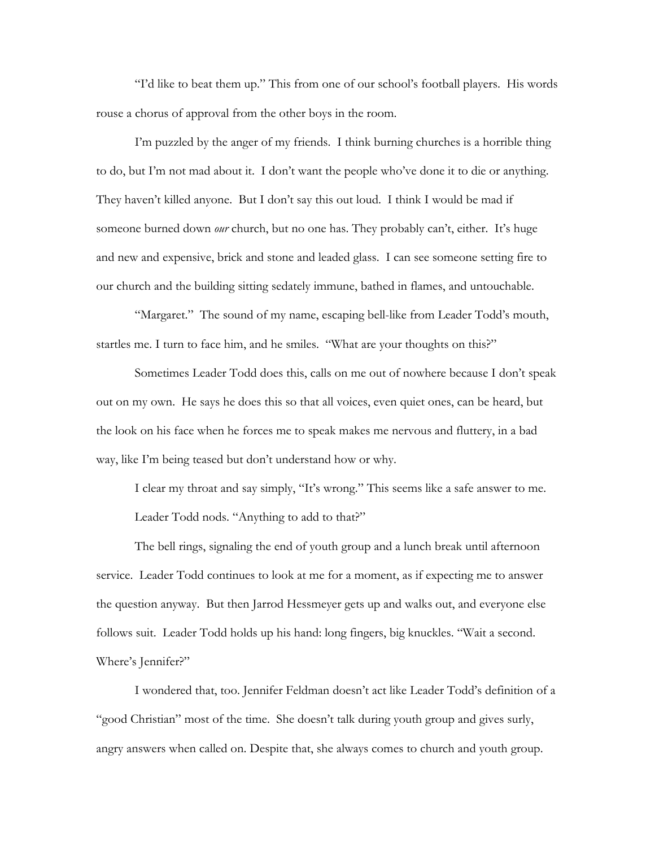"I'd like to beat them up." This from one of our school's football players. His words rouse a chorus of approval from the other boys in the room.

 I'm puzzled by the anger of my friends. I think burning churches is a horrible thing to do, but I'm not mad about it. I don't want the people who've done it to die or anything. They haven't killed anyone. But I don't say this out loud. I think I would be mad if someone burned down *our* church, but no one has. They probably can't, either. It's huge and new and expensive, brick and stone and leaded glass. I can see someone setting fire to our church and the building sitting sedately immune, bathed in flames, and untouchable.

 "Margaret." The sound of my name, escaping bell-like from Leader Todd's mouth, startles me. I turn to face him, and he smiles. "What are your thoughts on this?"

 Sometimes Leader Todd does this, calls on me out of nowhere because I don't speak out on my own. He says he does this so that all voices, even quiet ones, can be heard, but the look on his face when he forces me to speak makes me nervous and fluttery, in a bad way, like I'm being teased but don't understand how or why.

 I clear my throat and say simply, "It's wrong." This seems like a safe answer to me. Leader Todd nods. "Anything to add to that?"

 The bell rings, signaling the end of youth group and a lunch break until afternoon service. Leader Todd continues to look at me for a moment, as if expecting me to answer the question anyway. But then Jarrod Hessmeyer gets up and walks out, and everyone else follows suit. Leader Todd holds up his hand: long fingers, big knuckles. "Wait a second. Where's Jennifer?"

 I wondered that, too. Jennifer Feldman doesn't act like Leader Todd's definition of a "good Christian" most of the time. She doesn't talk during youth group and gives surly, angry answers when called on. Despite that, she always comes to church and youth group.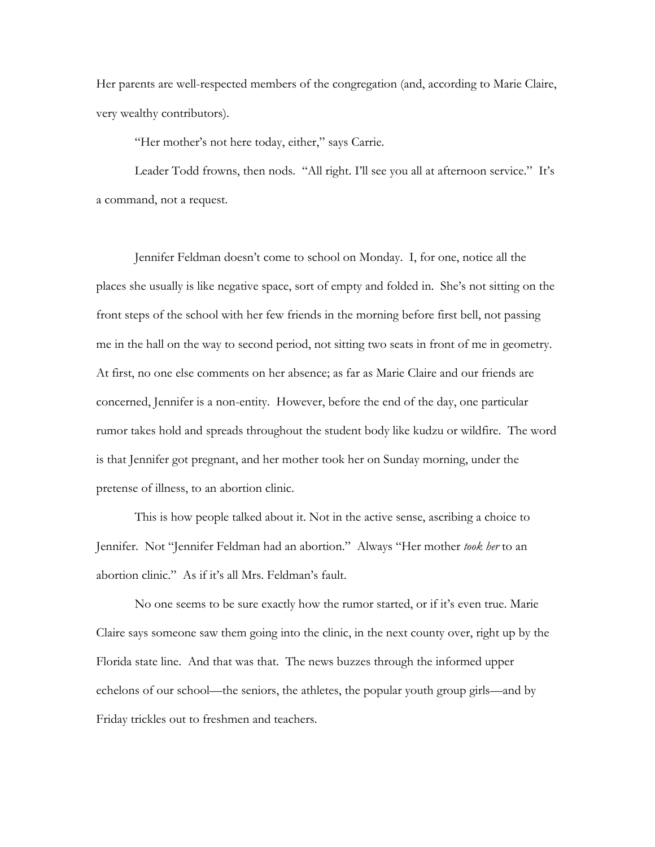Her parents are well-respected members of the congregation (and, according to Marie Claire, very wealthy contributors).

"Her mother's not here today, either," says Carrie.

Leader Todd frowns, then nods. "All right. I'll see you all at afternoon service." It's a command, not a request.

 Jennifer Feldman doesn't come to school on Monday. I, for one, notice all the places she usually is like negative space, sort of empty and folded in. She's not sitting on the front steps of the school with her few friends in the morning before first bell, not passing me in the hall on the way to second period, not sitting two seats in front of me in geometry. At first, no one else comments on her absence; as far as Marie Claire and our friends are concerned, Jennifer is a non-entity. However, before the end of the day, one particular rumor takes hold and spreads throughout the student body like kudzu or wildfire. The word is that Jennifer got pregnant, and her mother took her on Sunday morning, under the pretense of illness, to an abortion clinic.

 This is how people talked about it. Not in the active sense, ascribing a choice to Jennifer. Not "Jennifer Feldman had an abortion." Always "Her mother *took her* to an abortion clinic." As if it's all Mrs. Feldman's fault.

 No one seems to be sure exactly how the rumor started, or if it's even true. Marie Claire says someone saw them going into the clinic, in the next county over, right up by the Florida state line. And that was that. The news buzzes through the informed upper echelons of our school—the seniors, the athletes, the popular youth group girls—and by Friday trickles out to freshmen and teachers.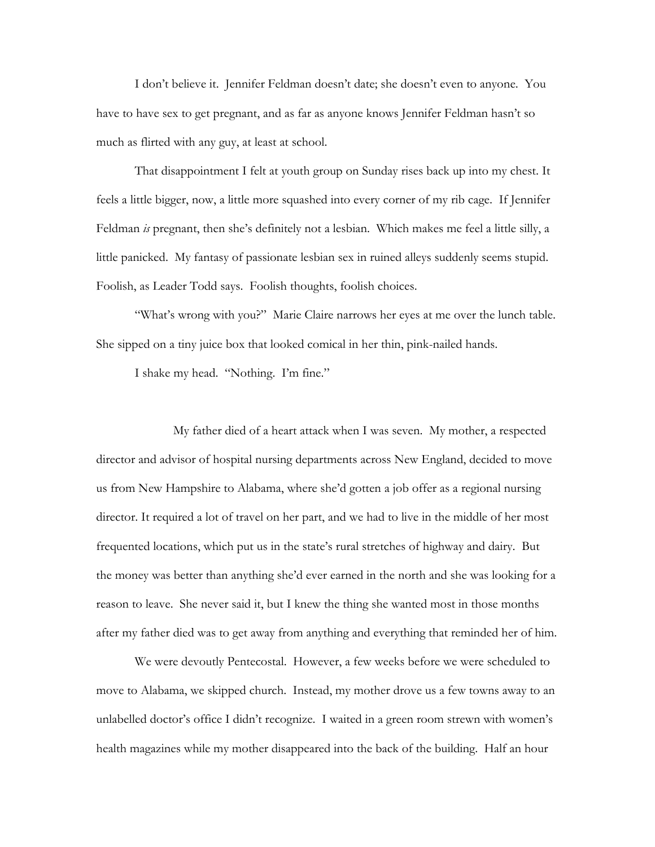I don't believe it. Jennifer Feldman doesn't date; she doesn't even to anyone. You have to have sex to get pregnant, and as far as anyone knows Jennifer Feldman hasn't so much as flirted with any guy, at least at school.

 That disappointment I felt at youth group on Sunday rises back up into my chest. It feels a little bigger, now, a little more squashed into every corner of my rib cage. If Jennifer Feldman *is* pregnant, then she's definitely not a lesbian. Which makes me feel a little silly, a little panicked. My fantasy of passionate lesbian sex in ruined alleys suddenly seems stupid. Foolish, as Leader Todd says. Foolish thoughts, foolish choices.

 "What's wrong with you?" Marie Claire narrows her eyes at me over the lunch table. She sipped on a tiny juice box that looked comical in her thin, pink-nailed hands.

I shake my head. "Nothing. I'm fine."

 My father died of a heart attack when I was seven. My mother, a respected director and advisor of hospital nursing departments across New England, decided to move us from New Hampshire to Alabama, where she'd gotten a job offer as a regional nursing director. It required a lot of travel on her part, and we had to live in the middle of her most frequented locations, which put us in the state's rural stretches of highway and dairy. But the money was better than anything she'd ever earned in the north and she was looking for a reason to leave. She never said it, but I knew the thing she wanted most in those months after my father died was to get away from anything and everything that reminded her of him.

 We were devoutly Pentecostal. However, a few weeks before we were scheduled to move to Alabama, we skipped church. Instead, my mother drove us a few towns away to an unlabelled doctor's office I didn't recognize. I waited in a green room strewn with women's health magazines while my mother disappeared into the back of the building. Half an hour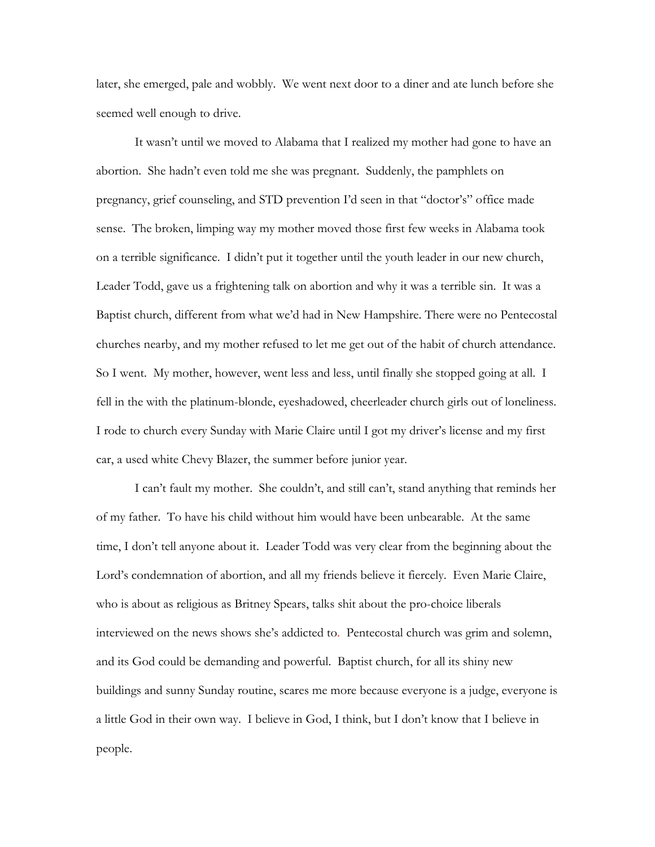later, she emerged, pale and wobbly. We went next door to a diner and ate lunch before she seemed well enough to drive.

 It wasn't until we moved to Alabama that I realized my mother had gone to have an abortion. She hadn't even told me she was pregnant. Suddenly, the pamphlets on pregnancy, grief counseling, and STD prevention I'd seen in that "doctor's" office made sense. The broken, limping way my mother moved those first few weeks in Alabama took on a terrible significance. I didn't put it together until the youth leader in our new church, Leader Todd, gave us a frightening talk on abortion and why it was a terrible sin. It was a Baptist church, different from what we'd had in New Hampshire. There were no Pentecostal churches nearby, and my mother refused to let me get out of the habit of church attendance. So I went. My mother, however, went less and less, until finally she stopped going at all. I fell in the with the platinum-blonde, eyeshadowed, cheerleader church girls out of loneliness. I rode to church every Sunday with Marie Claire until I got my driver's license and my first car, a used white Chevy Blazer, the summer before junior year.

 I can't fault my mother. She couldn't, and still can't, stand anything that reminds her of my father. To have his child without him would have been unbearable. At the same time, I don't tell anyone about it. Leader Todd was very clear from the beginning about the Lord's condemnation of abortion, and all my friends believe it fiercely. Even Marie Claire, who is about as religious as Britney Spears, talks shit about the pro-choice liberals interviewed on the news shows she's addicted to. Pentecostal church was grim and solemn, and its God could be demanding and powerful. Baptist church, for all its shiny new buildings and sunny Sunday routine, scares me more because everyone is a judge, everyone is a little God in their own way. I believe in God, I think, but I don't know that I believe in people.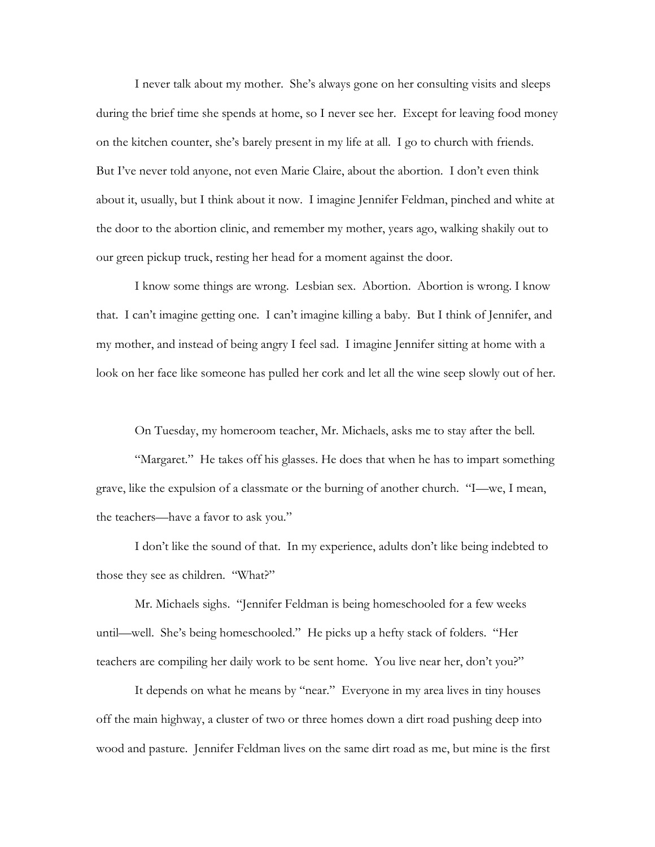I never talk about my mother. She's always gone on her consulting visits and sleeps during the brief time she spends at home, so I never see her. Except for leaving food money on the kitchen counter, she's barely present in my life at all. I go to church with friends. But I've never told anyone, not even Marie Claire, about the abortion. I don't even think about it, usually, but I think about it now. I imagine Jennifer Feldman, pinched and white at the door to the abortion clinic, and remember my mother, years ago, walking shakily out to our green pickup truck, resting her head for a moment against the door.

 I know some things are wrong. Lesbian sex. Abortion. Abortion is wrong. I know that. I can't imagine getting one. I can't imagine killing a baby. But I think of Jennifer, and my mother, and instead of being angry I feel sad. I imagine Jennifer sitting at home with a look on her face like someone has pulled her cork and let all the wine seep slowly out of her.

On Tuesday, my homeroom teacher, Mr. Michaels, asks me to stay after the bell.

"Margaret." He takes off his glasses. He does that when he has to impart something grave, like the expulsion of a classmate or the burning of another church. "I—we, I mean, the teachers—have a favor to ask you."

 I don't like the sound of that. In my experience, adults don't like being indebted to those they see as children. "What?"

 Mr. Michaels sighs. "Jennifer Feldman is being homeschooled for a few weeks until—well. She's being homeschooled." He picks up a hefty stack of folders. "Her teachers are compiling her daily work to be sent home. You live near her, don't you?"

 It depends on what he means by "near." Everyone in my area lives in tiny houses off the main highway, a cluster of two or three homes down a dirt road pushing deep into wood and pasture. Jennifer Feldman lives on the same dirt road as me, but mine is the first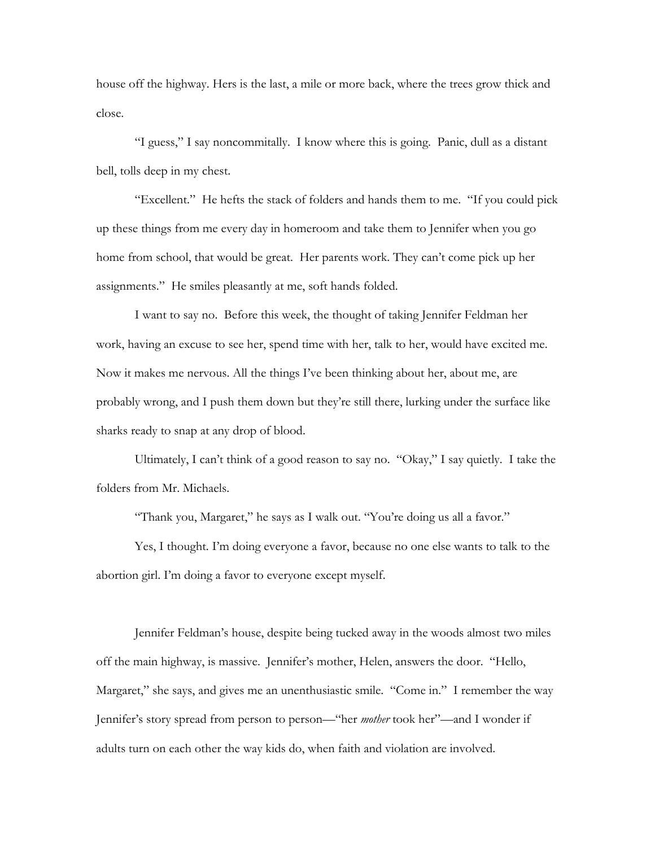house off the highway. Hers is the last, a mile or more back, where the trees grow thick and close.

 "I guess," I say noncommitally. I know where this is going. Panic, dull as a distant bell, tolls deep in my chest.

 "Excellent." He hefts the stack of folders and hands them to me. "If you could pick up these things from me every day in homeroom and take them to Jennifer when you go home from school, that would be great. Her parents work. They can't come pick up her assignments." He smiles pleasantly at me, soft hands folded.

 I want to say no. Before this week, the thought of taking Jennifer Feldman her work, having an excuse to see her, spend time with her, talk to her, would have excited me. Now it makes me nervous. All the things I've been thinking about her, about me, are probably wrong, and I push them down but they're still there, lurking under the surface like sharks ready to snap at any drop of blood.

 Ultimately, I can't think of a good reason to say no. "Okay," I say quietly. I take the folders from Mr. Michaels.

"Thank you, Margaret," he says as I walk out. "You're doing us all a favor."

 Yes, I thought. I'm doing everyone a favor, because no one else wants to talk to the abortion girl. I'm doing a favor to everyone except myself.

 Jennifer Feldman's house, despite being tucked away in the woods almost two miles off the main highway, is massive. Jennifer's mother, Helen, answers the door. "Hello, Margaret," she says, and gives me an unenthusiastic smile. "Come in." I remember the way Jennifer's story spread from person to person—"her *mother* took her"—and I wonder if adults turn on each other the way kids do, when faith and violation are involved.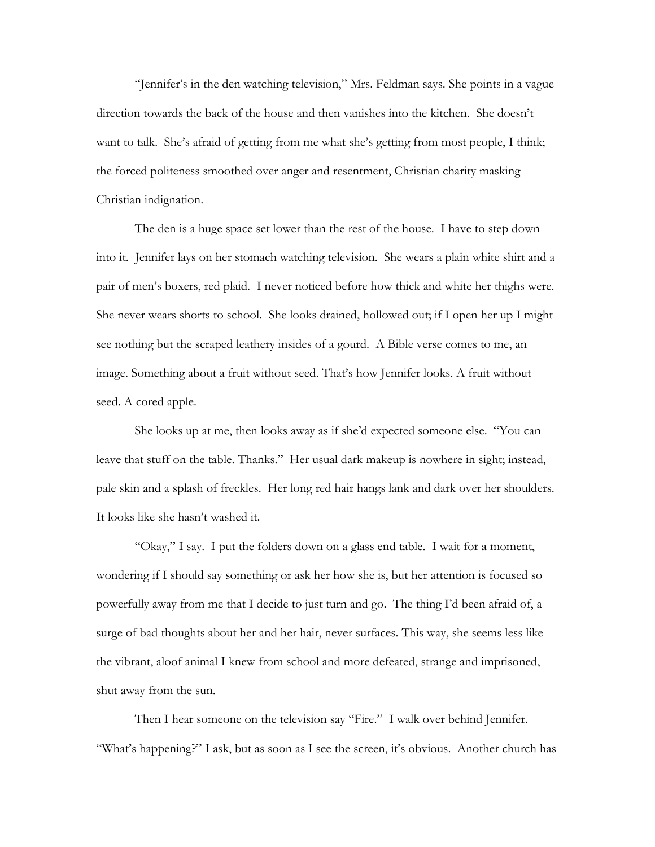"Jennifer's in the den watching television," Mrs. Feldman says. She points in a vague direction towards the back of the house and then vanishes into the kitchen. She doesn't want to talk. She's afraid of getting from me what she's getting from most people, I think; the forced politeness smoothed over anger and resentment, Christian charity masking Christian indignation.

 The den is a huge space set lower than the rest of the house. I have to step down into it. Jennifer lays on her stomach watching television. She wears a plain white shirt and a pair of men's boxers, red plaid. I never noticed before how thick and white her thighs were. She never wears shorts to school. She looks drained, hollowed out; if I open her up I might see nothing but the scraped leathery insides of a gourd. A Bible verse comes to me, an image. Something about a fruit without seed. That's how Jennifer looks. A fruit without seed. A cored apple.

 She looks up at me, then looks away as if she'd expected someone else. "You can leave that stuff on the table. Thanks." Her usual dark makeup is nowhere in sight; instead, pale skin and a splash of freckles. Her long red hair hangs lank and dark over her shoulders. It looks like she hasn't washed it.

 "Okay," I say. I put the folders down on a glass end table. I wait for a moment, wondering if I should say something or ask her how she is, but her attention is focused so powerfully away from me that I decide to just turn and go. The thing I'd been afraid of, a surge of bad thoughts about her and her hair, never surfaces. This way, she seems less like the vibrant, aloof animal I knew from school and more defeated, strange and imprisoned, shut away from the sun.

 Then I hear someone on the television say "Fire." I walk over behind Jennifer. "What's happening?" I ask, but as soon as I see the screen, it's obvious. Another church has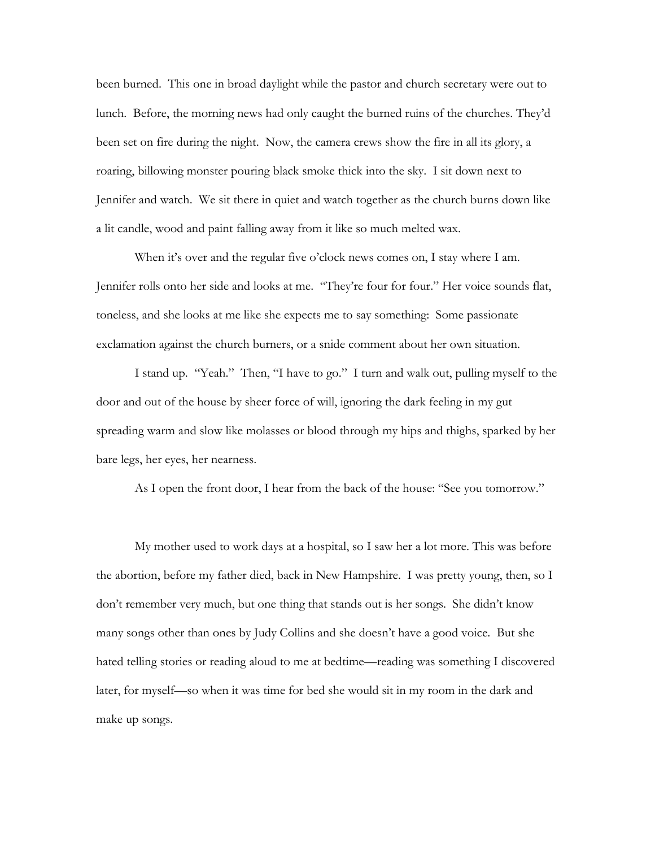been burned. This one in broad daylight while the pastor and church secretary were out to lunch. Before, the morning news had only caught the burned ruins of the churches. They'd been set on fire during the night. Now, the camera crews show the fire in all its glory, a roaring, billowing monster pouring black smoke thick into the sky. I sit down next to Jennifer and watch. We sit there in quiet and watch together as the church burns down like a lit candle, wood and paint falling away from it like so much melted wax.

When it's over and the regular five o'clock news comes on, I stay where I am. Jennifer rolls onto her side and looks at me. "They're four for four." Her voice sounds flat, toneless, and she looks at me like she expects me to say something: Some passionate exclamation against the church burners, or a snide comment about her own situation.

 I stand up. "Yeah." Then, "I have to go." I turn and walk out, pulling myself to the door and out of the house by sheer force of will, ignoring the dark feeling in my gut spreading warm and slow like molasses or blood through my hips and thighs, sparked by her bare legs, her eyes, her nearness.

As I open the front door, I hear from the back of the house: "See you tomorrow."

 My mother used to work days at a hospital, so I saw her a lot more. This was before the abortion, before my father died, back in New Hampshire. I was pretty young, then, so I don't remember very much, but one thing that stands out is her songs. She didn't know many songs other than ones by Judy Collins and she doesn't have a good voice. But she hated telling stories or reading aloud to me at bedtime—reading was something I discovered later, for myself—so when it was time for bed she would sit in my room in the dark and make up songs.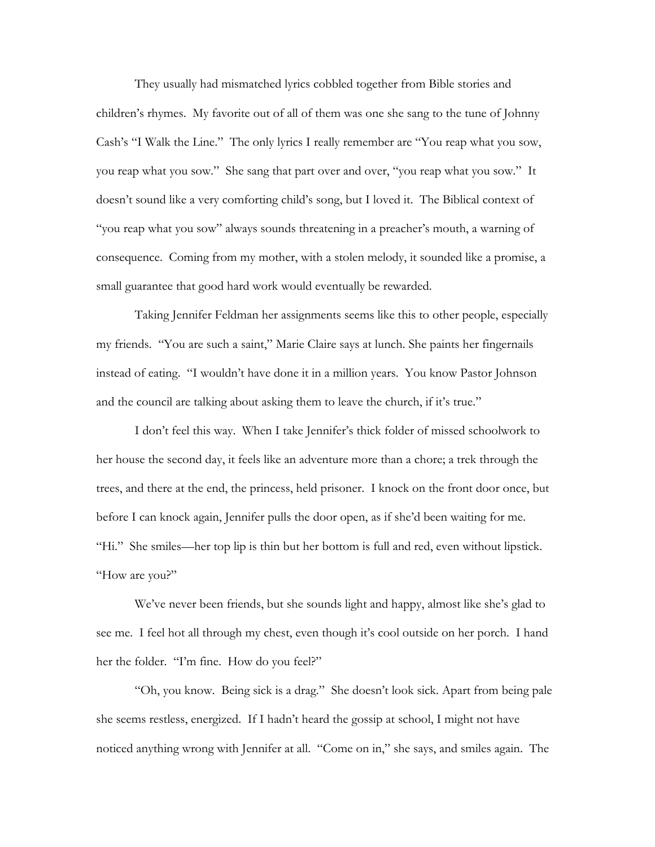They usually had mismatched lyrics cobbled together from Bible stories and children's rhymes. My favorite out of all of them was one she sang to the tune of Johnny Cash's "I Walk the Line." The only lyrics I really remember are "You reap what you sow, you reap what you sow." She sang that part over and over, "you reap what you sow." It doesn't sound like a very comforting child's song, but I loved it. The Biblical context of "you reap what you sow" always sounds threatening in a preacher's mouth, a warning of consequence. Coming from my mother, with a stolen melody, it sounded like a promise, a small guarantee that good hard work would eventually be rewarded.

 Taking Jennifer Feldman her assignments seems like this to other people, especially my friends. "You are such a saint," Marie Claire says at lunch. She paints her fingernails instead of eating. "I wouldn't have done it in a million years. You know Pastor Johnson and the council are talking about asking them to leave the church, if it's true."

 I don't feel this way. When I take Jennifer's thick folder of missed schoolwork to her house the second day, it feels like an adventure more than a chore; a trek through the trees, and there at the end, the princess, held prisoner. I knock on the front door once, but before I can knock again, Jennifer pulls the door open, as if she'd been waiting for me. "Hi." She smiles—her top lip is thin but her bottom is full and red, even without lipstick. "How are you?"

 We've never been friends, but she sounds light and happy, almost like she's glad to see me. I feel hot all through my chest, even though it's cool outside on her porch. I hand her the folder. "I'm fine. How do you feel?"

 "Oh, you know. Being sick is a drag." She doesn't look sick. Apart from being pale she seems restless, energized. If I hadn't heard the gossip at school, I might not have noticed anything wrong with Jennifer at all. "Come on in," she says, and smiles again. The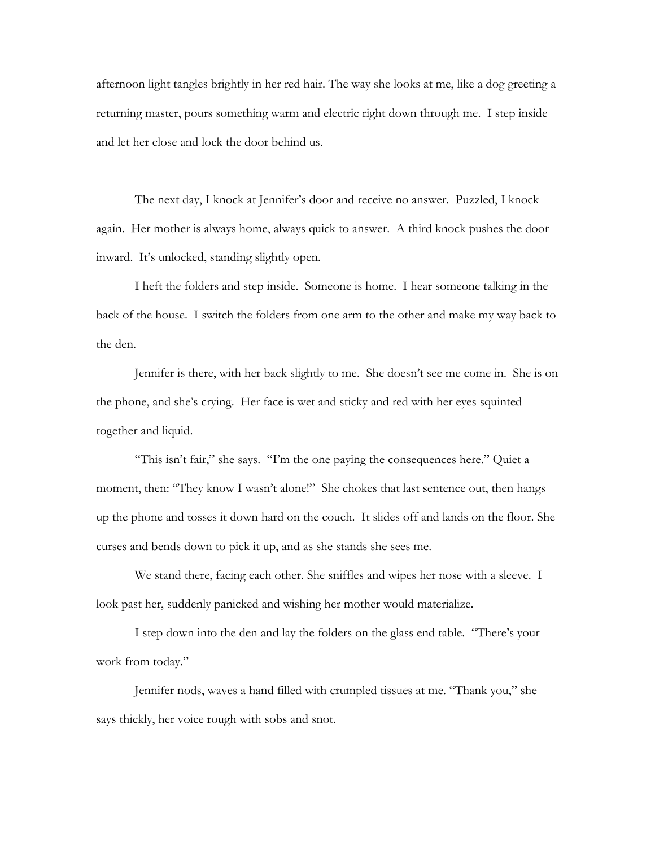afternoon light tangles brightly in her red hair. The way she looks at me, like a dog greeting a returning master, pours something warm and electric right down through me. I step inside and let her close and lock the door behind us.

 The next day, I knock at Jennifer's door and receive no answer. Puzzled, I knock again. Her mother is always home, always quick to answer. A third knock pushes the door inward. It's unlocked, standing slightly open.

 I heft the folders and step inside. Someone is home. I hear someone talking in the back of the house. I switch the folders from one arm to the other and make my way back to the den.

 Jennifer is there, with her back slightly to me. She doesn't see me come in. She is on the phone, and she's crying. Her face is wet and sticky and red with her eyes squinted together and liquid.

 "This isn't fair," she says. "I'm the one paying the consequences here." Quiet a moment, then: "They know I wasn't alone!" She chokes that last sentence out, then hangs up the phone and tosses it down hard on the couch. It slides off and lands on the floor. She curses and bends down to pick it up, and as she stands she sees me.

We stand there, facing each other. She sniffles and wipes her nose with a sleeve. I look past her, suddenly panicked and wishing her mother would materialize.

 I step down into the den and lay the folders on the glass end table. "There's your work from today."

 Jennifer nods, waves a hand filled with crumpled tissues at me. "Thank you," she says thickly, her voice rough with sobs and snot.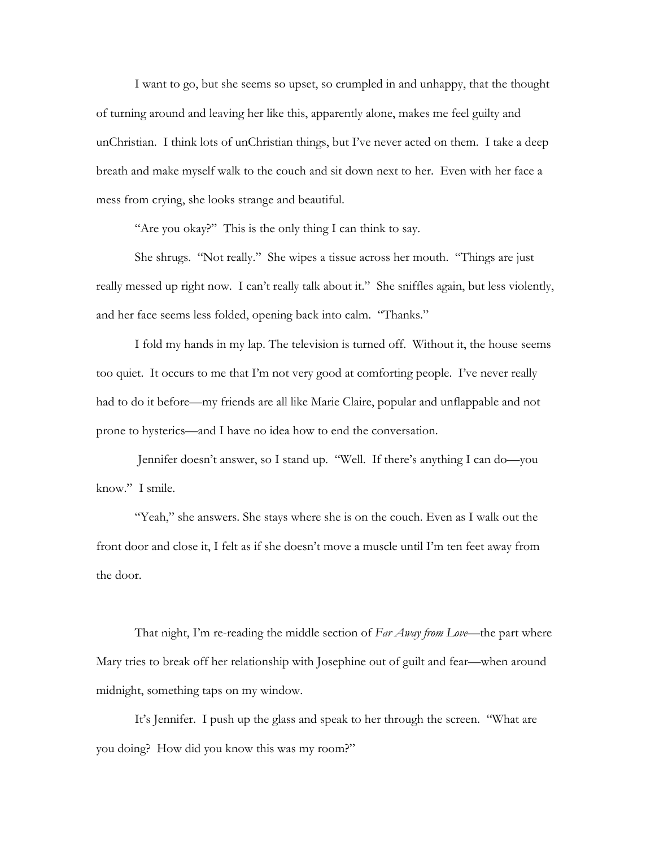I want to go, but she seems so upset, so crumpled in and unhappy, that the thought of turning around and leaving her like this, apparently alone, makes me feel guilty and unChristian. I think lots of unChristian things, but I've never acted on them. I take a deep breath and make myself walk to the couch and sit down next to her. Even with her face a mess from crying, she looks strange and beautiful.

"Are you okay?" This is the only thing I can think to say.

 She shrugs. "Not really." She wipes a tissue across her mouth. "Things are just really messed up right now. I can't really talk about it." She sniffles again, but less violently, and her face seems less folded, opening back into calm. "Thanks."

 I fold my hands in my lap. The television is turned off. Without it, the house seems too quiet. It occurs to me that I'm not very good at comforting people. I've never really had to do it before—my friends are all like Marie Claire, popular and unflappable and not prone to hysterics—and I have no idea how to end the conversation.

 Jennifer doesn't answer, so I stand up. "Well. If there's anything I can do—you know." I smile.

"Yeah," she answers. She stays where she is on the couch. Even as I walk out the front door and close it, I felt as if she doesn't move a muscle until I'm ten feet away from the door.

 That night, I'm re-reading the middle section of *Far Away from Love*—the part where Mary tries to break off her relationship with Josephine out of guilt and fear—when around midnight, something taps on my window.

 It's Jennifer. I push up the glass and speak to her through the screen. "What are you doing? How did you know this was my room?"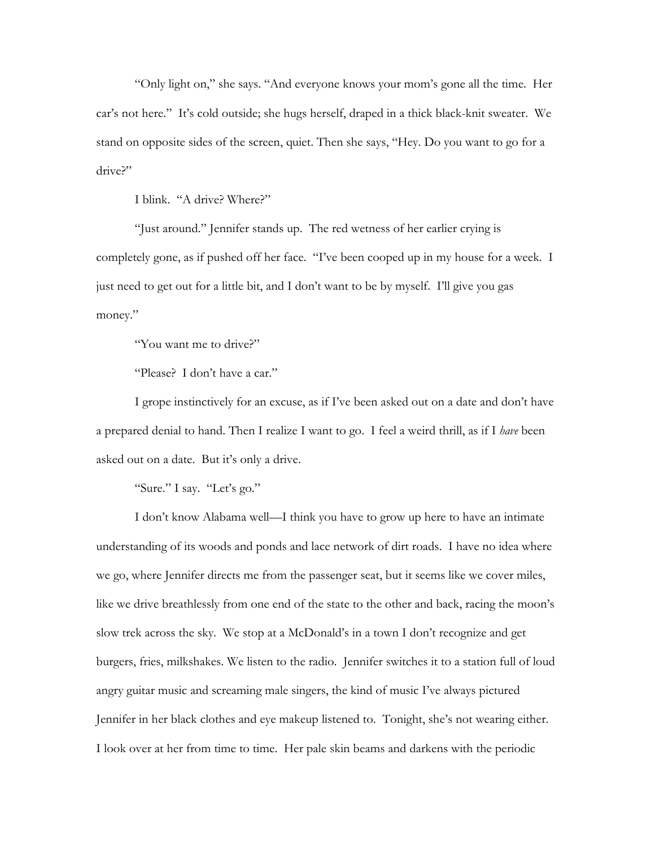"Only light on," she says. "And everyone knows your mom's gone all the time. Her car's not here." It's cold outside; she hugs herself, draped in a thick black-knit sweater. We stand on opposite sides of the screen, quiet. Then she says, "Hey. Do you want to go for a drive?"

I blink. "A drive? Where?"

 "Just around." Jennifer stands up. The red wetness of her earlier crying is completely gone, as if pushed off her face. "I've been cooped up in my house for a week. I just need to get out for a little bit, and I don't want to be by myself. I'll give you gas money."

"You want me to drive?"

"Please? I don't have a car."

 I grope instinctively for an excuse, as if I've been asked out on a date and don't have a prepared denial to hand. Then I realize I want to go. I feel a weird thrill, as if I *have* been asked out on a date. But it's only a drive.

"Sure." I say. "Let's go."

 I don't know Alabama well—I think you have to grow up here to have an intimate understanding of its woods and ponds and lace network of dirt roads. I have no idea where we go, where Jennifer directs me from the passenger seat, but it seems like we cover miles, like we drive breathlessly from one end of the state to the other and back, racing the moon's slow trek across the sky. We stop at a McDonald's in a town I don't recognize and get burgers, fries, milkshakes. We listen to the radio. Jennifer switches it to a station full of loud angry guitar music and screaming male singers, the kind of music I've always pictured Jennifer in her black clothes and eye makeup listened to. Tonight, she's not wearing either. I look over at her from time to time. Her pale skin beams and darkens with the periodic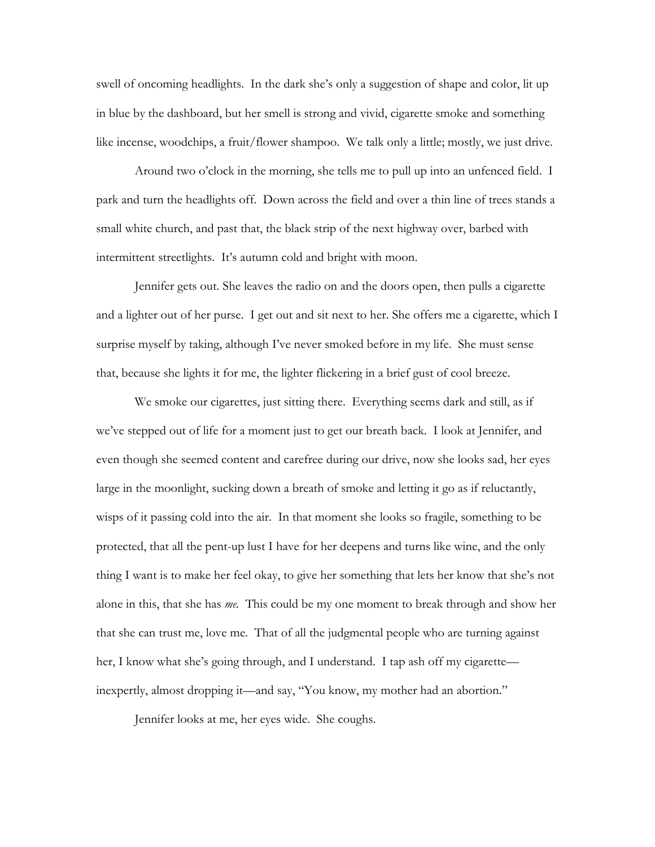swell of oncoming headlights. In the dark she's only a suggestion of shape and color, lit up in blue by the dashboard, but her smell is strong and vivid, cigarette smoke and something like incense, woodchips, a fruit/flower shampoo. We talk only a little; mostly, we just drive.

 Around two o'clock in the morning, she tells me to pull up into an unfenced field. I park and turn the headlights off. Down across the field and over a thin line of trees stands a small white church, and past that, the black strip of the next highway over, barbed with intermittent streetlights. It's autumn cold and bright with moon.

 Jennifer gets out. She leaves the radio on and the doors open, then pulls a cigarette and a lighter out of her purse. I get out and sit next to her. She offers me a cigarette, which I surprise myself by taking, although I've never smoked before in my life. She must sense that, because she lights it for me, the lighter flickering in a brief gust of cool breeze.

 We smoke our cigarettes, just sitting there. Everything seems dark and still, as if we've stepped out of life for a moment just to get our breath back. I look at Jennifer, and even though she seemed content and carefree during our drive, now she looks sad, her eyes large in the moonlight, sucking down a breath of smoke and letting it go as if reluctantly, wisps of it passing cold into the air. In that moment she looks so fragile, something to be protected, that all the pent-up lust I have for her deepens and turns like wine, and the only thing I want is to make her feel okay, to give her something that lets her know that she's not alone in this, that she has *me.* This could be my one moment to break through and show her that she can trust me, love me. That of all the judgmental people who are turning against her, I know what she's going through, and I understand. I tap ash off my cigarette inexpertly, almost dropping it—and say, "You know, my mother had an abortion."

Jennifer looks at me, her eyes wide. She coughs.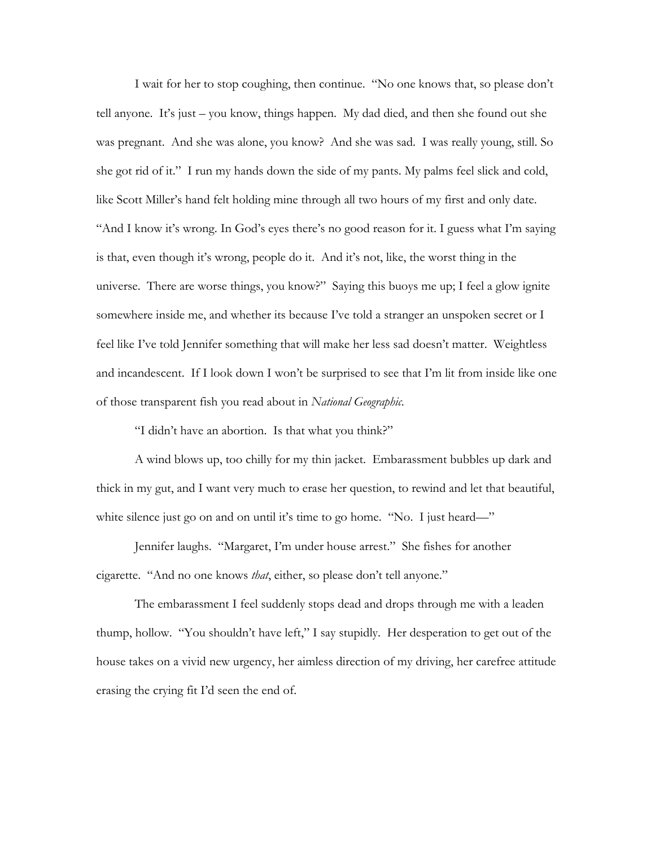I wait for her to stop coughing, then continue. "No one knows that, so please don't tell anyone. It's just – you know, things happen. My dad died, and then she found out she was pregnant. And she was alone, you know? And she was sad. I was really young, still. So she got rid of it." I run my hands down the side of my pants. My palms feel slick and cold, like Scott Miller's hand felt holding mine through all two hours of my first and only date. "And I know it's wrong. In God's eyes there's no good reason for it. I guess what I'm saying is that, even though it's wrong, people do it. And it's not, like, the worst thing in the universe. There are worse things, you know?" Saying this buoys me up; I feel a glow ignite somewhere inside me, and whether its because I've told a stranger an unspoken secret or I feel like I've told Jennifer something that will make her less sad doesn't matter. Weightless and incandescent. If I look down I won't be surprised to see that I'm lit from inside like one of those transparent fish you read about in *National Geographic*.

"I didn't have an abortion. Is that what you think?"

 A wind blows up, too chilly for my thin jacket. Embarassment bubbles up dark and thick in my gut, and I want very much to erase her question, to rewind and let that beautiful, white silence just go on and on until it's time to go home. "No. I just heard—"

 Jennifer laughs. "Margaret, I'm under house arrest." She fishes for another cigarette. "And no one knows *that*, either, so please don't tell anyone."

 The embarassment I feel suddenly stops dead and drops through me with a leaden thump, hollow. "You shouldn't have left," I say stupidly. Her desperation to get out of the house takes on a vivid new urgency, her aimless direction of my driving, her carefree attitude erasing the crying fit I'd seen the end of.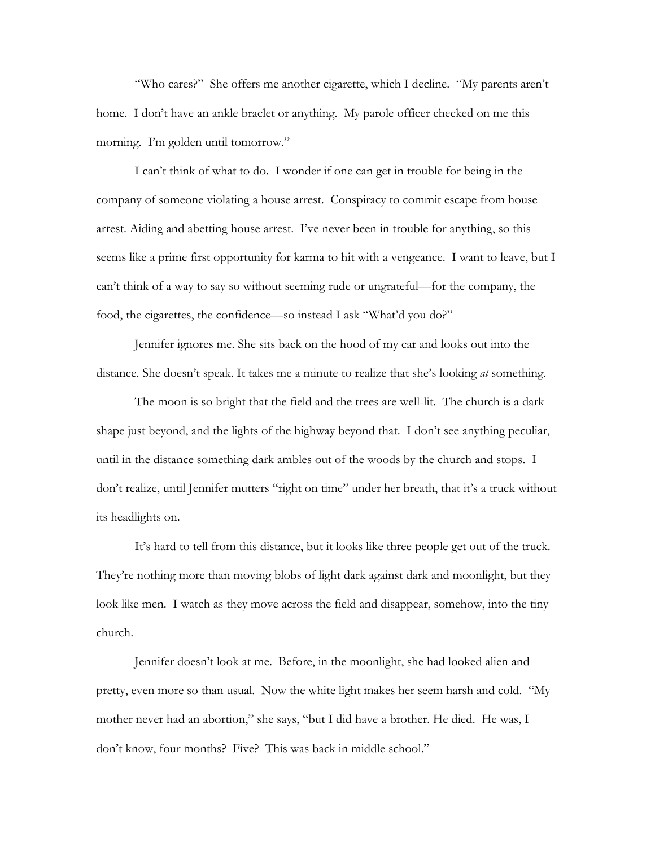"Who cares?" She offers me another cigarette, which I decline. "My parents aren't home. I don't have an ankle braclet or anything. My parole officer checked on me this morning. I'm golden until tomorrow."

 I can't think of what to do. I wonder if one can get in trouble for being in the company of someone violating a house arrest. Conspiracy to commit escape from house arrest. Aiding and abetting house arrest. I've never been in trouble for anything, so this seems like a prime first opportunity for karma to hit with a vengeance. I want to leave, but I can't think of a way to say so without seeming rude or ungrateful—for the company, the food, the cigarettes, the confidence—so instead I ask "What'd you do?"

 Jennifer ignores me. She sits back on the hood of my car and looks out into the distance. She doesn't speak. It takes me a minute to realize that she's looking *at* something.

 The moon is so bright that the field and the trees are well-lit. The church is a dark shape just beyond, and the lights of the highway beyond that. I don't see anything peculiar, until in the distance something dark ambles out of the woods by the church and stops. I don't realize, until Jennifer mutters "right on time" under her breath, that it's a truck without its headlights on.

 It's hard to tell from this distance, but it looks like three people get out of the truck. They're nothing more than moving blobs of light dark against dark and moonlight, but they look like men. I watch as they move across the field and disappear, somehow, into the tiny church.

 Jennifer doesn't look at me. Before, in the moonlight, she had looked alien and pretty, even more so than usual. Now the white light makes her seem harsh and cold. "My mother never had an abortion," she says, "but I did have a brother. He died. He was, I don't know, four months? Five? This was back in middle school."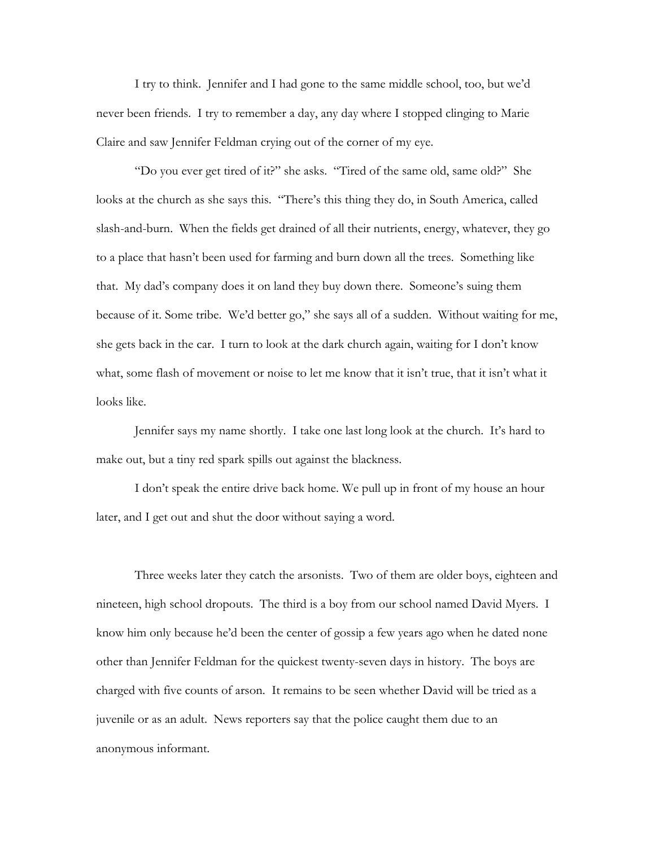I try to think. Jennifer and I had gone to the same middle school, too, but we'd never been friends. I try to remember a day, any day where I stopped clinging to Marie Claire and saw Jennifer Feldman crying out of the corner of my eye.

 "Do you ever get tired of it?" she asks. "Tired of the same old, same old?" She looks at the church as she says this. "There's this thing they do, in South America, called slash-and-burn. When the fields get drained of all their nutrients, energy, whatever, they go to a place that hasn't been used for farming and burn down all the trees. Something like that. My dad's company does it on land they buy down there. Someone's suing them because of it. Some tribe. We'd better go," she says all of a sudden. Without waiting for me, she gets back in the car. I turn to look at the dark church again, waiting for I don't know what, some flash of movement or noise to let me know that it isn't true, that it isn't what it looks like.

 Jennifer says my name shortly. I take one last long look at the church. It's hard to make out, but a tiny red spark spills out against the blackness.

 I don't speak the entire drive back home. We pull up in front of my house an hour later, and I get out and shut the door without saying a word.

 Three weeks later they catch the arsonists. Two of them are older boys, eighteen and nineteen, high school dropouts. The third is a boy from our school named David Myers. I know him only because he'd been the center of gossip a few years ago when he dated none other than Jennifer Feldman for the quickest twenty-seven days in history. The boys are charged with five counts of arson. It remains to be seen whether David will be tried as a juvenile or as an adult. News reporters say that the police caught them due to an anonymous informant.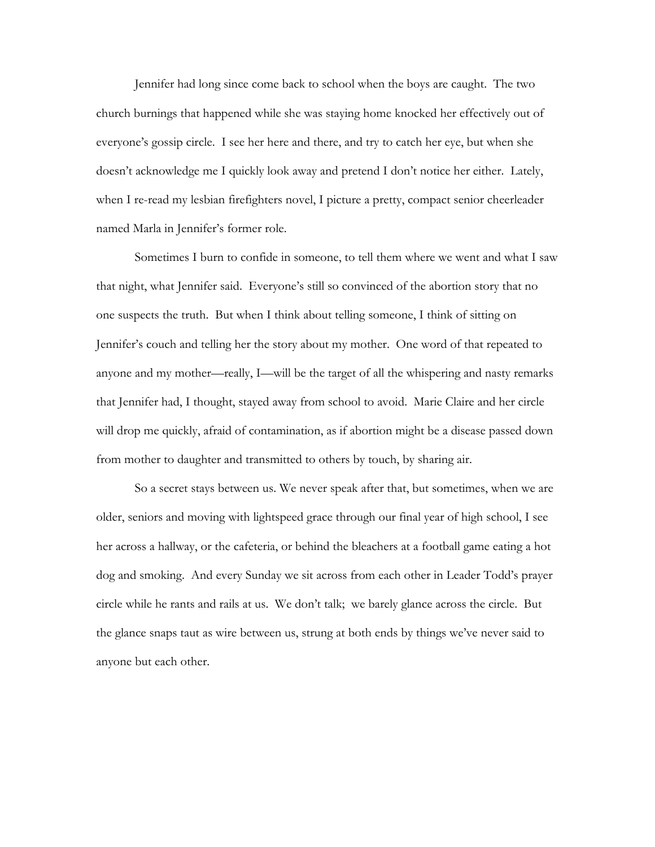Jennifer had long since come back to school when the boys are caught. The two church burnings that happened while she was staying home knocked her effectively out of everyone's gossip circle. I see her here and there, and try to catch her eye, but when she doesn't acknowledge me I quickly look away and pretend I don't notice her either. Lately, when I re-read my lesbian firefighters novel, I picture a pretty, compact senior cheerleader named Marla in Jennifer's former role.

 Sometimes I burn to confide in someone, to tell them where we went and what I saw that night, what Jennifer said. Everyone's still so convinced of the abortion story that no one suspects the truth. But when I think about telling someone, I think of sitting on Jennifer's couch and telling her the story about my mother. One word of that repeated to anyone and my mother—really, I—will be the target of all the whispering and nasty remarks that Jennifer had, I thought, stayed away from school to avoid. Marie Claire and her circle will drop me quickly, afraid of contamination, as if abortion might be a disease passed down from mother to daughter and transmitted to others by touch, by sharing air.

 So a secret stays between us. We never speak after that, but sometimes, when we are older, seniors and moving with lightspeed grace through our final year of high school, I see her across a hallway, or the cafeteria, or behind the bleachers at a football game eating a hot dog and smoking. And every Sunday we sit across from each other in Leader Todd's prayer circle while he rants and rails at us. We don't talk; we barely glance across the circle. But the glance snaps taut as wire between us, strung at both ends by things we've never said to anyone but each other.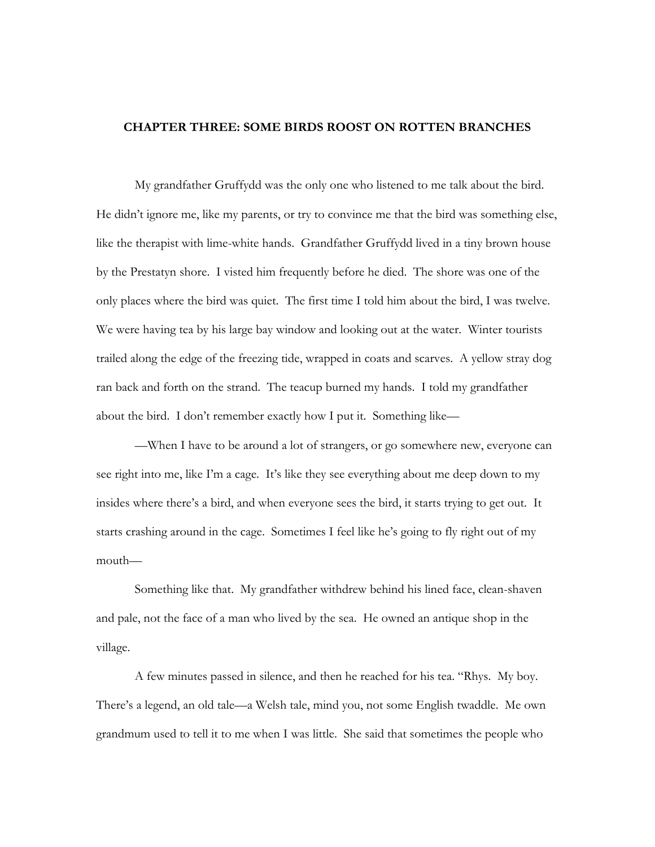## **CHAPTER THREE: SOME BIRDS ROOST ON ROTTEN BRANCHES**

My grandfather Gruffydd was the only one who listened to me talk about the bird. He didn't ignore me, like my parents, or try to convince me that the bird was something else, like the therapist with lime-white hands. Grandfather Gruffydd lived in a tiny brown house by the Prestatyn shore. I visted him frequently before he died. The shore was one of the only places where the bird was quiet. The first time I told him about the bird, I was twelve. We were having tea by his large bay window and looking out at the water. Winter tourists trailed along the edge of the freezing tide, wrapped in coats and scarves. A yellow stray dog ran back and forth on the strand. The teacup burned my hands. I told my grandfather about the bird. I don't remember exactly how I put it. Something like—

—When I have to be around a lot of strangers, or go somewhere new, everyone can see right into me, like I'm a cage. It's like they see everything about me deep down to my insides where there's a bird, and when everyone sees the bird, it starts trying to get out. It starts crashing around in the cage. Sometimes I feel like he's going to fly right out of my mouth—

Something like that. My grandfather withdrew behind his lined face, clean-shaven and pale, not the face of a man who lived by the sea. He owned an antique shop in the village.

 A few minutes passed in silence, and then he reached for his tea. "Rhys. My boy. There's a legend, an old tale—a Welsh tale, mind you, not some English twaddle. Me own grandmum used to tell it to me when I was little. She said that sometimes the people who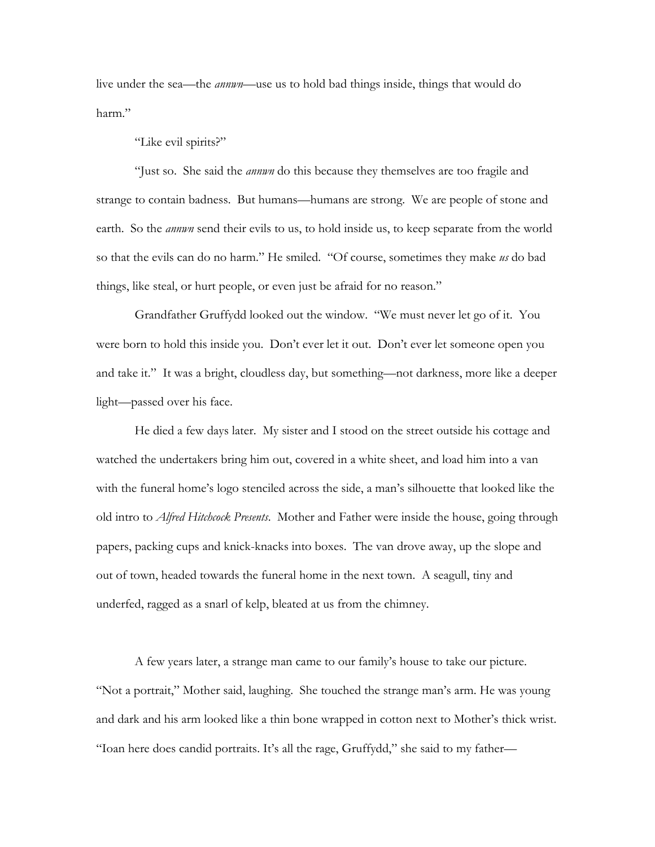live under the sea—the *annwn—*use us to hold bad things inside, things that would do harm."

## "Like evil spirits?"

 "Just so. She said the *annwn* do this because they themselves are too fragile and strange to contain badness. But humans—humans are strong. We are people of stone and earth. So the *annwn* send their evils to us, to hold inside us, to keep separate from the world so that the evils can do no harm." He smiled. "Of course, sometimes they make *us* do bad things, like steal, or hurt people, or even just be afraid for no reason."

Grandfather Gruffydd looked out the window. "We must never let go of it. You were born to hold this inside you. Don't ever let it out. Don't ever let someone open you and take it." It was a bright, cloudless day, but something—not darkness, more like a deeper light—passed over his face.

He died a few days later. My sister and I stood on the street outside his cottage and watched the undertakers bring him out, covered in a white sheet, and load him into a van with the funeral home's logo stenciled across the side, a man's silhouette that looked like the old intro to *Alfred Hitchcock Presents*. Mother and Father were inside the house, going through papers, packing cups and knick-knacks into boxes. The van drove away, up the slope and out of town, headed towards the funeral home in the next town. A seagull, tiny and underfed, ragged as a snarl of kelp, bleated at us from the chimney.

 A few years later, a strange man came to our family's house to take our picture. "Not a portrait," Mother said, laughing. She touched the strange man's arm. He was young and dark and his arm looked like a thin bone wrapped in cotton next to Mother's thick wrist. "Ioan here does candid portraits. It's all the rage, Gruffydd," she said to my father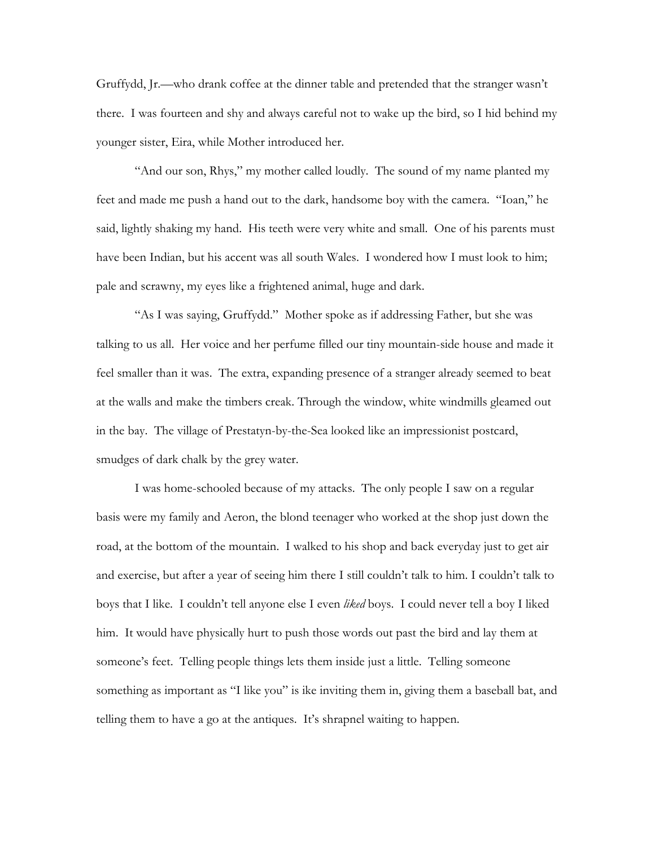Gruffydd, Jr.—who drank coffee at the dinner table and pretended that the stranger wasn't there. I was fourteen and shy and always careful not to wake up the bird, so I hid behind my younger sister, Eira, while Mother introduced her.

 "And our son, Rhys," my mother called loudly. The sound of my name planted my feet and made me push a hand out to the dark, handsome boy with the camera. "Ioan," he said, lightly shaking my hand. His teeth were very white and small. One of his parents must have been Indian, but his accent was all south Wales. I wondered how I must look to him; pale and scrawny, my eyes like a frightened animal, huge and dark.

 "As I was saying, Gruffydd." Mother spoke as if addressing Father, but she was talking to us all. Her voice and her perfume filled our tiny mountain-side house and made it feel smaller than it was. The extra, expanding presence of a stranger already seemed to beat at the walls and make the timbers creak. Through the window, white windmills gleamed out in the bay. The village of Prestatyn-by-the-Sea looked like an impressionist postcard, smudges of dark chalk by the grey water.

 I was home-schooled because of my attacks. The only people I saw on a regular basis were my family and Aeron, the blond teenager who worked at the shop just down the road, at the bottom of the mountain. I walked to his shop and back everyday just to get air and exercise, but after a year of seeing him there I still couldn't talk to him. I couldn't talk to boys that I like. I couldn't tell anyone else I even *liked* boys. I could never tell a boy I liked him. It would have physically hurt to push those words out past the bird and lay them at someone's feet. Telling people things lets them inside just a little. Telling someone something as important as "I like you" is ike inviting them in, giving them a baseball bat, and telling them to have a go at the antiques. It's shrapnel waiting to happen.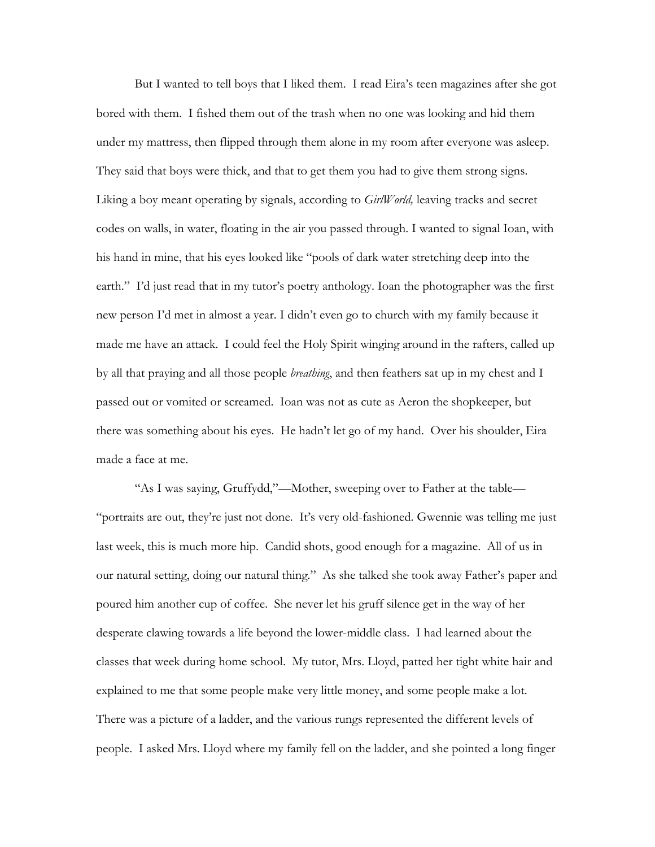But I wanted to tell boys that I liked them. I read Eira's teen magazines after she got bored with them. I fished them out of the trash when no one was looking and hid them under my mattress, then flipped through them alone in my room after everyone was asleep. They said that boys were thick, and that to get them you had to give them strong signs. Liking a boy meant operating by signals, according to *GirlWorld,* leaving tracks and secret codes on walls, in water, floating in the air you passed through. I wanted to signal Ioan, with his hand in mine, that his eyes looked like "pools of dark water stretching deep into the earth." I'd just read that in my tutor's poetry anthology. Ioan the photographer was the first new person I'd met in almost a year. I didn't even go to church with my family because it made me have an attack. I could feel the Holy Spirit winging around in the rafters, called up by all that praying and all those people *breathing*, and then feathers sat up in my chest and I passed out or vomited or screamed. Ioan was not as cute as Aeron the shopkeeper, but there was something about his eyes. He hadn't let go of my hand. Over his shoulder, Eira made a face at me.

 "As I was saying, Gruffydd,"—Mother, sweeping over to Father at the table— "portraits are out, they're just not done. It's very old-fashioned. Gwennie was telling me just last week, this is much more hip. Candid shots, good enough for a magazine. All of us in our natural setting, doing our natural thing." As she talked she took away Father's paper and poured him another cup of coffee. She never let his gruff silence get in the way of her desperate clawing towards a life beyond the lower-middle class. I had learned about the classes that week during home school. My tutor, Mrs. Lloyd, patted her tight white hair and explained to me that some people make very little money, and some people make a lot. There was a picture of a ladder, and the various rungs represented the different levels of people. I asked Mrs. Lloyd where my family fell on the ladder, and she pointed a long finger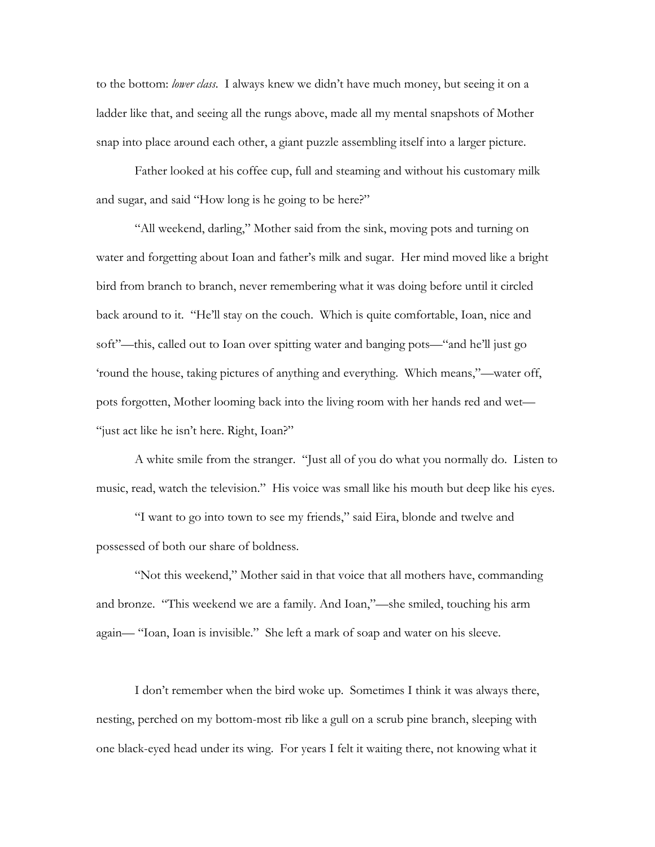to the bottom: *lower class*. I always knew we didn't have much money, but seeing it on a ladder like that, and seeing all the rungs above, made all my mental snapshots of Mother snap into place around each other, a giant puzzle assembling itself into a larger picture.

Father looked at his coffee cup, full and steaming and without his customary milk and sugar, and said "How long is he going to be here?"

 "All weekend, darling," Mother said from the sink, moving pots and turning on water and forgetting about Ioan and father's milk and sugar. Her mind moved like a bright bird from branch to branch, never remembering what it was doing before until it circled back around to it. "He'll stay on the couch. Which is quite comfortable, Ioan, nice and soft"—this, called out to Ioan over spitting water and banging pots—"and he'll just go 'round the house, taking pictures of anything and everything. Which means,"—water off, pots forgotten, Mother looming back into the living room with her hands red and wet— "just act like he isn't here. Right, Ioan?"

A white smile from the stranger. "Just all of you do what you normally do. Listen to music, read, watch the television." His voice was small like his mouth but deep like his eyes.

 "I want to go into town to see my friends," said Eira, blonde and twelve and possessed of both our share of boldness.

 "Not this weekend," Mother said in that voice that all mothers have, commanding and bronze. "This weekend we are a family. And Ioan,"—she smiled, touching his arm again— "Ioan, Ioan is invisible." She left a mark of soap and water on his sleeve.

 I don't remember when the bird woke up. Sometimes I think it was always there, nesting, perched on my bottom-most rib like a gull on a scrub pine branch, sleeping with one black-eyed head under its wing. For years I felt it waiting there, not knowing what it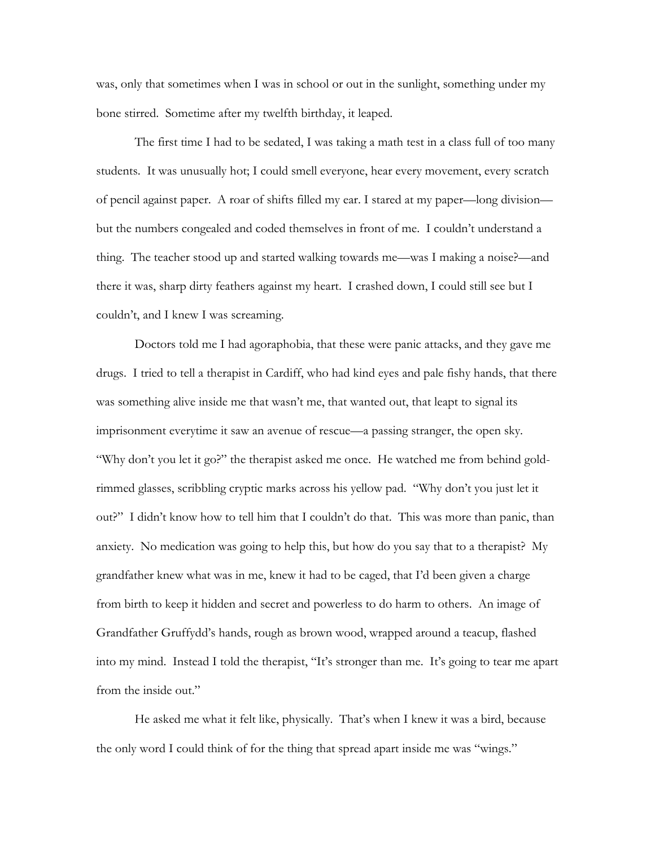was, only that sometimes when I was in school or out in the sunlight, something under my bone stirred. Sometime after my twelfth birthday, it leaped.

 The first time I had to be sedated, I was taking a math test in a class full of too many students. It was unusually hot; I could smell everyone, hear every movement, every scratch of pencil against paper. A roar of shifts filled my ear. I stared at my paper—long division but the numbers congealed and coded themselves in front of me. I couldn't understand a thing. The teacher stood up and started walking towards me—was I making a noise?—and there it was, sharp dirty feathers against my heart. I crashed down, I could still see but I couldn't, and I knew I was screaming.

Doctors told me I had agoraphobia, that these were panic attacks, and they gave me drugs. I tried to tell a therapist in Cardiff, who had kind eyes and pale fishy hands, that there was something alive inside me that wasn't me, that wanted out, that leapt to signal its imprisonment everytime it saw an avenue of rescue—a passing stranger, the open sky. "Why don't you let it go?" the therapist asked me once. He watched me from behind goldrimmed glasses, scribbling cryptic marks across his yellow pad. "Why don't you just let it out?" I didn't know how to tell him that I couldn't do that. This was more than panic, than anxiety. No medication was going to help this, but how do you say that to a therapist? My grandfather knew what was in me, knew it had to be caged, that I'd been given a charge from birth to keep it hidden and secret and powerless to do harm to others. An image of Grandfather Gruffydd's hands, rough as brown wood, wrapped around a teacup, flashed into my mind. Instead I told the therapist, "It's stronger than me. It's going to tear me apart from the inside out."

He asked me what it felt like, physically. That's when I knew it was a bird, because the only word I could think of for the thing that spread apart inside me was "wings."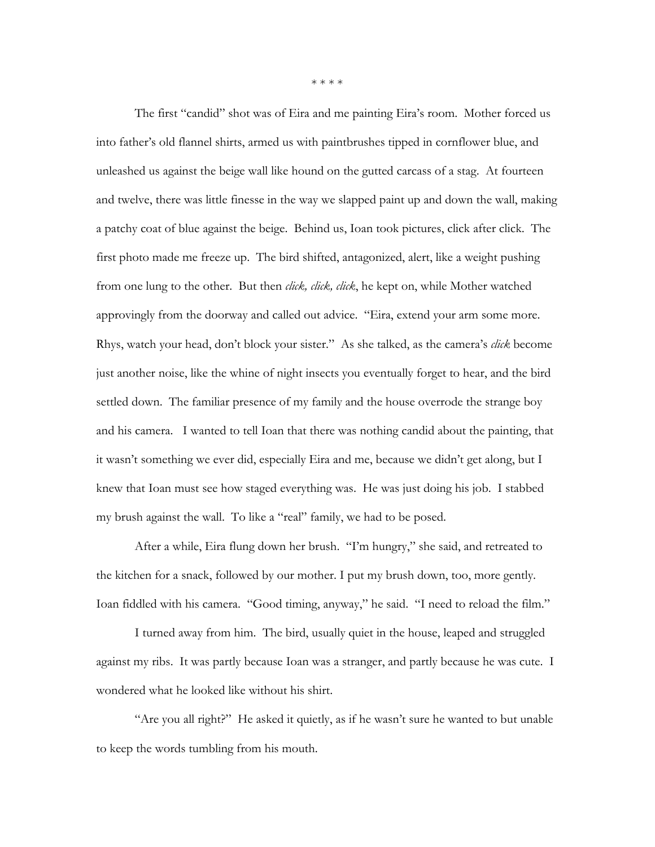\* \* \* \*

The first "candid" shot was of Eira and me painting Eira's room. Mother forced us into father's old flannel shirts, armed us with paintbrushes tipped in cornflower blue, and unleashed us against the beige wall like hound on the gutted carcass of a stag. At fourteen and twelve, there was little finesse in the way we slapped paint up and down the wall, making a patchy coat of blue against the beige. Behind us, Ioan took pictures, click after click. The first photo made me freeze up. The bird shifted, antagonized, alert, like a weight pushing from one lung to the other. But then *click, click, click*, he kept on, while Mother watched approvingly from the doorway and called out advice. "Eira, extend your arm some more. Rhys, watch your head, don't block your sister." As she talked, as the camera's *click* become just another noise, like the whine of night insects you eventually forget to hear, and the bird settled down. The familiar presence of my family and the house overrode the strange boy and his camera. I wanted to tell Ioan that there was nothing candid about the painting, that it wasn't something we ever did, especially Eira and me, because we didn't get along, but I knew that Ioan must see how staged everything was. He was just doing his job. I stabbed my brush against the wall. To like a "real" family, we had to be posed.

After a while, Eira flung down her brush. "I'm hungry," she said, and retreated to the kitchen for a snack, followed by our mother. I put my brush down, too, more gently. Ioan fiddled with his camera. "Good timing, anyway," he said. "I need to reload the film."

I turned away from him. The bird, usually quiet in the house, leaped and struggled against my ribs. It was partly because Ioan was a stranger, and partly because he was cute. I wondered what he looked like without his shirt.

"Are you all right?" He asked it quietly, as if he wasn't sure he wanted to but unable to keep the words tumbling from his mouth.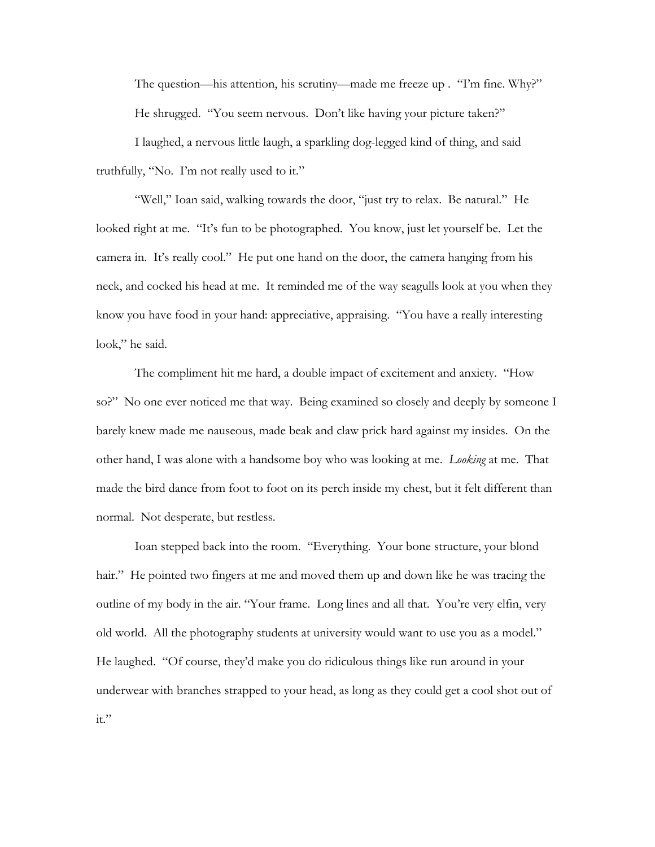The question—his attention, his scrutiny—made me freeze up . "I'm fine. Why?" He shrugged. "You seem nervous. Don't like having your picture taken?"

I laughed, a nervous little laugh, a sparkling dog-legged kind of thing, and said truthfully, "No. I'm not really used to it."

"Well," Ioan said, walking towards the door, "just try to relax. Be natural." He looked right at me. "It's fun to be photographed. You know, just let yourself be. Let the camera in. It's really cool." He put one hand on the door, the camera hanging from his neck, and cocked his head at me. It reminded me of the way seagulls look at you when they know you have food in your hand: appreciative, appraising. "You have a really interesting look," he said.

The compliment hit me hard, a double impact of excitement and anxiety. "How so?" No one ever noticed me that way. Being examined so closely and deeply by someone I barely knew made me nauseous, made beak and claw prick hard against my insides. On the other hand, I was alone with a handsome boy who was looking at me. *Looking* at me. That made the bird dance from foot to foot on its perch inside my chest, but it felt different than normal. Not desperate, but restless.

Ioan stepped back into the room. "Everything. Your bone structure, your blond hair." He pointed two fingers at me and moved them up and down like he was tracing the outline of my body in the air. "Your frame. Long lines and all that. You're very elfin, very old world. All the photography students at university would want to use you as a model." He laughed. "Of course, they'd make you do ridiculous things like run around in your underwear with branches strapped to your head, as long as they could get a cool shot out of it."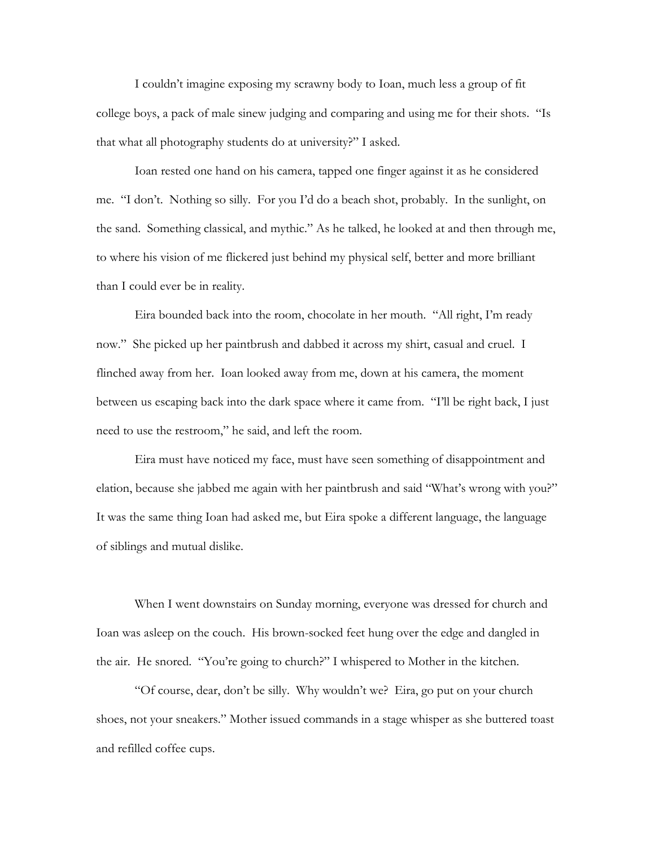I couldn't imagine exposing my scrawny body to Ioan, much less a group of fit college boys, a pack of male sinew judging and comparing and using me for their shots. "Is that what all photography students do at university?" I asked.

Ioan rested one hand on his camera, tapped one finger against it as he considered me. "I don't. Nothing so silly. For you I'd do a beach shot, probably. In the sunlight, on the sand. Something classical, and mythic." As he talked, he looked at and then through me, to where his vision of me flickered just behind my physical self, better and more brilliant than I could ever be in reality.

Eira bounded back into the room, chocolate in her mouth. "All right, I'm ready now." She picked up her paintbrush and dabbed it across my shirt, casual and cruel. I flinched away from her. Ioan looked away from me, down at his camera, the moment between us escaping back into the dark space where it came from. "I'll be right back, I just need to use the restroom," he said, and left the room.

Eira must have noticed my face, must have seen something of disappointment and elation, because she jabbed me again with her paintbrush and said "What's wrong with you?" It was the same thing Ioan had asked me, but Eira spoke a different language, the language of siblings and mutual dislike.

When I went downstairs on Sunday morning, everyone was dressed for church and Ioan was asleep on the couch. His brown-socked feet hung over the edge and dangled in the air. He snored. "You're going to church?" I whispered to Mother in the kitchen.

 "Of course, dear, don't be silly. Why wouldn't we? Eira, go put on your church shoes, not your sneakers." Mother issued commands in a stage whisper as she buttered toast and refilled coffee cups.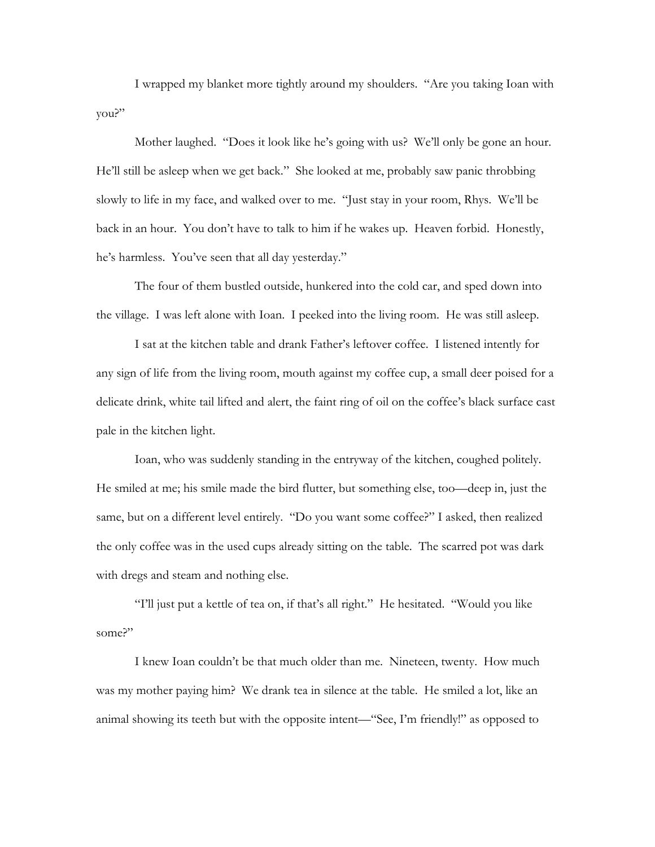I wrapped my blanket more tightly around my shoulders. "Are you taking Ioan with you?"

 Mother laughed. "Does it look like he's going with us? We'll only be gone an hour. He'll still be asleep when we get back." She looked at me, probably saw panic throbbing slowly to life in my face, and walked over to me. "Just stay in your room, Rhys. We'll be back in an hour. You don't have to talk to him if he wakes up. Heaven forbid. Honestly, he's harmless. You've seen that all day yesterday."

The four of them bustled outside, hunkered into the cold car, and sped down into the village. I was left alone with Ioan. I peeked into the living room. He was still asleep.

 I sat at the kitchen table and drank Father's leftover coffee. I listened intently for any sign of life from the living room, mouth against my coffee cup, a small deer poised for a delicate drink, white tail lifted and alert, the faint ring of oil on the coffee's black surface cast pale in the kitchen light.

Ioan, who was suddenly standing in the entryway of the kitchen, coughed politely. He smiled at me; his smile made the bird flutter, but something else, too—deep in, just the same, but on a different level entirely. "Do you want some coffee?" I asked, then realized the only coffee was in the used cups already sitting on the table. The scarred pot was dark with dregs and steam and nothing else.

 "I'll just put a kettle of tea on, if that's all right." He hesitated. "Would you like some?"

 I knew Ioan couldn't be that much older than me. Nineteen, twenty. How much was my mother paying him? We drank tea in silence at the table. He smiled a lot, like an animal showing its teeth but with the opposite intent—"See, I'm friendly!" as opposed to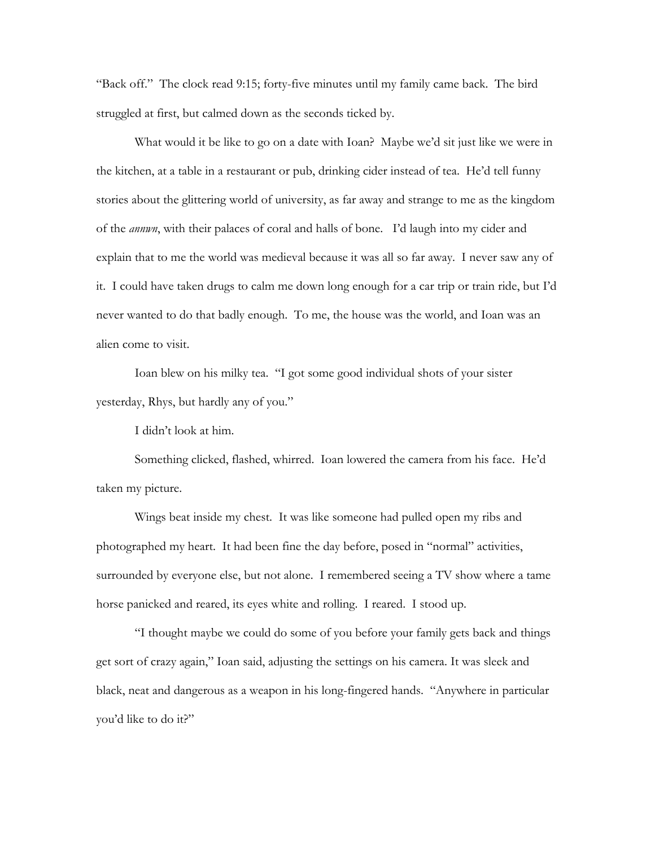"Back off." The clock read 9:15; forty-five minutes until my family came back. The bird struggled at first, but calmed down as the seconds ticked by.

 What would it be like to go on a date with Ioan? Maybe we'd sit just like we were in the kitchen, at a table in a restaurant or pub, drinking cider instead of tea. He'd tell funny stories about the glittering world of university, as far away and strange to me as the kingdom of the *annwn*, with their palaces of coral and halls of bone. I'd laugh into my cider and explain that to me the world was medieval because it was all so far away. I never saw any of it. I could have taken drugs to calm me down long enough for a car trip or train ride, but I'd never wanted to do that badly enough. To me, the house was the world, and Ioan was an alien come to visit.

 Ioan blew on his milky tea. "I got some good individual shots of your sister yesterday, Rhys, but hardly any of you."

I didn't look at him.

Something clicked, flashed, whirred. Ioan lowered the camera from his face. He'd taken my picture.

 Wings beat inside my chest. It was like someone had pulled open my ribs and photographed my heart. It had been fine the day before, posed in "normal" activities, surrounded by everyone else, but not alone. I remembered seeing a TV show where a tame horse panicked and reared, its eyes white and rolling. I reared. I stood up.

 "I thought maybe we could do some of you before your family gets back and things get sort of crazy again," Ioan said, adjusting the settings on his camera. It was sleek and black, neat and dangerous as a weapon in his long-fingered hands. "Anywhere in particular you'd like to do it?"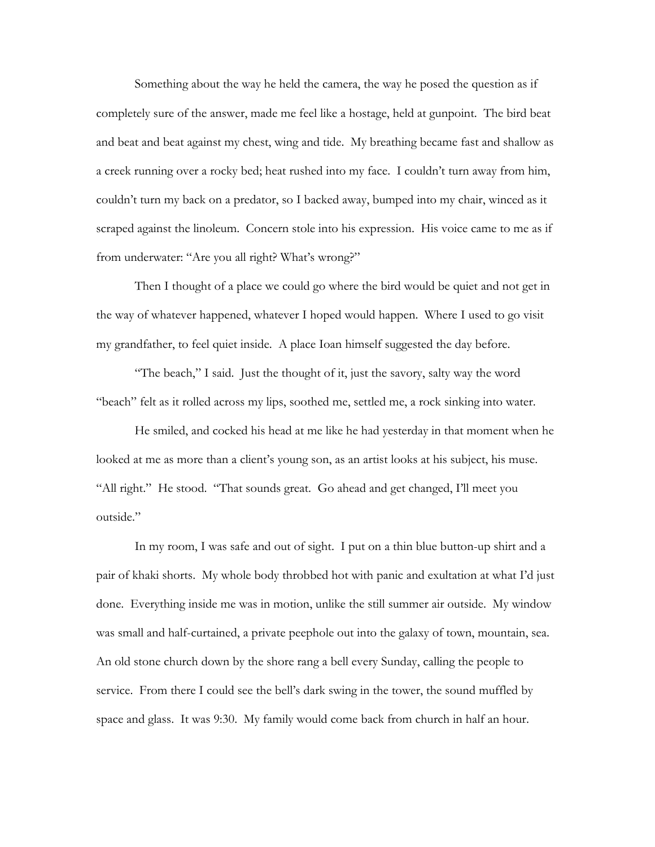Something about the way he held the camera, the way he posed the question as if completely sure of the answer, made me feel like a hostage, held at gunpoint. The bird beat and beat and beat against my chest, wing and tide. My breathing became fast and shallow as a creek running over a rocky bed; heat rushed into my face. I couldn't turn away from him, couldn't turn my back on a predator, so I backed away, bumped into my chair, winced as it scraped against the linoleum. Concern stole into his expression. His voice came to me as if from underwater: "Are you all right? What's wrong?"

 Then I thought of a place we could go where the bird would be quiet and not get in the way of whatever happened, whatever I hoped would happen. Where I used to go visit my grandfather, to feel quiet inside. A place Ioan himself suggested the day before.

"The beach," I said. Just the thought of it, just the savory, salty way the word "beach" felt as it rolled across my lips, soothed me, settled me, a rock sinking into water.

 He smiled, and cocked his head at me like he had yesterday in that moment when he looked at me as more than a client's young son, as an artist looks at his subject, his muse. "All right." He stood. "That sounds great. Go ahead and get changed, I'll meet you outside."

 In my room, I was safe and out of sight. I put on a thin blue button-up shirt and a pair of khaki shorts. My whole body throbbed hot with panic and exultation at what I'd just done. Everything inside me was in motion, unlike the still summer air outside. My window was small and half-curtained, a private peephole out into the galaxy of town, mountain, sea. An old stone church down by the shore rang a bell every Sunday, calling the people to service. From there I could see the bell's dark swing in the tower, the sound muffled by space and glass. It was 9:30. My family would come back from church in half an hour.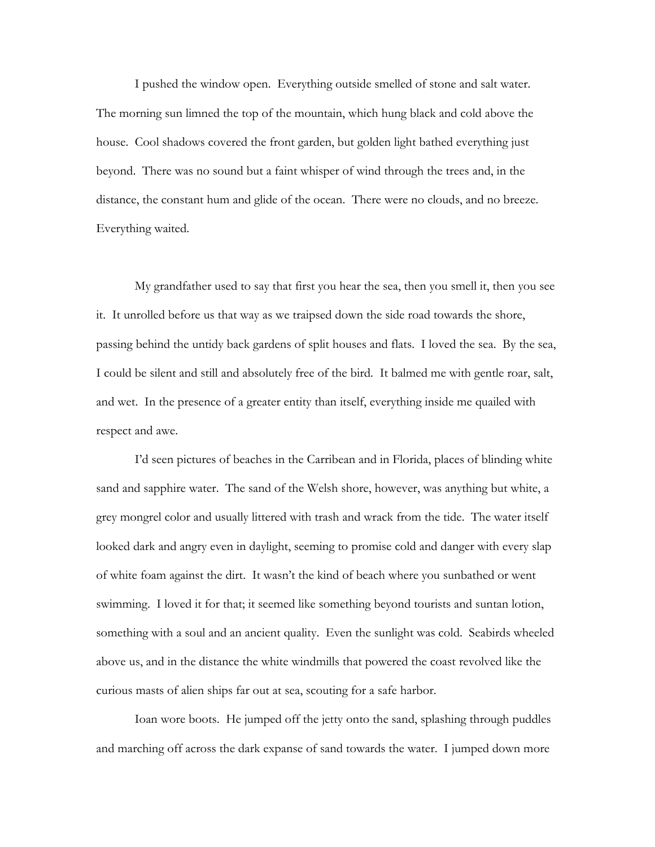I pushed the window open. Everything outside smelled of stone and salt water. The morning sun limned the top of the mountain, which hung black and cold above the house. Cool shadows covered the front garden, but golden light bathed everything just beyond. There was no sound but a faint whisper of wind through the trees and, in the distance, the constant hum and glide of the ocean. There were no clouds, and no breeze. Everything waited.

 My grandfather used to say that first you hear the sea, then you smell it, then you see it. It unrolled before us that way as we traipsed down the side road towards the shore, passing behind the untidy back gardens of split houses and flats. I loved the sea. By the sea, I could be silent and still and absolutely free of the bird. It balmed me with gentle roar, salt, and wet. In the presence of a greater entity than itself, everything inside me quailed with respect and awe.

 I'd seen pictures of beaches in the Carribean and in Florida, places of blinding white sand and sapphire water. The sand of the Welsh shore, however, was anything but white, a grey mongrel color and usually littered with trash and wrack from the tide. The water itself looked dark and angry even in daylight, seeming to promise cold and danger with every slap of white foam against the dirt. It wasn't the kind of beach where you sunbathed or went swimming. I loved it for that; it seemed like something beyond tourists and suntan lotion, something with a soul and an ancient quality. Even the sunlight was cold. Seabirds wheeled above us, and in the distance the white windmills that powered the coast revolved like the curious masts of alien ships far out at sea, scouting for a safe harbor.

Ioan wore boots. He jumped off the jetty onto the sand, splashing through puddles and marching off across the dark expanse of sand towards the water. I jumped down more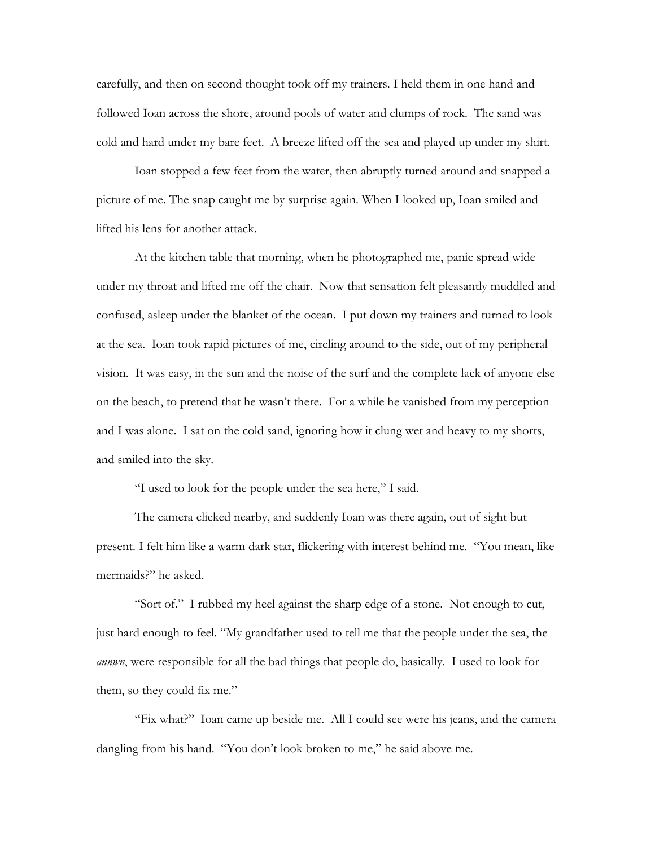carefully, and then on second thought took off my trainers. I held them in one hand and followed Ioan across the shore, around pools of water and clumps of rock. The sand was cold and hard under my bare feet. A breeze lifted off the sea and played up under my shirt.

 Ioan stopped a few feet from the water, then abruptly turned around and snapped a picture of me. The snap caught me by surprise again. When I looked up, Ioan smiled and lifted his lens for another attack.

 At the kitchen table that morning, when he photographed me, panic spread wide under my throat and lifted me off the chair. Now that sensation felt pleasantly muddled and confused, asleep under the blanket of the ocean. I put down my trainers and turned to look at the sea. Ioan took rapid pictures of me, circling around to the side, out of my peripheral vision. It was easy, in the sun and the noise of the surf and the complete lack of anyone else on the beach, to pretend that he wasn't there. For a while he vanished from my perception and I was alone. I sat on the cold sand, ignoring how it clung wet and heavy to my shorts, and smiled into the sky.

"I used to look for the people under the sea here," I said.

 The camera clicked nearby, and suddenly Ioan was there again, out of sight but present. I felt him like a warm dark star, flickering with interest behind me. "You mean, like mermaids?" he asked.

 "Sort of." I rubbed my heel against the sharp edge of a stone. Not enough to cut, just hard enough to feel. "My grandfather used to tell me that the people under the sea, the *annwn*, were responsible for all the bad things that people do, basically. I used to look for them, so they could fix me."

 "Fix what?" Ioan came up beside me. All I could see were his jeans, and the camera dangling from his hand. "You don't look broken to me," he said above me.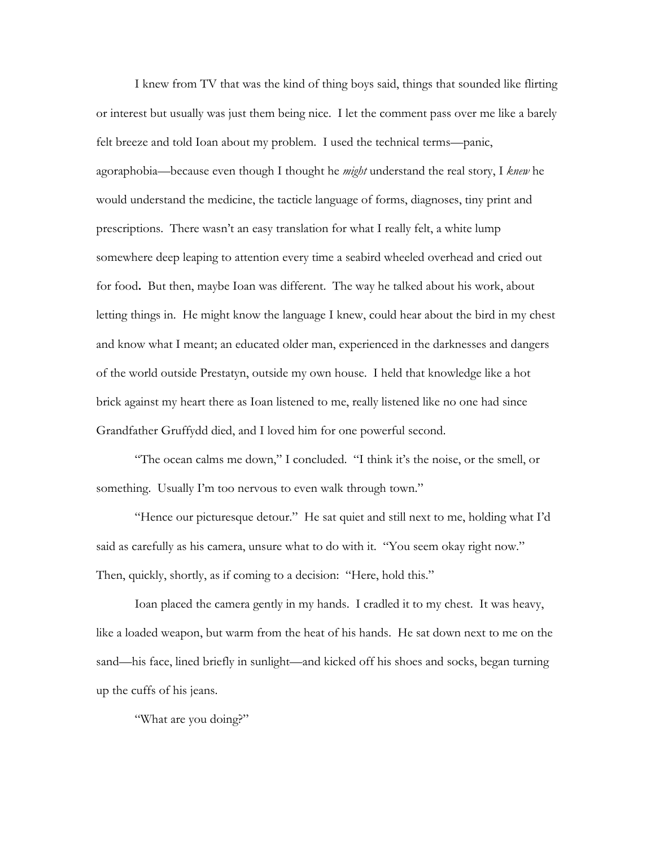I knew from TV that was the kind of thing boys said, things that sounded like flirting or interest but usually was just them being nice. I let the comment pass over me like a barely felt breeze and told Ioan about my problem. I used the technical terms—panic, agoraphobia—because even though I thought he *might* understand the real story, I *knew* he would understand the medicine, the tacticle language of forms, diagnoses, tiny print and prescriptions. There wasn't an easy translation for what I really felt, a white lump somewhere deep leaping to attention every time a seabird wheeled overhead and cried out for food**.** But then, maybe Ioan was different. The way he talked about his work, about letting things in. He might know the language I knew, could hear about the bird in my chest and know what I meant; an educated older man, experienced in the darknesses and dangers of the world outside Prestatyn, outside my own house. I held that knowledge like a hot brick against my heart there as Ioan listened to me, really listened like no one had since Grandfather Gruffydd died, and I loved him for one powerful second.

 "The ocean calms me down," I concluded. "I think it's the noise, or the smell, or something. Usually I'm too nervous to even walk through town."

 "Hence our picturesque detour." He sat quiet and still next to me, holding what I'd said as carefully as his camera, unsure what to do with it. "You seem okay right now." Then, quickly, shortly, as if coming to a decision: "Here, hold this."

 Ioan placed the camera gently in my hands. I cradled it to my chest. It was heavy, like a loaded weapon, but warm from the heat of his hands. He sat down next to me on the sand—his face, lined briefly in sunlight—and kicked off his shoes and socks, began turning up the cuffs of his jeans.

"What are you doing?"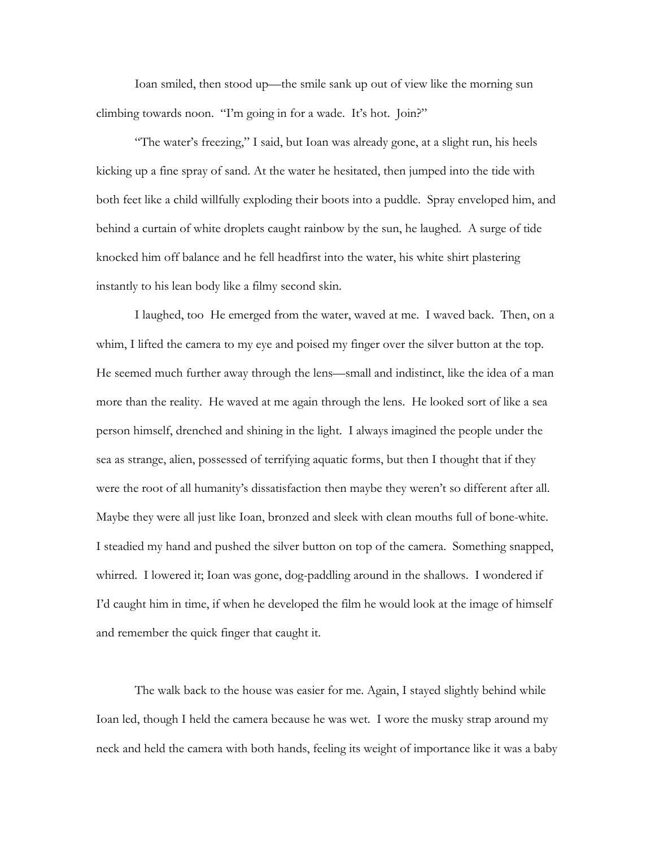Ioan smiled, then stood up—the smile sank up out of view like the morning sun climbing towards noon. "I'm going in for a wade. It's hot. Join?"

 "The water's freezing," I said, but Ioan was already gone, at a slight run, his heels kicking up a fine spray of sand. At the water he hesitated, then jumped into the tide with both feet like a child willfully exploding their boots into a puddle. Spray enveloped him, and behind a curtain of white droplets caught rainbow by the sun, he laughed. A surge of tide knocked him off balance and he fell headfirst into the water, his white shirt plastering instantly to his lean body like a filmy second skin.

 I laughed, too He emerged from the water, waved at me. I waved back. Then, on a whim, I lifted the camera to my eye and poised my finger over the silver button at the top. He seemed much further away through the lens—small and indistinct, like the idea of a man more than the reality. He waved at me again through the lens. He looked sort of like a sea person himself, drenched and shining in the light. I always imagined the people under the sea as strange, alien, possessed of terrifying aquatic forms, but then I thought that if they were the root of all humanity's dissatisfaction then maybe they weren't so different after all. Maybe they were all just like Ioan, bronzed and sleek with clean mouths full of bone-white. I steadied my hand and pushed the silver button on top of the camera. Something snapped, whirred. I lowered it; Ioan was gone, dog-paddling around in the shallows. I wondered if I'd caught him in time, if when he developed the film he would look at the image of himself and remember the quick finger that caught it.

 The walk back to the house was easier for me. Again, I stayed slightly behind while Ioan led, though I held the camera because he was wet. I wore the musky strap around my neck and held the camera with both hands, feeling its weight of importance like it was a baby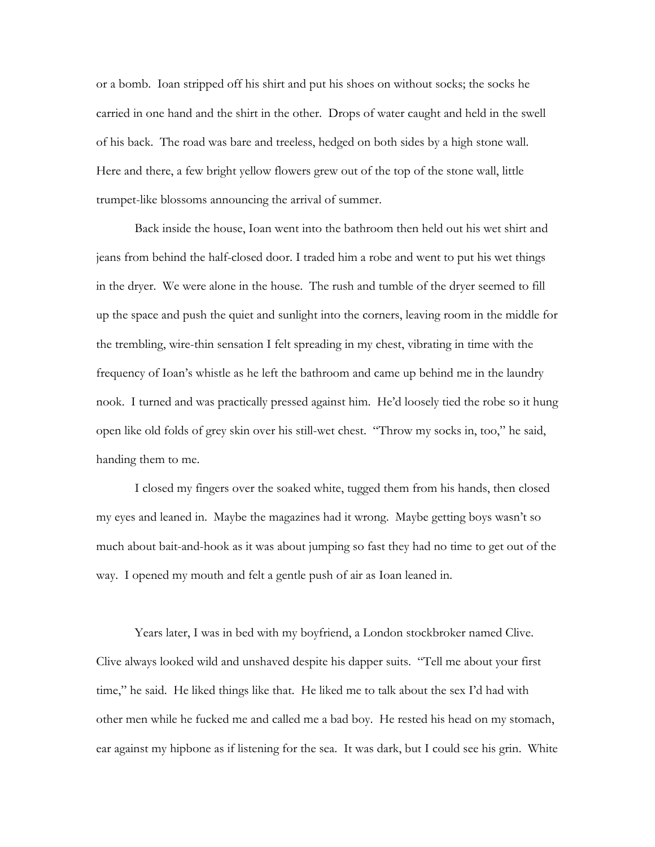or a bomb. Ioan stripped off his shirt and put his shoes on without socks; the socks he carried in one hand and the shirt in the other. Drops of water caught and held in the swell of his back. The road was bare and treeless, hedged on both sides by a high stone wall. Here and there, a few bright yellow flowers grew out of the top of the stone wall, little trumpet-like blossoms announcing the arrival of summer.

 Back inside the house, Ioan went into the bathroom then held out his wet shirt and jeans from behind the half-closed door. I traded him a robe and went to put his wet things in the dryer. We were alone in the house. The rush and tumble of the dryer seemed to fill up the space and push the quiet and sunlight into the corners, leaving room in the middle for the trembling, wire-thin sensation I felt spreading in my chest, vibrating in time with the frequency of Ioan's whistle as he left the bathroom and came up behind me in the laundry nook. I turned and was practically pressed against him. He'd loosely tied the robe so it hung open like old folds of grey skin over his still-wet chest. "Throw my socks in, too," he said, handing them to me.

 I closed my fingers over the soaked white, tugged them from his hands, then closed my eyes and leaned in. Maybe the magazines had it wrong. Maybe getting boys wasn't so much about bait-and-hook as it was about jumping so fast they had no time to get out of the way. I opened my mouth and felt a gentle push of air as Ioan leaned in.

Years later, I was in bed with my boyfriend, a London stockbroker named Clive. Clive always looked wild and unshaved despite his dapper suits. "Tell me about your first time," he said. He liked things like that. He liked me to talk about the sex I'd had with other men while he fucked me and called me a bad boy. He rested his head on my stomach, ear against my hipbone as if listening for the sea. It was dark, but I could see his grin. White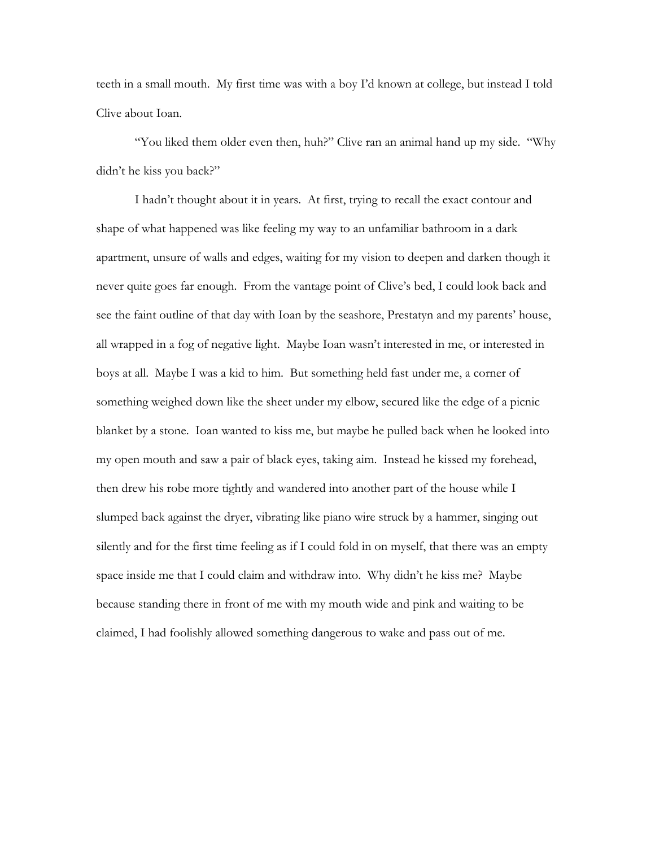teeth in a small mouth. My first time was with a boy I'd known at college, but instead I told Clive about Ioan.

 "You liked them older even then, huh?" Clive ran an animal hand up my side. "Why didn't he kiss you back?"

 I hadn't thought about it in years. At first, trying to recall the exact contour and shape of what happened was like feeling my way to an unfamiliar bathroom in a dark apartment, unsure of walls and edges, waiting for my vision to deepen and darken though it never quite goes far enough. From the vantage point of Clive's bed, I could look back and see the faint outline of that day with Ioan by the seashore, Prestatyn and my parents' house, all wrapped in a fog of negative light. Maybe Ioan wasn't interested in me, or interested in boys at all. Maybe I was a kid to him. But something held fast under me, a corner of something weighed down like the sheet under my elbow, secured like the edge of a picnic blanket by a stone. Ioan wanted to kiss me, but maybe he pulled back when he looked into my open mouth and saw a pair of black eyes, taking aim. Instead he kissed my forehead, then drew his robe more tightly and wandered into another part of the house while I slumped back against the dryer, vibrating like piano wire struck by a hammer, singing out silently and for the first time feeling as if I could fold in on myself, that there was an empty space inside me that I could claim and withdraw into. Why didn't he kiss me? Maybe because standing there in front of me with my mouth wide and pink and waiting to be claimed, I had foolishly allowed something dangerous to wake and pass out of me.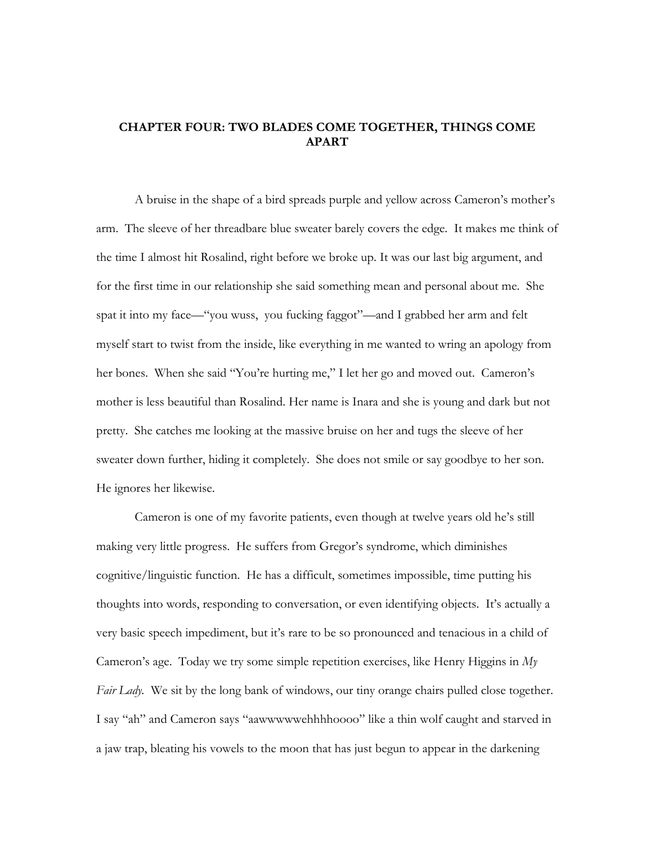## **CHAPTER FOUR: TWO BLADES COME TOGETHER, THINGS COME APART**

 A bruise in the shape of a bird spreads purple and yellow across Cameron's mother's arm. The sleeve of her threadbare blue sweater barely covers the edge. It makes me think of the time I almost hit Rosalind, right before we broke up. It was our last big argument, and for the first time in our relationship she said something mean and personal about me. She spat it into my face—"you wuss, you fucking faggot"—and I grabbed her arm and felt myself start to twist from the inside, like everything in me wanted to wring an apology from her bones. When she said "You're hurting me," I let her go and moved out. Cameron's mother is less beautiful than Rosalind. Her name is Inara and she is young and dark but not pretty. She catches me looking at the massive bruise on her and tugs the sleeve of her sweater down further, hiding it completely. She does not smile or say goodbye to her son. He ignores her likewise.

Cameron is one of my favorite patients, even though at twelve years old he's still making very little progress. He suffers from Gregor's syndrome, which diminishes cognitive/linguistic function. He has a difficult, sometimes impossible, time putting his thoughts into words, responding to conversation, or even identifying objects. It's actually a very basic speech impediment, but it's rare to be so pronounced and tenacious in a child of Cameron's age. Today we try some simple repetition exercises, like Henry Higgins in *My Fair Lady.* We sit by the long bank of windows, our tiny orange chairs pulled close together. I say "ah" and Cameron says "aawwwwwehhhhoooo" like a thin wolf caught and starved in a jaw trap, bleating his vowels to the moon that has just begun to appear in the darkening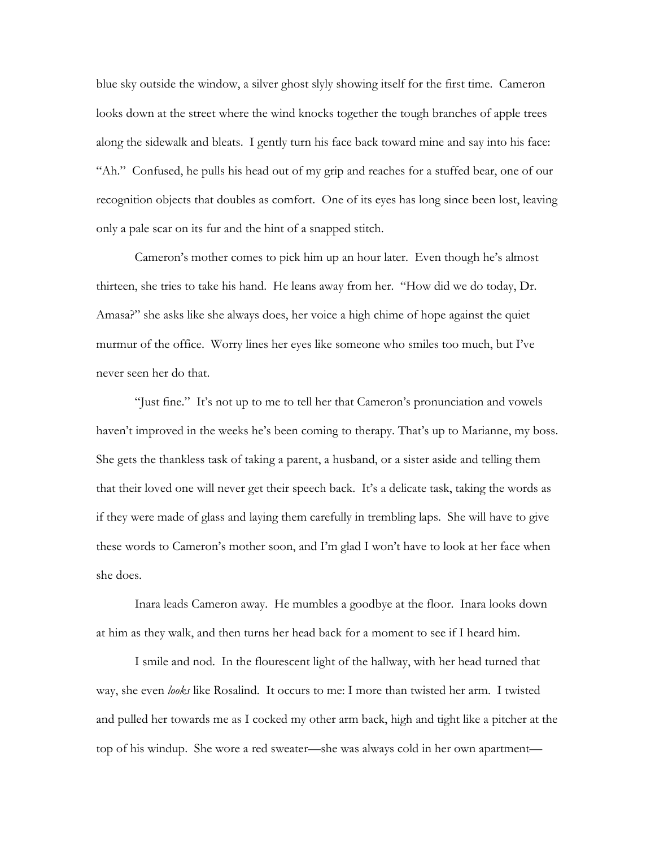blue sky outside the window, a silver ghost slyly showing itself for the first time. Cameron looks down at the street where the wind knocks together the tough branches of apple trees along the sidewalk and bleats. I gently turn his face back toward mine and say into his face: "Ah." Confused, he pulls his head out of my grip and reaches for a stuffed bear, one of our recognition objects that doubles as comfort. One of its eyes has long since been lost, leaving only a pale scar on its fur and the hint of a snapped stitch.

 Cameron's mother comes to pick him up an hour later. Even though he's almost thirteen, she tries to take his hand. He leans away from her. "How did we do today, Dr. Amasa?" she asks like she always does, her voice a high chime of hope against the quiet murmur of the office. Worry lines her eyes like someone who smiles too much, but I've never seen her do that.

 "Just fine." It's not up to me to tell her that Cameron's pronunciation and vowels haven't improved in the weeks he's been coming to therapy. That's up to Marianne, my boss. She gets the thankless task of taking a parent, a husband, or a sister aside and telling them that their loved one will never get their speech back. It's a delicate task, taking the words as if they were made of glass and laying them carefully in trembling laps. She will have to give these words to Cameron's mother soon, and I'm glad I won't have to look at her face when she does.

 Inara leads Cameron away. He mumbles a goodbye at the floor. Inara looks down at him as they walk, and then turns her head back for a moment to see if I heard him.

 I smile and nod. In the flourescent light of the hallway, with her head turned that way, she even *looks* like Rosalind. It occurs to me: I more than twisted her arm. I twisted and pulled her towards me as I cocked my other arm back, high and tight like a pitcher at the top of his windup. She wore a red sweater—she was always cold in her own apartment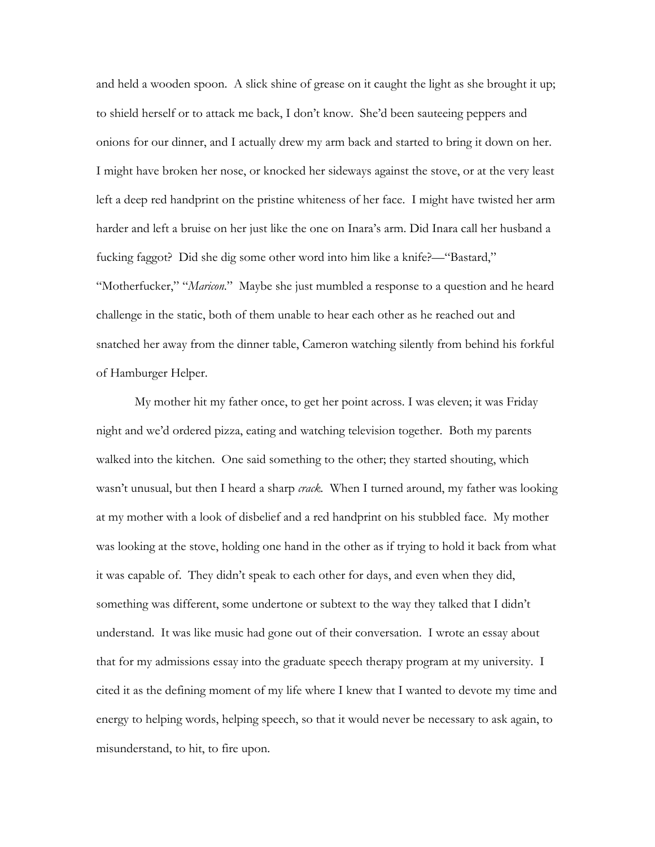and held a wooden spoon. A slick shine of grease on it caught the light as she brought it up; to shield herself or to attack me back, I don't know. She'd been sauteeing peppers and onions for our dinner, and I actually drew my arm back and started to bring it down on her. I might have broken her nose, or knocked her sideways against the stove, or at the very least left a deep red handprint on the pristine whiteness of her face. I might have twisted her arm harder and left a bruise on her just like the one on Inara's arm. Did Inara call her husband a fucking faggot? Did she dig some other word into him like a knife?—"Bastard," "Motherfucker," "*Maricon*." Maybe she just mumbled a response to a question and he heard challenge in the static, both of them unable to hear each other as he reached out and snatched her away from the dinner table, Cameron watching silently from behind his forkful of Hamburger Helper.

My mother hit my father once, to get her point across. I was eleven; it was Friday night and we'd ordered pizza, eating and watching television together. Both my parents walked into the kitchen. One said something to the other; they started shouting, which wasn't unusual, but then I heard a sharp *crack.* When I turned around, my father was looking at my mother with a look of disbelief and a red handprint on his stubbled face. My mother was looking at the stove, holding one hand in the other as if trying to hold it back from what it was capable of. They didn't speak to each other for days, and even when they did, something was different, some undertone or subtext to the way they talked that I didn't understand. It was like music had gone out of their conversation. I wrote an essay about that for my admissions essay into the graduate speech therapy program at my university. I cited it as the defining moment of my life where I knew that I wanted to devote my time and energy to helping words, helping speech, so that it would never be necessary to ask again, to misunderstand, to hit, to fire upon.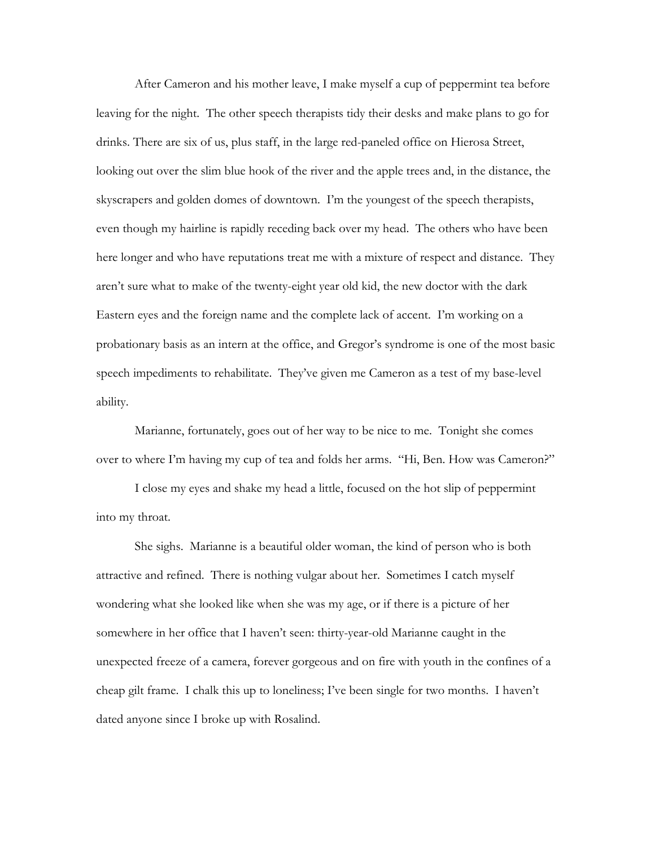After Cameron and his mother leave, I make myself a cup of peppermint tea before leaving for the night. The other speech therapists tidy their desks and make plans to go for drinks. There are six of us, plus staff, in the large red-paneled office on Hierosa Street, looking out over the slim blue hook of the river and the apple trees and, in the distance, the skyscrapers and golden domes of downtown. I'm the youngest of the speech therapists, even though my hairline is rapidly receding back over my head. The others who have been here longer and who have reputations treat me with a mixture of respect and distance. They aren't sure what to make of the twenty-eight year old kid, the new doctor with the dark Eastern eyes and the foreign name and the complete lack of accent. I'm working on a probationary basis as an intern at the office, and Gregor's syndrome is one of the most basic speech impediments to rehabilitate. They've given me Cameron as a test of my base-level ability.

 Marianne, fortunately, goes out of her way to be nice to me. Tonight she comes over to where I'm having my cup of tea and folds her arms. "Hi, Ben. How was Cameron?"

 I close my eyes and shake my head a little, focused on the hot slip of peppermint into my throat.

 She sighs. Marianne is a beautiful older woman, the kind of person who is both attractive and refined. There is nothing vulgar about her. Sometimes I catch myself wondering what she looked like when she was my age, or if there is a picture of her somewhere in her office that I haven't seen: thirty-year-old Marianne caught in the unexpected freeze of a camera, forever gorgeous and on fire with youth in the confines of a cheap gilt frame. I chalk this up to loneliness; I've been single for two months. I haven't dated anyone since I broke up with Rosalind.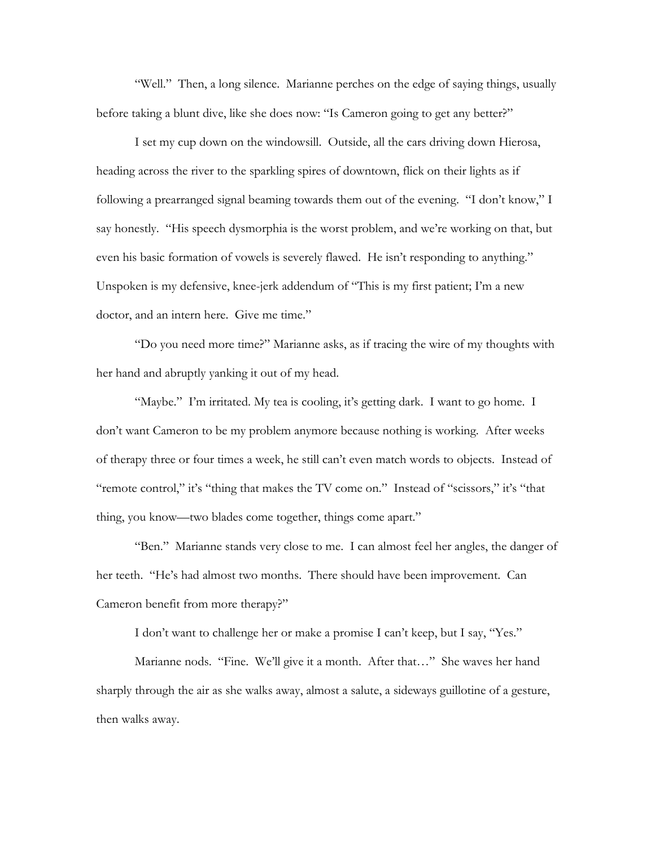"Well." Then, a long silence. Marianne perches on the edge of saying things, usually before taking a blunt dive, like she does now: "Is Cameron going to get any better?"

 I set my cup down on the windowsill. Outside, all the cars driving down Hierosa, heading across the river to the sparkling spires of downtown, flick on their lights as if following a prearranged signal beaming towards them out of the evening. "I don't know," I say honestly. "His speech dysmorphia is the worst problem, and we're working on that, but even his basic formation of vowels is severely flawed. He isn't responding to anything." Unspoken is my defensive, knee-jerk addendum of "This is my first patient; I'm a new doctor, and an intern here. Give me time."

 "Do you need more time?" Marianne asks, as if tracing the wire of my thoughts with her hand and abruptly yanking it out of my head.

"Maybe." I'm irritated. My tea is cooling, it's getting dark. I want to go home. I don't want Cameron to be my problem anymore because nothing is working. After weeks of therapy three or four times a week, he still can't even match words to objects. Instead of "remote control," it's "thing that makes the TV come on." Instead of "scissors," it's "that thing, you know—two blades come together, things come apart."

 "Ben." Marianne stands very close to me. I can almost feel her angles, the danger of her teeth. "He's had almost two months. There should have been improvement. Can Cameron benefit from more therapy?"

I don't want to challenge her or make a promise I can't keep, but I say, "Yes."

 Marianne nods. "Fine. We'll give it a month. After that…" She waves her hand sharply through the air as she walks away, almost a salute, a sideways guillotine of a gesture, then walks away.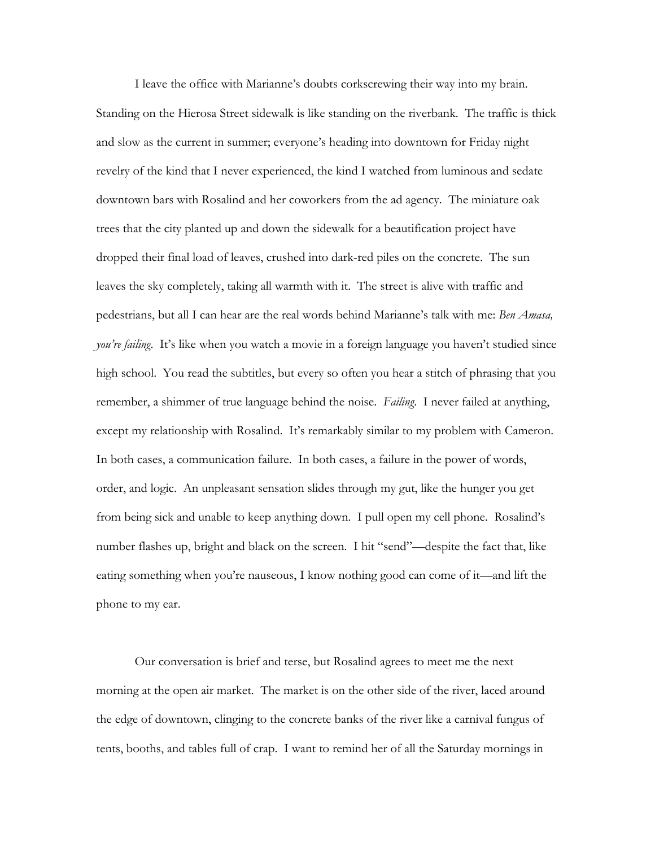I leave the office with Marianne's doubts corkscrewing their way into my brain. Standing on the Hierosa Street sidewalk is like standing on the riverbank. The traffic is thick and slow as the current in summer; everyone's heading into downtown for Friday night revelry of the kind that I never experienced, the kind I watched from luminous and sedate downtown bars with Rosalind and her coworkers from the ad agency. The miniature oak trees that the city planted up and down the sidewalk for a beautification project have dropped their final load of leaves, crushed into dark-red piles on the concrete. The sun leaves the sky completely, taking all warmth with it. The street is alive with traffic and pedestrians, but all I can hear are the real words behind Marianne's talk with me: *Ben Amasa, you're failing*. It's like when you watch a movie in a foreign language you haven't studied since high school. You read the subtitles, but every so often you hear a stitch of phrasing that you remember, a shimmer of true language behind the noise. *Failing*. I never failed at anything, except my relationship with Rosalind. It's remarkably similar to my problem with Cameron. In both cases, a communication failure. In both cases, a failure in the power of words, order, and logic. An unpleasant sensation slides through my gut, like the hunger you get from being sick and unable to keep anything down. I pull open my cell phone. Rosalind's number flashes up, bright and black on the screen. I hit "send"—despite the fact that, like eating something when you're nauseous, I know nothing good can come of it—and lift the phone to my ear.

 Our conversation is brief and terse, but Rosalind agrees to meet me the next morning at the open air market. The market is on the other side of the river, laced around the edge of downtown, clinging to the concrete banks of the river like a carnival fungus of tents, booths, and tables full of crap. I want to remind her of all the Saturday mornings in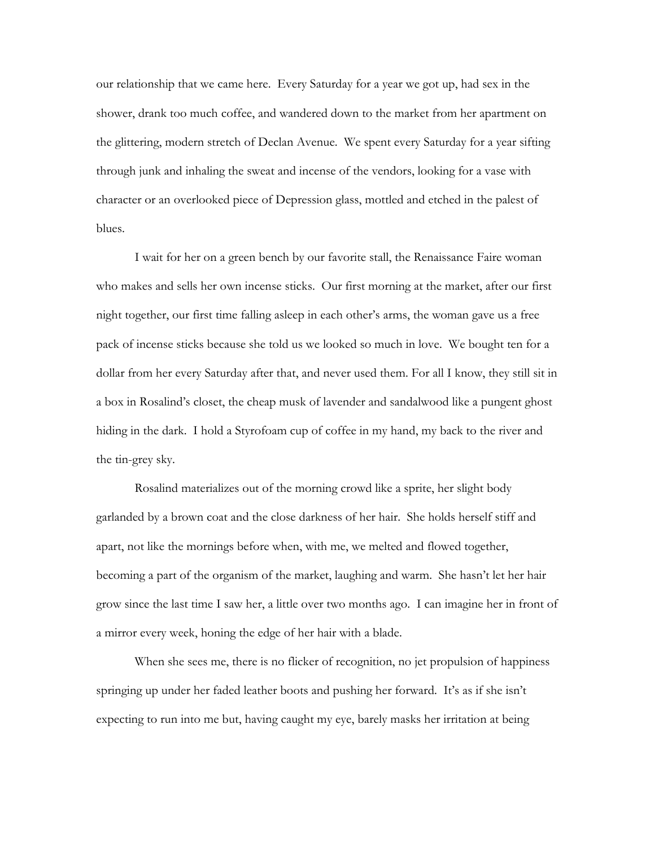our relationship that we came here. Every Saturday for a year we got up, had sex in the shower, drank too much coffee, and wandered down to the market from her apartment on the glittering, modern stretch of Declan Avenue. We spent every Saturday for a year sifting through junk and inhaling the sweat and incense of the vendors, looking for a vase with character or an overlooked piece of Depression glass, mottled and etched in the palest of blues.

 I wait for her on a green bench by our favorite stall, the Renaissance Faire woman who makes and sells her own incense sticks. Our first morning at the market, after our first night together, our first time falling asleep in each other's arms, the woman gave us a free pack of incense sticks because she told us we looked so much in love. We bought ten for a dollar from her every Saturday after that, and never used them. For all I know, they still sit in a box in Rosalind's closet, the cheap musk of lavender and sandalwood like a pungent ghost hiding in the dark. I hold a Styrofoam cup of coffee in my hand, my back to the river and the tin-grey sky.

 Rosalind materializes out of the morning crowd like a sprite, her slight body garlanded by a brown coat and the close darkness of her hair. She holds herself stiff and apart, not like the mornings before when, with me, we melted and flowed together, becoming a part of the organism of the market, laughing and warm. She hasn't let her hair grow since the last time I saw her, a little over two months ago. I can imagine her in front of a mirror every week, honing the edge of her hair with a blade.

 When she sees me, there is no flicker of recognition, no jet propulsion of happiness springing up under her faded leather boots and pushing her forward. It's as if she isn't expecting to run into me but, having caught my eye, barely masks her irritation at being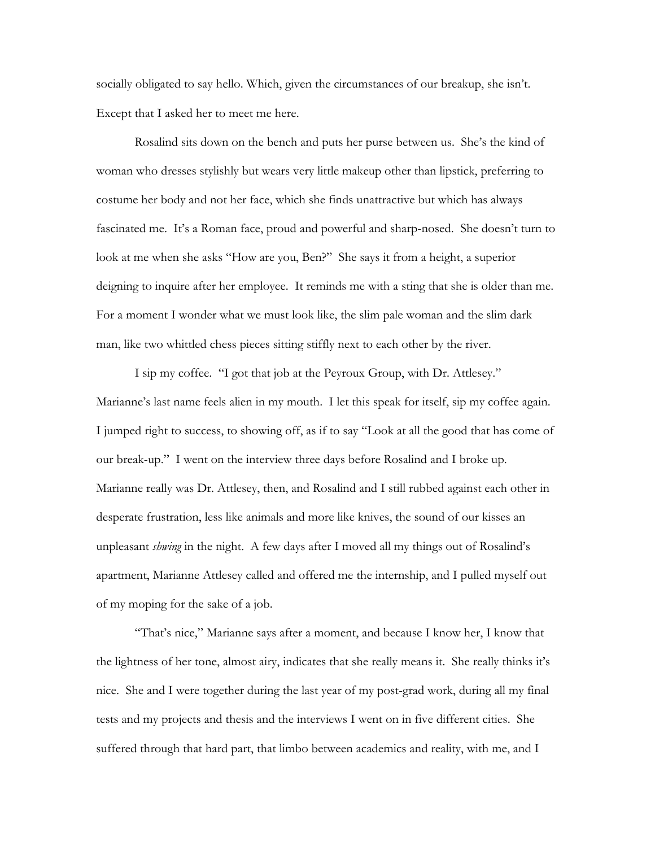socially obligated to say hello. Which, given the circumstances of our breakup, she isn't. Except that I asked her to meet me here.

 Rosalind sits down on the bench and puts her purse between us. She's the kind of woman who dresses stylishly but wears very little makeup other than lipstick, preferring to costume her body and not her face, which she finds unattractive but which has always fascinated me. It's a Roman face, proud and powerful and sharp-nosed. She doesn't turn to look at me when she asks "How are you, Ben?" She says it from a height, a superior deigning to inquire after her employee. It reminds me with a sting that she is older than me. For a moment I wonder what we must look like, the slim pale woman and the slim dark man, like two whittled chess pieces sitting stiffly next to each other by the river.

 I sip my coffee. "I got that job at the Peyroux Group, with Dr. Attlesey." Marianne's last name feels alien in my mouth. I let this speak for itself, sip my coffee again. I jumped right to success, to showing off, as if to say "Look at all the good that has come of our break-up." I went on the interview three days before Rosalind and I broke up. Marianne really was Dr. Attlesey, then, and Rosalind and I still rubbed against each other in desperate frustration, less like animals and more like knives, the sound of our kisses an unpleasant *shwing* in the night. A few days after I moved all my things out of Rosalind's apartment, Marianne Attlesey called and offered me the internship, and I pulled myself out of my moping for the sake of a job.

 "That's nice," Marianne says after a moment, and because I know her, I know that the lightness of her tone, almost airy, indicates that she really means it. She really thinks it's nice. She and I were together during the last year of my post-grad work, during all my final tests and my projects and thesis and the interviews I went on in five different cities. She suffered through that hard part, that limbo between academics and reality, with me, and I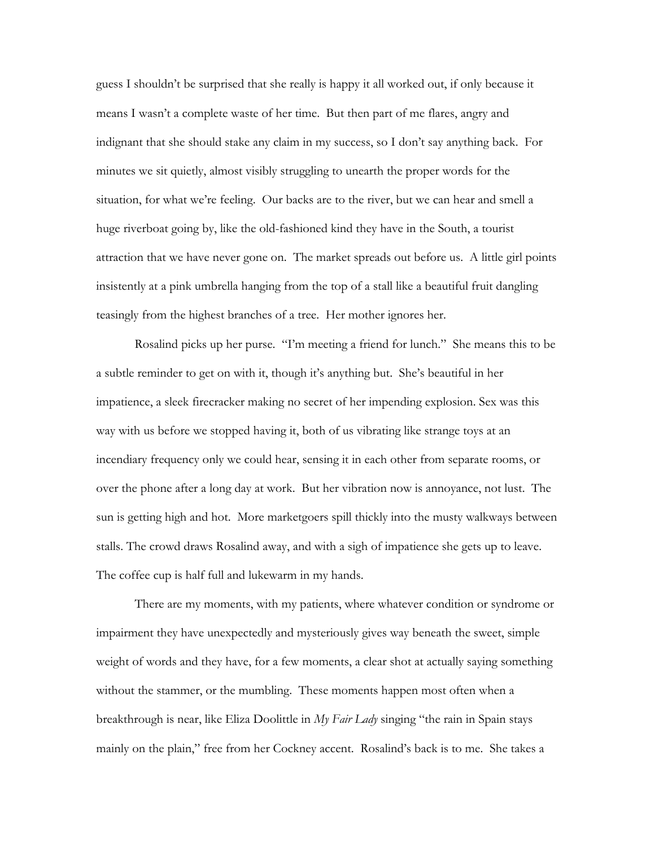guess I shouldn't be surprised that she really is happy it all worked out, if only because it means I wasn't a complete waste of her time. But then part of me flares, angry and indignant that she should stake any claim in my success, so I don't say anything back. For minutes we sit quietly, almost visibly struggling to unearth the proper words for the situation, for what we're feeling. Our backs are to the river, but we can hear and smell a huge riverboat going by, like the old-fashioned kind they have in the South, a tourist attraction that we have never gone on. The market spreads out before us. A little girl points insistently at a pink umbrella hanging from the top of a stall like a beautiful fruit dangling teasingly from the highest branches of a tree. Her mother ignores her.

 Rosalind picks up her purse. "I'm meeting a friend for lunch." She means this to be a subtle reminder to get on with it, though it's anything but. She's beautiful in her impatience, a sleek firecracker making no secret of her impending explosion. Sex was this way with us before we stopped having it, both of us vibrating like strange toys at an incendiary frequency only we could hear, sensing it in each other from separate rooms, or over the phone after a long day at work. But her vibration now is annoyance, not lust. The sun is getting high and hot. More marketgoers spill thickly into the musty walkways between stalls. The crowd draws Rosalind away, and with a sigh of impatience she gets up to leave. The coffee cup is half full and lukewarm in my hands.

 There are my moments, with my patients, where whatever condition or syndrome or impairment they have unexpectedly and mysteriously gives way beneath the sweet, simple weight of words and they have, for a few moments, a clear shot at actually saying something without the stammer, or the mumbling. These moments happen most often when a breakthrough is near, like Eliza Doolittle in *My Fair Lady* singing "the rain in Spain stays mainly on the plain," free from her Cockney accent. Rosalind's back is to me. She takes a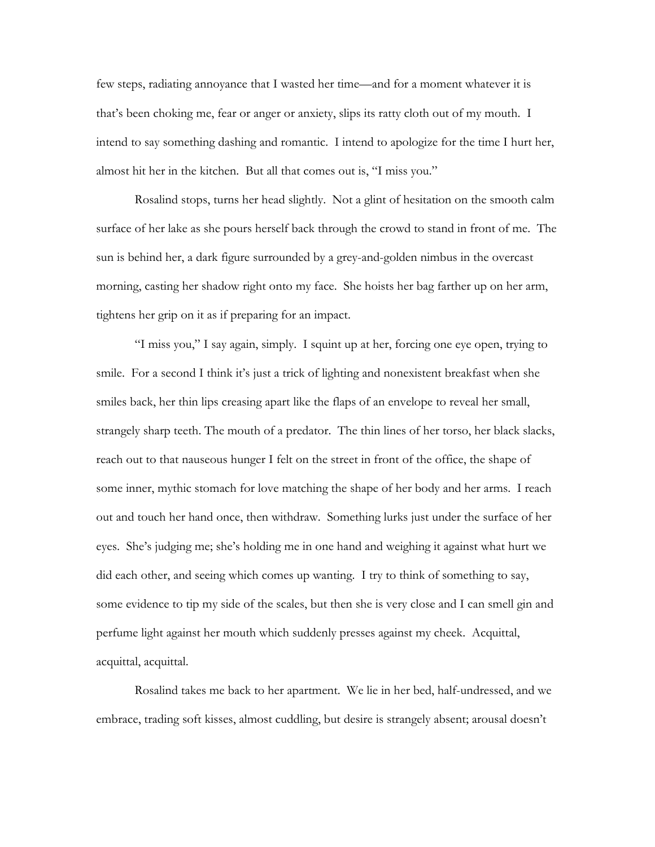few steps, radiating annoyance that I wasted her time—and for a moment whatever it is that's been choking me, fear or anger or anxiety, slips its ratty cloth out of my mouth. I intend to say something dashing and romantic. I intend to apologize for the time I hurt her, almost hit her in the kitchen. But all that comes out is, "I miss you."

 Rosalind stops, turns her head slightly. Not a glint of hesitation on the smooth calm surface of her lake as she pours herself back through the crowd to stand in front of me. The sun is behind her, a dark figure surrounded by a grey-and-golden nimbus in the overcast morning, casting her shadow right onto my face. She hoists her bag farther up on her arm, tightens her grip on it as if preparing for an impact.

 "I miss you," I say again, simply. I squint up at her, forcing one eye open, trying to smile. For a second I think it's just a trick of lighting and nonexistent breakfast when she smiles back, her thin lips creasing apart like the flaps of an envelope to reveal her small, strangely sharp teeth. The mouth of a predator. The thin lines of her torso, her black slacks, reach out to that nauseous hunger I felt on the street in front of the office, the shape of some inner, mythic stomach for love matching the shape of her body and her arms. I reach out and touch her hand once, then withdraw. Something lurks just under the surface of her eyes. She's judging me; she's holding me in one hand and weighing it against what hurt we did each other, and seeing which comes up wanting. I try to think of something to say, some evidence to tip my side of the scales, but then she is very close and I can smell gin and perfume light against her mouth which suddenly presses against my cheek. Acquittal, acquittal, acquittal.

 Rosalind takes me back to her apartment. We lie in her bed, half-undressed, and we embrace, trading soft kisses, almost cuddling, but desire is strangely absent; arousal doesn't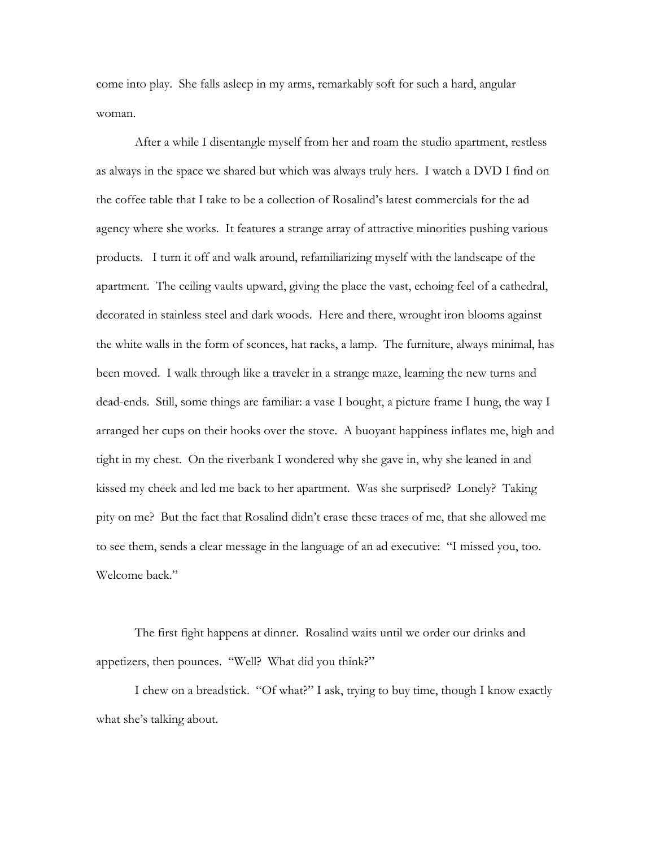come into play. She falls asleep in my arms, remarkably soft for such a hard, angular woman.

 After a while I disentangle myself from her and roam the studio apartment, restless as always in the space we shared but which was always truly hers. I watch a DVD I find on the coffee table that I take to be a collection of Rosalind's latest commercials for the ad agency where she works. It features a strange array of attractive minorities pushing various products. I turn it off and walk around, refamiliarizing myself with the landscape of the apartment. The ceiling vaults upward, giving the place the vast, echoing feel of a cathedral, decorated in stainless steel and dark woods. Here and there, wrought iron blooms against the white walls in the form of sconces, hat racks, a lamp. The furniture, always minimal, has been moved. I walk through like a traveler in a strange maze, learning the new turns and dead-ends. Still, some things are familiar: a vase I bought, a picture frame I hung, the way I arranged her cups on their hooks over the stove. A buoyant happiness inflates me, high and tight in my chest. On the riverbank I wondered why she gave in, why she leaned in and kissed my cheek and led me back to her apartment. Was she surprised? Lonely? Taking pity on me? But the fact that Rosalind didn't erase these traces of me, that she allowed me to see them, sends a clear message in the language of an ad executive: "I missed you, too. Welcome back."

 The first fight happens at dinner. Rosalind waits until we order our drinks and appetizers, then pounces. "Well? What did you think?"

 I chew on a breadstick. "Of what?" I ask, trying to buy time, though I know exactly what she's talking about.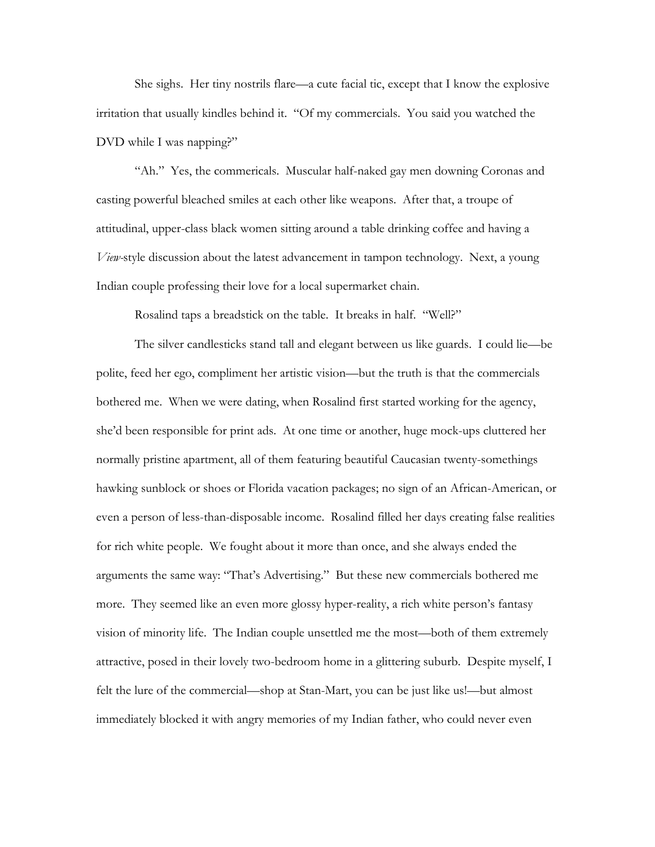She sighs. Her tiny nostrils flare—a cute facial tic, except that I know the explosive irritation that usually kindles behind it. "Of my commercials. You said you watched the DVD while I was napping?"

"Ah." Yes, the commericals. Muscular half-naked gay men downing Coronas and casting powerful bleached smiles at each other like weapons. After that, a troupe of attitudinal, upper-class black women sitting around a table drinking coffee and having a *View-*style discussion about the latest advancement in tampon technology. Next, a young Indian couple professing their love for a local supermarket chain.

Rosalind taps a breadstick on the table. It breaks in half. "Well?"

 The silver candlesticks stand tall and elegant between us like guards. I could lie—be polite, feed her ego, compliment her artistic vision—but the truth is that the commercials bothered me. When we were dating, when Rosalind first started working for the agency, she'd been responsible for print ads. At one time or another, huge mock-ups cluttered her normally pristine apartment, all of them featuring beautiful Caucasian twenty-somethings hawking sunblock or shoes or Florida vacation packages; no sign of an African-American, or even a person of less-than-disposable income. Rosalind filled her days creating false realities for rich white people. We fought about it more than once, and she always ended the arguments the same way: "That's Advertising." But these new commercials bothered me more. They seemed like an even more glossy hyper-reality, a rich white person's fantasy vision of minority life. The Indian couple unsettled me the most—both of them extremely attractive, posed in their lovely two-bedroom home in a glittering suburb. Despite myself, I felt the lure of the commercial—shop at Stan-Mart, you can be just like us!—but almost immediately blocked it with angry memories of my Indian father, who could never even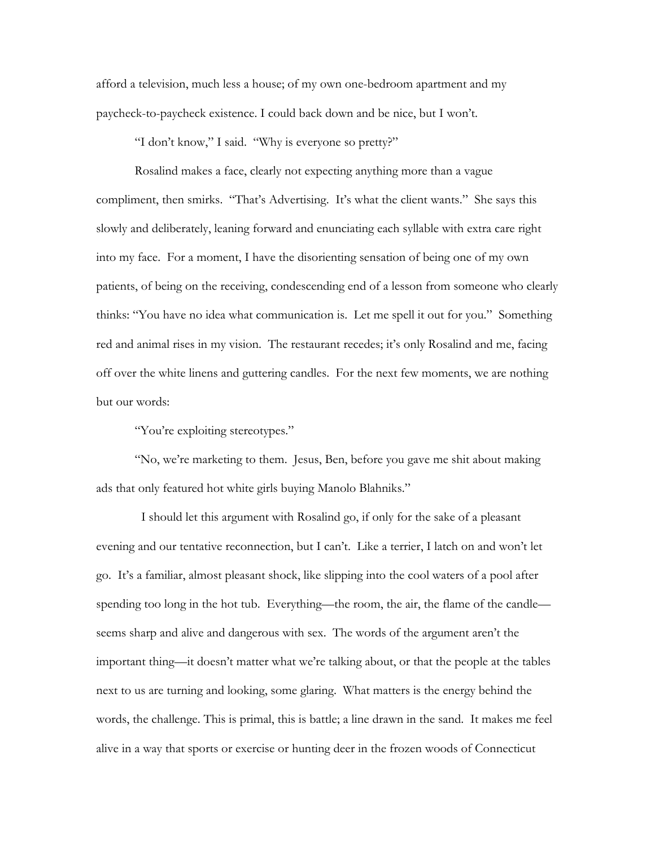afford a television, much less a house; of my own one-bedroom apartment and my paycheck-to-paycheck existence. I could back down and be nice, but I won't.

"I don't know," I said. "Why is everyone so pretty?"

 Rosalind makes a face, clearly not expecting anything more than a vague compliment, then smirks. "That's Advertising. It's what the client wants." She says this slowly and deliberately, leaning forward and enunciating each syllable with extra care right into my face. For a moment, I have the disorienting sensation of being one of my own patients, of being on the receiving, condescending end of a lesson from someone who clearly thinks: "You have no idea what communication is. Let me spell it out for you." Something red and animal rises in my vision. The restaurant recedes; it's only Rosalind and me, facing off over the white linens and guttering candles. For the next few moments, we are nothing but our words:

"You're exploiting stereotypes."

 "No, we're marketing to them. Jesus, Ben, before you gave me shit about making ads that only featured hot white girls buying Manolo Blahniks."

 I should let this argument with Rosalind go, if only for the sake of a pleasant evening and our tentative reconnection, but I can't. Like a terrier, I latch on and won't let go. It's a familiar, almost pleasant shock, like slipping into the cool waters of a pool after spending too long in the hot tub. Everything—the room, the air, the flame of the candle seems sharp and alive and dangerous with sex. The words of the argument aren't the important thing—it doesn't matter what we're talking about, or that the people at the tables next to us are turning and looking, some glaring. What matters is the energy behind the words, the challenge. This is primal, this is battle; a line drawn in the sand. It makes me feel alive in a way that sports or exercise or hunting deer in the frozen woods of Connecticut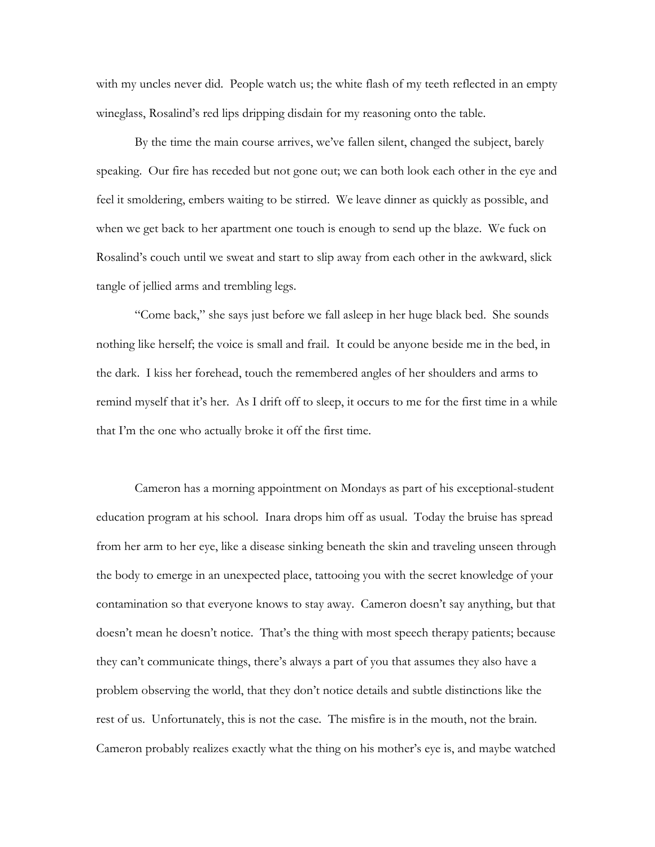with my uncles never did. People watch us; the white flash of my teeth reflected in an empty wineglass, Rosalind's red lips dripping disdain for my reasoning onto the table.

 By the time the main course arrives, we've fallen silent, changed the subject, barely speaking. Our fire has receded but not gone out; we can both look each other in the eye and feel it smoldering, embers waiting to be stirred. We leave dinner as quickly as possible, and when we get back to her apartment one touch is enough to send up the blaze. We fuck on Rosalind's couch until we sweat and start to slip away from each other in the awkward, slick tangle of jellied arms and trembling legs.

 "Come back," she says just before we fall asleep in her huge black bed. She sounds nothing like herself; the voice is small and frail. It could be anyone beside me in the bed, in the dark. I kiss her forehead, touch the remembered angles of her shoulders and arms to remind myself that it's her. As I drift off to sleep, it occurs to me for the first time in a while that I'm the one who actually broke it off the first time.

 Cameron has a morning appointment on Mondays as part of his exceptional-student education program at his school. Inara drops him off as usual. Today the bruise has spread from her arm to her eye, like a disease sinking beneath the skin and traveling unseen through the body to emerge in an unexpected place, tattooing you with the secret knowledge of your contamination so that everyone knows to stay away. Cameron doesn't say anything, but that doesn't mean he doesn't notice. That's the thing with most speech therapy patients; because they can't communicate things, there's always a part of you that assumes they also have a problem observing the world, that they don't notice details and subtle distinctions like the rest of us. Unfortunately, this is not the case. The misfire is in the mouth, not the brain. Cameron probably realizes exactly what the thing on his mother's eye is, and maybe watched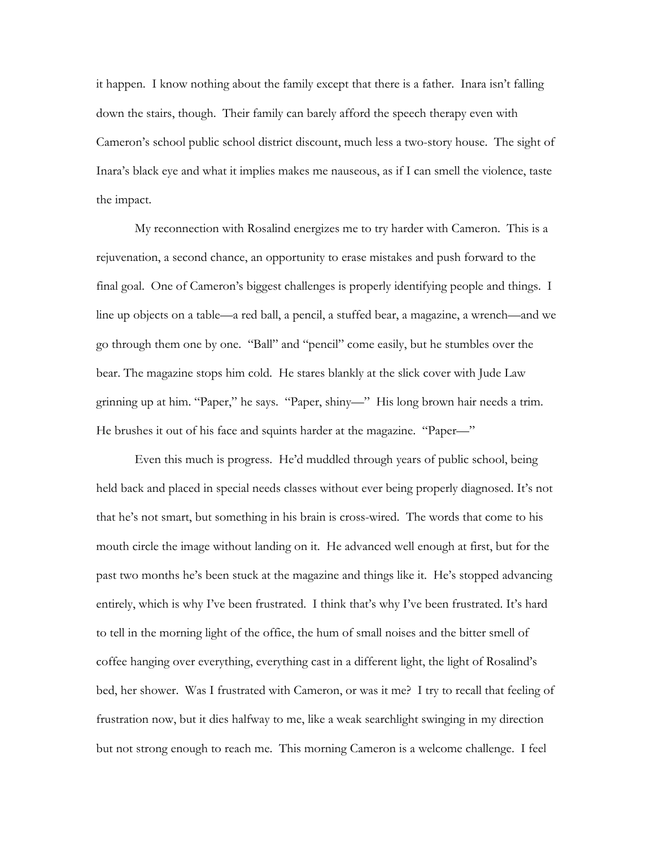it happen. I know nothing about the family except that there is a father. Inara isn't falling down the stairs, though. Their family can barely afford the speech therapy even with Cameron's school public school district discount, much less a two-story house. The sight of Inara's black eye and what it implies makes me nauseous, as if I can smell the violence, taste the impact.

 My reconnection with Rosalind energizes me to try harder with Cameron. This is a rejuvenation, a second chance, an opportunity to erase mistakes and push forward to the final goal. One of Cameron's biggest challenges is properly identifying people and things. I line up objects on a table—a red ball, a pencil, a stuffed bear, a magazine, a wrench—and we go through them one by one. "Ball" and "pencil" come easily, but he stumbles over the bear. The magazine stops him cold. He stares blankly at the slick cover with Jude Law grinning up at him. "Paper," he says. "Paper, shiny—" His long brown hair needs a trim. He brushes it out of his face and squints harder at the magazine. "Paper—"

 Even this much is progress. He'd muddled through years of public school, being held back and placed in special needs classes without ever being properly diagnosed. It's not that he's not smart, but something in his brain is cross-wired. The words that come to his mouth circle the image without landing on it. He advanced well enough at first, but for the past two months he's been stuck at the magazine and things like it. He's stopped advancing entirely, which is why I've been frustrated. I think that's why I've been frustrated. It's hard to tell in the morning light of the office, the hum of small noises and the bitter smell of coffee hanging over everything, everything cast in a different light, the light of Rosalind's bed, her shower. Was I frustrated with Cameron, or was it me? I try to recall that feeling of frustration now, but it dies halfway to me, like a weak searchlight swinging in my direction but not strong enough to reach me. This morning Cameron is a welcome challenge. I feel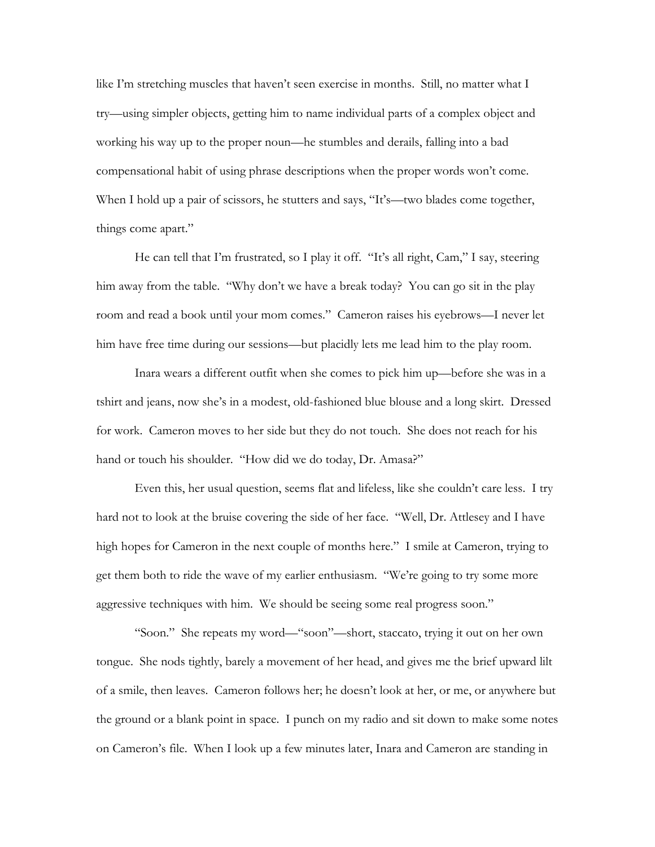like I'm stretching muscles that haven't seen exercise in months. Still, no matter what I try—using simpler objects, getting him to name individual parts of a complex object and working his way up to the proper noun—he stumbles and derails, falling into a bad compensational habit of using phrase descriptions when the proper words won't come. When I hold up a pair of scissors, he stutters and says, "It's—two blades come together, things come apart."

 He can tell that I'm frustrated, so I play it off. "It's all right, Cam," I say, steering him away from the table. "Why don't we have a break today? You can go sit in the play room and read a book until your mom comes." Cameron raises his eyebrows—I never let him have free time during our sessions—but placidly lets me lead him to the play room.

 Inara wears a different outfit when she comes to pick him up—before she was in a tshirt and jeans, now she's in a modest, old-fashioned blue blouse and a long skirt. Dressed for work. Cameron moves to her side but they do not touch. She does not reach for his hand or touch his shoulder. "How did we do today, Dr. Amasa?"

 Even this, her usual question, seems flat and lifeless, like she couldn't care less. I try hard not to look at the bruise covering the side of her face. "Well, Dr. Attlesey and I have high hopes for Cameron in the next couple of months here." I smile at Cameron, trying to get them both to ride the wave of my earlier enthusiasm. "We're going to try some more aggressive techniques with him. We should be seeing some real progress soon."

 "Soon." She repeats my word—"soon"—short, staccato, trying it out on her own tongue. She nods tightly, barely a movement of her head, and gives me the brief upward lilt of a smile, then leaves. Cameron follows her; he doesn't look at her, or me, or anywhere but the ground or a blank point in space. I punch on my radio and sit down to make some notes on Cameron's file. When I look up a few minutes later, Inara and Cameron are standing in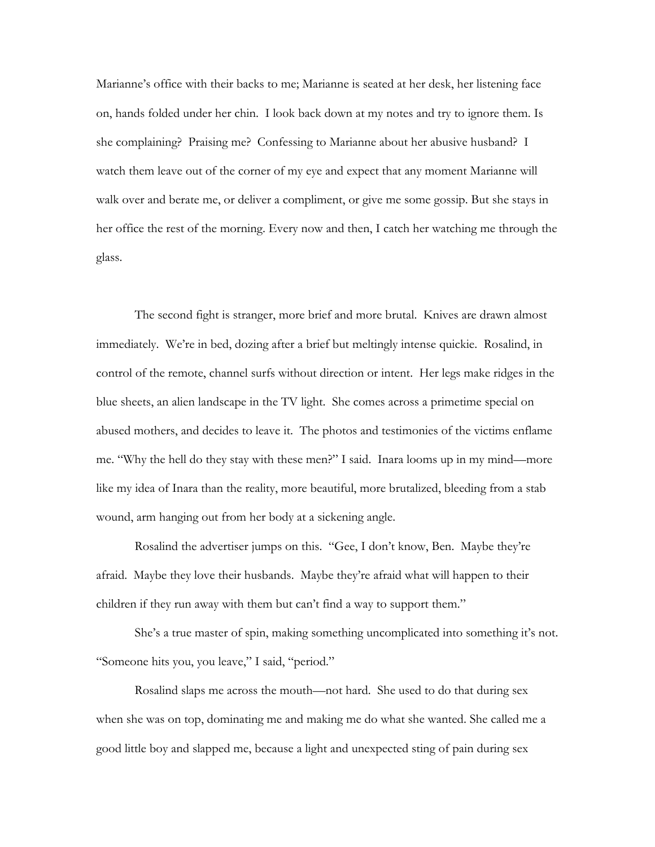Marianne's office with their backs to me; Marianne is seated at her desk, her listening face on, hands folded under her chin. I look back down at my notes and try to ignore them. Is she complaining? Praising me? Confessing to Marianne about her abusive husband? I watch them leave out of the corner of my eye and expect that any moment Marianne will walk over and berate me, or deliver a compliment, or give me some gossip. But she stays in her office the rest of the morning. Every now and then, I catch her watching me through the glass.

 The second fight is stranger, more brief and more brutal. Knives are drawn almost immediately. We're in bed, dozing after a brief but meltingly intense quickie. Rosalind, in control of the remote, channel surfs without direction or intent. Her legs make ridges in the blue sheets, an alien landscape in the TV light. She comes across a primetime special on abused mothers, and decides to leave it. The photos and testimonies of the victims enflame me. "Why the hell do they stay with these men?" I said. Inara looms up in my mind—more like my idea of Inara than the reality, more beautiful, more brutalized, bleeding from a stab wound, arm hanging out from her body at a sickening angle.

 Rosalind the advertiser jumps on this. "Gee, I don't know, Ben. Maybe they're afraid. Maybe they love their husbands. Maybe they're afraid what will happen to their children if they run away with them but can't find a way to support them."

 She's a true master of spin, making something uncomplicated into something it's not. "Someone hits you, you leave," I said, "period."

 Rosalind slaps me across the mouth—not hard. She used to do that during sex when she was on top, dominating me and making me do what she wanted. She called me a good little boy and slapped me, because a light and unexpected sting of pain during sex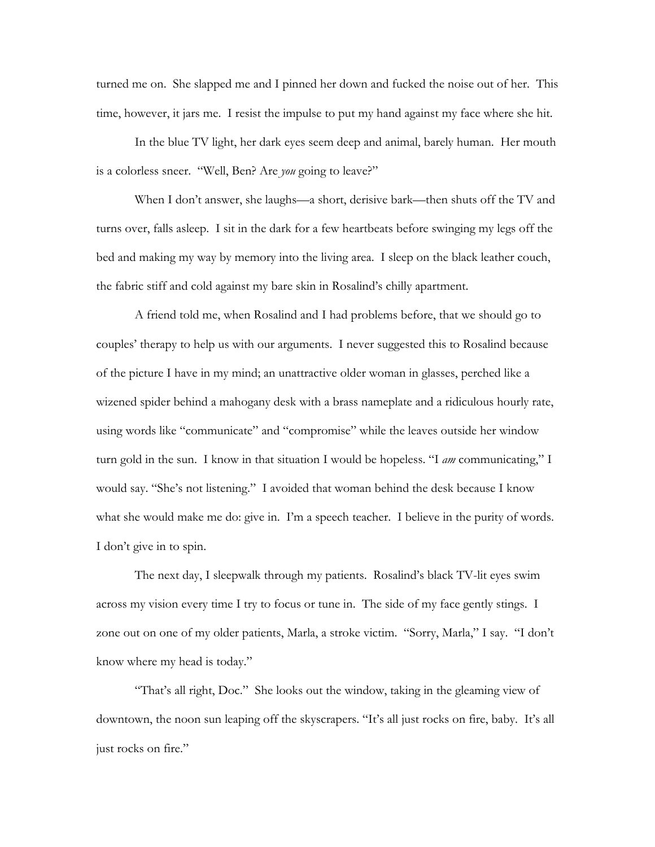turned me on. She slapped me and I pinned her down and fucked the noise out of her. This time, however, it jars me. I resist the impulse to put my hand against my face where she hit.

 In the blue TV light, her dark eyes seem deep and animal, barely human. Her mouth is a colorless sneer. "Well, Ben? Are *you* going to leave?"

 When I don't answer, she laughs—a short, derisive bark—then shuts off the TV and turns over, falls asleep. I sit in the dark for a few heartbeats before swinging my legs off the bed and making my way by memory into the living area. I sleep on the black leather couch, the fabric stiff and cold against my bare skin in Rosalind's chilly apartment.

 A friend told me, when Rosalind and I had problems before, that we should go to couples' therapy to help us with our arguments. I never suggested this to Rosalind because of the picture I have in my mind; an unattractive older woman in glasses, perched like a wizened spider behind a mahogany desk with a brass nameplate and a ridiculous hourly rate, using words like "communicate" and "compromise" while the leaves outside her window turn gold in the sun. I know in that situation I would be hopeless. "I *am* communicating," I would say. "She's not listening." I avoided that woman behind the desk because I know what she would make me do: give in. I'm a speech teacher. I believe in the purity of words. I don't give in to spin.

 The next day, I sleepwalk through my patients. Rosalind's black TV-lit eyes swim across my vision every time I try to focus or tune in. The side of my face gently stings. I zone out on one of my older patients, Marla, a stroke victim. "Sorry, Marla," I say. "I don't know where my head is today."

 "That's all right, Doc." She looks out the window, taking in the gleaming view of downtown, the noon sun leaping off the skyscrapers. "It's all just rocks on fire, baby. It's all just rocks on fire."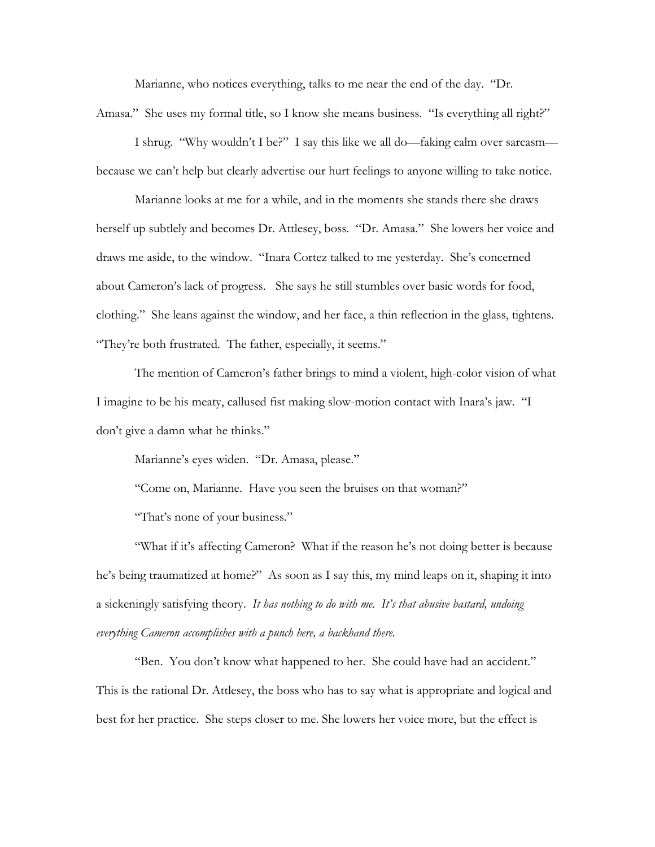Marianne, who notices everything, talks to me near the end of the day. "Dr. Amasa." She uses my formal title, so I know she means business. "Is everything all right?"

 I shrug. "Why wouldn't I be?" I say this like we all do—faking calm over sarcasm because we can't help but clearly advertise our hurt feelings to anyone willing to take notice.

 Marianne looks at me for a while, and in the moments she stands there she draws herself up subtlely and becomes Dr. Attlesey, boss. "Dr. Amasa." She lowers her voice and draws me aside, to the window. "Inara Cortez talked to me yesterday. She's concerned about Cameron's lack of progress. She says he still stumbles over basic words for food, clothing." She leans against the window, and her face, a thin reflection in the glass, tightens. "They're both frustrated. The father, especially, it seems."

 The mention of Cameron's father brings to mind a violent, high-color vision of what I imagine to be his meaty, callused fist making slow-motion contact with Inara's jaw. "I don't give a damn what he thinks."

Marianne's eyes widen. "Dr. Amasa, please."

"Come on, Marianne. Have you seen the bruises on that woman?"

"That's none of your business."

"What if it's affecting Cameron? What if the reason he's not doing better is because he's being traumatized at home?" As soon as I say this, my mind leaps on it, shaping it into a sickeningly satisfying theory. *It has nothing to do with me. It's that abusive bastard, undoing everything Cameron accomplishes with a punch here, a backhand there.*

 "Ben. You don't know what happened to her. She could have had an accident." This is the rational Dr. Attlesey, the boss who has to say what is appropriate and logical and best for her practice. She steps closer to me. She lowers her voice more, but the effect is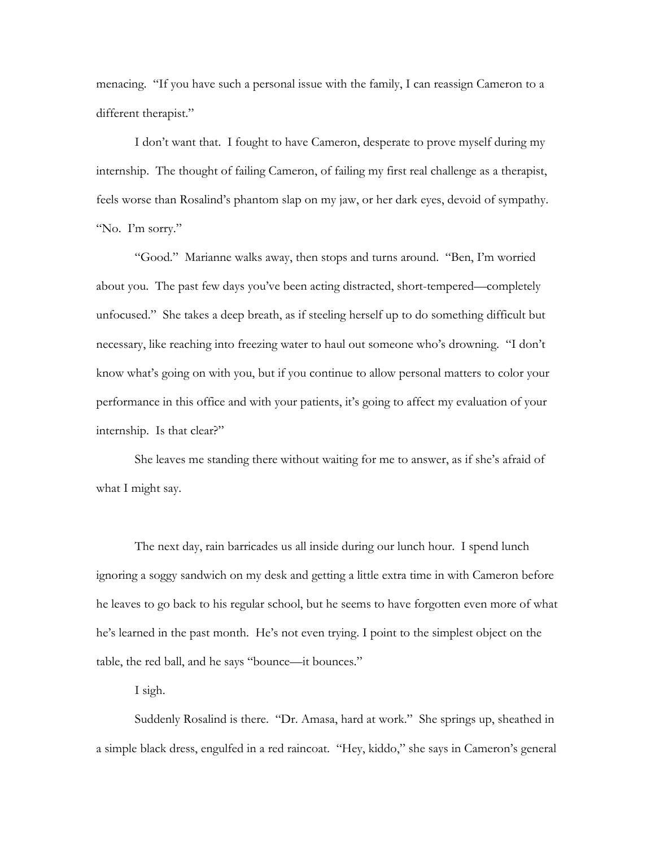menacing. "If you have such a personal issue with the family, I can reassign Cameron to a different therapist."

 I don't want that. I fought to have Cameron, desperate to prove myself during my internship. The thought of failing Cameron, of failing my first real challenge as a therapist, feels worse than Rosalind's phantom slap on my jaw, or her dark eyes, devoid of sympathy. "No. I'm sorry."

 "Good." Marianne walks away, then stops and turns around. "Ben, I'm worried about you. The past few days you've been acting distracted, short-tempered—completely unfocused." She takes a deep breath, as if steeling herself up to do something difficult but necessary, like reaching into freezing water to haul out someone who's drowning. "I don't know what's going on with you, but if you continue to allow personal matters to color your performance in this office and with your patients, it's going to affect my evaluation of your internship. Is that clear?"

 She leaves me standing there without waiting for me to answer, as if she's afraid of what I might say.

The next day, rain barricades us all inside during our lunch hour. I spend lunch ignoring a soggy sandwich on my desk and getting a little extra time in with Cameron before he leaves to go back to his regular school, but he seems to have forgotten even more of what he's learned in the past month. He's not even trying. I point to the simplest object on the table, the red ball, and he says "bounce—it bounces."

I sigh.

 Suddenly Rosalind is there. "Dr. Amasa, hard at work." She springs up, sheathed in a simple black dress, engulfed in a red raincoat. "Hey, kiddo," she says in Cameron's general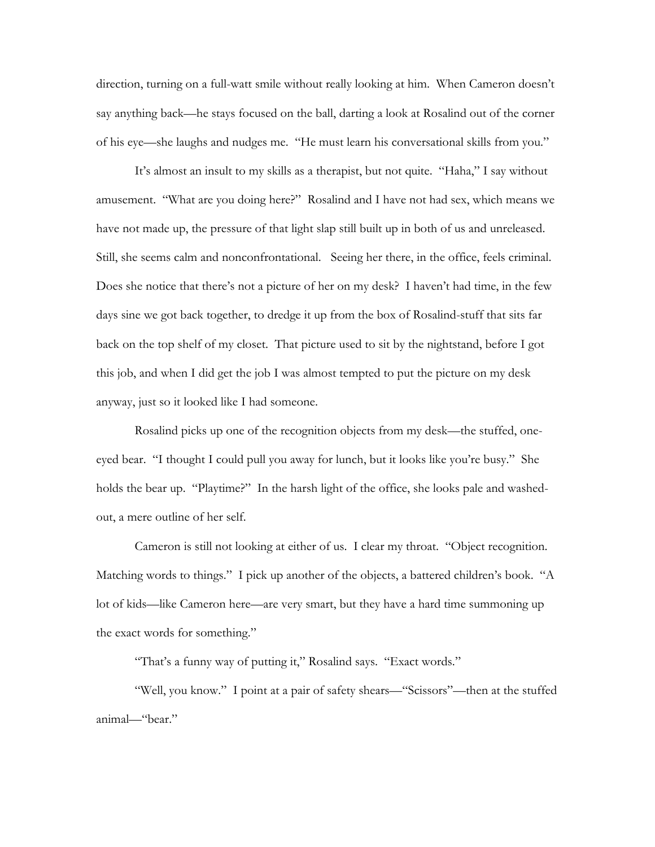direction, turning on a full-watt smile without really looking at him. When Cameron doesn't say anything back—he stays focused on the ball, darting a look at Rosalind out of the corner of his eye—she laughs and nudges me. "He must learn his conversational skills from you."

 It's almost an insult to my skills as a therapist, but not quite. "Haha," I say without amusement. "What are you doing here?" Rosalind and I have not had sex, which means we have not made up, the pressure of that light slap still built up in both of us and unreleased. Still, she seems calm and nonconfrontational. Seeing her there, in the office, feels criminal. Does she notice that there's not a picture of her on my desk? I haven't had time, in the few days sine we got back together, to dredge it up from the box of Rosalind-stuff that sits far back on the top shelf of my closet. That picture used to sit by the nightstand, before I got this job, and when I did get the job I was almost tempted to put the picture on my desk anyway, just so it looked like I had someone.

 Rosalind picks up one of the recognition objects from my desk—the stuffed, oneeyed bear. "I thought I could pull you away for lunch, but it looks like you're busy." She holds the bear up. "Playtime?" In the harsh light of the office, she looks pale and washedout, a mere outline of her self.

 Cameron is still not looking at either of us. I clear my throat. "Object recognition. Matching words to things." I pick up another of the objects, a battered children's book. "A lot of kids—like Cameron here—are very smart, but they have a hard time summoning up the exact words for something."

"That's a funny way of putting it," Rosalind says. "Exact words."

 "Well, you know." I point at a pair of safety shears—"Scissors"—then at the stuffed animal—"bear."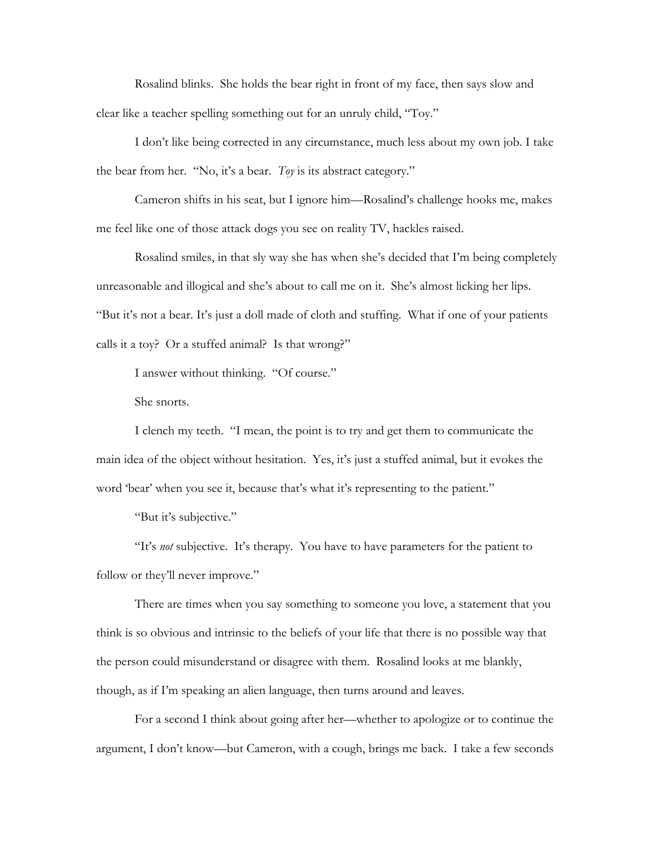Rosalind blinks. She holds the bear right in front of my face, then says slow and clear like a teacher spelling something out for an unruly child, "Toy."

 I don't like being corrected in any circumstance, much less about my own job. I take the bear from her. "No, it's a bear. *Toy* is its abstract category."

 Cameron shifts in his seat, but I ignore him—Rosalind's challenge hooks me, makes me feel like one of those attack dogs you see on reality TV, hackles raised.

 Rosalind smiles, in that sly way she has when she's decided that I'm being completely unreasonable and illogical and she's about to call me on it. She's almost licking her lips. "But it's not a bear. It's just a doll made of cloth and stuffing. What if one of your patients calls it a toy? Or a stuffed animal? Is that wrong?"

I answer without thinking. "Of course."

She snorts.

 I clench my teeth. "I mean, the point is to try and get them to communicate the main idea of the object without hesitation. Yes, it's just a stuffed animal, but it evokes the word 'bear' when you see it, because that's what it's representing to the patient."

"But it's subjective."

 "It's *not* subjective. It's therapy. You have to have parameters for the patient to follow or they'll never improve."

 There are times when you say something to someone you love, a statement that you think is so obvious and intrinsic to the beliefs of your life that there is no possible way that the person could misunderstand or disagree with them. Rosalind looks at me blankly, though, as if I'm speaking an alien language, then turns around and leaves.

 For a second I think about going after her—whether to apologize or to continue the argument, I don't know—but Cameron, with a cough, brings me back. I take a few seconds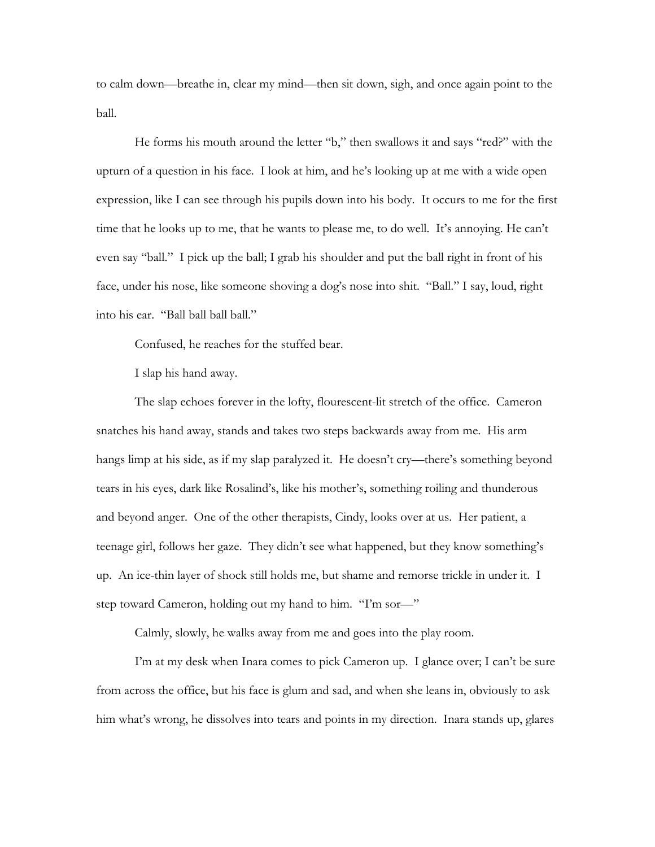to calm down—breathe in, clear my mind—then sit down, sigh, and once again point to the ball.

 He forms his mouth around the letter "b," then swallows it and says "red?" with the upturn of a question in his face. I look at him, and he's looking up at me with a wide open expression, like I can see through his pupils down into his body. It occurs to me for the first time that he looks up to me, that he wants to please me, to do well. It's annoying. He can't even say "ball." I pick up the ball; I grab his shoulder and put the ball right in front of his face, under his nose, like someone shoving a dog's nose into shit. "Ball." I say, loud, right into his ear. "Ball ball ball ball."

Confused, he reaches for the stuffed bear.

I slap his hand away.

 The slap echoes forever in the lofty, flourescent-lit stretch of the office. Cameron snatches his hand away, stands and takes two steps backwards away from me. His arm hangs limp at his side, as if my slap paralyzed it. He doesn't cry—there's something beyond tears in his eyes, dark like Rosalind's, like his mother's, something roiling and thunderous and beyond anger. One of the other therapists, Cindy, looks over at us. Her patient, a teenage girl, follows her gaze. They didn't see what happened, but they know something's up. An ice-thin layer of shock still holds me, but shame and remorse trickle in under it. I step toward Cameron, holding out my hand to him. "I'm sor—"

Calmly, slowly, he walks away from me and goes into the play room.

 I'm at my desk when Inara comes to pick Cameron up. I glance over; I can't be sure from across the office, but his face is glum and sad, and when she leans in, obviously to ask him what's wrong, he dissolves into tears and points in my direction. Inara stands up, glares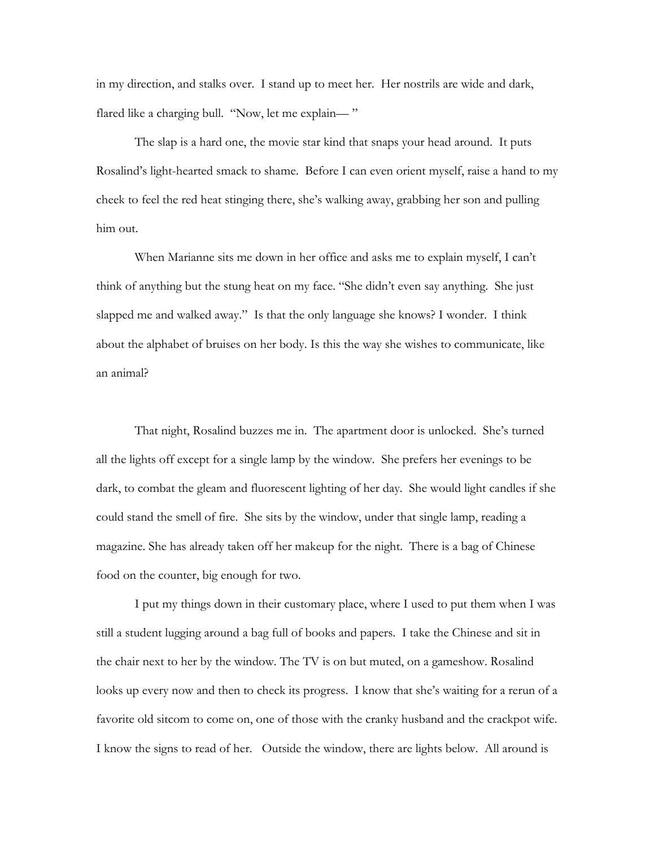in my direction, and stalks over. I stand up to meet her. Her nostrils are wide and dark, flared like a charging bull. "Now, let me explain—"

 The slap is a hard one, the movie star kind that snaps your head around. It puts Rosalind's light-hearted smack to shame. Before I can even orient myself, raise a hand to my cheek to feel the red heat stinging there, she's walking away, grabbing her son and pulling him out.

 When Marianne sits me down in her office and asks me to explain myself, I can't think of anything but the stung heat on my face. "She didn't even say anything. She just slapped me and walked away." Is that the only language she knows? I wonder. I think about the alphabet of bruises on her body. Is this the way she wishes to communicate, like an animal?

 That night, Rosalind buzzes me in. The apartment door is unlocked. She's turned all the lights off except for a single lamp by the window. She prefers her evenings to be dark, to combat the gleam and fluorescent lighting of her day. She would light candles if she could stand the smell of fire. She sits by the window, under that single lamp, reading a magazine. She has already taken off her makeup for the night. There is a bag of Chinese food on the counter, big enough for two.

 I put my things down in their customary place, where I used to put them when I was still a student lugging around a bag full of books and papers. I take the Chinese and sit in the chair next to her by the window. The TV is on but muted, on a gameshow. Rosalind looks up every now and then to check its progress. I know that she's waiting for a rerun of a favorite old sitcom to come on, one of those with the cranky husband and the crackpot wife. I know the signs to read of her. Outside the window, there are lights below. All around is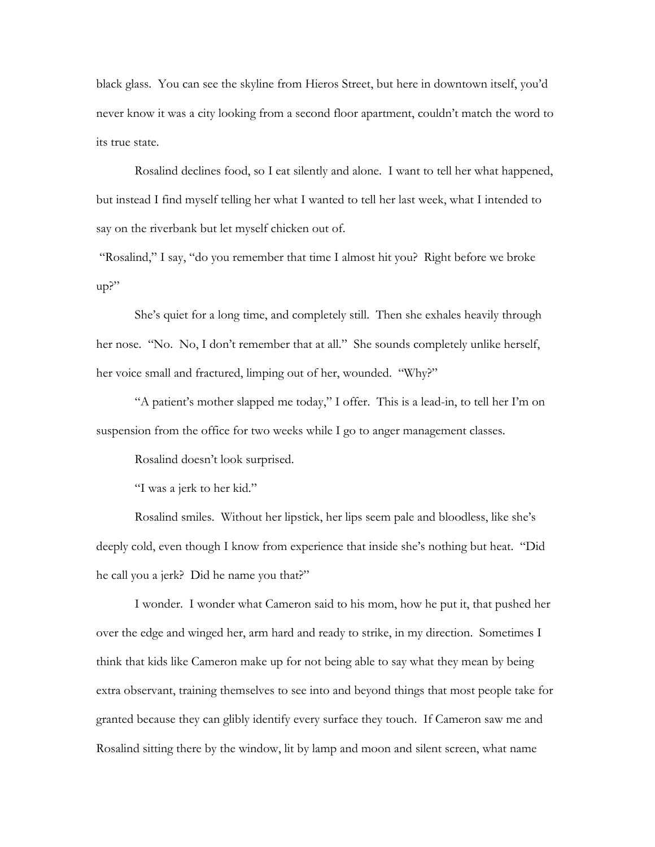black glass. You can see the skyline from Hieros Street, but here in downtown itself, you'd never know it was a city looking from a second floor apartment, couldn't match the word to its true state.

 Rosalind declines food, so I eat silently and alone. I want to tell her what happened, but instead I find myself telling her what I wanted to tell her last week, what I intended to say on the riverbank but let myself chicken out of.

 "Rosalind," I say, "do you remember that time I almost hit you? Right before we broke up?"

 She's quiet for a long time, and completely still. Then she exhales heavily through her nose. "No. No, I don't remember that at all." She sounds completely unlike herself, her voice small and fractured, limping out of her, wounded. "Why?"

 "A patient's mother slapped me today," I offer. This is a lead-in, to tell her I'm on suspension from the office for two weeks while I go to anger management classes.

Rosalind doesn't look surprised.

"I was a jerk to her kid."

 Rosalind smiles. Without her lipstick, her lips seem pale and bloodless, like she's deeply cold, even though I know from experience that inside she's nothing but heat. "Did he call you a jerk? Did he name you that?"

 I wonder. I wonder what Cameron said to his mom, how he put it, that pushed her over the edge and winged her, arm hard and ready to strike, in my direction. Sometimes I think that kids like Cameron make up for not being able to say what they mean by being extra observant, training themselves to see into and beyond things that most people take for granted because they can glibly identify every surface they touch. If Cameron saw me and Rosalind sitting there by the window, lit by lamp and moon and silent screen, what name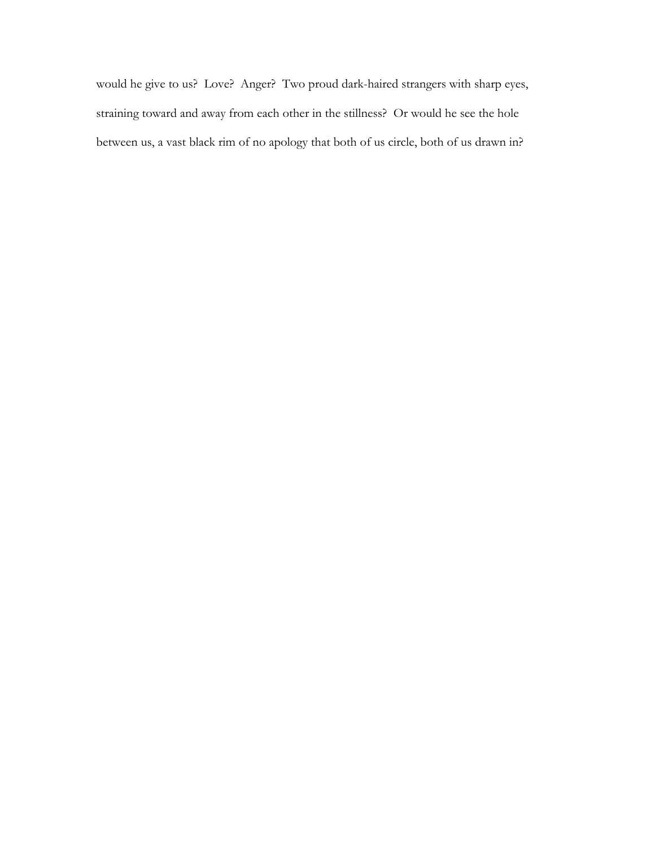would he give to us? Love? Anger? Two proud dark-haired strangers with sharp eyes, straining toward and away from each other in the stillness? Or would he see the hole between us, a vast black rim of no apology that both of us circle, both of us drawn in?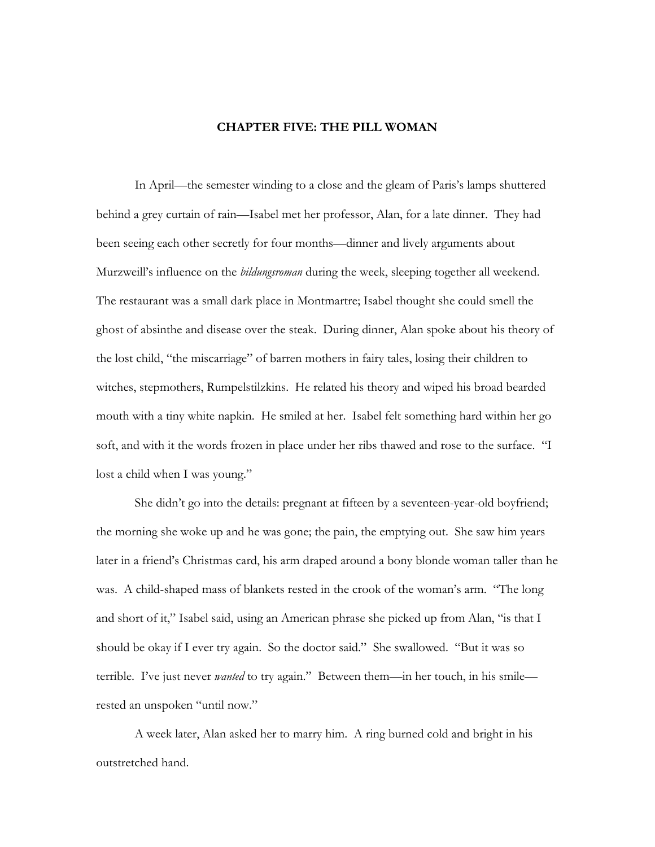## **CHAPTER FIVE: THE PILL WOMAN**

 In April—the semester winding to a close and the gleam of Paris's lamps shuttered behind a grey curtain of rain—Isabel met her professor, Alan, for a late dinner. They had been seeing each other secretly for four months—dinner and lively arguments about Murzweill's influence on the *bildungsroman* during the week, sleeping together all weekend. The restaurant was a small dark place in Montmartre; Isabel thought she could smell the ghost of absinthe and disease over the steak. During dinner, Alan spoke about his theory of the lost child, "the miscarriage" of barren mothers in fairy tales, losing their children to witches, stepmothers, Rumpelstilzkins. He related his theory and wiped his broad bearded mouth with a tiny white napkin. He smiled at her. Isabel felt something hard within her go soft, and with it the words frozen in place under her ribs thawed and rose to the surface. "I lost a child when I was young."

 She didn't go into the details: pregnant at fifteen by a seventeen-year-old boyfriend; the morning she woke up and he was gone; the pain, the emptying out. She saw him years later in a friend's Christmas card, his arm draped around a bony blonde woman taller than he was. A child-shaped mass of blankets rested in the crook of the woman's arm. "The long and short of it," Isabel said, using an American phrase she picked up from Alan, "is that I should be okay if I ever try again. So the doctor said." She swallowed. "But it was so terrible. I've just never *wanted* to try again." Between them—in her touch, in his smile rested an unspoken "until now."

 A week later, Alan asked her to marry him. A ring burned cold and bright in his outstretched hand.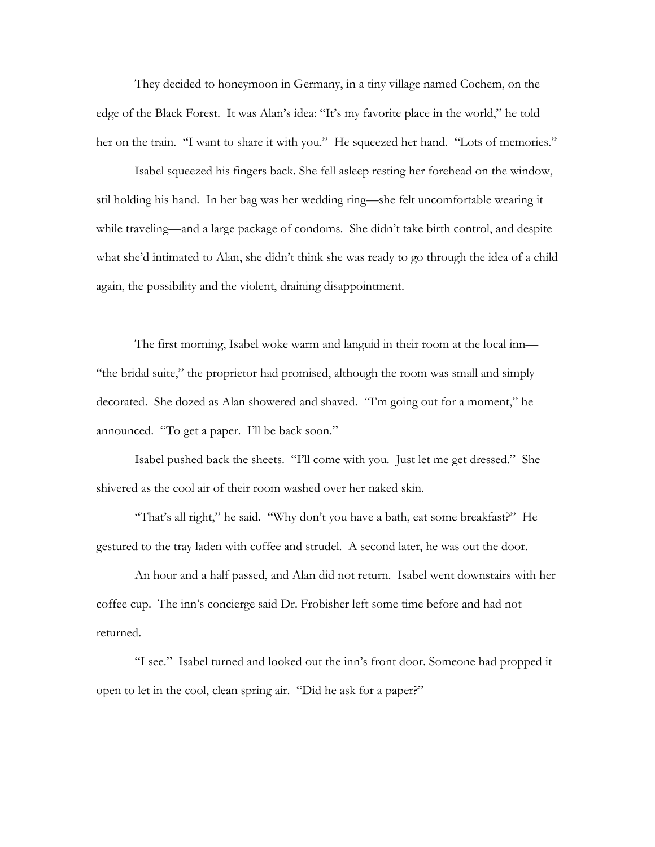They decided to honeymoon in Germany, in a tiny village named Cochem, on the edge of the Black Forest. It was Alan's idea: "It's my favorite place in the world," he told her on the train. "I want to share it with you." He squeezed her hand. "Lots of memories."

 Isabel squeezed his fingers back. She fell asleep resting her forehead on the window, stil holding his hand. In her bag was her wedding ring—she felt uncomfortable wearing it while traveling—and a large package of condoms. She didn't take birth control, and despite what she'd intimated to Alan, she didn't think she was ready to go through the idea of a child again, the possibility and the violent, draining disappointment.

 The first morning, Isabel woke warm and languid in their room at the local inn— "the bridal suite," the proprietor had promised, although the room was small and simply decorated. She dozed as Alan showered and shaved. "I'm going out for a moment," he announced. "To get a paper. I'll be back soon."

 Isabel pushed back the sheets. "I'll come with you. Just let me get dressed." She shivered as the cool air of their room washed over her naked skin.

 "That's all right," he said. "Why don't you have a bath, eat some breakfast?" He gestured to the tray laden with coffee and strudel. A second later, he was out the door.

 An hour and a half passed, and Alan did not return. Isabel went downstairs with her coffee cup. The inn's concierge said Dr. Frobisher left some time before and had not returned.

 "I see." Isabel turned and looked out the inn's front door. Someone had propped it open to let in the cool, clean spring air. "Did he ask for a paper?"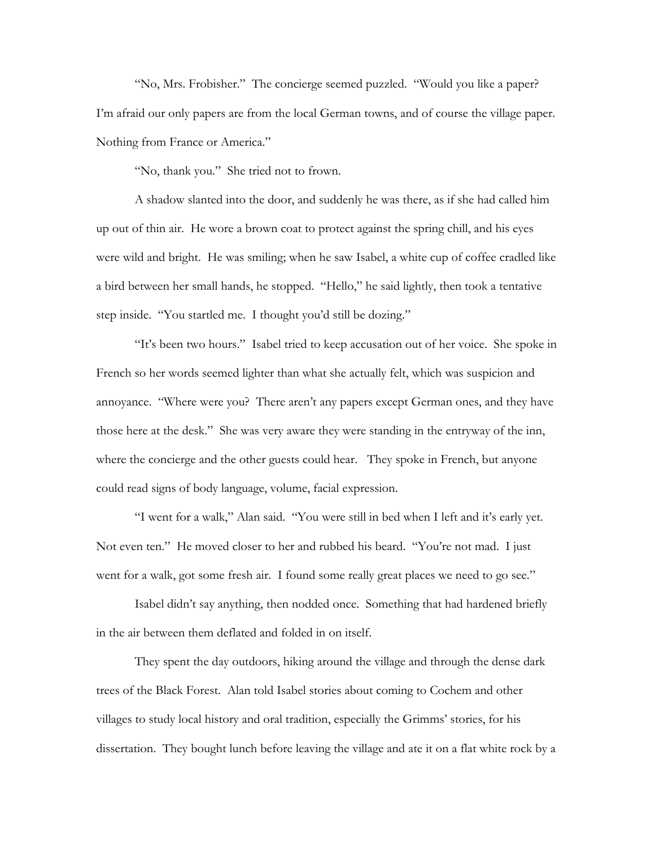"No, Mrs. Frobisher." The concierge seemed puzzled. "Would you like a paper? I'm afraid our only papers are from the local German towns, and of course the village paper. Nothing from France or America."

"No, thank you." She tried not to frown.

 A shadow slanted into the door, and suddenly he was there, as if she had called him up out of thin air. He wore a brown coat to protect against the spring chill, and his eyes were wild and bright. He was smiling; when he saw Isabel, a white cup of coffee cradled like a bird between her small hands, he stopped. "Hello," he said lightly, then took a tentative step inside. "You startled me. I thought you'd still be dozing."

 "It's been two hours." Isabel tried to keep accusation out of her voice. She spoke in French so her words seemed lighter than what she actually felt, which was suspicion and annoyance. "Where were you? There aren't any papers except German ones, and they have those here at the desk." She was very aware they were standing in the entryway of the inn, where the concierge and the other guests could hear. They spoke in French, but anyone could read signs of body language, volume, facial expression.

 "I went for a walk," Alan said. "You were still in bed when I left and it's early yet. Not even ten." He moved closer to her and rubbed his beard. "You're not mad. I just went for a walk, got some fresh air. I found some really great places we need to go see."

 Isabel didn't say anything, then nodded once. Something that had hardened briefly in the air between them deflated and folded in on itself.

 They spent the day outdoors, hiking around the village and through the dense dark trees of the Black Forest. Alan told Isabel stories about coming to Cochem and other villages to study local history and oral tradition, especially the Grimms' stories, for his dissertation. They bought lunch before leaving the village and ate it on a flat white rock by a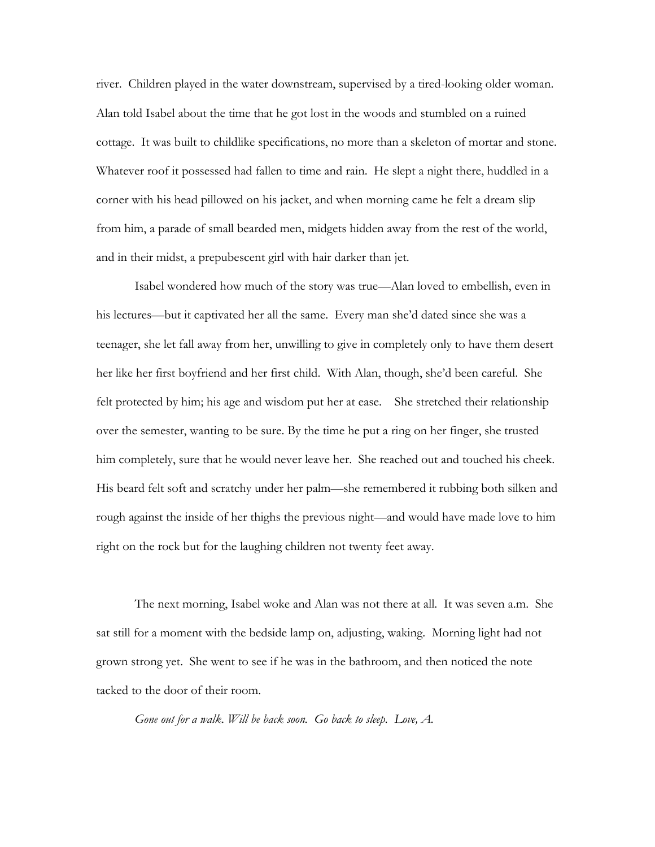river. Children played in the water downstream, supervised by a tired-looking older woman. Alan told Isabel about the time that he got lost in the woods and stumbled on a ruined cottage. It was built to childlike specifications, no more than a skeleton of mortar and stone. Whatever roof it possessed had fallen to time and rain. He slept a night there, huddled in a corner with his head pillowed on his jacket, and when morning came he felt a dream slip from him, a parade of small bearded men, midgets hidden away from the rest of the world, and in their midst, a prepubescent girl with hair darker than jet.

 Isabel wondered how much of the story was true—Alan loved to embellish, even in his lectures—but it captivated her all the same. Every man she'd dated since she was a teenager, she let fall away from her, unwilling to give in completely only to have them desert her like her first boyfriend and her first child. With Alan, though, she'd been careful. She felt protected by him; his age and wisdom put her at ease. She stretched their relationship over the semester, wanting to be sure. By the time he put a ring on her finger, she trusted him completely, sure that he would never leave her.She reached out and touched his cheek. His beard felt soft and scratchy under her palm—she remembered it rubbing both silken and rough against the inside of her thighs the previous night—and would have made love to him right on the rock but for the laughing children not twenty feet away.

 The next morning, Isabel woke and Alan was not there at all. It was seven a.m. She sat still for a moment with the bedside lamp on, adjusting, waking. Morning light had not grown strong yet. She went to see if he was in the bathroom, and then noticed the note tacked to the door of their room.

*Gone out for a walk. Will be back soon. Go back to sleep. Love, A.*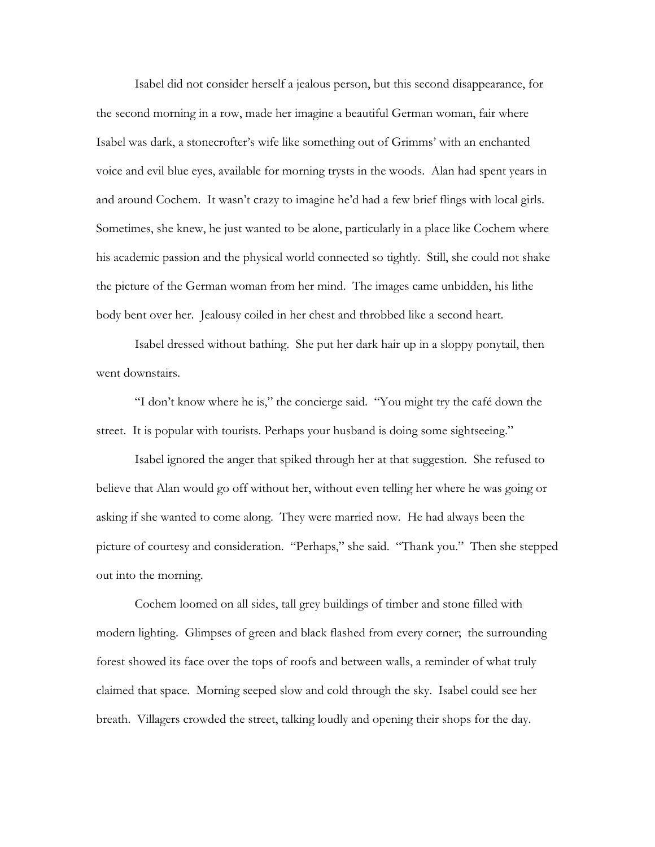Isabel did not consider herself a jealous person, but this second disappearance, for the second morning in a row, made her imagine a beautiful German woman, fair where Isabel was dark, a stonecrofter's wife like something out of Grimms' with an enchanted voice and evil blue eyes, available for morning trysts in the woods. Alan had spent years in and around Cochem. It wasn't crazy to imagine he'd had a few brief flings with local girls. Sometimes, she knew, he just wanted to be alone, particularly in a place like Cochem where his academic passion and the physical world connected so tightly. Still, she could not shake the picture of the German woman from her mind. The images came unbidden, his lithe body bent over her. Jealousy coiled in her chest and throbbed like a second heart.

 Isabel dressed without bathing. She put her dark hair up in a sloppy ponytail, then went downstairs.

 "I don't know where he is," the concierge said. "You might try the café down the street. It is popular with tourists. Perhaps your husband is doing some sightseeing."

 Isabel ignored the anger that spiked through her at that suggestion. She refused to believe that Alan would go off without her, without even telling her where he was going or asking if she wanted to come along. They were married now. He had always been the picture of courtesy and consideration. "Perhaps," she said. "Thank you." Then she stepped out into the morning.

 Cochem loomed on all sides, tall grey buildings of timber and stone filled with modern lighting. Glimpses of green and black flashed from every corner; the surrounding forest showed its face over the tops of roofs and between walls, a reminder of what truly claimed that space. Morning seeped slow and cold through the sky. Isabel could see her breath. Villagers crowded the street, talking loudly and opening their shops for the day.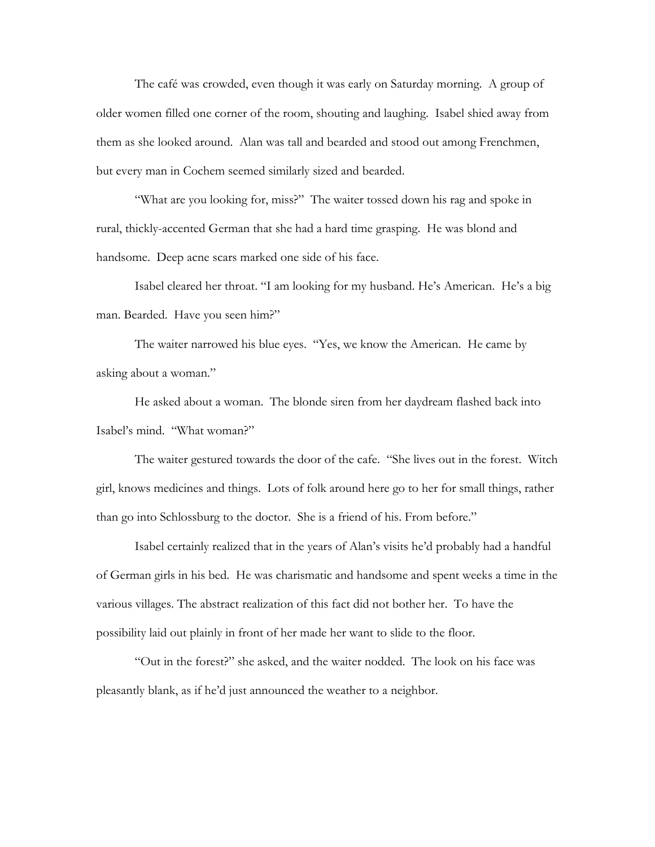The café was crowded, even though it was early on Saturday morning. A group of older women filled one corner of the room, shouting and laughing. Isabel shied away from them as she looked around. Alan was tall and bearded and stood out among Frenchmen, but every man in Cochem seemed similarly sized and bearded.

"What are you looking for, miss?" The waiter tossed down his rag and spoke in rural, thickly-accented German that she had a hard time grasping. He was blond and handsome. Deep acne scars marked one side of his face.

 Isabel cleared her throat. "I am looking for my husband. He's American. He's a big man. Bearded. Have you seen him?"

 The waiter narrowed his blue eyes. "Yes, we know the American. He came by asking about a woman."

 He asked about a woman. The blonde siren from her daydream flashed back into Isabel's mind. "What woman?"

 The waiter gestured towards the door of the cafe. "She lives out in the forest. Witch girl, knows medicines and things. Lots of folk around here go to her for small things, rather than go into Schlossburg to the doctor. She is a friend of his. From before."

 Isabel certainly realized that in the years of Alan's visits he'd probably had a handful of German girls in his bed. He was charismatic and handsome and spent weeks a time in the various villages. The abstract realization of this fact did not bother her. To have the possibility laid out plainly in front of her made her want to slide to the floor.

 "Out in the forest?" she asked, and the waiter nodded. The look on his face was pleasantly blank, as if he'd just announced the weather to a neighbor.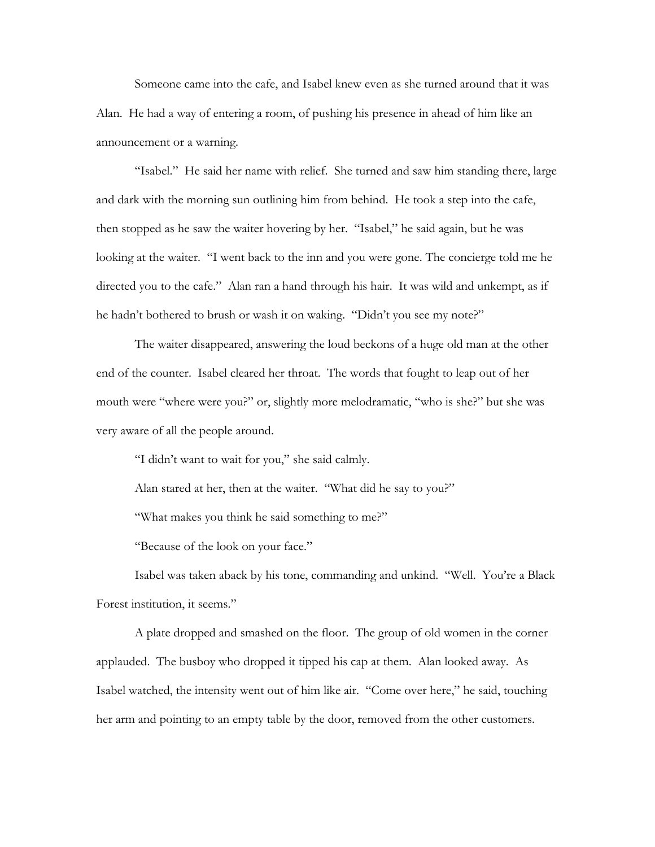Someone came into the cafe, and Isabel knew even as she turned around that it was Alan. He had a way of entering a room, of pushing his presence in ahead of him like an announcement or a warning.

 "Isabel." He said her name with relief. She turned and saw him standing there, large and dark with the morning sun outlining him from behind. He took a step into the cafe, then stopped as he saw the waiter hovering by her. "Isabel," he said again, but he was looking at the waiter. "I went back to the inn and you were gone. The concierge told me he directed you to the cafe." Alan ran a hand through his hair. It was wild and unkempt, as if he hadn't bothered to brush or wash it on waking. "Didn't you see my note?"

 The waiter disappeared, answering the loud beckons of a huge old man at the other end of the counter. Isabel cleared her throat. The words that fought to leap out of her mouth were "where were you?" or, slightly more melodramatic, "who is she?" but she was very aware of all the people around.

"I didn't want to wait for you," she said calmly.

Alan stared at her, then at the waiter. "What did he say to you?"

"What makes you think he said something to me?"

"Because of the look on your face."

 Isabel was taken aback by his tone, commanding and unkind. "Well. You're a Black Forest institution, it seems."

 A plate dropped and smashed on the floor. The group of old women in the corner applauded. The busboy who dropped it tipped his cap at them. Alan looked away. As Isabel watched, the intensity went out of him like air. "Come over here," he said, touching her arm and pointing to an empty table by the door, removed from the other customers.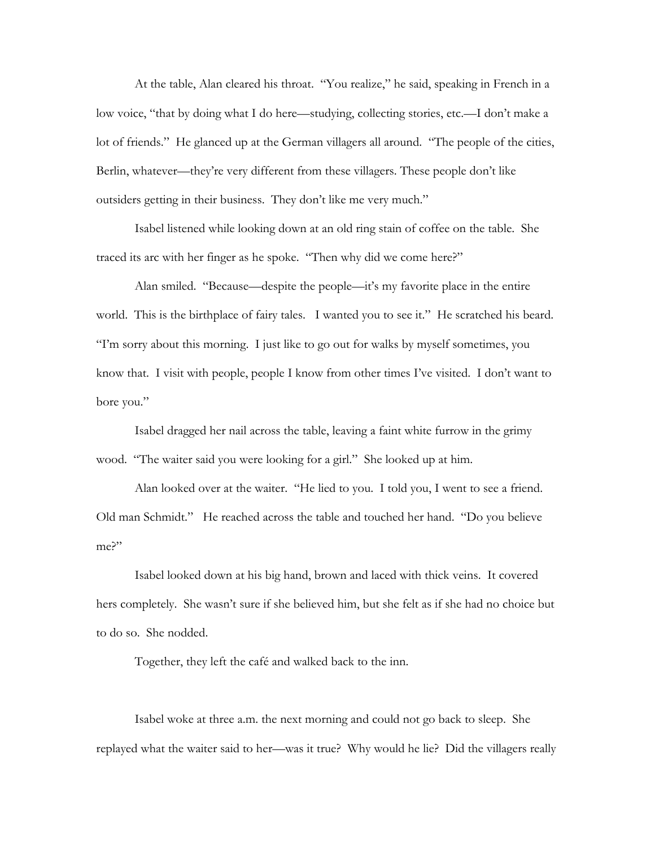At the table, Alan cleared his throat. "You realize," he said, speaking in French in a low voice, "that by doing what I do here—studying, collecting stories, etc.—I don't make a lot of friends." He glanced up at the German villagers all around. "The people of the cities, Berlin, whatever—they're very different from these villagers. These people don't like outsiders getting in their business. They don't like me very much."

 Isabel listened while looking down at an old ring stain of coffee on the table. She traced its arc with her finger as he spoke. "Then why did we come here?"

 Alan smiled. "Because—despite the people—it's my favorite place in the entire world. This is the birthplace of fairy tales. I wanted you to see it." He scratched his beard. "I'm sorry about this morning. I just like to go out for walks by myself sometimes, you know that. I visit with people, people I know from other times I've visited. I don't want to bore you."

 Isabel dragged her nail across the table, leaving a faint white furrow in the grimy wood. "The waiter said you were looking for a girl." She looked up at him.

 Alan looked over at the waiter. "He lied to you. I told you, I went to see a friend. Old man Schmidt." He reached across the table and touched her hand. "Do you believe me?"

 Isabel looked down at his big hand, brown and laced with thick veins. It covered hers completely. She wasn't sure if she believed him, but she felt as if she had no choice but to do so. She nodded.

Together, they left the café and walked back to the inn.

 Isabel woke at three a.m. the next morning and could not go back to sleep. She replayed what the waiter said to her—was it true? Why would he lie? Did the villagers really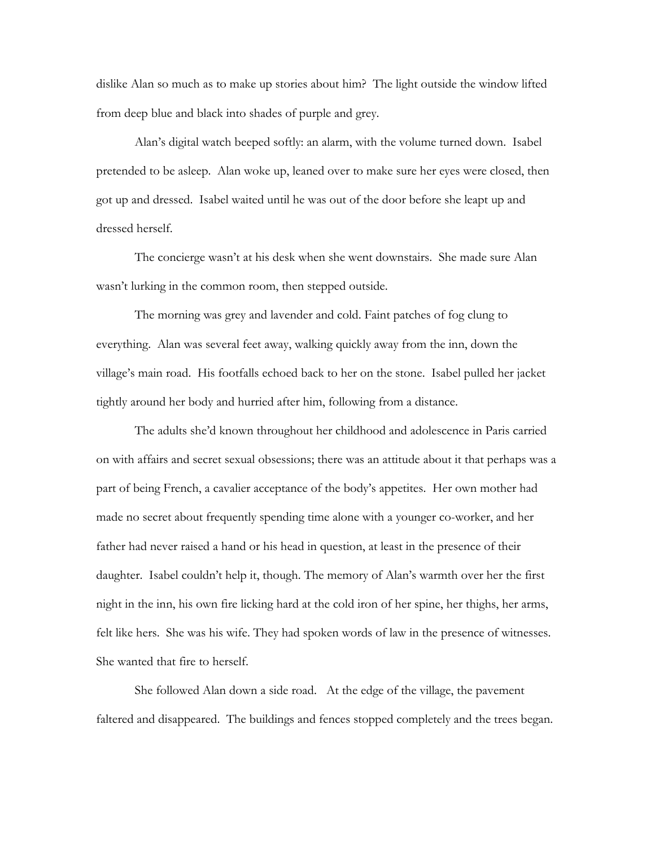dislike Alan so much as to make up stories about him? The light outside the window lifted from deep blue and black into shades of purple and grey.

 Alan's digital watch beeped softly: an alarm, with the volume turned down. Isabel pretended to be asleep. Alan woke up, leaned over to make sure her eyes were closed, then got up and dressed. Isabel waited until he was out of the door before she leapt up and dressed herself.

 The concierge wasn't at his desk when she went downstairs. She made sure Alan wasn't lurking in the common room, then stepped outside.

 The morning was grey and lavender and cold. Faint patches of fog clung to everything. Alan was several feet away, walking quickly away from the inn, down the village's main road. His footfalls echoed back to her on the stone. Isabel pulled her jacket tightly around her body and hurried after him, following from a distance.

 The adults she'd known throughout her childhood and adolescence in Paris carried on with affairs and secret sexual obsessions; there was an attitude about it that perhaps was a part of being French, a cavalier acceptance of the body's appetites. Her own mother had made no secret about frequently spending time alone with a younger co-worker, and her father had never raised a hand or his head in question, at least in the presence of their daughter. Isabel couldn't help it, though. The memory of Alan's warmth over her the first night in the inn, his own fire licking hard at the cold iron of her spine, her thighs, her arms, felt like hers. She was his wife. They had spoken words of law in the presence of witnesses. She wanted that fire to herself.

 She followed Alan down a side road. At the edge of the village, the pavement faltered and disappeared. The buildings and fences stopped completely and the trees began.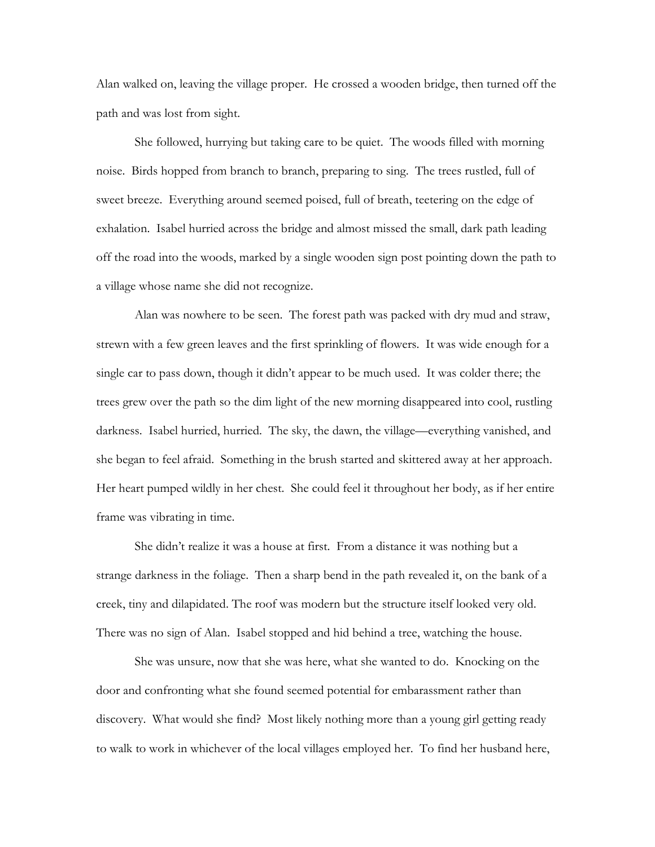Alan walked on, leaving the village proper. He crossed a wooden bridge, then turned off the path and was lost from sight.

 She followed, hurrying but taking care to be quiet. The woods filled with morning noise. Birds hopped from branch to branch, preparing to sing. The trees rustled, full of sweet breeze. Everything around seemed poised, full of breath, teetering on the edge of exhalation. Isabel hurried across the bridge and almost missed the small, dark path leading off the road into the woods, marked by a single wooden sign post pointing down the path to a village whose name she did not recognize.

 Alan was nowhere to be seen. The forest path was packed with dry mud and straw, strewn with a few green leaves and the first sprinkling of flowers. It was wide enough for a single car to pass down, though it didn't appear to be much used. It was colder there; the trees grew over the path so the dim light of the new morning disappeared into cool, rustling darkness. Isabel hurried, hurried. The sky, the dawn, the village—everything vanished, and she began to feel afraid. Something in the brush started and skittered away at her approach. Her heart pumped wildly in her chest. She could feel it throughout her body, as if her entire frame was vibrating in time.

 She didn't realize it was a house at first. From a distance it was nothing but a strange darkness in the foliage. Then a sharp bend in the path revealed it, on the bank of a creek, tiny and dilapidated. The roof was modern but the structure itself looked very old. There was no sign of Alan. Isabel stopped and hid behind a tree, watching the house.

 She was unsure, now that she was here, what she wanted to do. Knocking on the door and confronting what she found seemed potential for embarassment rather than discovery. What would she find? Most likely nothing more than a young girl getting ready to walk to work in whichever of the local villages employed her. To find her husband here,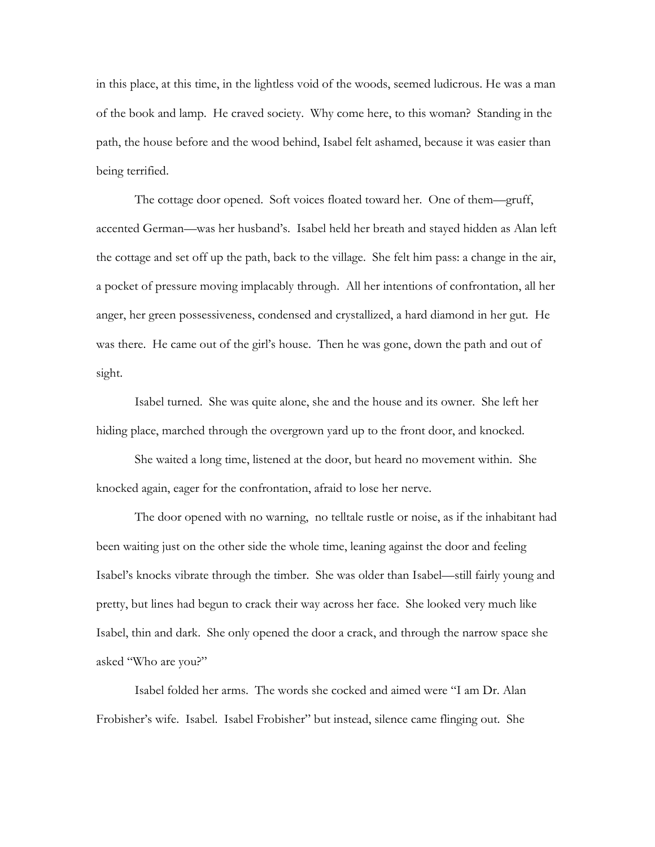in this place, at this time, in the lightless void of the woods, seemed ludicrous. He was a man of the book and lamp. He craved society. Why come here, to this woman? Standing in the path, the house before and the wood behind, Isabel felt ashamed, because it was easier than being terrified.

 The cottage door opened. Soft voices floated toward her. One of them—gruff, accented German—was her husband's. Isabel held her breath and stayed hidden as Alan left the cottage and set off up the path, back to the village. She felt him pass: a change in the air, a pocket of pressure moving implacably through. All her intentions of confrontation, all her anger, her green possessiveness, condensed and crystallized, a hard diamond in her gut. He was there. He came out of the girl's house. Then he was gone, down the path and out of sight.

 Isabel turned. She was quite alone, she and the house and its owner. She left her hiding place, marched through the overgrown yard up to the front door, and knocked.

 She waited a long time, listened at the door, but heard no movement within. She knocked again, eager for the confrontation, afraid to lose her nerve.

 The door opened with no warning, no telltale rustle or noise, as if the inhabitant had been waiting just on the other side the whole time, leaning against the door and feeling Isabel's knocks vibrate through the timber. She was older than Isabel—still fairly young and pretty, but lines had begun to crack their way across her face. She looked very much like Isabel, thin and dark. She only opened the door a crack, and through the narrow space she asked "Who are you?"

 Isabel folded her arms. The words she cocked and aimed were "I am Dr. Alan Frobisher's wife. Isabel. Isabel Frobisher" but instead, silence came flinging out. She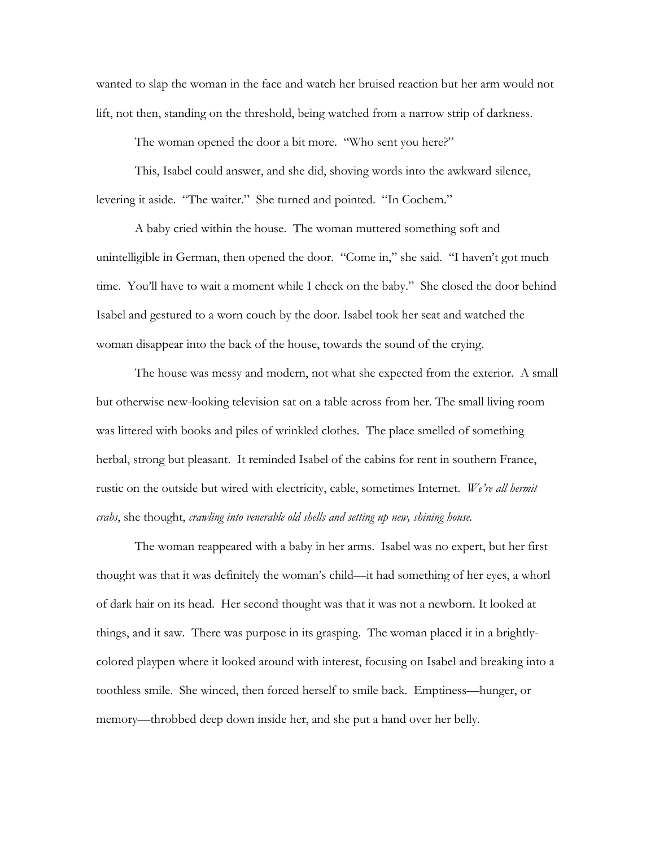wanted to slap the woman in the face and watch her bruised reaction but her arm would not lift, not then, standing on the threshold, being watched from a narrow strip of darkness.

The woman opened the door a bit more. "Who sent you here?"

 This, Isabel could answer, and she did, shoving words into the awkward silence, levering it aside. "The waiter." She turned and pointed. "In Cochem."

 A baby cried within the house. The woman muttered something soft and unintelligible in German, then opened the door. "Come in," she said. "I haven't got much time. You'll have to wait a moment while I check on the baby." She closed the door behind Isabel and gestured to a worn couch by the door. Isabel took her seat and watched the woman disappear into the back of the house, towards the sound of the crying.

 The house was messy and modern, not what she expected from the exterior. A small but otherwise new-looking television sat on a table across from her. The small living room was littered with books and piles of wrinkled clothes. The place smelled of something herbal, strong but pleasant. It reminded Isabel of the cabins for rent in southern France, rustic on the outside but wired with electricity, cable, sometimes Internet. *We're all hermit crabs*, she thought, *crawling into venerable old shells and setting up new, shining house.* 

 The woman reappeared with a baby in her arms. Isabel was no expert, but her first thought was that it was definitely the woman's child—it had something of her eyes, a whorl of dark hair on its head. Her second thought was that it was not a newborn. It looked at things, and it saw. There was purpose in its grasping. The woman placed it in a brightlycolored playpen where it looked around with interest, focusing on Isabel and breaking into a toothless smile. She winced, then forced herself to smile back. Emptiness—hunger, or memory—throbbed deep down inside her, and she put a hand over her belly.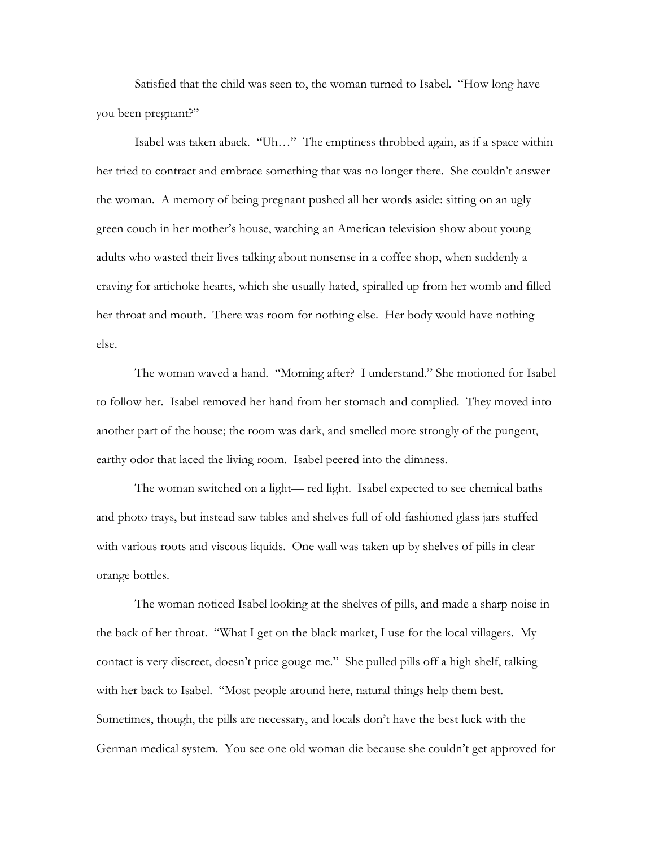Satisfied that the child was seen to, the woman turned to Isabel. "How long have you been pregnant?"

 Isabel was taken aback. "Uh…" The emptiness throbbed again, as if a space within her tried to contract and embrace something that was no longer there. She couldn't answer the woman. A memory of being pregnant pushed all her words aside: sitting on an ugly green couch in her mother's house, watching an American television show about young adults who wasted their lives talking about nonsense in a coffee shop, when suddenly a craving for artichoke hearts, which she usually hated, spiralled up from her womb and filled her throat and mouth. There was room for nothing else. Her body would have nothing else.

 The woman waved a hand. "Morning after? I understand." She motioned for Isabel to follow her. Isabel removed her hand from her stomach and complied. They moved into another part of the house; the room was dark, and smelled more strongly of the pungent, earthy odor that laced the living room. Isabel peered into the dimness.

 The woman switched on a light— red light. Isabel expected to see chemical baths and photo trays, but instead saw tables and shelves full of old-fashioned glass jars stuffed with various roots and viscous liquids. One wall was taken up by shelves of pills in clear orange bottles.

 The woman noticed Isabel looking at the shelves of pills, and made a sharp noise in the back of her throat. "What I get on the black market, I use for the local villagers. My contact is very discreet, doesn't price gouge me." She pulled pills off a high shelf, talking with her back to Isabel. "Most people around here, natural things help them best. Sometimes, though, the pills are necessary, and locals don't have the best luck with the German medical system. You see one old woman die because she couldn't get approved for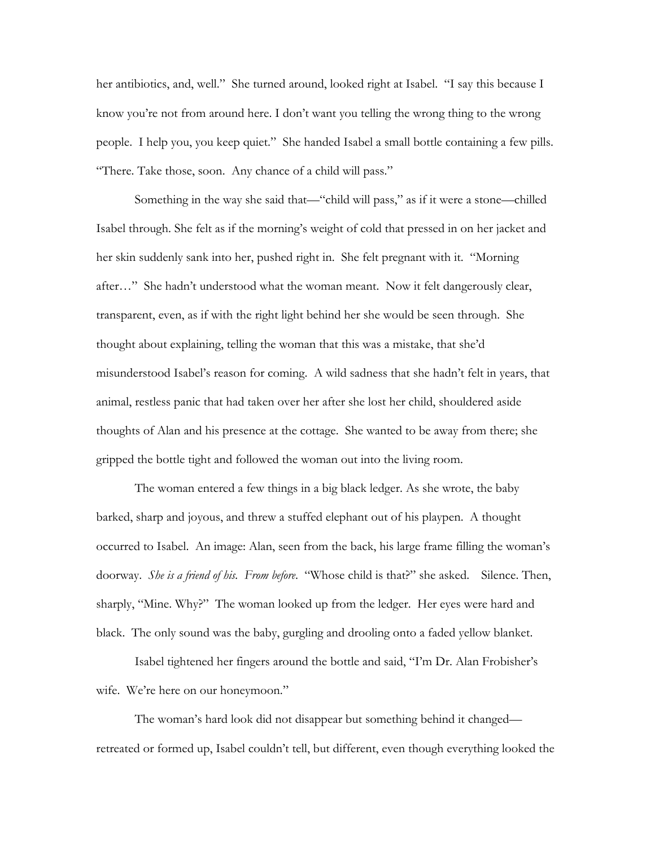her antibiotics, and, well." She turned around, looked right at Isabel. "I say this because I know you're not from around here. I don't want you telling the wrong thing to the wrong people. I help you, you keep quiet." She handed Isabel a small bottle containing a few pills. "There. Take those, soon. Any chance of a child will pass."

 Something in the way she said that—"child will pass," as if it were a stone—chilled Isabel through. She felt as if the morning's weight of cold that pressed in on her jacket and her skin suddenly sank into her, pushed right in. She felt pregnant with it. "Morning after…" She hadn't understood what the woman meant. Now it felt dangerously clear, transparent, even, as if with the right light behind her she would be seen through. She thought about explaining, telling the woman that this was a mistake, that she'd misunderstood Isabel's reason for coming. A wild sadness that she hadn't felt in years, that animal, restless panic that had taken over her after she lost her child, shouldered aside thoughts of Alan and his presence at the cottage. She wanted to be away from there; she gripped the bottle tight and followed the woman out into the living room.

 The woman entered a few things in a big black ledger. As she wrote, the baby barked, sharp and joyous, and threw a stuffed elephant out of his playpen. A thought occurred to Isabel. An image: Alan, seen from the back, his large frame filling the woman's doorway. *She is a friend of his. From before*. "Whose child is that?" she asked. Silence. Then, sharply, "Mine. Why?" The woman looked up from the ledger. Her eyes were hard and black. The only sound was the baby, gurgling and drooling onto a faded yellow blanket.

 Isabel tightened her fingers around the bottle and said, "I'm Dr. Alan Frobisher's wife. We're here on our honeymoon."

 The woman's hard look did not disappear but something behind it changed retreated or formed up, Isabel couldn't tell, but different, even though everything looked the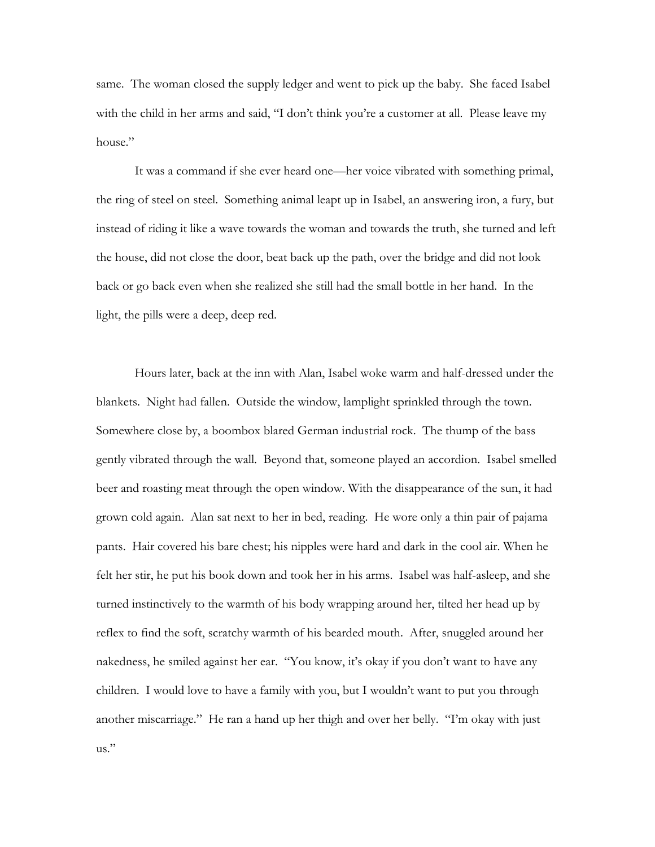same. The woman closed the supply ledger and went to pick up the baby. She faced Isabel with the child in her arms and said, "I don't think you're a customer at all. Please leave my house."

 It was a command if she ever heard one—her voice vibrated with something primal, the ring of steel on steel. Something animal leapt up in Isabel, an answering iron, a fury, but instead of riding it like a wave towards the woman and towards the truth, she turned and left the house, did not close the door, beat back up the path, over the bridge and did not look back or go back even when she realized she still had the small bottle in her hand. In the light, the pills were a deep, deep red.

 Hours later, back at the inn with Alan, Isabel woke warm and half-dressed under the blankets. Night had fallen. Outside the window, lamplight sprinkled through the town. Somewhere close by, a boombox blared German industrial rock. The thump of the bass gently vibrated through the wall. Beyond that, someone played an accordion. Isabel smelled beer and roasting meat through the open window. With the disappearance of the sun, it had grown cold again. Alan sat next to her in bed, reading. He wore only a thin pair of pajama pants. Hair covered his bare chest; his nipples were hard and dark in the cool air. When he felt her stir, he put his book down and took her in his arms. Isabel was half-asleep, and she turned instinctively to the warmth of his body wrapping around her, tilted her head up by reflex to find the soft, scratchy warmth of his bearded mouth. After, snuggled around her nakedness, he smiled against her ear. "You know, it's okay if you don't want to have any children. I would love to have a family with you, but I wouldn't want to put you through another miscarriage." He ran a hand up her thigh and over her belly. "I'm okay with just us."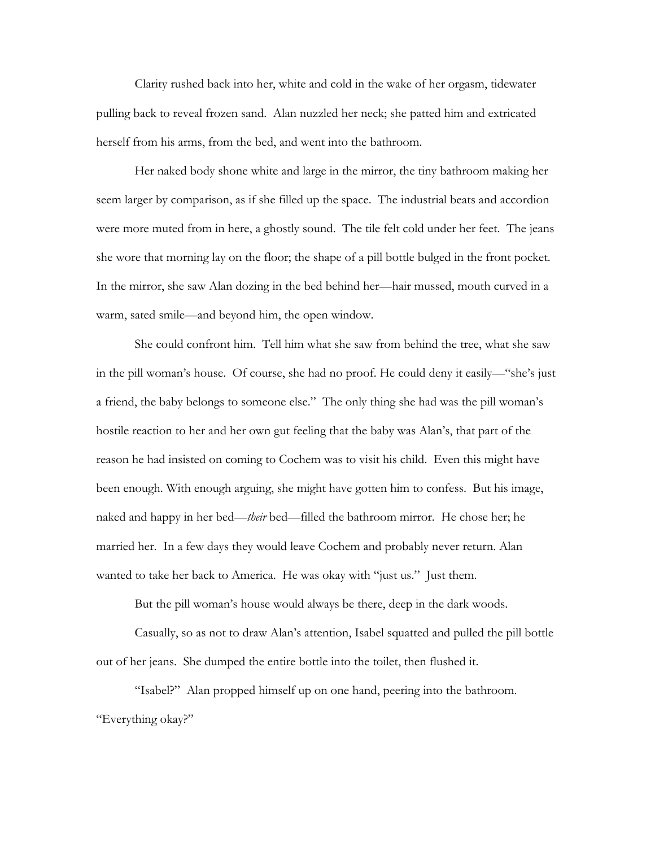Clarity rushed back into her, white and cold in the wake of her orgasm, tidewater pulling back to reveal frozen sand. Alan nuzzled her neck; she patted him and extricated herself from his arms, from the bed, and went into the bathroom.

 Her naked body shone white and large in the mirror, the tiny bathroom making her seem larger by comparison, as if she filled up the space. The industrial beats and accordion were more muted from in here, a ghostly sound. The tile felt cold under her feet. The jeans she wore that morning lay on the floor; the shape of a pill bottle bulged in the front pocket. In the mirror, she saw Alan dozing in the bed behind her—hair mussed, mouth curved in a warm, sated smile—and beyond him, the open window.

 She could confront him. Tell him what she saw from behind the tree, what she saw in the pill woman's house. Of course, she had no proof. He could deny it easily—"she's just a friend, the baby belongs to someone else." The only thing she had was the pill woman's hostile reaction to her and her own gut feeling that the baby was Alan's, that part of the reason he had insisted on coming to Cochem was to visit his child. Even this might have been enough. With enough arguing, she might have gotten him to confess. But his image, naked and happy in her bed—*their* bed—filled the bathroom mirror. He chose her; he married her. In a few days they would leave Cochem and probably never return. Alan wanted to take her back to America. He was okay with "just us." Just them.

But the pill woman's house would always be there, deep in the dark woods.

 Casually, so as not to draw Alan's attention, Isabel squatted and pulled the pill bottle out of her jeans. She dumped the entire bottle into the toilet, then flushed it.

 "Isabel?" Alan propped himself up on one hand, peering into the bathroom. "Everything okay?"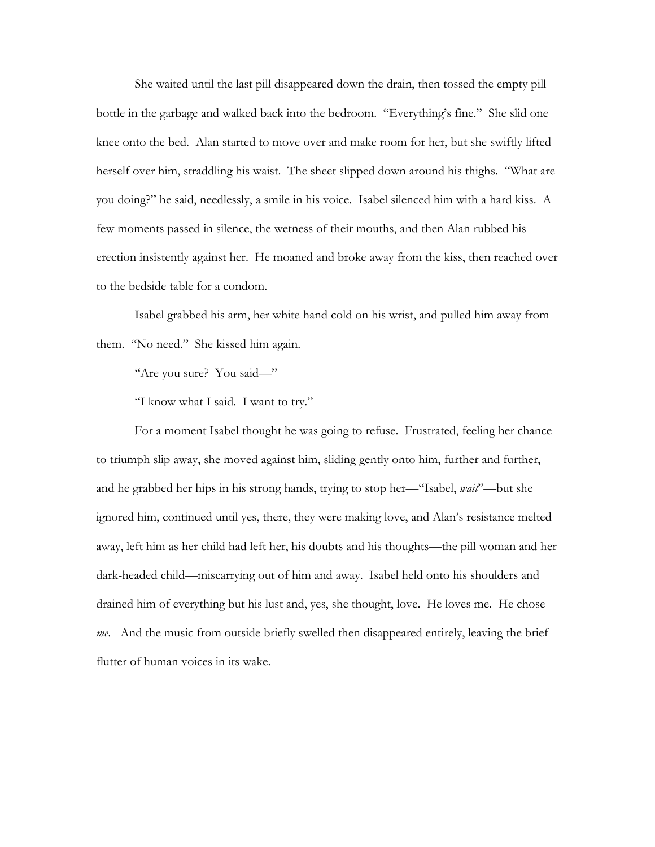She waited until the last pill disappeared down the drain, then tossed the empty pill bottle in the garbage and walked back into the bedroom. "Everything's fine." She slid one knee onto the bed. Alan started to move over and make room for her, but she swiftly lifted herself over him, straddling his waist. The sheet slipped down around his thighs. "What are you doing?" he said, needlessly, a smile in his voice. Isabel silenced him with a hard kiss. A few moments passed in silence, the wetness of their mouths, and then Alan rubbed his erection insistently against her. He moaned and broke away from the kiss, then reached over to the bedside table for a condom.

 Isabel grabbed his arm, her white hand cold on his wrist, and pulled him away from them. "No need." She kissed him again.

"Are you sure? You said—"

"I know what I said. I want to try."

 For a moment Isabel thought he was going to refuse. Frustrated, feeling her chance to triumph slip away, she moved against him, sliding gently onto him, further and further, and he grabbed her hips in his strong hands, trying to stop her—"Isabel, *wait*"—but she ignored him, continued until yes, there, they were making love, and Alan's resistance melted away, left him as her child had left her, his doubts and his thoughts—the pill woman and her dark-headed child—miscarrying out of him and away. Isabel held onto his shoulders and drained him of everything but his lust and, yes, she thought, love. He loves me. He chose *me*. And the music from outside briefly swelled then disappeared entirely, leaving the brief flutter of human voices in its wake.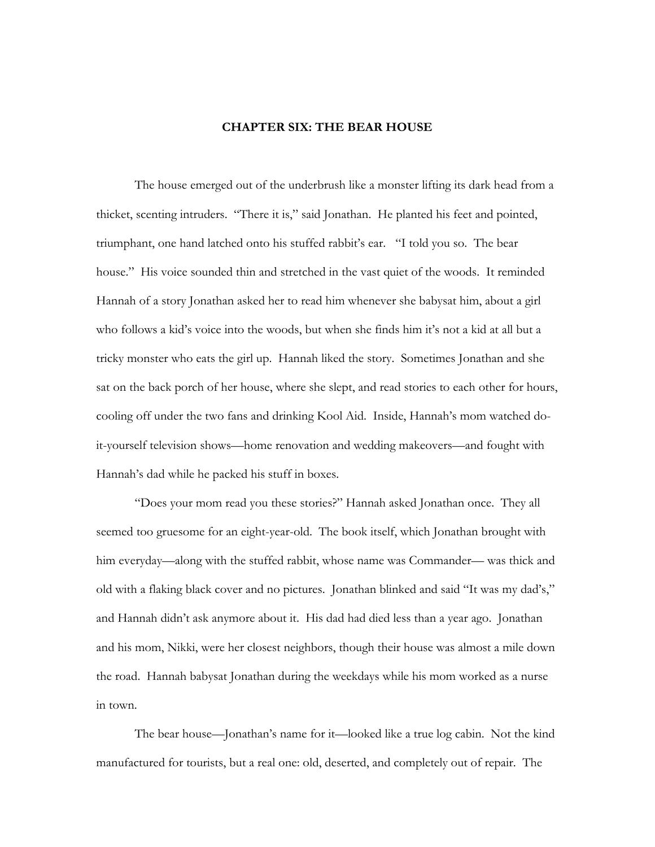## **CHAPTER SIX: THE BEAR HOUSE**

 The house emerged out of the underbrush like a monster lifting its dark head from a thicket, scenting intruders. "There it is," said Jonathan. He planted his feet and pointed, triumphant, one hand latched onto his stuffed rabbit's ear. "I told you so. The bear house." His voice sounded thin and stretched in the vast quiet of the woods. It reminded Hannah of a story Jonathan asked her to read him whenever she babysat him, about a girl who follows a kid's voice into the woods, but when she finds him it's not a kid at all but a tricky monster who eats the girl up. Hannah liked the story. Sometimes Jonathan and she sat on the back porch of her house, where she slept, and read stories to each other for hours, cooling off under the two fans and drinking Kool Aid. Inside, Hannah's mom watched doit-yourself television shows—home renovation and wedding makeovers—and fought with Hannah's dad while he packed his stuff in boxes.

 "Does your mom read you these stories?" Hannah asked Jonathan once. They all seemed too gruesome for an eight-year-old. The book itself, which Jonathan brought with him everyday—along with the stuffed rabbit, whose name was Commander— was thick and old with a flaking black cover and no pictures. Jonathan blinked and said "It was my dad's," and Hannah didn't ask anymore about it. His dad had died less than a year ago. Jonathan and his mom, Nikki, were her closest neighbors, though their house was almost a mile down the road. Hannah babysat Jonathan during the weekdays while his mom worked as a nurse in town.

 The bear house—Jonathan's name for it—looked like a true log cabin. Not the kind manufactured for tourists, but a real one: old, deserted, and completely out of repair. The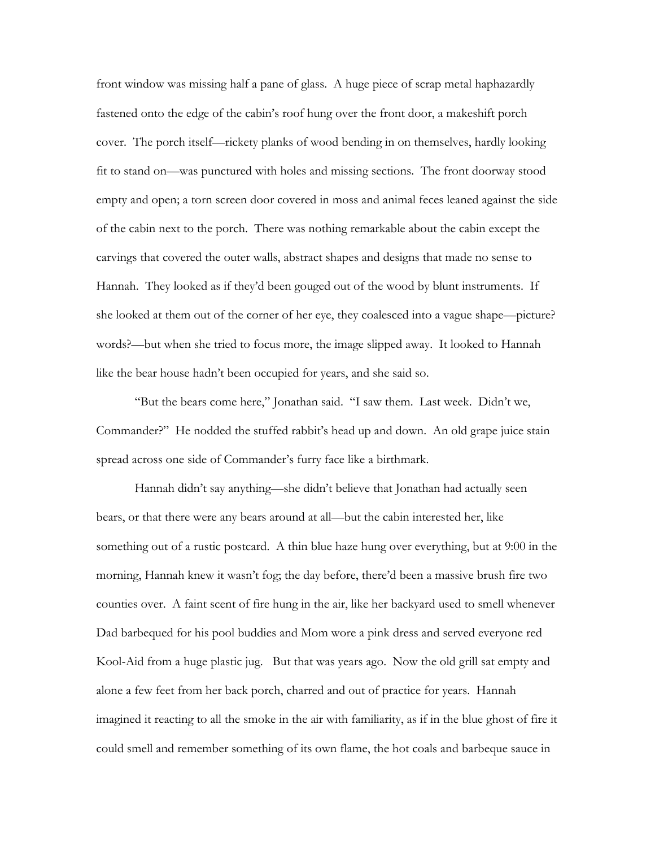front window was missing half a pane of glass. A huge piece of scrap metal haphazardly fastened onto the edge of the cabin's roof hung over the front door, a makeshift porch cover. The porch itself—rickety planks of wood bending in on themselves, hardly looking fit to stand on—was punctured with holes and missing sections. The front doorway stood empty and open; a torn screen door covered in moss and animal feces leaned against the side of the cabin next to the porch. There was nothing remarkable about the cabin except the carvings that covered the outer walls, abstract shapes and designs that made no sense to Hannah. They looked as if they'd been gouged out of the wood by blunt instruments. If she looked at them out of the corner of her eye, they coalesced into a vague shape—picture? words?—but when she tried to focus more, the image slipped away. It looked to Hannah like the bear house hadn't been occupied for years, and she said so.

 "But the bears come here," Jonathan said. "I saw them. Last week. Didn't we, Commander?" He nodded the stuffed rabbit's head up and down. An old grape juice stain spread across one side of Commander's furry face like a birthmark.

 Hannah didn't say anything—she didn't believe that Jonathan had actually seen bears, or that there were any bears around at all—but the cabin interested her, like something out of a rustic postcard. A thin blue haze hung over everything, but at 9:00 in the morning, Hannah knew it wasn't fog; the day before, there'd been a massive brush fire two counties over. A faint scent of fire hung in the air, like her backyard used to smell whenever Dad barbequed for his pool buddies and Mom wore a pink dress and served everyone red Kool-Aid from a huge plastic jug. But that was years ago. Now the old grill sat empty and alone a few feet from her back porch, charred and out of practice for years. Hannah imagined it reacting to all the smoke in the air with familiarity, as if in the blue ghost of fire it could smell and remember something of its own flame, the hot coals and barbeque sauce in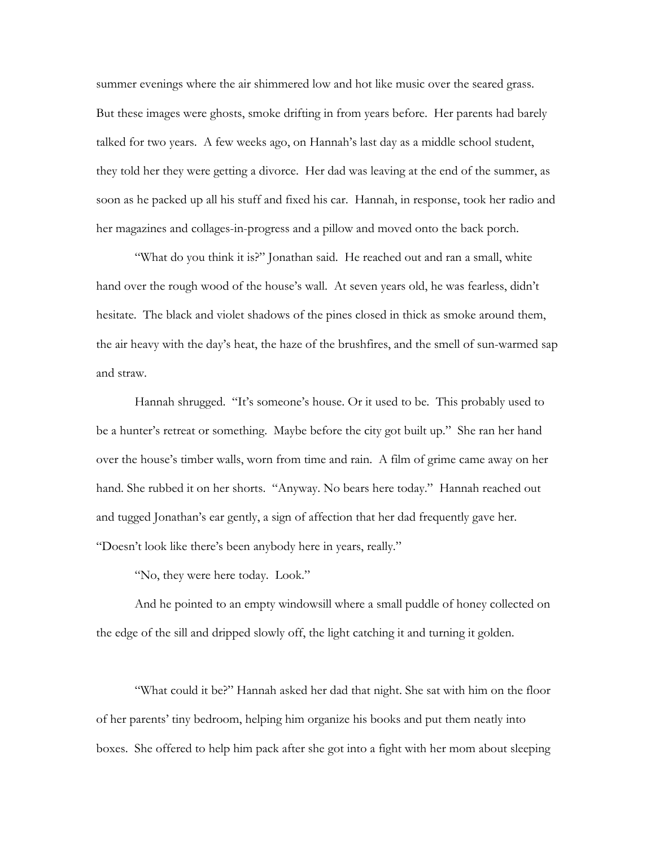summer evenings where the air shimmered low and hot like music over the seared grass. But these images were ghosts, smoke drifting in from years before. Her parents had barely talked for two years. A few weeks ago, on Hannah's last day as a middle school student, they told her they were getting a divorce. Her dad was leaving at the end of the summer, as soon as he packed up all his stuff and fixed his car. Hannah, in response, took her radio and her magazines and collages-in-progress and a pillow and moved onto the back porch.

"What do you think it is?" Jonathan said. He reached out and ran a small, white hand over the rough wood of the house's wall. At seven years old, he was fearless, didn't hesitate. The black and violet shadows of the pines closed in thick as smoke around them, the air heavy with the day's heat, the haze of the brushfires, and the smell of sun-warmed sap and straw.

 Hannah shrugged. "It's someone's house. Or it used to be. This probably used to be a hunter's retreat or something. Maybe before the city got built up." She ran her hand over the house's timber walls, worn from time and rain. A film of grime came away on her hand. She rubbed it on her shorts. "Anyway. No bears here today." Hannah reached out and tugged Jonathan's ear gently, a sign of affection that her dad frequently gave her. "Doesn't look like there's been anybody here in years, really."

"No, they were here today. Look."

 And he pointed to an empty windowsill where a small puddle of honey collected on the edge of the sill and dripped slowly off, the light catching it and turning it golden.

 "What could it be?" Hannah asked her dad that night. She sat with him on the floor of her parents' tiny bedroom, helping him organize his books and put them neatly into boxes. She offered to help him pack after she got into a fight with her mom about sleeping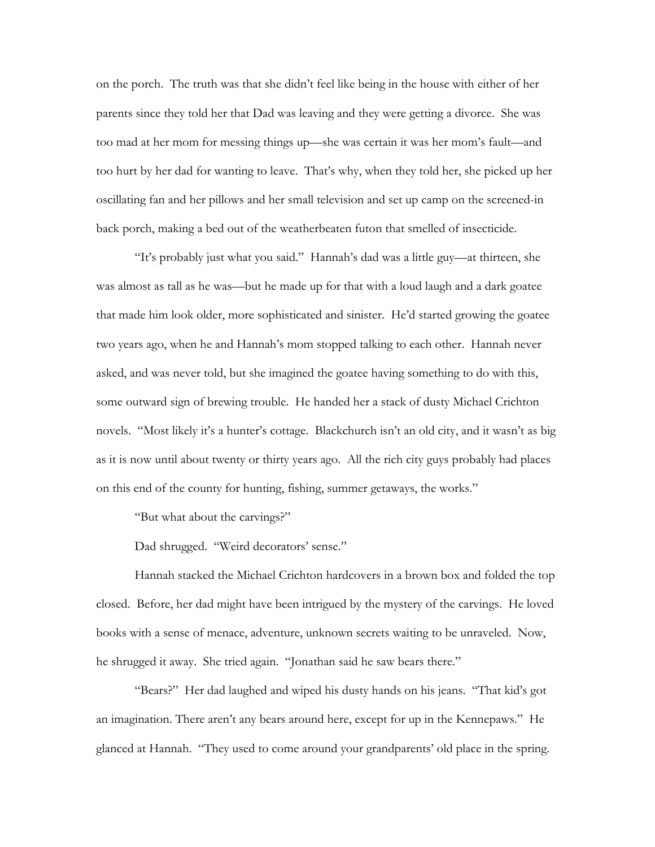on the porch. The truth was that she didn't feel like being in the house with either of her parents since they told her that Dad was leaving and they were getting a divorce. She was too mad at her mom for messing things up—she was certain it was her mom's fault—and too hurt by her dad for wanting to leave. That's why, when they told her, she picked up her oscillating fan and her pillows and her small television and set up camp on the screened-in back porch, making a bed out of the weatherbeaten futon that smelled of insecticide.

 "It's probably just what you said." Hannah's dad was a little guy—at thirteen, she was almost as tall as he was—but he made up for that with a loud laugh and a dark goatee that made him look older, more sophisticated and sinister. He'd started growing the goatee two years ago, when he and Hannah's mom stopped talking to each other. Hannah never asked, and was never told, but she imagined the goatee having something to do with this, some outward sign of brewing trouble. He handed her a stack of dusty Michael Crichton novels. "Most likely it's a hunter's cottage. Blackchurch isn't an old city, and it wasn't as big as it is now until about twenty or thirty years ago. All the rich city guys probably had places on this end of the county for hunting, fishing, summer getaways, the works."

"But what about the carvings?"

Dad shrugged. "Weird decorators' sense."

 Hannah stacked the Michael Crichton hardcovers in a brown box and folded the top closed. Before, her dad might have been intrigued by the mystery of the carvings. He loved books with a sense of menace, adventure, unknown secrets waiting to be unraveled. Now, he shrugged it away. She tried again. "Jonathan said he saw bears there."

 "Bears?" Her dad laughed and wiped his dusty hands on his jeans. "That kid's got an imagination. There aren't any bears around here, except for up in the Kennepaws." He glanced at Hannah. "They used to come around your grandparents' old place in the spring.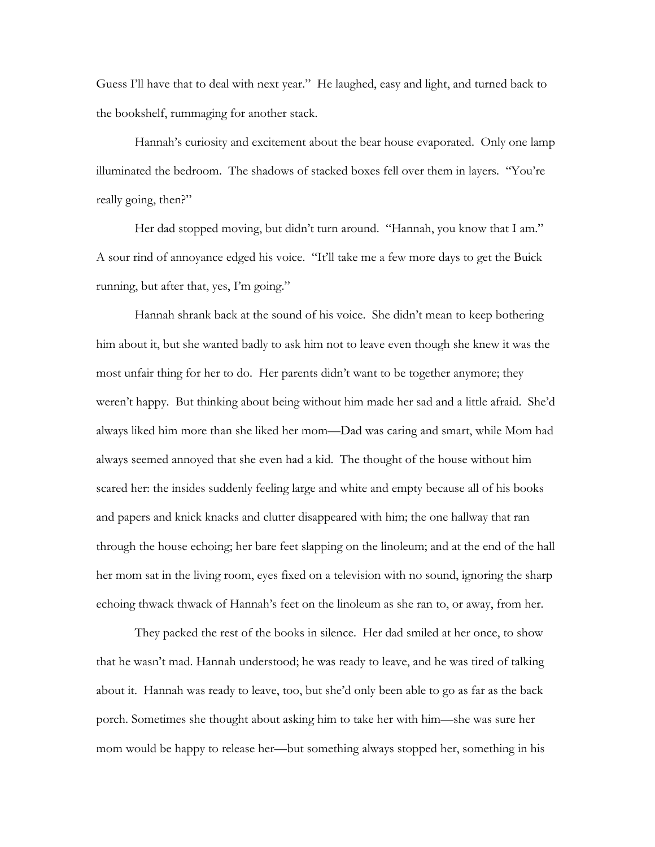Guess I'll have that to deal with next year." He laughed, easy and light, and turned back to the bookshelf, rummaging for another stack.

 Hannah's curiosity and excitement about the bear house evaporated. Only one lamp illuminated the bedroom. The shadows of stacked boxes fell over them in layers. "You're really going, then?"

Her dad stopped moving, but didn't turn around. "Hannah, you know that I am." A sour rind of annoyance edged his voice. "It'll take me a few more days to get the Buick running, but after that, yes, I'm going."

 Hannah shrank back at the sound of his voice. She didn't mean to keep bothering him about it, but she wanted badly to ask him not to leave even though she knew it was the most unfair thing for her to do. Her parents didn't want to be together anymore; they weren't happy. But thinking about being without him made her sad and a little afraid. She'd always liked him more than she liked her mom—Dad was caring and smart, while Mom had always seemed annoyed that she even had a kid. The thought of the house without him scared her: the insides suddenly feeling large and white and empty because all of his books and papers and knick knacks and clutter disappeared with him; the one hallway that ran through the house echoing; her bare feet slapping on the linoleum; and at the end of the hall her mom sat in the living room, eyes fixed on a television with no sound, ignoring the sharp echoing thwack thwack of Hannah's feet on the linoleum as she ran to, or away, from her.

 They packed the rest of the books in silence. Her dad smiled at her once, to show that he wasn't mad. Hannah understood; he was ready to leave, and he was tired of talking about it. Hannah was ready to leave, too, but she'd only been able to go as far as the back porch. Sometimes she thought about asking him to take her with him—she was sure her mom would be happy to release her—but something always stopped her, something in his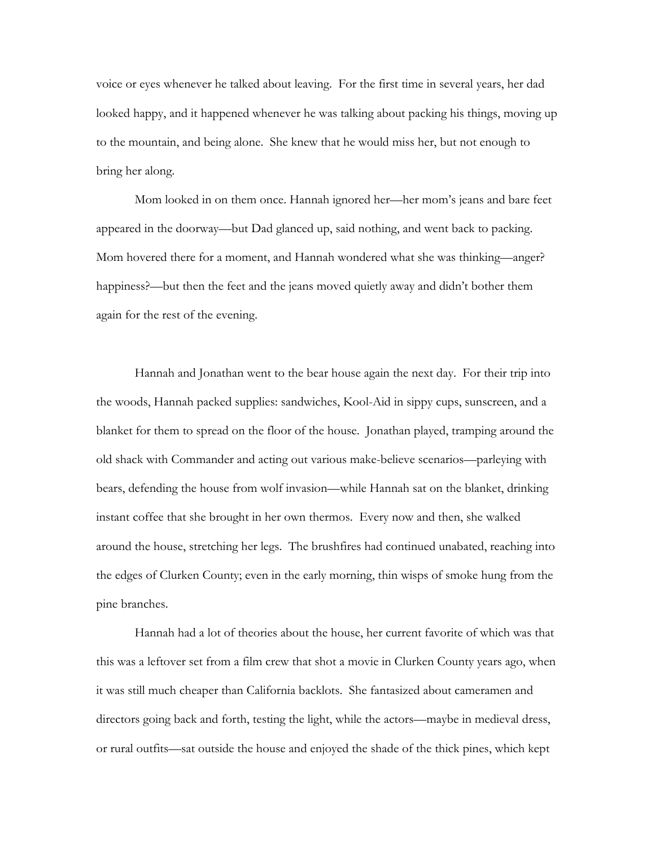voice or eyes whenever he talked about leaving. For the first time in several years, her dad looked happy, and it happened whenever he was talking about packing his things, moving up to the mountain, and being alone. She knew that he would miss her, but not enough to bring her along.

 Mom looked in on them once. Hannah ignored her—her mom's jeans and bare feet appeared in the doorway—but Dad glanced up, said nothing, and went back to packing. Mom hovered there for a moment, and Hannah wondered what she was thinking—anger? happiness?—but then the feet and the jeans moved quietly away and didn't bother them again for the rest of the evening.

 Hannah and Jonathan went to the bear house again the next day. For their trip into the woods, Hannah packed supplies: sandwiches, Kool-Aid in sippy cups, sunscreen, and a blanket for them to spread on the floor of the house. Jonathan played, tramping around the old shack with Commander and acting out various make-believe scenarios—parleying with bears, defending the house from wolf invasion—while Hannah sat on the blanket, drinking instant coffee that she brought in her own thermos. Every now and then, she walked around the house, stretching her legs. The brushfires had continued unabated, reaching into the edges of Clurken County; even in the early morning, thin wisps of smoke hung from the pine branches.

 Hannah had a lot of theories about the house, her current favorite of which was that this was a leftover set from a film crew that shot a movie in Clurken County years ago, when it was still much cheaper than California backlots. She fantasized about cameramen and directors going back and forth, testing the light, while the actors—maybe in medieval dress, or rural outfits—sat outside the house and enjoyed the shade of the thick pines, which kept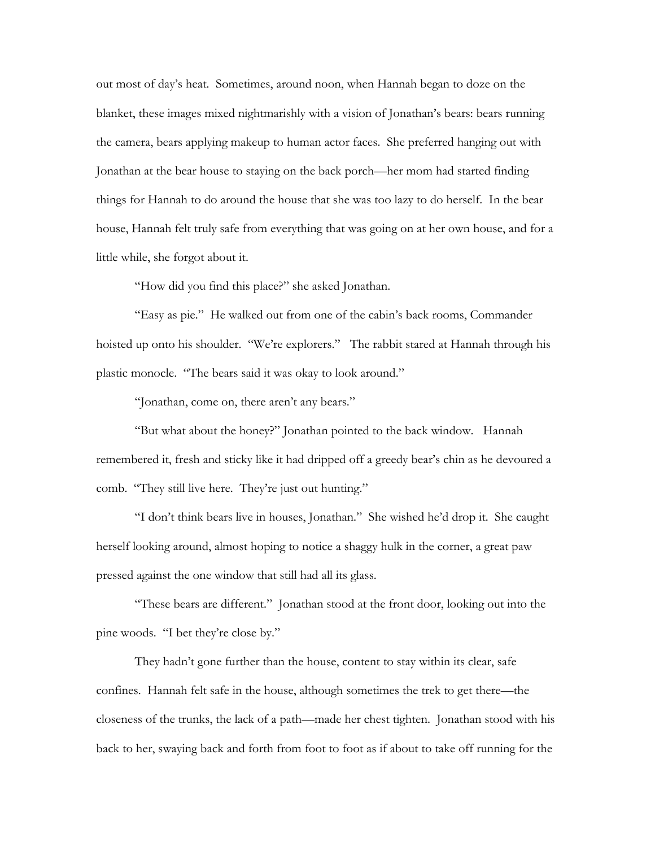out most of day's heat. Sometimes, around noon, when Hannah began to doze on the blanket, these images mixed nightmarishly with a vision of Jonathan's bears: bears running the camera, bears applying makeup to human actor faces. She preferred hanging out with Jonathan at the bear house to staying on the back porch—her mom had started finding things for Hannah to do around the house that she was too lazy to do herself. In the bear house, Hannah felt truly safe from everything that was going on at her own house, and for a little while, she forgot about it.

"How did you find this place?" she asked Jonathan.

 "Easy as pie." He walked out from one of the cabin's back rooms, Commander hoisted up onto his shoulder. "We're explorers." The rabbit stared at Hannah through his plastic monocle. "The bears said it was okay to look around."

"Jonathan, come on, there aren't any bears."

 "But what about the honey?" Jonathan pointed to the back window. Hannah remembered it, fresh and sticky like it had dripped off a greedy bear's chin as he devoured a comb. "They still live here. They're just out hunting."

 "I don't think bears live in houses, Jonathan." She wished he'd drop it. She caught herself looking around, almost hoping to notice a shaggy hulk in the corner, a great paw pressed against the one window that still had all its glass.

 "These bears are different." Jonathan stood at the front door, looking out into the pine woods. "I bet they're close by."

 They hadn't gone further than the house, content to stay within its clear, safe confines. Hannah felt safe in the house, although sometimes the trek to get there—the closeness of the trunks, the lack of a path—made her chest tighten. Jonathan stood with his back to her, swaying back and forth from foot to foot as if about to take off running for the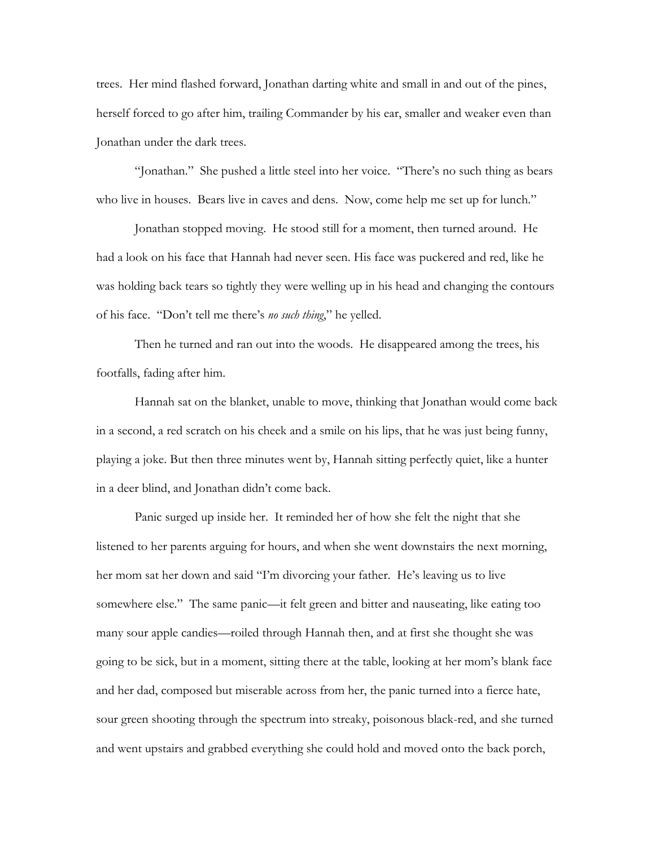trees. Her mind flashed forward, Jonathan darting white and small in and out of the pines, herself forced to go after him, trailing Commander by his ear, smaller and weaker even than Jonathan under the dark trees.

 "Jonathan." She pushed a little steel into her voice. "There's no such thing as bears who live in houses. Bears live in caves and dens. Now, come help me set up for lunch."

 Jonathan stopped moving. He stood still for a moment, then turned around. He had a look on his face that Hannah had never seen. His face was puckered and red, like he was holding back tears so tightly they were welling up in his head and changing the contours of his face. "Don't tell me there's *no such thing*," he yelled.

 Then he turned and ran out into the woods. He disappeared among the trees, his footfalls, fading after him.

 Hannah sat on the blanket, unable to move, thinking that Jonathan would come back in a second, a red scratch on his cheek and a smile on his lips, that he was just being funny, playing a joke. But then three minutes went by, Hannah sitting perfectly quiet, like a hunter in a deer blind, and Jonathan didn't come back.

 Panic surged up inside her. It reminded her of how she felt the night that she listened to her parents arguing for hours, and when she went downstairs the next morning, her mom sat her down and said "I'm divorcing your father. He's leaving us to live somewhere else." The same panic—it felt green and bitter and nauseating, like eating too many sour apple candies—roiled through Hannah then, and at first she thought she was going to be sick, but in a moment, sitting there at the table, looking at her mom's blank face and her dad, composed but miserable across from her, the panic turned into a fierce hate, sour green shooting through the spectrum into streaky, poisonous black-red, and she turned and went upstairs and grabbed everything she could hold and moved onto the back porch,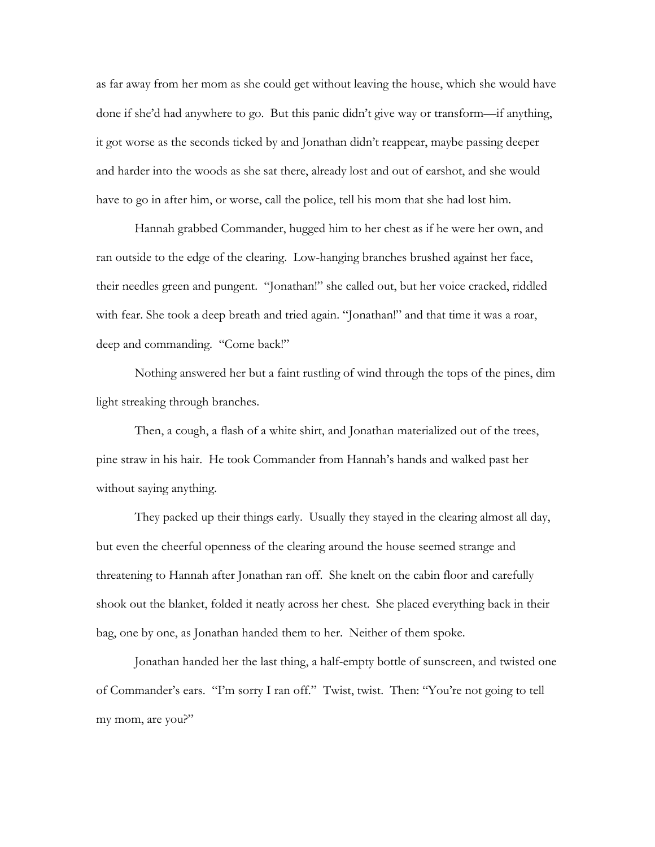as far away from her mom as she could get without leaving the house, which she would have done if she'd had anywhere to go. But this panic didn't give way or transform—if anything, it got worse as the seconds ticked by and Jonathan didn't reappear, maybe passing deeper and harder into the woods as she sat there, already lost and out of earshot, and she would have to go in after him, or worse, call the police, tell his mom that she had lost him.

 Hannah grabbed Commander, hugged him to her chest as if he were her own, and ran outside to the edge of the clearing. Low-hanging branches brushed against her face, their needles green and pungent. "Jonathan!" she called out, but her voice cracked, riddled with fear. She took a deep breath and tried again. "Jonathan!" and that time it was a roar, deep and commanding. "Come back!"

 Nothing answered her but a faint rustling of wind through the tops of the pines, dim light streaking through branches.

 Then, a cough, a flash of a white shirt, and Jonathan materialized out of the trees, pine straw in his hair. He took Commander from Hannah's hands and walked past her without saying anything.

 They packed up their things early. Usually they stayed in the clearing almost all day, but even the cheerful openness of the clearing around the house seemed strange and threatening to Hannah after Jonathan ran off. She knelt on the cabin floor and carefully shook out the blanket, folded it neatly across her chest. She placed everything back in their bag, one by one, as Jonathan handed them to her. Neither of them spoke.

 Jonathan handed her the last thing, a half-empty bottle of sunscreen, and twisted one of Commander's ears. "I'm sorry I ran off." Twist, twist. Then: "You're not going to tell my mom, are you?"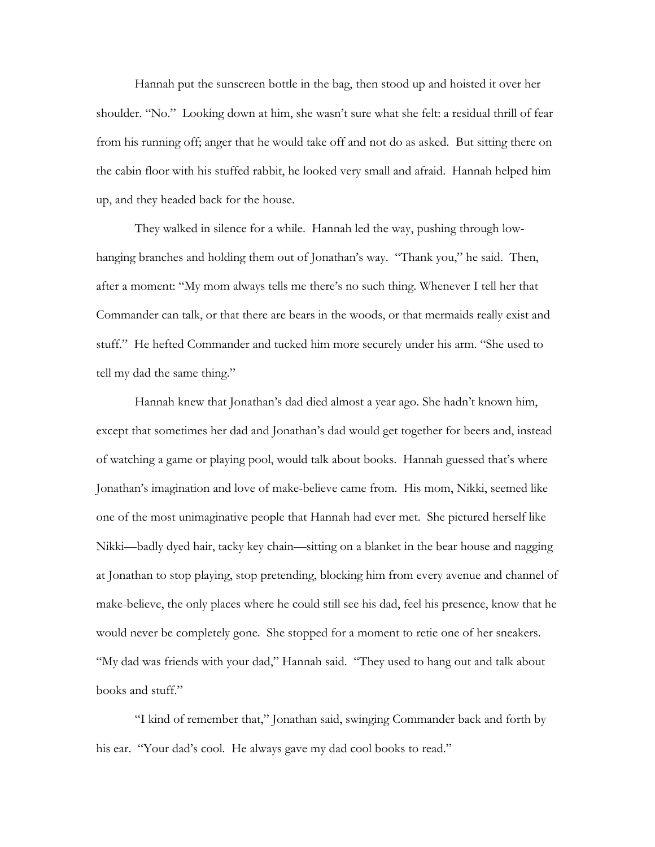Hannah put the sunscreen bottle in the bag, then stood up and hoisted it over her shoulder. "No." Looking down at him, she wasn't sure what she felt: a residual thrill of fear from his running off; anger that he would take off and not do as asked. But sitting there on the cabin floor with his stuffed rabbit, he looked very small and afraid. Hannah helped him up, and they headed back for the house.

 They walked in silence for a while. Hannah led the way, pushing through lowhanging branches and holding them out of Jonathan's way. "Thank you," he said. Then, after a moment: "My mom always tells me there's no such thing. Whenever I tell her that Commander can talk, or that there are bears in the woods, or that mermaids really exist and stuff." He hefted Commander and tucked him more securely under his arm. "She used to tell my dad the same thing."

 Hannah knew that Jonathan's dad died almost a year ago. She hadn't known him, except that sometimes her dad and Jonathan's dad would get together for beers and, instead of watching a game or playing pool, would talk about books. Hannah guessed that's where Jonathan's imagination and love of make-believe came from. His mom, Nikki, seemed like one of the most unimaginative people that Hannah had ever met. She pictured herself like Nikki—badly dyed hair, tacky key chain—sitting on a blanket in the bear house and nagging at Jonathan to stop playing, stop pretending, blocking him from every avenue and channel of make-believe, the only places where he could still see his dad, feel his presence, know that he would never be completely gone. She stopped for a moment to retie one of her sneakers. "My dad was friends with your dad," Hannah said. "They used to hang out and talk about books and stuff."

 "I kind of remember that," Jonathan said, swinging Commander back and forth by his ear. "Your dad's cool. He always gave my dad cool books to read."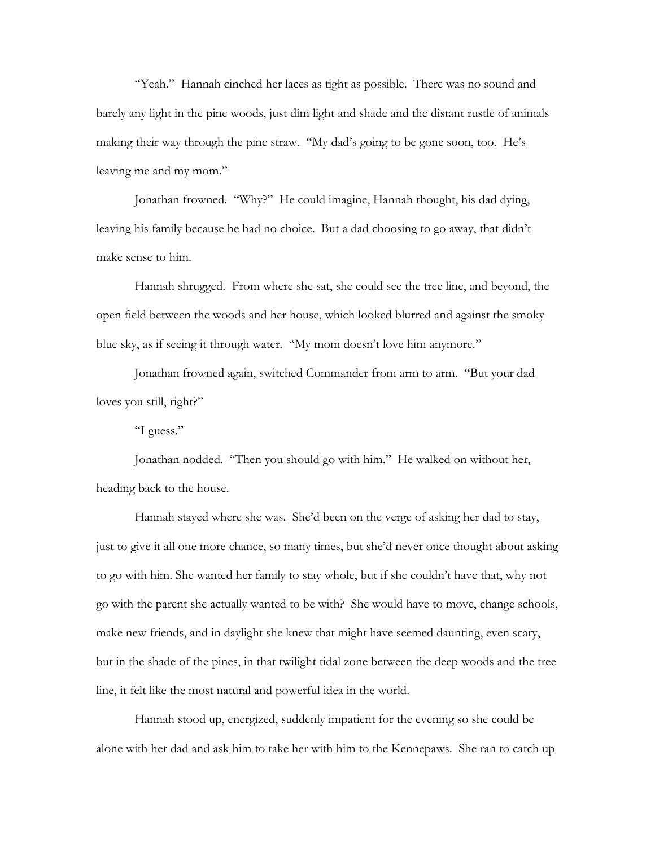"Yeah." Hannah cinched her laces as tight as possible. There was no sound and barely any light in the pine woods, just dim light and shade and the distant rustle of animals making their way through the pine straw. "My dad's going to be gone soon, too. He's leaving me and my mom."

 Jonathan frowned. "Why?" He could imagine, Hannah thought, his dad dying, leaving his family because he had no choice. But a dad choosing to go away, that didn't make sense to him.

 Hannah shrugged. From where she sat, she could see the tree line, and beyond, the open field between the woods and her house, which looked blurred and against the smoky blue sky, as if seeing it through water. "My mom doesn't love him anymore."

 Jonathan frowned again, switched Commander from arm to arm. "But your dad loves you still, right?"

"I guess."

 Jonathan nodded. "Then you should go with him." He walked on without her, heading back to the house.

 Hannah stayed where she was. She'd been on the verge of asking her dad to stay, just to give it all one more chance, so many times, but she'd never once thought about asking to go with him. She wanted her family to stay whole, but if she couldn't have that, why not go with the parent she actually wanted to be with? She would have to move, change schools, make new friends, and in daylight she knew that might have seemed daunting, even scary, but in the shade of the pines, in that twilight tidal zone between the deep woods and the tree line, it felt like the most natural and powerful idea in the world.

 Hannah stood up, energized, suddenly impatient for the evening so she could be alone with her dad and ask him to take her with him to the Kennepaws. She ran to catch up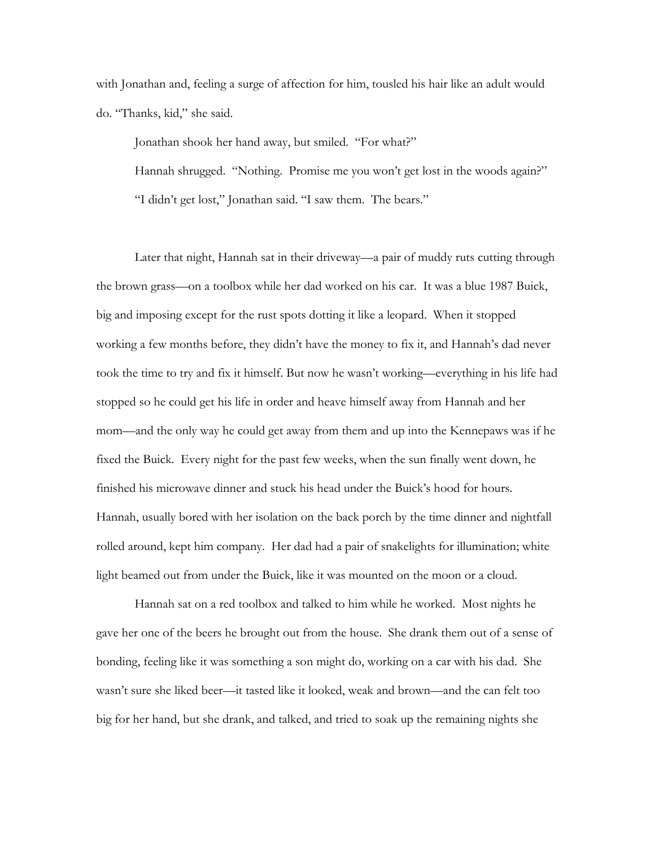with Jonathan and, feeling a surge of affection for him, tousled his hair like an adult would do. "Thanks, kid," she said.

 Jonathan shook her hand away, but smiled. "For what?" Hannah shrugged. "Nothing. Promise me you won't get lost in the woods again?" "I didn't get lost," Jonathan said. "I saw them. The bears."

 Later that night, Hannah sat in their driveway—a pair of muddy ruts cutting through the brown grass—on a toolbox while her dad worked on his car. It was a blue 1987 Buick, big and imposing except for the rust spots dotting it like a leopard. When it stopped working a few months before, they didn't have the money to fix it, and Hannah's dad never took the time to try and fix it himself. But now he wasn't working—everything in his life had stopped so he could get his life in order and heave himself away from Hannah and her mom—and the only way he could get away from them and up into the Kennepaws was if he fixed the Buick. Every night for the past few weeks, when the sun finally went down, he finished his microwave dinner and stuck his head under the Buick's hood for hours. Hannah, usually bored with her isolation on the back porch by the time dinner and nightfall rolled around, kept him company. Her dad had a pair of snakelights for illumination; white light beamed out from under the Buick, like it was mounted on the moon or a cloud.

 Hannah sat on a red toolbox and talked to him while he worked. Most nights he gave her one of the beers he brought out from the house. She drank them out of a sense of bonding, feeling like it was something a son might do, working on a car with his dad. She wasn't sure she liked beer—it tasted like it looked, weak and brown—and the can felt too big for her hand, but she drank, and talked, and tried to soak up the remaining nights she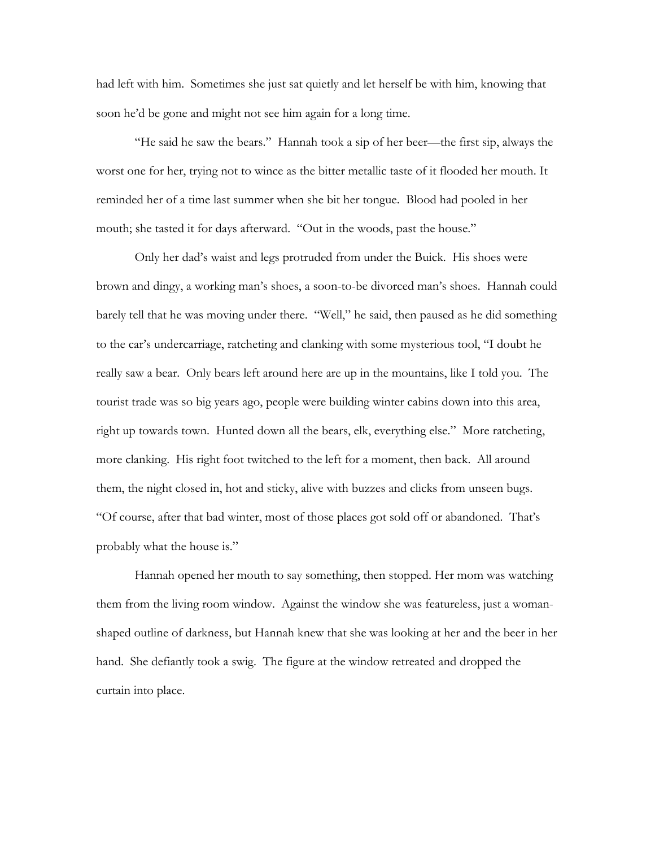had left with him. Sometimes she just sat quietly and let herself be with him, knowing that soon he'd be gone and might not see him again for a long time.

 "He said he saw the bears." Hannah took a sip of her beer—the first sip, always the worst one for her, trying not to wince as the bitter metallic taste of it flooded her mouth. It reminded her of a time last summer when she bit her tongue. Blood had pooled in her mouth; she tasted it for days afterward. "Out in the woods, past the house."

 Only her dad's waist and legs protruded from under the Buick. His shoes were brown and dingy, a working man's shoes, a soon-to-be divorced man's shoes. Hannah could barely tell that he was moving under there. "Well," he said, then paused as he did something to the car's undercarriage, ratcheting and clanking with some mysterious tool, "I doubt he really saw a bear. Only bears left around here are up in the mountains, like I told you. The tourist trade was so big years ago, people were building winter cabins down into this area, right up towards town. Hunted down all the bears, elk, everything else." More ratcheting, more clanking. His right foot twitched to the left for a moment, then back. All around them, the night closed in, hot and sticky, alive with buzzes and clicks from unseen bugs. "Of course, after that bad winter, most of those places got sold off or abandoned. That's probably what the house is."

 Hannah opened her mouth to say something, then stopped. Her mom was watching them from the living room window. Against the window she was featureless, just a womanshaped outline of darkness, but Hannah knew that she was looking at her and the beer in her hand. She defiantly took a swig. The figure at the window retreated and dropped the curtain into place.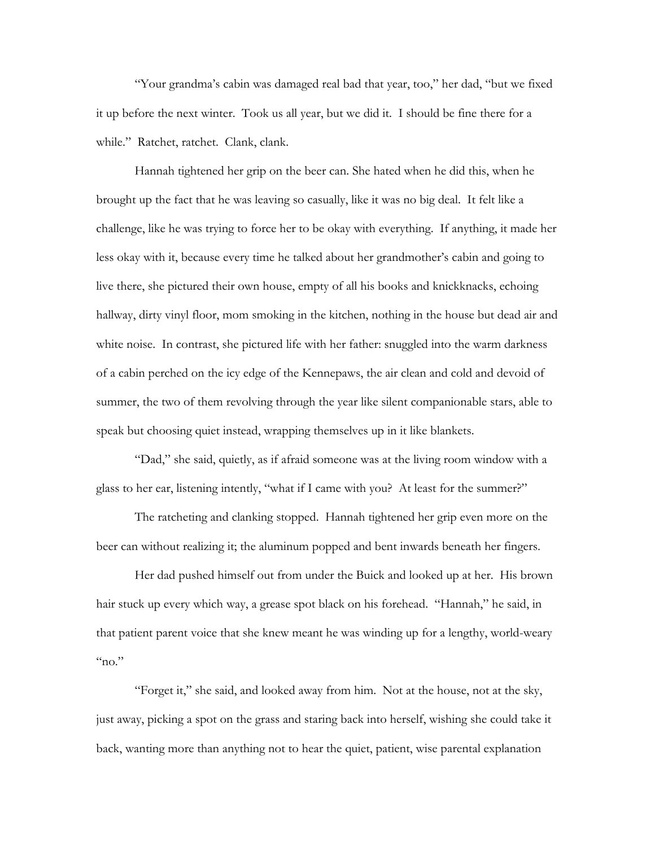"Your grandma's cabin was damaged real bad that year, too," her dad, "but we fixed it up before the next winter. Took us all year, but we did it. I should be fine there for a while." Ratchet, ratchet. Clank, clank.

 Hannah tightened her grip on the beer can. She hated when he did this, when he brought up the fact that he was leaving so casually, like it was no big deal. It felt like a challenge, like he was trying to force her to be okay with everything. If anything, it made her less okay with it, because every time he talked about her grandmother's cabin and going to live there, she pictured their own house, empty of all his books and knickknacks, echoing hallway, dirty vinyl floor, mom smoking in the kitchen, nothing in the house but dead air and white noise. In contrast, she pictured life with her father: snuggled into the warm darkness of a cabin perched on the icy edge of the Kennepaws, the air clean and cold and devoid of summer, the two of them revolving through the year like silent companionable stars, able to speak but choosing quiet instead, wrapping themselves up in it like blankets.

 "Dad," she said, quietly, as if afraid someone was at the living room window with a glass to her ear, listening intently, "what if I came with you? At least for the summer?"

 The ratcheting and clanking stopped. Hannah tightened her grip even more on the beer can without realizing it; the aluminum popped and bent inwards beneath her fingers.

 Her dad pushed himself out from under the Buick and looked up at her. His brown hair stuck up every which way, a grease spot black on his forehead. "Hannah," he said, in that patient parent voice that she knew meant he was winding up for a lengthy, world-weary  $m<sub>0</sub>$ "

 "Forget it," she said, and looked away from him. Not at the house, not at the sky, just away, picking a spot on the grass and staring back into herself, wishing she could take it back, wanting more than anything not to hear the quiet, patient, wise parental explanation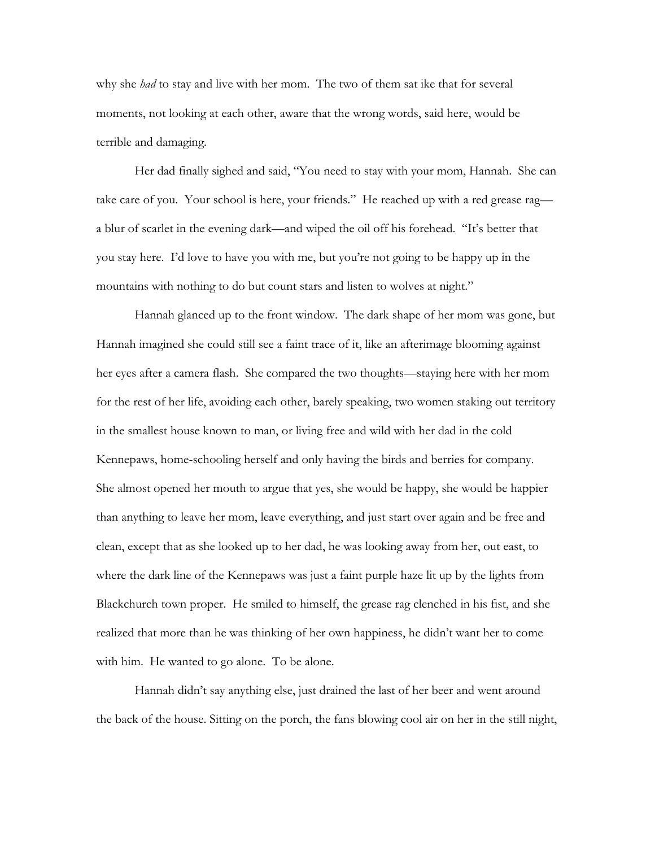why she *had* to stay and live with her mom. The two of them sat ike that for several moments, not looking at each other, aware that the wrong words, said here, would be terrible and damaging.

 Her dad finally sighed and said, "You need to stay with your mom, Hannah. She can take care of you. Your school is here, your friends." He reached up with a red grease rag a blur of scarlet in the evening dark—and wiped the oil off his forehead. "It's better that you stay here. I'd love to have you with me, but you're not going to be happy up in the mountains with nothing to do but count stars and listen to wolves at night."

 Hannah glanced up to the front window. The dark shape of her mom was gone, but Hannah imagined she could still see a faint trace of it, like an afterimage blooming against her eyes after a camera flash. She compared the two thoughts—staying here with her mom for the rest of her life, avoiding each other, barely speaking, two women staking out territory in the smallest house known to man, or living free and wild with her dad in the cold Kennepaws, home-schooling herself and only having the birds and berries for company. She almost opened her mouth to argue that yes, she would be happy, she would be happier than anything to leave her mom, leave everything, and just start over again and be free and clean, except that as she looked up to her dad, he was looking away from her, out east, to where the dark line of the Kennepaws was just a faint purple haze lit up by the lights from Blackchurch town proper. He smiled to himself, the grease rag clenched in his fist, and she realized that more than he was thinking of her own happiness, he didn't want her to come with him. He wanted to go alone. To be alone.

 Hannah didn't say anything else, just drained the last of her beer and went around the back of the house. Sitting on the porch, the fans blowing cool air on her in the still night,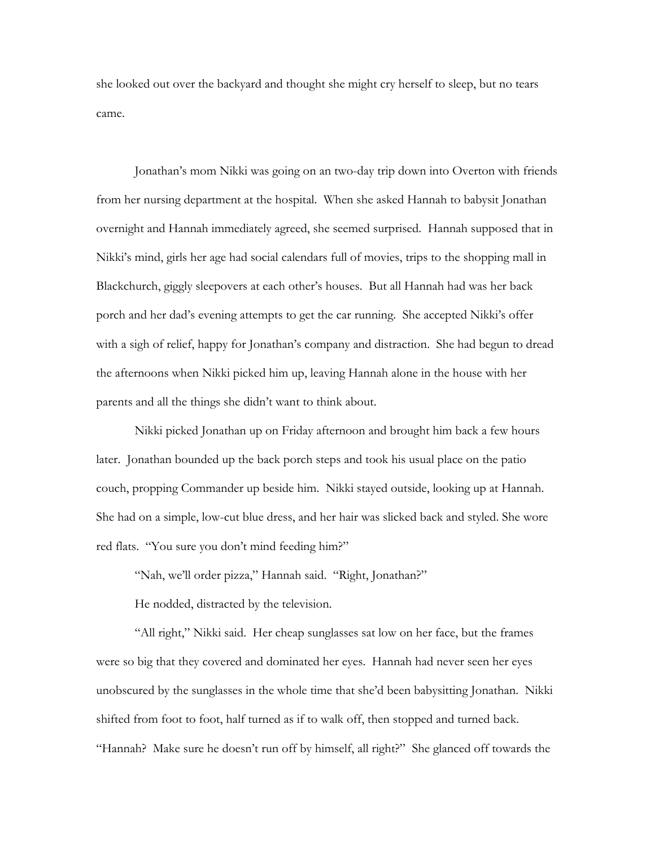she looked out over the backyard and thought she might cry herself to sleep, but no tears came.

 Jonathan's mom Nikki was going on an two-day trip down into Overton with friends from her nursing department at the hospital. When she asked Hannah to babysit Jonathan overnight and Hannah immediately agreed, she seemed surprised. Hannah supposed that in Nikki's mind, girls her age had social calendars full of movies, trips to the shopping mall in Blackchurch, giggly sleepovers at each other's houses. But all Hannah had was her back porch and her dad's evening attempts to get the car running. She accepted Nikki's offer with a sigh of relief, happy for Jonathan's company and distraction. She had begun to dread the afternoons when Nikki picked him up, leaving Hannah alone in the house with her parents and all the things she didn't want to think about.

 Nikki picked Jonathan up on Friday afternoon and brought him back a few hours later. Jonathan bounded up the back porch steps and took his usual place on the patio couch, propping Commander up beside him. Nikki stayed outside, looking up at Hannah. She had on a simple, low-cut blue dress, and her hair was slicked back and styled. She wore red flats. "You sure you don't mind feeding him?"

"Nah, we'll order pizza," Hannah said. "Right, Jonathan?"

He nodded, distracted by the television.

 "All right," Nikki said. Her cheap sunglasses sat low on her face, but the frames were so big that they covered and dominated her eyes. Hannah had never seen her eyes unobscured by the sunglasses in the whole time that she'd been babysitting Jonathan. Nikki shifted from foot to foot, half turned as if to walk off, then stopped and turned back. "Hannah? Make sure he doesn't run off by himself, all right?" She glanced off towards the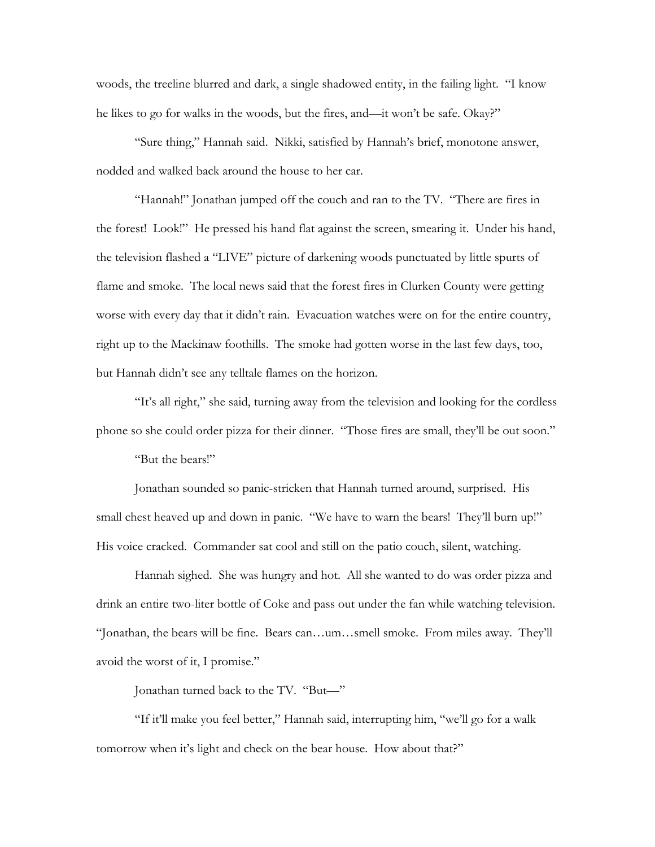woods, the treeline blurred and dark, a single shadowed entity, in the failing light. "I know he likes to go for walks in the woods, but the fires, and—it won't be safe. Okay?"

 "Sure thing," Hannah said. Nikki, satisfied by Hannah's brief, monotone answer, nodded and walked back around the house to her car.

 "Hannah!" Jonathan jumped off the couch and ran to the TV. "There are fires in the forest! Look!" He pressed his hand flat against the screen, smearing it. Under his hand, the television flashed a "LIVE" picture of darkening woods punctuated by little spurts of flame and smoke. The local news said that the forest fires in Clurken County were getting worse with every day that it didn't rain. Evacuation watches were on for the entire country, right up to the Mackinaw foothills. The smoke had gotten worse in the last few days, too, but Hannah didn't see any telltale flames on the horizon.

 "It's all right," she said, turning away from the television and looking for the cordless phone so she could order pizza for their dinner. "Those fires are small, they'll be out soon."

"But the bears!"

 Jonathan sounded so panic-stricken that Hannah turned around, surprised. His small chest heaved up and down in panic. "We have to warn the bears! They'll burn up!" His voice cracked. Commander sat cool and still on the patio couch, silent, watching.

 Hannah sighed. She was hungry and hot. All she wanted to do was order pizza and drink an entire two-liter bottle of Coke and pass out under the fan while watching television. "Jonathan, the bears will be fine. Bears can…um…smell smoke. From miles away. They'll avoid the worst of it, I promise."

Jonathan turned back to the TV. "But—"

 "If it'll make you feel better," Hannah said, interrupting him, "we'll go for a walk tomorrow when it's light and check on the bear house. How about that?"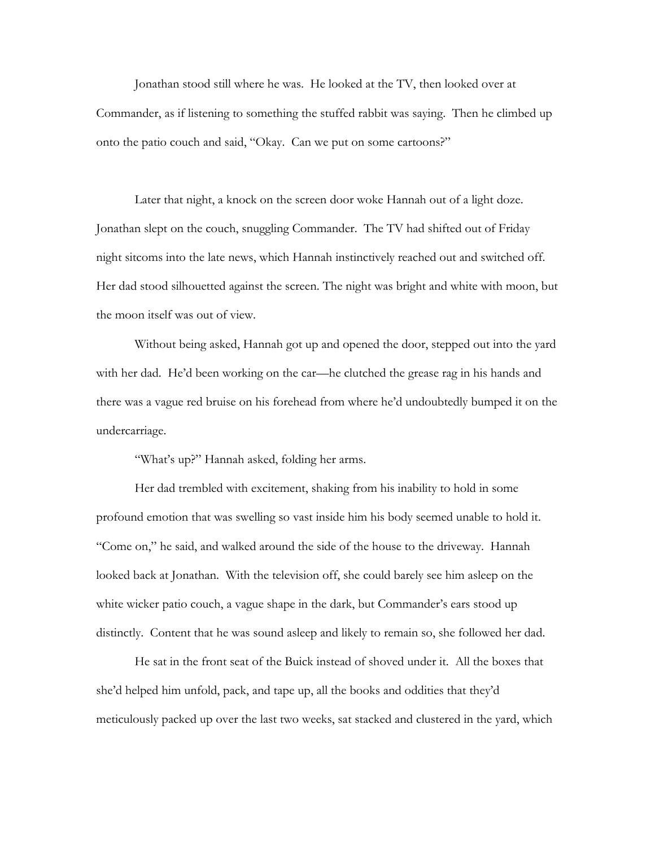Jonathan stood still where he was. He looked at the TV, then looked over at Commander, as if listening to something the stuffed rabbit was saying. Then he climbed up onto the patio couch and said, "Okay. Can we put on some cartoons?"

 Later that night, a knock on the screen door woke Hannah out of a light doze. Jonathan slept on the couch, snuggling Commander. The TV had shifted out of Friday night sitcoms into the late news, which Hannah instinctively reached out and switched off. Her dad stood silhouetted against the screen. The night was bright and white with moon, but the moon itself was out of view.

 Without being asked, Hannah got up and opened the door, stepped out into the yard with her dad. He'd been working on the car—he clutched the grease rag in his hands and there was a vague red bruise on his forehead from where he'd undoubtedly bumped it on the undercarriage.

"What's up?" Hannah asked, folding her arms.

 Her dad trembled with excitement, shaking from his inability to hold in some profound emotion that was swelling so vast inside him his body seemed unable to hold it. "Come on," he said, and walked around the side of the house to the driveway. Hannah looked back at Jonathan. With the television off, she could barely see him asleep on the white wicker patio couch, a vague shape in the dark, but Commander's ears stood up distinctly. Content that he was sound asleep and likely to remain so, she followed her dad.

 He sat in the front seat of the Buick instead of shoved under it. All the boxes that she'd helped him unfold, pack, and tape up, all the books and oddities that they'd meticulously packed up over the last two weeks, sat stacked and clustered in the yard, which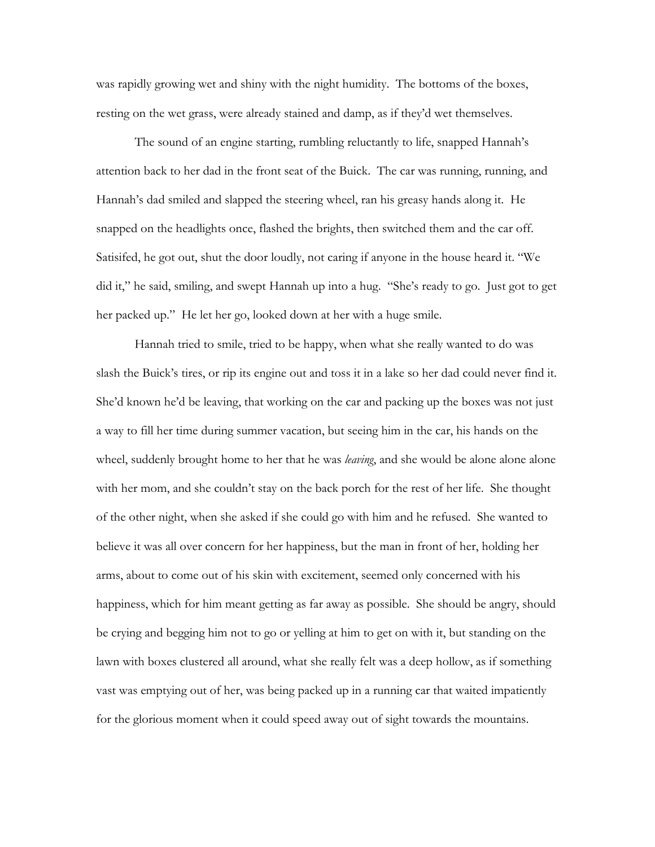was rapidly growing wet and shiny with the night humidity. The bottoms of the boxes, resting on the wet grass, were already stained and damp, as if they'd wet themselves.

 The sound of an engine starting, rumbling reluctantly to life, snapped Hannah's attention back to her dad in the front seat of the Buick. The car was running, running, and Hannah's dad smiled and slapped the steering wheel, ran his greasy hands along it. He snapped on the headlights once, flashed the brights, then switched them and the car off. Satisifed, he got out, shut the door loudly, not caring if anyone in the house heard it. "We did it," he said, smiling, and swept Hannah up into a hug. "She's ready to go. Just got to get her packed up." He let her go, looked down at her with a huge smile.

 Hannah tried to smile, tried to be happy, when what she really wanted to do was slash the Buick's tires, or rip its engine out and toss it in a lake so her dad could never find it. She'd known he'd be leaving, that working on the car and packing up the boxes was not just a way to fill her time during summer vacation, but seeing him in the car, his hands on the wheel, suddenly brought home to her that he was *leaving*, and she would be alone alone alone with her mom, and she couldn't stay on the back porch for the rest of her life. She thought of the other night, when she asked if she could go with him and he refused. She wanted to believe it was all over concern for her happiness, but the man in front of her, holding her arms, about to come out of his skin with excitement, seemed only concerned with his happiness, which for him meant getting as far away as possible. She should be angry, should be crying and begging him not to go or yelling at him to get on with it, but standing on the lawn with boxes clustered all around, what she really felt was a deep hollow, as if something vast was emptying out of her, was being packed up in a running car that waited impatiently for the glorious moment when it could speed away out of sight towards the mountains.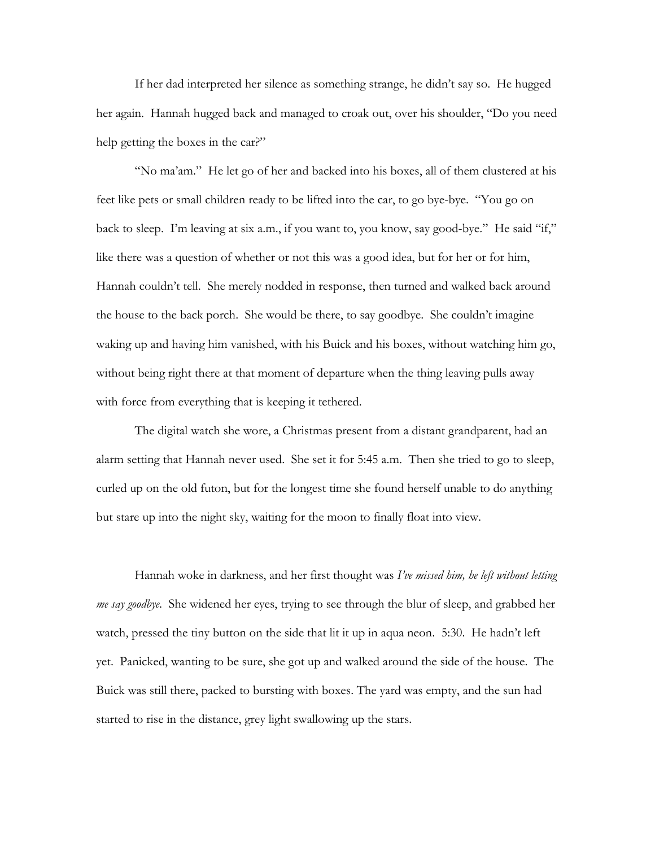If her dad interpreted her silence as something strange, he didn't say so. He hugged her again. Hannah hugged back and managed to croak out, over his shoulder, "Do you need help getting the boxes in the car?"

 "No ma'am." He let go of her and backed into his boxes, all of them clustered at his feet like pets or small children ready to be lifted into the car, to go bye-bye. "You go on back to sleep. I'm leaving at six a.m., if you want to, you know, say good-bye." He said "if," like there was a question of whether or not this was a good idea, but for her or for him, Hannah couldn't tell. She merely nodded in response, then turned and walked back around the house to the back porch. She would be there, to say goodbye. She couldn't imagine waking up and having him vanished, with his Buick and his boxes, without watching him go, without being right there at that moment of departure when the thing leaving pulls away with force from everything that is keeping it tethered.

 The digital watch she wore, a Christmas present from a distant grandparent, had an alarm setting that Hannah never used. She set it for 5:45 a.m. Then she tried to go to sleep, curled up on the old futon, but for the longest time she found herself unable to do anything but stare up into the night sky, waiting for the moon to finally float into view.

 Hannah woke in darkness, and her first thought was *I've missed him, he left without letting me say goodbye*. She widened her eyes, trying to see through the blur of sleep, and grabbed her watch, pressed the tiny button on the side that lit it up in aqua neon. 5:30. He hadn't left yet. Panicked, wanting to be sure, she got up and walked around the side of the house. The Buick was still there, packed to bursting with boxes. The yard was empty, and the sun had started to rise in the distance, grey light swallowing up the stars.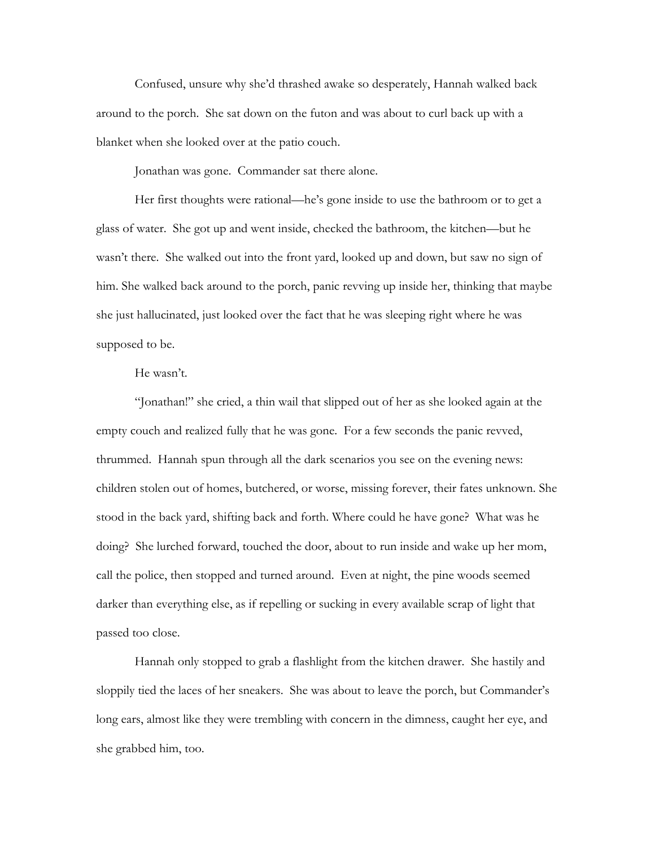Confused, unsure why she'd thrashed awake so desperately, Hannah walked back around to the porch. She sat down on the futon and was about to curl back up with a blanket when she looked over at the patio couch.

Jonathan was gone. Commander sat there alone.

 Her first thoughts were rational—he's gone inside to use the bathroom or to get a glass of water. She got up and went inside, checked the bathroom, the kitchen—but he wasn't there. She walked out into the front yard, looked up and down, but saw no sign of him. She walked back around to the porch, panic revving up inside her, thinking that maybe she just hallucinated, just looked over the fact that he was sleeping right where he was supposed to be.

## He wasn't.

 "Jonathan!" she cried, a thin wail that slipped out of her as she looked again at the empty couch and realized fully that he was gone. For a few seconds the panic revved, thrummed. Hannah spun through all the dark scenarios you see on the evening news: children stolen out of homes, butchered, or worse, missing forever, their fates unknown. She stood in the back yard, shifting back and forth. Where could he have gone? What was he doing? She lurched forward, touched the door, about to run inside and wake up her mom, call the police, then stopped and turned around. Even at night, the pine woods seemed darker than everything else, as if repelling or sucking in every available scrap of light that passed too close.

 Hannah only stopped to grab a flashlight from the kitchen drawer. She hastily and sloppily tied the laces of her sneakers. She was about to leave the porch, but Commander's long ears, almost like they were trembling with concern in the dimness, caught her eye, and she grabbed him, too.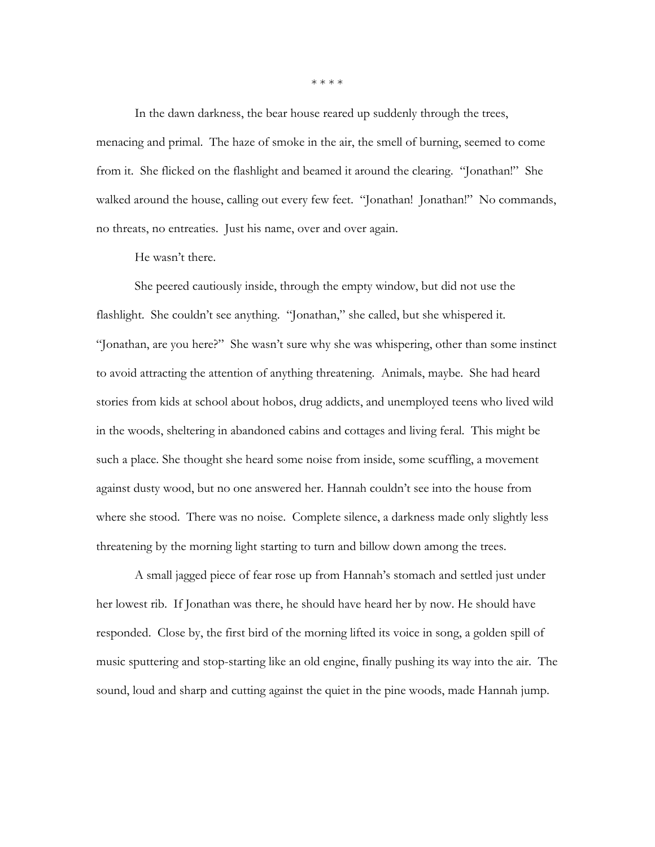In the dawn darkness, the bear house reared up suddenly through the trees, menacing and primal. The haze of smoke in the air, the smell of burning, seemed to come from it. She flicked on the flashlight and beamed it around the clearing. "Jonathan!" She walked around the house, calling out every few feet. "Jonathan! Jonathan!" No commands, no threats, no entreaties. Just his name, over and over again.

He wasn't there.

 She peered cautiously inside, through the empty window, but did not use the flashlight. She couldn't see anything. "Jonathan," she called, but she whispered it. "Jonathan, are you here?" She wasn't sure why she was whispering, other than some instinct to avoid attracting the attention of anything threatening. Animals, maybe. She had heard stories from kids at school about hobos, drug addicts, and unemployed teens who lived wild in the woods, sheltering in abandoned cabins and cottages and living feral. This might be such a place. She thought she heard some noise from inside, some scuffling, a movement against dusty wood, but no one answered her. Hannah couldn't see into the house from where she stood. There was no noise. Complete silence, a darkness made only slightly less threatening by the morning light starting to turn and billow down among the trees.

 A small jagged piece of fear rose up from Hannah's stomach and settled just under her lowest rib. If Jonathan was there, he should have heard her by now. He should have responded. Close by, the first bird of the morning lifted its voice in song, a golden spill of music sputtering and stop-starting like an old engine, finally pushing its way into the air. The sound, loud and sharp and cutting against the quiet in the pine woods, made Hannah jump.

\* \* \* \*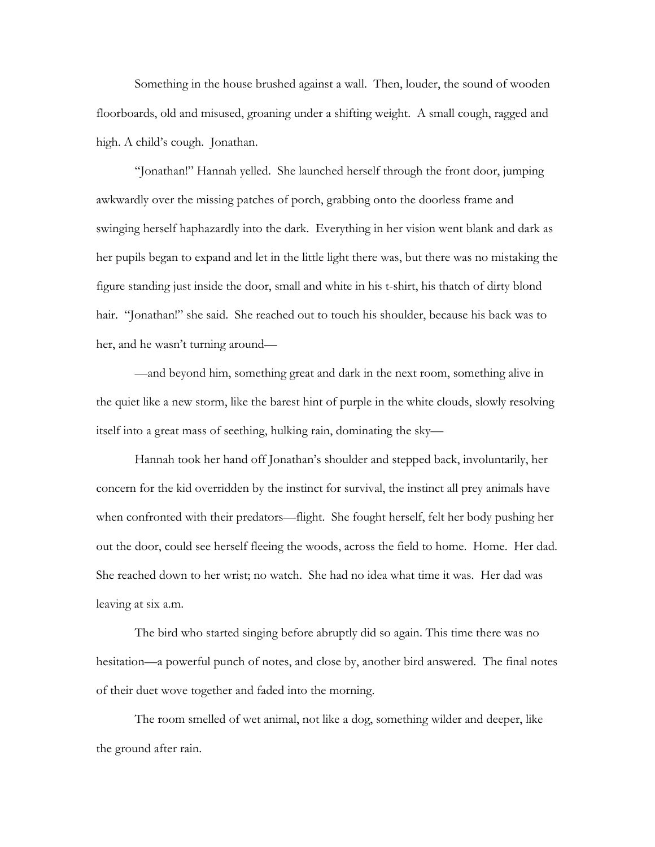Something in the house brushed against a wall. Then, louder, the sound of wooden floorboards, old and misused, groaning under a shifting weight. A small cough, ragged and high. A child's cough. Jonathan.

 "Jonathan!" Hannah yelled. She launched herself through the front door, jumping awkwardly over the missing patches of porch, grabbing onto the doorless frame and swinging herself haphazardly into the dark. Everything in her vision went blank and dark as her pupils began to expand and let in the little light there was, but there was no mistaking the figure standing just inside the door, small and white in his t-shirt, his thatch of dirty blond hair. "Jonathan!" she said. She reached out to touch his shoulder, because his back was to her, and he wasn't turning around—

 —and beyond him, something great and dark in the next room, something alive in the quiet like a new storm, like the barest hint of purple in the white clouds, slowly resolving itself into a great mass of seething, hulking rain, dominating the sky—

 Hannah took her hand off Jonathan's shoulder and stepped back, involuntarily, her concern for the kid overridden by the instinct for survival, the instinct all prey animals have when confronted with their predators—flight. She fought herself, felt her body pushing her out the door, could see herself fleeing the woods, across the field to home. Home. Her dad. She reached down to her wrist; no watch. She had no idea what time it was. Her dad was leaving at six a.m.

 The bird who started singing before abruptly did so again. This time there was no hesitation—a powerful punch of notes, and close by, another bird answered. The final notes of their duet wove together and faded into the morning.

 The room smelled of wet animal, not like a dog, something wilder and deeper, like the ground after rain.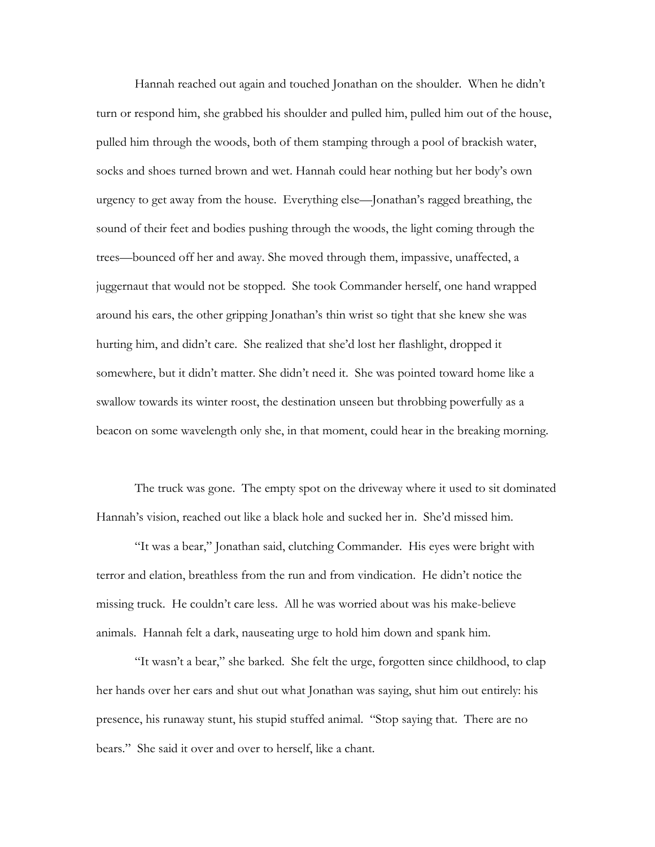Hannah reached out again and touched Jonathan on the shoulder. When he didn't turn or respond him, she grabbed his shoulder and pulled him, pulled him out of the house, pulled him through the woods, both of them stamping through a pool of brackish water, socks and shoes turned brown and wet. Hannah could hear nothing but her body's own urgency to get away from the house. Everything else—Jonathan's ragged breathing, the sound of their feet and bodies pushing through the woods, the light coming through the trees—bounced off her and away. She moved through them, impassive, unaffected, a juggernaut that would not be stopped. She took Commander herself, one hand wrapped around his ears, the other gripping Jonathan's thin wrist so tight that she knew she was hurting him, and didn't care. She realized that she'd lost her flashlight, dropped it somewhere, but it didn't matter. She didn't need it. She was pointed toward home like a swallow towards its winter roost, the destination unseen but throbbing powerfully as a beacon on some wavelength only she, in that moment, could hear in the breaking morning.

 The truck was gone. The empty spot on the driveway where it used to sit dominated Hannah's vision, reached out like a black hole and sucked her in. She'd missed him.

 "It was a bear," Jonathan said, clutching Commander. His eyes were bright with terror and elation, breathless from the run and from vindication. He didn't notice the missing truck. He couldn't care less. All he was worried about was his make-believe animals. Hannah felt a dark, nauseating urge to hold him down and spank him.

 "It wasn't a bear," she barked. She felt the urge, forgotten since childhood, to clap her hands over her ears and shut out what Jonathan was saying, shut him out entirely: his presence, his runaway stunt, his stupid stuffed animal. "Stop saying that. There are no bears." She said it over and over to herself, like a chant.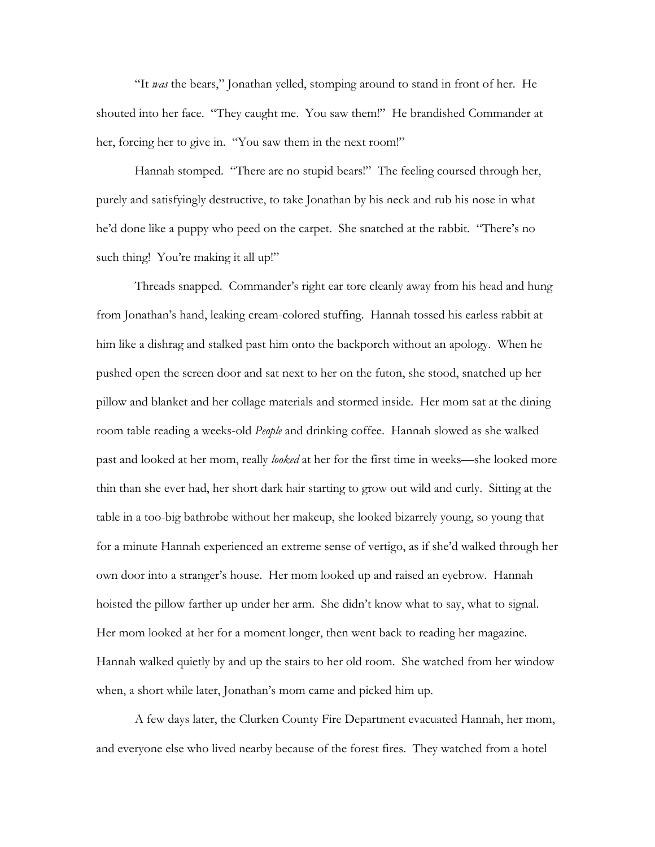"It *was* the bears," Jonathan yelled, stomping around to stand in front of her. He shouted into her face. "They caught me. You saw them!" He brandished Commander at her, forcing her to give in. "You saw them in the next room!"

 Hannah stomped. "There are no stupid bears!" The feeling coursed through her, purely and satisfyingly destructive, to take Jonathan by his neck and rub his nose in what he'd done like a puppy who peed on the carpet. She snatched at the rabbit. "There's no such thing! You're making it all up!"

 Threads snapped. Commander's right ear tore cleanly away from his head and hung from Jonathan's hand, leaking cream-colored stuffing. Hannah tossed his earless rabbit at him like a dishrag and stalked past him onto the backporch without an apology. When he pushed open the screen door and sat next to her on the futon, she stood, snatched up her pillow and blanket and her collage materials and stormed inside. Her mom sat at the dining room table reading a weeks-old *People* and drinking coffee. Hannah slowed as she walked past and looked at her mom, really *looked* at her for the first time in weeks—she looked more thin than she ever had, her short dark hair starting to grow out wild and curly. Sitting at the table in a too-big bathrobe without her makeup, she looked bizarrely young, so young that for a minute Hannah experienced an extreme sense of vertigo, as if she'd walked through her own door into a stranger's house. Her mom looked up and raised an eyebrow. Hannah hoisted the pillow farther up under her arm. She didn't know what to say, what to signal. Her mom looked at her for a moment longer, then went back to reading her magazine. Hannah walked quietly by and up the stairs to her old room. She watched from her window when, a short while later, Jonathan's mom came and picked him up.

 A few days later, the Clurken County Fire Department evacuated Hannah, her mom, and everyone else who lived nearby because of the forest fires. They watched from a hotel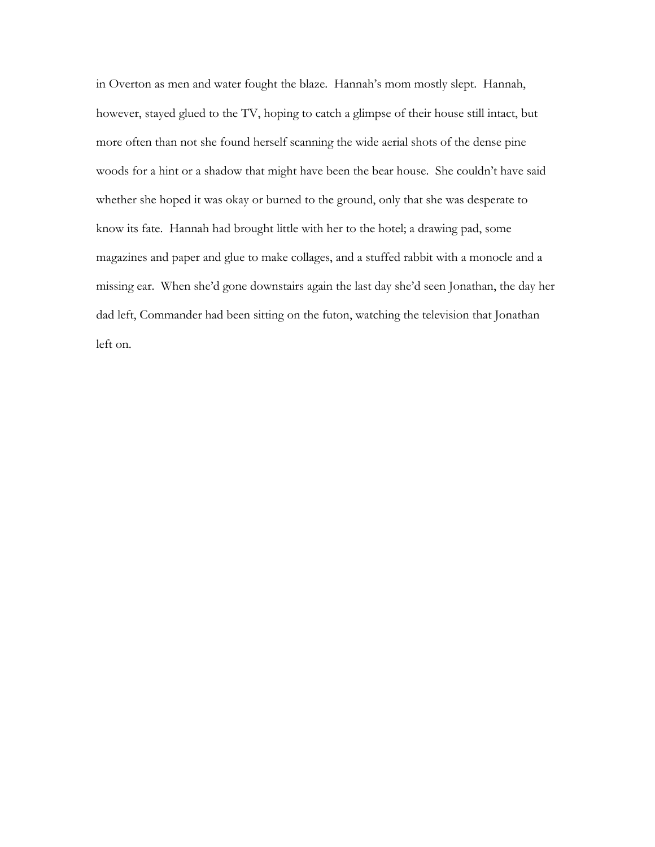in Overton as men and water fought the blaze. Hannah's mom mostly slept. Hannah, however, stayed glued to the TV, hoping to catch a glimpse of their house still intact, but more often than not she found herself scanning the wide aerial shots of the dense pine woods for a hint or a shadow that might have been the bear house. She couldn't have said whether she hoped it was okay or burned to the ground, only that she was desperate to know its fate. Hannah had brought little with her to the hotel; a drawing pad, some magazines and paper and glue to make collages, and a stuffed rabbit with a monocle and a missing ear. When she'd gone downstairs again the last day she'd seen Jonathan, the day her dad left, Commander had been sitting on the futon, watching the television that Jonathan left on.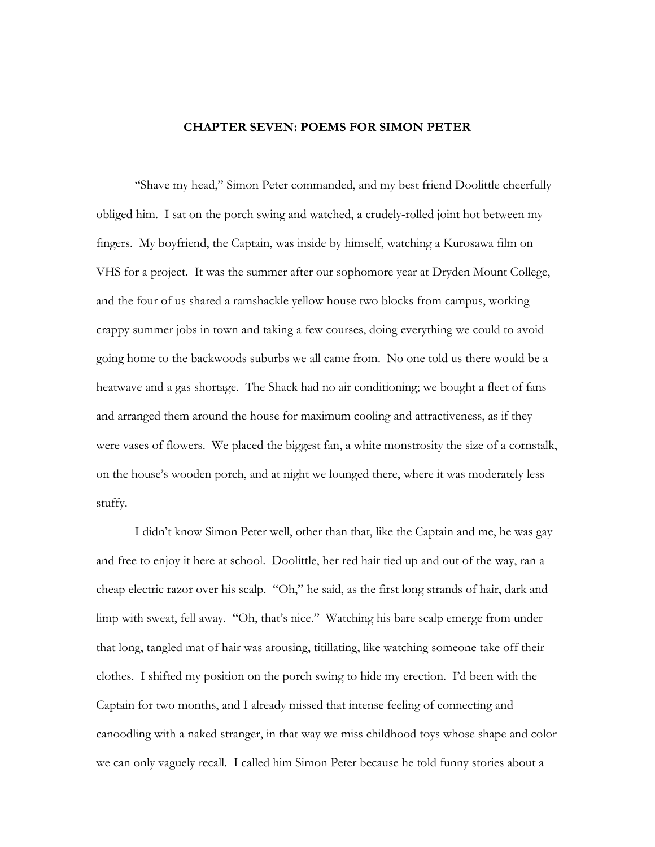## **CHAPTER SEVEN: POEMS FOR SIMON PETER**

 "Shave my head," Simon Peter commanded, and my best friend Doolittle cheerfully obliged him. I sat on the porch swing and watched, a crudely-rolled joint hot between my fingers. My boyfriend, the Captain, was inside by himself, watching a Kurosawa film on VHS for a project. It was the summer after our sophomore year at Dryden Mount College, and the four of us shared a ramshackle yellow house two blocks from campus, working crappy summer jobs in town and taking a few courses, doing everything we could to avoid going home to the backwoods suburbs we all came from. No one told us there would be a heatwave and a gas shortage. The Shack had no air conditioning; we bought a fleet of fans and arranged them around the house for maximum cooling and attractiveness, as if they were vases of flowers. We placed the biggest fan, a white monstrosity the size of a cornstalk, on the house's wooden porch, and at night we lounged there, where it was moderately less stuffy.

I didn't know Simon Peter well, other than that, like the Captain and me, he was gay and free to enjoy it here at school. Doolittle, her red hair tied up and out of the way, ran a cheap electric razor over his scalp. "Oh," he said, as the first long strands of hair, dark and limp with sweat, fell away. "Oh, that's nice." Watching his bare scalp emerge from under that long, tangled mat of hair was arousing, titillating, like watching someone take off their clothes. I shifted my position on the porch swing to hide my erection. I'd been with the Captain for two months, and I already missed that intense feeling of connecting and canoodling with a naked stranger, in that way we miss childhood toys whose shape and color we can only vaguely recall. I called him Simon Peter because he told funny stories about a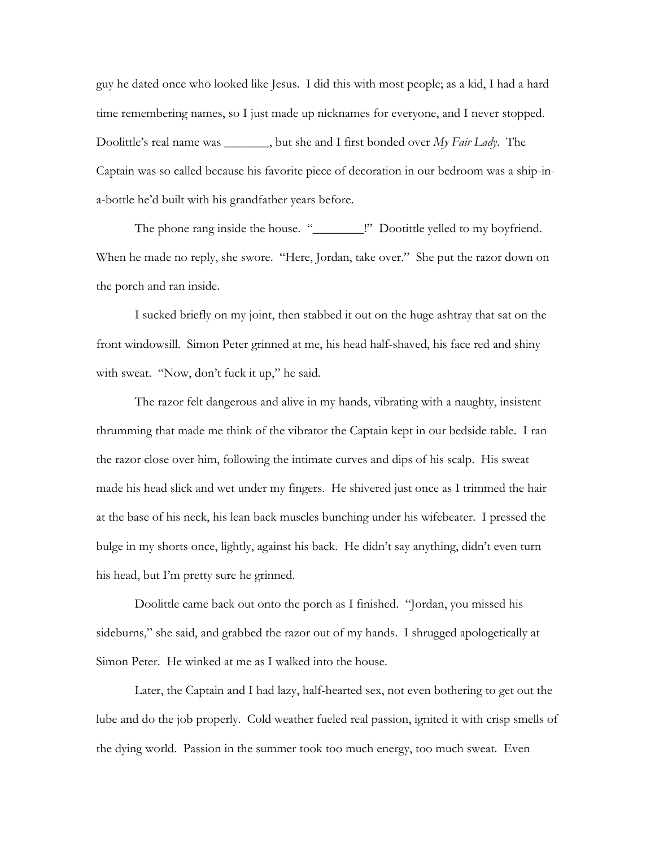guy he dated once who looked like Jesus. I did this with most people; as a kid, I had a hard time remembering names, so I just made up nicknames for everyone, and I never stopped. Doolittle's real name was \_\_\_\_\_\_\_, but she and I first bonded over *My Fair Lady*. The Captain was so called because his favorite piece of decoration in our bedroom was a ship-ina-bottle he'd built with his grandfather years before.

The phone rang inside the house. "\_\_\_\_\_\_\_\_!" Dootittle yelled to my boyfriend. When he made no reply, she swore. "Here, Jordan, take over." She put the razor down on the porch and ran inside.

I sucked briefly on my joint, then stabbed it out on the huge ashtray that sat on the front windowsill. Simon Peter grinned at me, his head half-shaved, his face red and shiny with sweat. "Now, don't fuck it up," he said.

The razor felt dangerous and alive in my hands, vibrating with a naughty, insistent thrumming that made me think of the vibrator the Captain kept in our bedside table. I ran the razor close over him, following the intimate curves and dips of his scalp. His sweat made his head slick and wet under my fingers. He shivered just once as I trimmed the hair at the base of his neck, his lean back muscles bunching under his wifebeater. I pressed the bulge in my shorts once, lightly, against his back. He didn't say anything, didn't even turn his head, but I'm pretty sure he grinned.

Doolittle came back out onto the porch as I finished. "Jordan, you missed his sideburns," she said, and grabbed the razor out of my hands. I shrugged apologetically at Simon Peter. He winked at me as I walked into the house.

Later, the Captain and I had lazy, half-hearted sex, not even bothering to get out the lube and do the job properly. Cold weather fueled real passion, ignited it with crisp smells of the dying world. Passion in the summer took too much energy, too much sweat. Even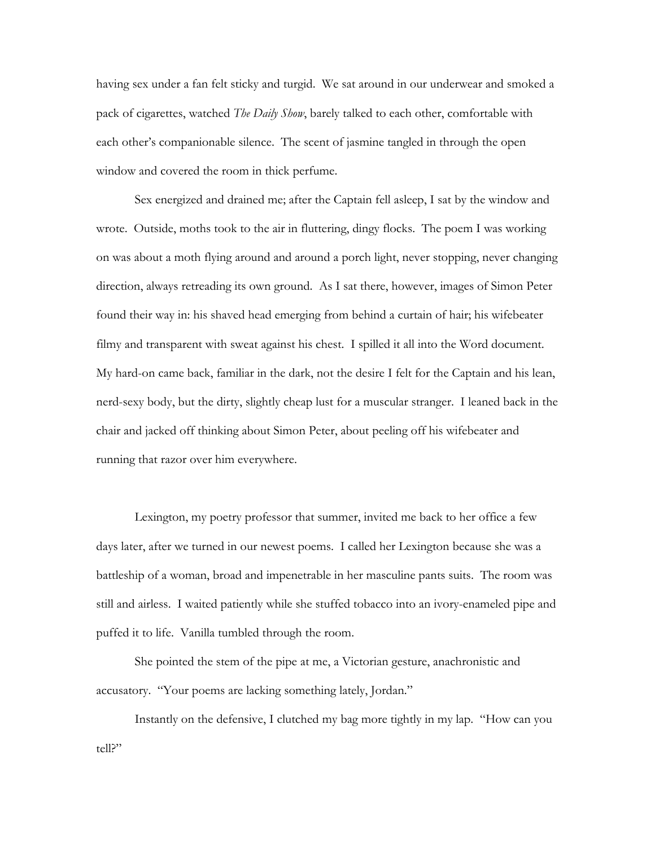having sex under a fan felt sticky and turgid. We sat around in our underwear and smoked a pack of cigarettes, watched *The Daily Show*, barely talked to each other, comfortable with each other's companionable silence. The scent of jasmine tangled in through the open window and covered the room in thick perfume.

Sex energized and drained me; after the Captain fell asleep, I sat by the window and wrote. Outside, moths took to the air in fluttering, dingy flocks. The poem I was working on was about a moth flying around and around a porch light, never stopping, never changing direction, always retreading its own ground. As I sat there, however, images of Simon Peter found their way in: his shaved head emerging from behind a curtain of hair; his wifebeater filmy and transparent with sweat against his chest. I spilled it all into the Word document. My hard-on came back, familiar in the dark, not the desire I felt for the Captain and his lean, nerd-sexy body, but the dirty, slightly cheap lust for a muscular stranger. I leaned back in the chair and jacked off thinking about Simon Peter, about peeling off his wifebeater and running that razor over him everywhere.

Lexington, my poetry professor that summer, invited me back to her office a few days later, after we turned in our newest poems. I called her Lexington because she was a battleship of a woman, broad and impenetrable in her masculine pants suits. The room was still and airless. I waited patiently while she stuffed tobacco into an ivory-enameled pipe and puffed it to life. Vanilla tumbled through the room.

She pointed the stem of the pipe at me, a Victorian gesture, anachronistic and accusatory. "Your poems are lacking something lately, Jordan."

Instantly on the defensive, I clutched my bag more tightly in my lap. "How can you tell?"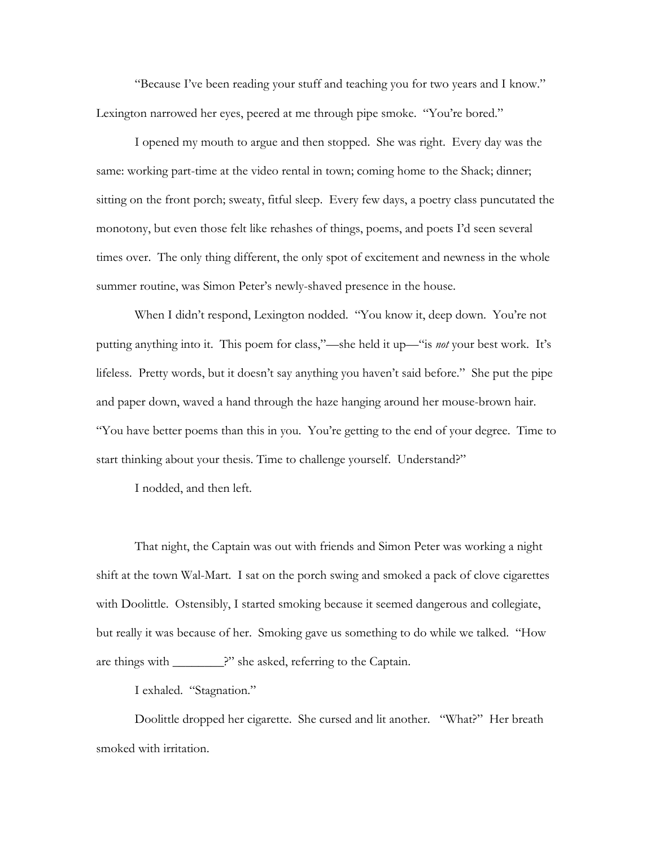"Because I've been reading your stuff and teaching you for two years and I know." Lexington narrowed her eyes, peered at me through pipe smoke. "You're bored."

I opened my mouth to argue and then stopped. She was right. Every day was the same: working part-time at the video rental in town; coming home to the Shack; dinner; sitting on the front porch; sweaty, fitful sleep. Every few days, a poetry class puncutated the monotony, but even those felt like rehashes of things, poems, and poets I'd seen several times over. The only thing different, the only spot of excitement and newness in the whole summer routine, was Simon Peter's newly-shaved presence in the house.

When I didn't respond, Lexington nodded. "You know it, deep down. You're not putting anything into it. This poem for class,"—she held it up—"is *not* your best work. It's lifeless. Pretty words, but it doesn't say anything you haven't said before." She put the pipe and paper down, waved a hand through the haze hanging around her mouse-brown hair. "You have better poems than this in you. You're getting to the end of your degree. Time to start thinking about your thesis. Time to challenge yourself. Understand?"

I nodded, and then left.

That night, the Captain was out with friends and Simon Peter was working a night shift at the town Wal-Mart. I sat on the porch swing and smoked a pack of clove cigarettes with Doolittle. Ostensibly, I started smoking because it seemed dangerous and collegiate, but really it was because of her. Smoking gave us something to do while we talked. "How are things with \_\_\_\_\_\_\_\_?" she asked, referring to the Captain.

I exhaled. "Stagnation."

Doolittle dropped her cigarette. She cursed and lit another. "What?" Her breath smoked with irritation.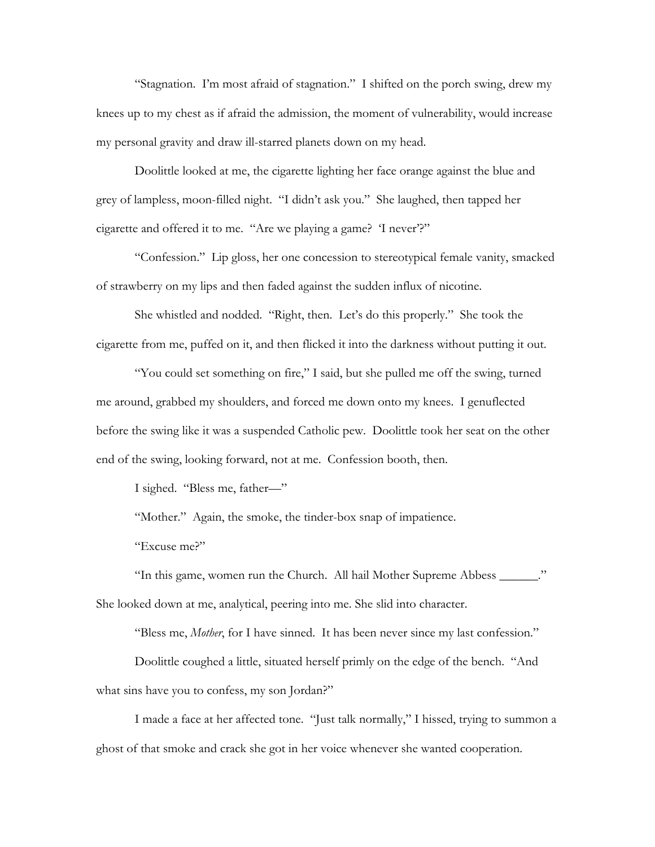"Stagnation. I'm most afraid of stagnation." I shifted on the porch swing, drew my knees up to my chest as if afraid the admission, the moment of vulnerability, would increase my personal gravity and draw ill-starred planets down on my head.

Doolittle looked at me, the cigarette lighting her face orange against the blue and grey of lampless, moon-filled night. "I didn't ask you." She laughed, then tapped her cigarette and offered it to me. "Are we playing a game? 'I never'?"

"Confession." Lip gloss, her one concession to stereotypical female vanity, smacked of strawberry on my lips and then faded against the sudden influx of nicotine.

She whistled and nodded. "Right, then. Let's do this properly." She took the cigarette from me, puffed on it, and then flicked it into the darkness without putting it out.

"You could set something on fire," I said, but she pulled me off the swing, turned me around, grabbed my shoulders, and forced me down onto my knees. I genuflected before the swing like it was a suspended Catholic pew. Doolittle took her seat on the other end of the swing, looking forward, not at me. Confession booth, then.

I sighed. "Bless me, father—"

"Mother." Again, the smoke, the tinder-box snap of impatience.

"Excuse me?"

"In this game, women run the Church. All hail Mother Supreme Abbess \_\_\_\_\_\_." She looked down at me, analytical, peering into me. She slid into character.

"Bless me, *Mother*, for I have sinned. It has been never since my last confession."

Doolittle coughed a little, situated herself primly on the edge of the bench. "And what sins have you to confess, my son Jordan?"

I made a face at her affected tone. "Just talk normally," I hissed, trying to summon a ghost of that smoke and crack she got in her voice whenever she wanted cooperation.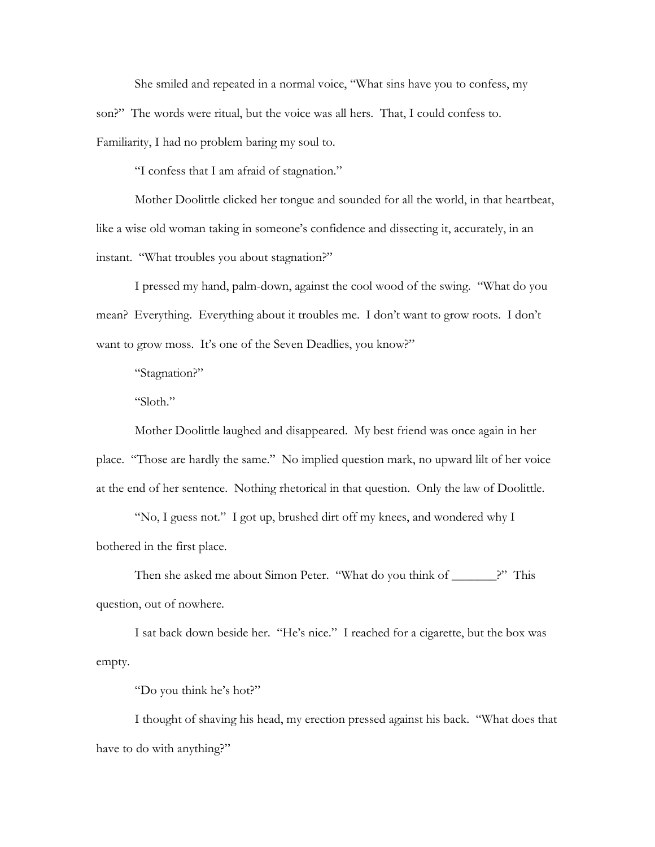She smiled and repeated in a normal voice, "What sins have you to confess, my son?" The words were ritual, but the voice was all hers. That, I could confess to. Familiarity, I had no problem baring my soul to.

"I confess that I am afraid of stagnation."

Mother Doolittle clicked her tongue and sounded for all the world, in that heartbeat, like a wise old woman taking in someone's confidence and dissecting it, accurately, in an instant. "What troubles you about stagnation?"

I pressed my hand, palm-down, against the cool wood of the swing. "What do you mean? Everything. Everything about it troubles me. I don't want to grow roots. I don't want to grow moss. It's one of the Seven Deadlies, you know?"

"Stagnation?"

"Sloth."

Mother Doolittle laughed and disappeared. My best friend was once again in her place. "Those are hardly the same." No implied question mark, no upward lilt of her voice at the end of her sentence. Nothing rhetorical in that question. Only the law of Doolittle.

"No, I guess not." I got up, brushed dirt off my knees, and wondered why I bothered in the first place.

Then she asked me about Simon Peter. "What do you think of \_\_\_\_\_\_\_\_?" This question, out of nowhere.

I sat back down beside her. "He's nice." I reached for a cigarette, but the box was empty.

"Do you think he's hot?"

I thought of shaving his head, my erection pressed against his back. "What does that have to do with anything?"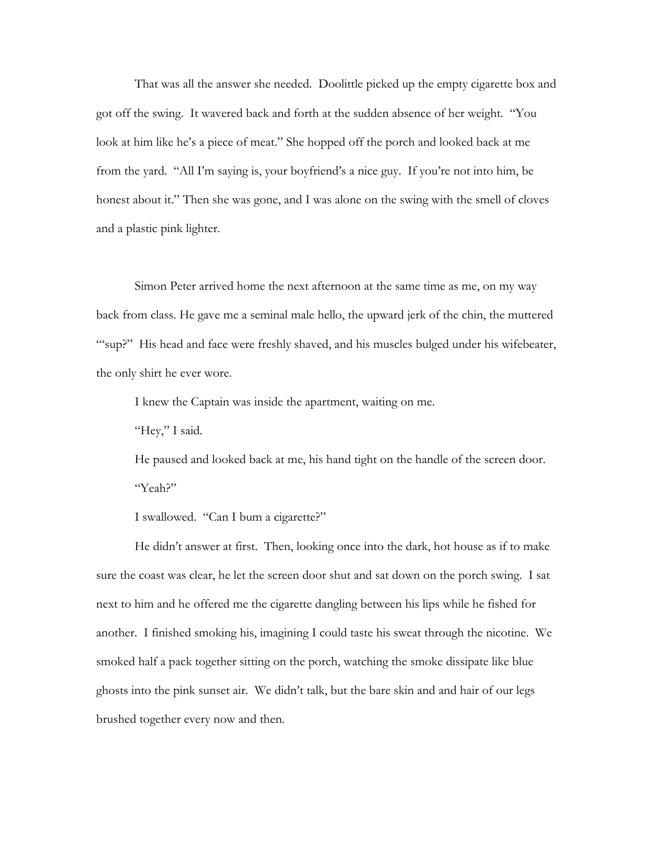That was all the answer she needed. Doolittle picked up the empty cigarette box and got off the swing. It wavered back and forth at the sudden absence of her weight. "You look at him like he's a piece of meat." She hopped off the porch and looked back at me from the yard. "All I'm saying is, your boyfriend's a nice guy. If you're not into him, be honest about it." Then she was gone, and I was alone on the swing with the smell of cloves and a plastic pink lighter.

Simon Peter arrived home the next afternoon at the same time as me, on my way back from class. He gave me a seminal male hello, the upward jerk of the chin, the muttered "sup?" His head and face were freshly shaved, and his muscles bulged under his wifebeater, the only shirt he ever wore.

I knew the Captain was inside the apartment, waiting on me.

"Hey," I said.

He paused and looked back at me, his hand tight on the handle of the screen door. "Yeah?"

I swallowed. "Can I bum a cigarette?"

He didn't answer at first. Then, looking once into the dark, hot house as if to make sure the coast was clear, he let the screen door shut and sat down on the porch swing. I sat next to him and he offered me the cigarette dangling between his lips while he fished for another. I finished smoking his, imagining I could taste his sweat through the nicotine. We smoked half a pack together sitting on the porch, watching the smoke dissipate like blue ghosts into the pink sunset air. We didn't talk, but the bare skin and and hair of our legs brushed together every now and then.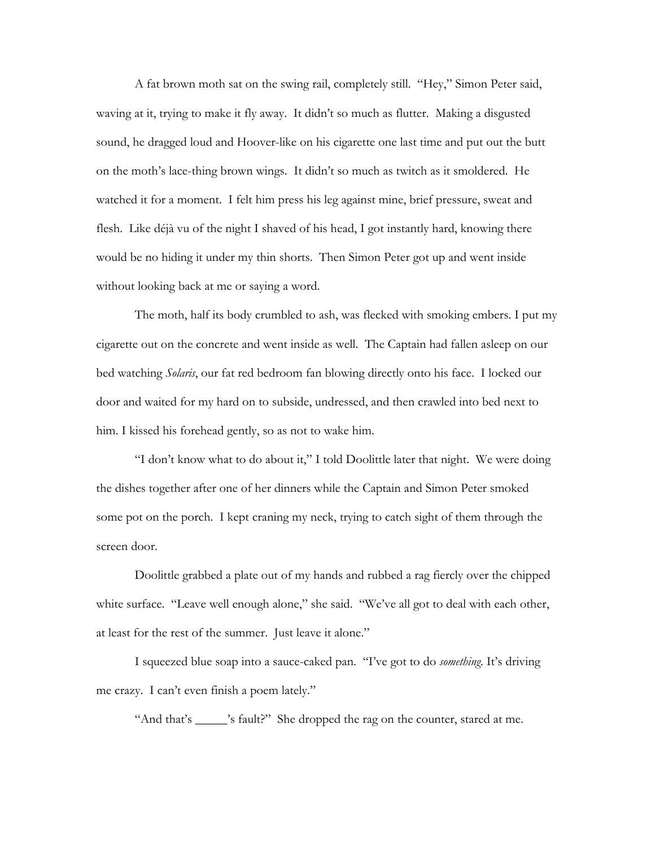A fat brown moth sat on the swing rail, completely still. "Hey," Simon Peter said, waving at it, trying to make it fly away. It didn't so much as flutter. Making a disgusted sound, he dragged loud and Hoover-like on his cigarette one last time and put out the butt on the moth's lace-thing brown wings. It didn't so much as twitch as it smoldered. He watched it for a moment. I felt him press his leg against mine, brief pressure, sweat and flesh. Like déjà vu of the night I shaved of his head, I got instantly hard, knowing there would be no hiding it under my thin shorts. Then Simon Peter got up and went inside without looking back at me or saying a word.

The moth, half its body crumbled to ash, was flecked with smoking embers. I put my cigarette out on the concrete and went inside as well. The Captain had fallen asleep on our bed watching *Solaris*, our fat red bedroom fan blowing directly onto his face. I locked our door and waited for my hard on to subside, undressed, and then crawled into bed next to him. I kissed his forehead gently, so as not to wake him.

"I don't know what to do about it," I told Doolittle later that night. We were doing the dishes together after one of her dinners while the Captain and Simon Peter smoked some pot on the porch. I kept craning my neck, trying to catch sight of them through the screen door.

Doolittle grabbed a plate out of my hands and rubbed a rag fiercly over the chipped white surface. "Leave well enough alone," she said. "We've all got to deal with each other, at least for the rest of the summer. Just leave it alone."

I squeezed blue soap into a sauce-caked pan. "I've got to do *something*. It's driving me crazy. I can't even finish a poem lately."

"And that's \_\_\_\_\_\_'s fault?" She dropped the rag on the counter, stared at me.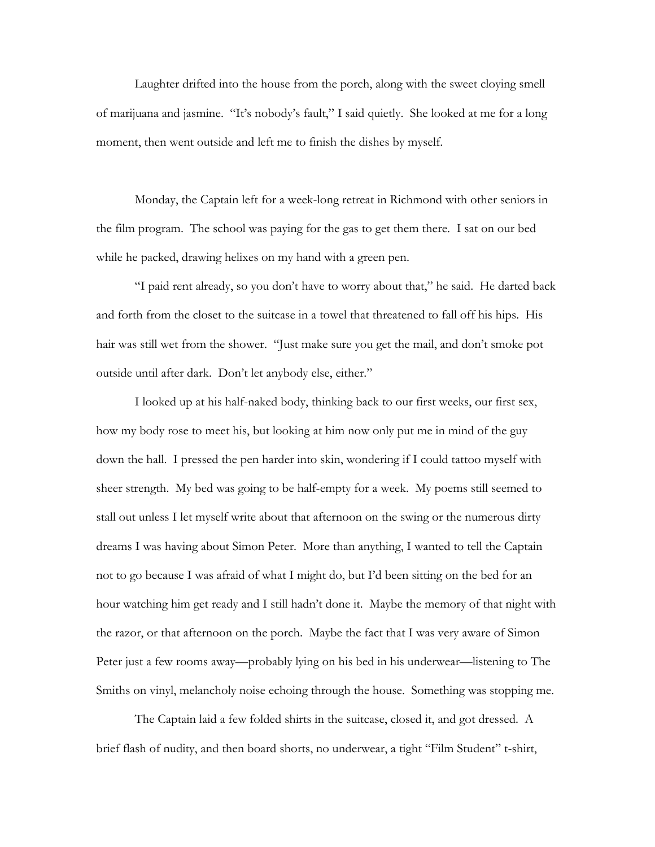Laughter drifted into the house from the porch, along with the sweet cloying smell of marijuana and jasmine. "It's nobody's fault," I said quietly. She looked at me for a long moment, then went outside and left me to finish the dishes by myself.

Monday, the Captain left for a week-long retreat in Richmond with other seniors in the film program. The school was paying for the gas to get them there. I sat on our bed while he packed, drawing helixes on my hand with a green pen.

"I paid rent already, so you don't have to worry about that," he said. He darted back and forth from the closet to the suitcase in a towel that threatened to fall off his hips. His hair was still wet from the shower. "Just make sure you get the mail, and don't smoke pot outside until after dark. Don't let anybody else, either."

I looked up at his half-naked body, thinking back to our first weeks, our first sex, how my body rose to meet his, but looking at him now only put me in mind of the guy down the hall. I pressed the pen harder into skin, wondering if I could tattoo myself with sheer strength. My bed was going to be half-empty for a week. My poems still seemed to stall out unless I let myself write about that afternoon on the swing or the numerous dirty dreams I was having about Simon Peter. More than anything, I wanted to tell the Captain not to go because I was afraid of what I might do, but I'd been sitting on the bed for an hour watching him get ready and I still hadn't done it. Maybe the memory of that night with the razor, or that afternoon on the porch. Maybe the fact that I was very aware of Simon Peter just a few rooms away—probably lying on his bed in his underwear—listening to The Smiths on vinyl, melancholy noise echoing through the house. Something was stopping me.

The Captain laid a few folded shirts in the suitcase, closed it, and got dressed. A brief flash of nudity, and then board shorts, no underwear, a tight "Film Student" t-shirt,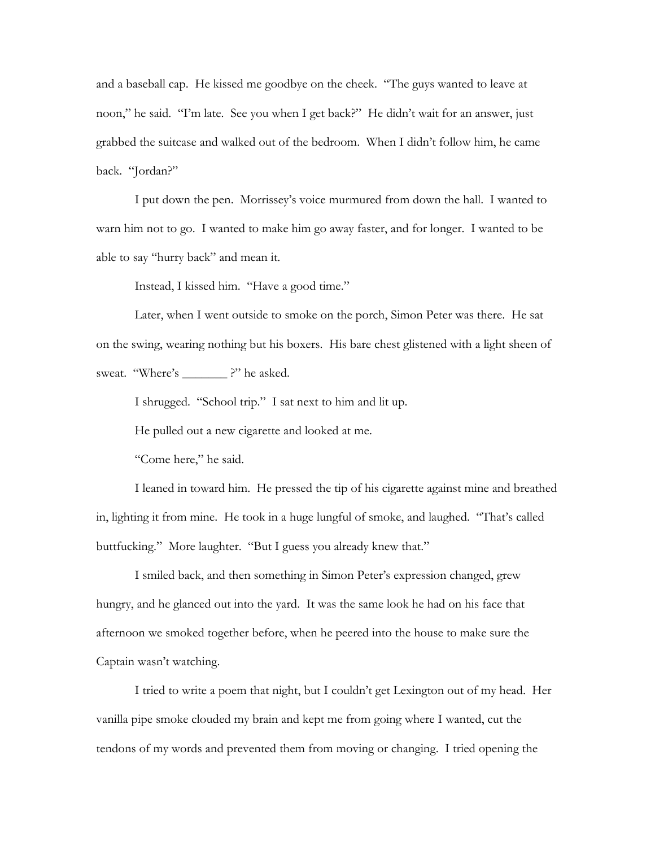and a baseball cap. He kissed me goodbye on the cheek. "The guys wanted to leave at noon," he said. "I'm late. See you when I get back?" He didn't wait for an answer, just grabbed the suitcase and walked out of the bedroom. When I didn't follow him, he came back. "Jordan?"

I put down the pen. Morrissey's voice murmured from down the hall. I wanted to warn him not to go. I wanted to make him go away faster, and for longer. I wanted to be able to say "hurry back" and mean it.

Instead, I kissed him. "Have a good time."

 Later, when I went outside to smoke on the porch, Simon Peter was there. He sat on the swing, wearing nothing but his boxers. His bare chest glistened with a light sheen of sweat. "Where's \_\_\_\_\_\_\_\_?" he asked.

I shrugged. "School trip." I sat next to him and lit up.

He pulled out a new cigarette and looked at me.

"Come here," he said.

 I leaned in toward him. He pressed the tip of his cigarette against mine and breathed in, lighting it from mine. He took in a huge lungful of smoke, and laughed. "That's called buttfucking." More laughter. "But I guess you already knew that."

 I smiled back, and then something in Simon Peter's expression changed, grew hungry, and he glanced out into the yard. It was the same look he had on his face that afternoon we smoked together before, when he peered into the house to make sure the Captain wasn't watching.

 I tried to write a poem that night, but I couldn't get Lexington out of my head. Her vanilla pipe smoke clouded my brain and kept me from going where I wanted, cut the tendons of my words and prevented them from moving or changing. I tried opening the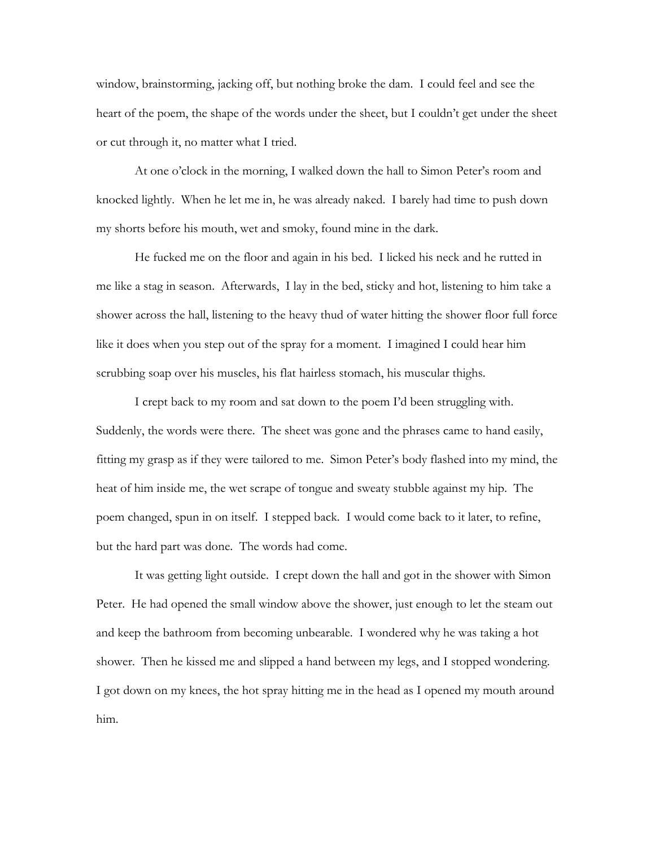window, brainstorming, jacking off, but nothing broke the dam. I could feel and see the heart of the poem, the shape of the words under the sheet, but I couldn't get under the sheet or cut through it, no matter what I tried.

 At one o'clock in the morning, I walked down the hall to Simon Peter's room and knocked lightly. When he let me in, he was already naked. I barely had time to push down my shorts before his mouth, wet and smoky, found mine in the dark.

 He fucked me on the floor and again in his bed. I licked his neck and he rutted in me like a stag in season. Afterwards, I lay in the bed, sticky and hot, listening to him take a shower across the hall, listening to the heavy thud of water hitting the shower floor full force like it does when you step out of the spray for a moment. I imagined I could hear him scrubbing soap over his muscles, his flat hairless stomach, his muscular thighs.

 I crept back to my room and sat down to the poem I'd been struggling with. Suddenly, the words were there. The sheet was gone and the phrases came to hand easily, fitting my grasp as if they were tailored to me. Simon Peter's body flashed into my mind, the heat of him inside me, the wet scrape of tongue and sweaty stubble against my hip. The poem changed, spun in on itself. I stepped back. I would come back to it later, to refine, but the hard part was done. The words had come.

 It was getting light outside. I crept down the hall and got in the shower with Simon Peter. He had opened the small window above the shower, just enough to let the steam out and keep the bathroom from becoming unbearable. I wondered why he was taking a hot shower. Then he kissed me and slipped a hand between my legs, and I stopped wondering. I got down on my knees, the hot spray hitting me in the head as I opened my mouth around him.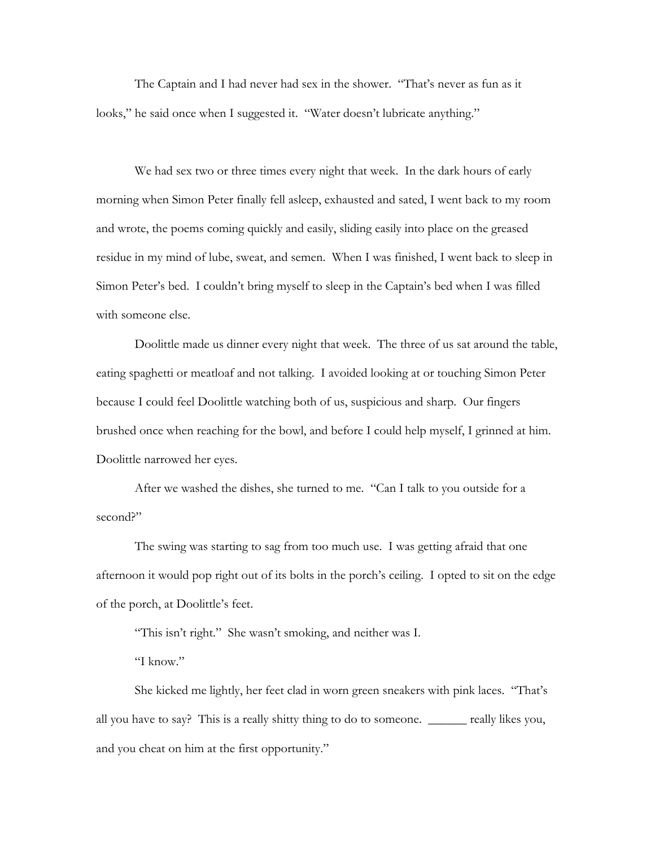The Captain and I had never had sex in the shower. "That's never as fun as it looks," he said once when I suggested it. "Water doesn't lubricate anything."

 We had sex two or three times every night that week. In the dark hours of early morning when Simon Peter finally fell asleep, exhausted and sated, I went back to my room and wrote, the poems coming quickly and easily, sliding easily into place on the greased residue in my mind of lube, sweat, and semen. When I was finished, I went back to sleep in Simon Peter's bed. I couldn't bring myself to sleep in the Captain's bed when I was filled with someone else.

 Doolittle made us dinner every night that week. The three of us sat around the table, eating spaghetti or meatloaf and not talking. I avoided looking at or touching Simon Peter because I could feel Doolittle watching both of us, suspicious and sharp. Our fingers brushed once when reaching for the bowl, and before I could help myself, I grinned at him. Doolittle narrowed her eyes.

 After we washed the dishes, she turned to me. "Can I talk to you outside for a second?"

 The swing was starting to sag from too much use. I was getting afraid that one afternoon it would pop right out of its bolts in the porch's ceiling. I opted to sit on the edge of the porch, at Doolittle's feet.

"This isn't right." She wasn't smoking, and neither was I.

"I know."

 She kicked me lightly, her feet clad in worn green sneakers with pink laces. "That's all you have to say? This is a really shitty thing to do to someone. \_\_\_\_\_\_ really likes you, and you cheat on him at the first opportunity."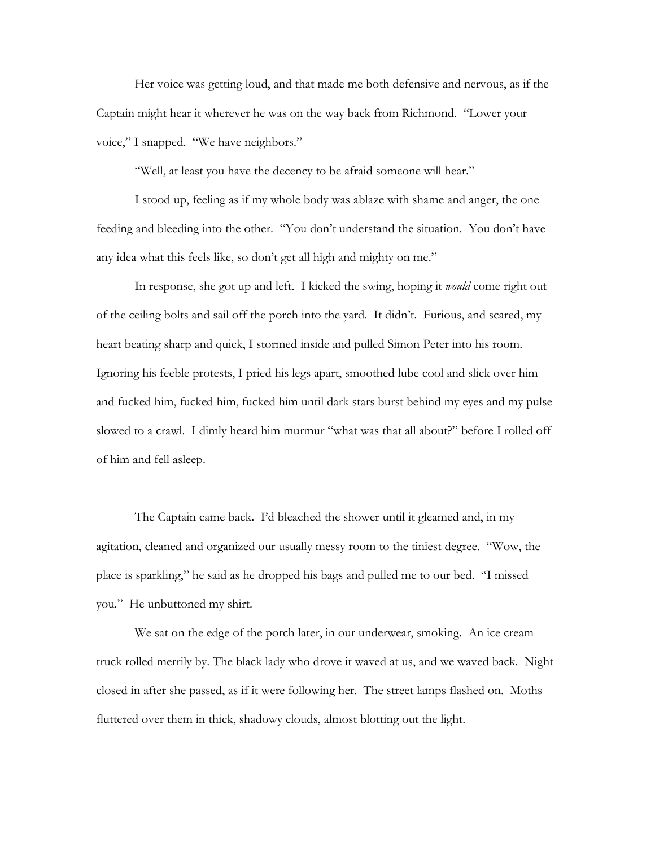Her voice was getting loud, and that made me both defensive and nervous, as if the Captain might hear it wherever he was on the way back from Richmond. "Lower your voice," I snapped. "We have neighbors."

"Well, at least you have the decency to be afraid someone will hear."

 I stood up, feeling as if my whole body was ablaze with shame and anger, the one feeding and bleeding into the other. "You don't understand the situation. You don't have any idea what this feels like, so don't get all high and mighty on me."

 In response, she got up and left. I kicked the swing, hoping it *would* come right out of the ceiling bolts and sail off the porch into the yard. It didn't. Furious, and scared, my heart beating sharp and quick, I stormed inside and pulled Simon Peter into his room. Ignoring his feeble protests, I pried his legs apart, smoothed lube cool and slick over him and fucked him, fucked him, fucked him until dark stars burst behind my eyes and my pulse slowed to a crawl. I dimly heard him murmur "what was that all about?" before I rolled off of him and fell asleep.

 The Captain came back. I'd bleached the shower until it gleamed and, in my agitation, cleaned and organized our usually messy room to the tiniest degree. "Wow, the place is sparkling," he said as he dropped his bags and pulled me to our bed. "I missed you." He unbuttoned my shirt.

 We sat on the edge of the porch later, in our underwear, smoking. An ice cream truck rolled merrily by. The black lady who drove it waved at us, and we waved back. Night closed in after she passed, as if it were following her. The street lamps flashed on. Moths fluttered over them in thick, shadowy clouds, almost blotting out the light.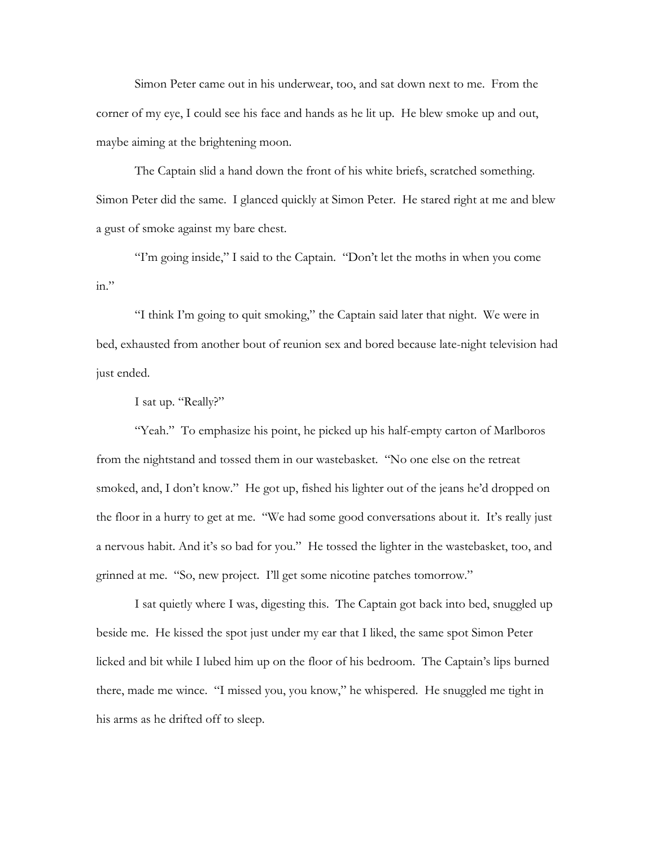Simon Peter came out in his underwear, too, and sat down next to me. From the corner of my eye, I could see his face and hands as he lit up. He blew smoke up and out, maybe aiming at the brightening moon.

 The Captain slid a hand down the front of his white briefs, scratched something. Simon Peter did the same. I glanced quickly at Simon Peter. He stared right at me and blew a gust of smoke against my bare chest.

 "I'm going inside," I said to the Captain. "Don't let the moths in when you come  $in.$ "

 "I think I'm going to quit smoking," the Captain said later that night. We were in bed, exhausted from another bout of reunion sex and bored because late-night television had just ended.

I sat up. "Really?"

"Yeah." To emphasize his point, he picked up his half-empty carton of Marlboros from the nightstand and tossed them in our wastebasket. "No one else on the retreat smoked, and, I don't know." He got up, fished his lighter out of the jeans he'd dropped on the floor in a hurry to get at me. "We had some good conversations about it. It's really just a nervous habit. And it's so bad for you." He tossed the lighter in the wastebasket, too, and grinned at me. "So, new project. I'll get some nicotine patches tomorrow."

I sat quietly where I was, digesting this. The Captain got back into bed, snuggled up beside me. He kissed the spot just under my ear that I liked, the same spot Simon Peter licked and bit while I lubed him up on the floor of his bedroom. The Captain's lips burned there, made me wince. "I missed you, you know," he whispered. He snuggled me tight in his arms as he drifted off to sleep.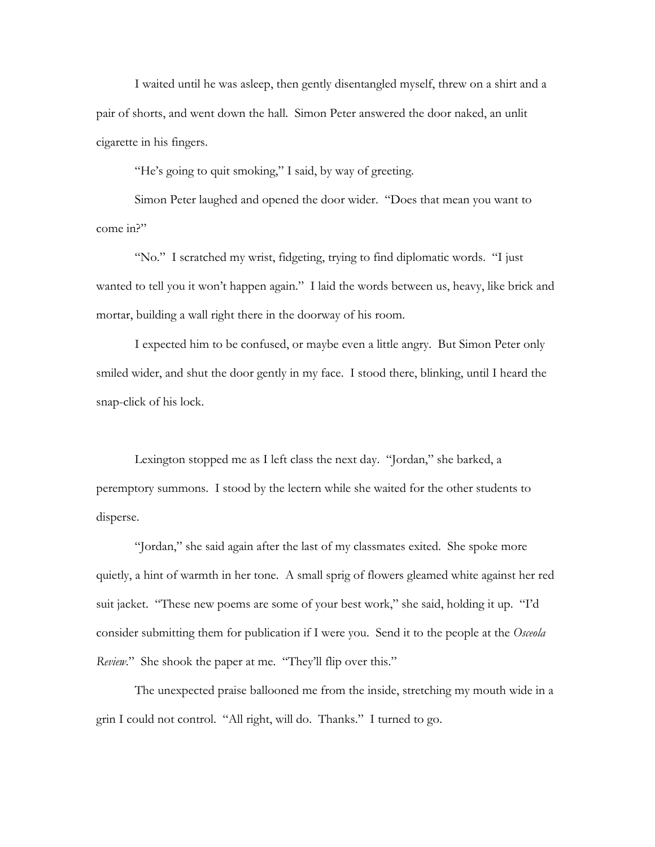I waited until he was asleep, then gently disentangled myself, threw on a shirt and a pair of shorts, and went down the hall. Simon Peter answered the door naked, an unlit cigarette in his fingers.

"He's going to quit smoking," I said, by way of greeting.

 Simon Peter laughed and opened the door wider. "Does that mean you want to come in?"

 "No." I scratched my wrist, fidgeting, trying to find diplomatic words. "I just wanted to tell you it won't happen again." I laid the words between us, heavy, like brick and mortar, building a wall right there in the doorway of his room.

 I expected him to be confused, or maybe even a little angry. But Simon Peter only smiled wider, and shut the door gently in my face. I stood there, blinking, until I heard the snap-click of his lock.

 Lexington stopped me as I left class the next day. "Jordan," she barked, a peremptory summons. I stood by the lectern while she waited for the other students to disperse.

 "Jordan," she said again after the last of my classmates exited. She spoke more quietly, a hint of warmth in her tone. A small sprig of flowers gleamed white against her red suit jacket. "These new poems are some of your best work," she said, holding it up. "I'd consider submitting them for publication if I were you. Send it to the people at the *Osceola Review.*" She shook the paper at me. "They'll flip over this."

 The unexpected praise ballooned me from the inside, stretching my mouth wide in a grin I could not control. "All right, will do. Thanks." I turned to go.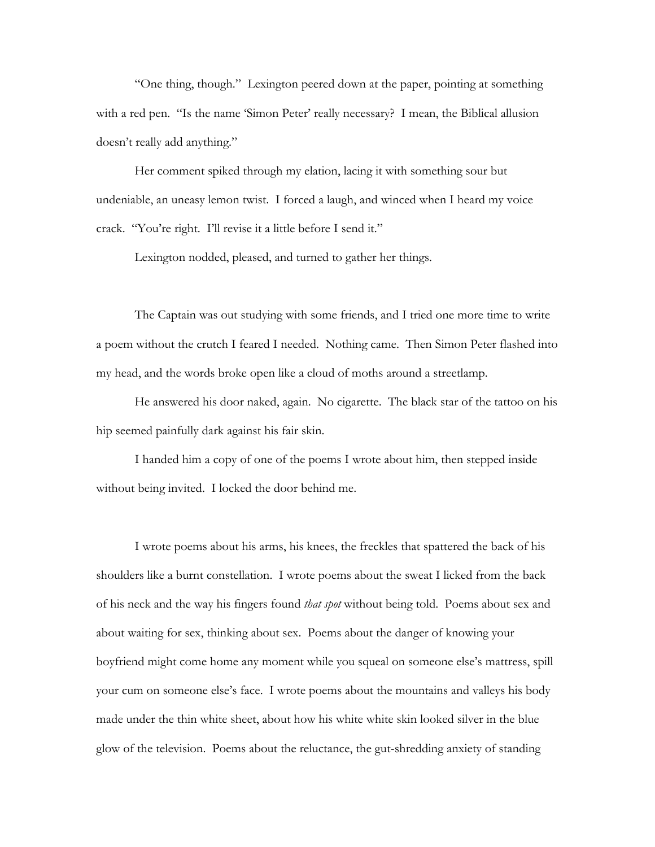"One thing, though." Lexington peered down at the paper, pointing at something with a red pen. "Is the name 'Simon Peter' really necessary? I mean, the Biblical allusion doesn't really add anything."

 Her comment spiked through my elation, lacing it with something sour but undeniable, an uneasy lemon twist. I forced a laugh, and winced when I heard my voice crack. "You're right. I'll revise it a little before I send it."

Lexington nodded, pleased, and turned to gather her things.

 The Captain was out studying with some friends, and I tried one more time to write a poem without the crutch I feared I needed. Nothing came. Then Simon Peter flashed into my head, and the words broke open like a cloud of moths around a streetlamp.

He answered his door naked, again. No cigarette. The black star of the tattoo on his hip seemed painfully dark against his fair skin.

 I handed him a copy of one of the poems I wrote about him, then stepped inside without being invited. I locked the door behind me.

 I wrote poems about his arms, his knees, the freckles that spattered the back of his shoulders like a burnt constellation. I wrote poems about the sweat I licked from the back of his neck and the way his fingers found *that spot* without being told. Poems about sex and about waiting for sex, thinking about sex. Poems about the danger of knowing your boyfriend might come home any moment while you squeal on someone else's mattress, spill your cum on someone else's face. I wrote poems about the mountains and valleys his body made under the thin white sheet, about how his white white skin looked silver in the blue glow of the television. Poems about the reluctance, the gut-shredding anxiety of standing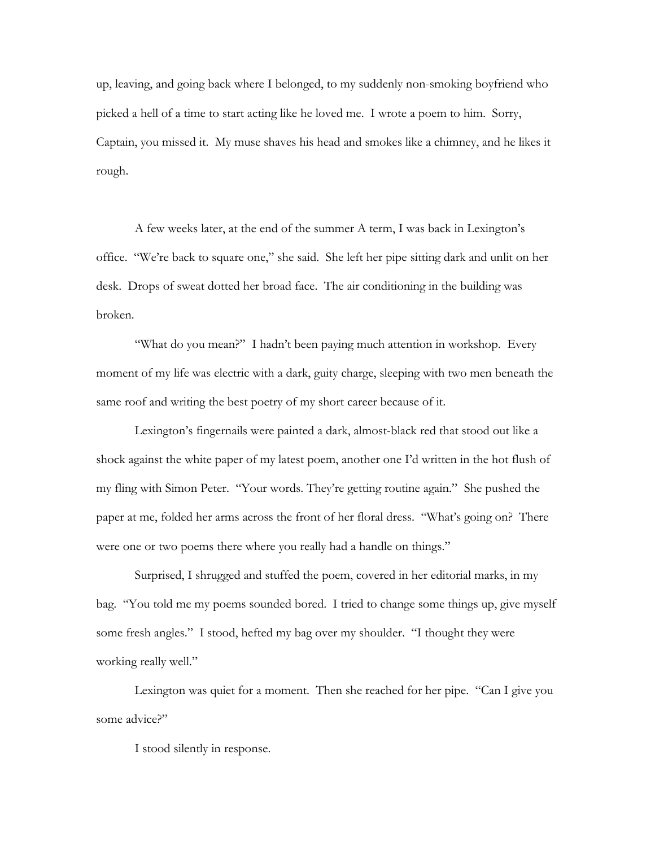up, leaving, and going back where I belonged, to my suddenly non-smoking boyfriend who picked a hell of a time to start acting like he loved me. I wrote a poem to him. Sorry, Captain, you missed it. My muse shaves his head and smokes like a chimney, and he likes it rough.

A few weeks later, at the end of the summer A term, I was back in Lexington's office. "We're back to square one," she said. She left her pipe sitting dark and unlit on her desk. Drops of sweat dotted her broad face. The air conditioning in the building was broken.

"What do you mean?" I hadn't been paying much attention in workshop. Every moment of my life was electric with a dark, guity charge, sleeping with two men beneath the same roof and writing the best poetry of my short career because of it.

Lexington's fingernails were painted a dark, almost-black red that stood out like a shock against the white paper of my latest poem, another one I'd written in the hot flush of my fling with Simon Peter. "Your words. They're getting routine again." She pushed the paper at me, folded her arms across the front of her floral dress. "What's going on? There were one or two poems there where you really had a handle on things."

Surprised, I shrugged and stuffed the poem, covered in her editorial marks, in my bag. "You told me my poems sounded bored. I tried to change some things up, give myself some fresh angles." I stood, hefted my bag over my shoulder. "I thought they were working really well."

Lexington was quiet for a moment. Then she reached for her pipe. "Can I give you some advice?"

I stood silently in response.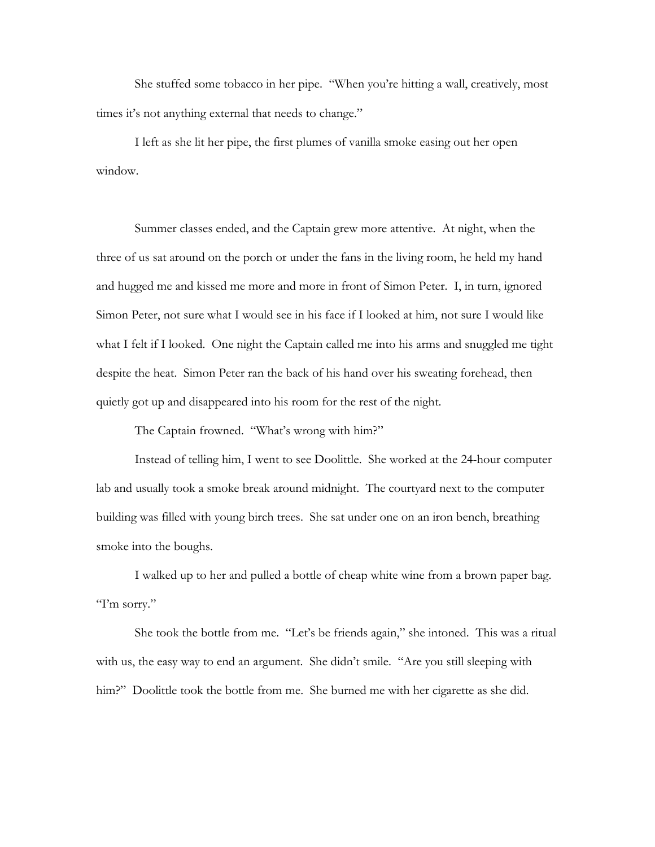She stuffed some tobacco in her pipe. "When you're hitting a wall, creatively, most times it's not anything external that needs to change."

I left as she lit her pipe, the first plumes of vanilla smoke easing out her open window.

 Summer classes ended, and the Captain grew more attentive. At night, when the three of us sat around on the porch or under the fans in the living room, he held my hand and hugged me and kissed me more and more in front of Simon Peter. I, in turn, ignored Simon Peter, not sure what I would see in his face if I looked at him, not sure I would like what I felt if I looked. One night the Captain called me into his arms and snuggled me tight despite the heat. Simon Peter ran the back of his hand over his sweating forehead, then quietly got up and disappeared into his room for the rest of the night.

The Captain frowned. "What's wrong with him?"

 Instead of telling him, I went to see Doolittle. She worked at the 24-hour computer lab and usually took a smoke break around midnight. The courtyard next to the computer building was filled with young birch trees. She sat under one on an iron bench, breathing smoke into the boughs.

 I walked up to her and pulled a bottle of cheap white wine from a brown paper bag. "I'm sorry."

 She took the bottle from me. "Let's be friends again," she intoned. This was a ritual with us, the easy way to end an argument. She didn't smile. "Are you still sleeping with him?" Doolittle took the bottle from me. She burned me with her cigarette as she did.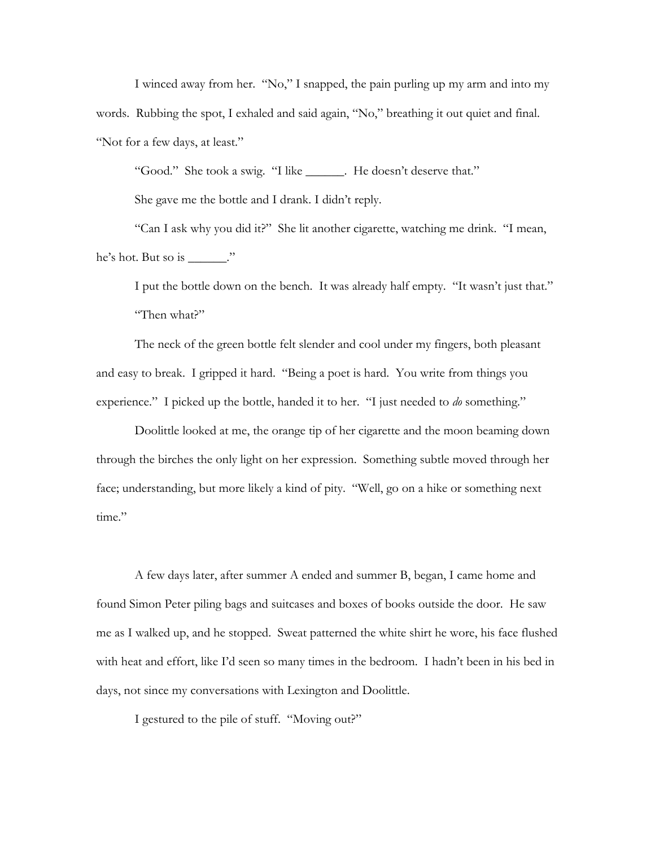I winced away from her. "No," I snapped, the pain purling up my arm and into my words. Rubbing the spot, I exhaled and said again, "No," breathing it out quiet and final. "Not for a few days, at least."

"Good." She took a swig. "I like \_\_\_\_\_\_. He doesn't deserve that."

She gave me the bottle and I drank. I didn't reply.

 "Can I ask why you did it?" She lit another cigarette, watching me drink. "I mean, he's hot. But so is \_\_\_\_\_\_."

 I put the bottle down on the bench. It was already half empty. "It wasn't just that." "Then what?"

 The neck of the green bottle felt slender and cool under my fingers, both pleasant and easy to break. I gripped it hard. "Being a poet is hard. You write from things you experience." I picked up the bottle, handed it to her. "I just needed to *do* something."

 Doolittle looked at me, the orange tip of her cigarette and the moon beaming down through the birches the only light on her expression. Something subtle moved through her face; understanding, but more likely a kind of pity. "Well, go on a hike or something next time."

 A few days later, after summer A ended and summer B, began, I came home and found Simon Peter piling bags and suitcases and boxes of books outside the door. He saw me as I walked up, and he stopped. Sweat patterned the white shirt he wore, his face flushed with heat and effort, like I'd seen so many times in the bedroom. I hadn't been in his bed in days, not since my conversations with Lexington and Doolittle.

I gestured to the pile of stuff. "Moving out?"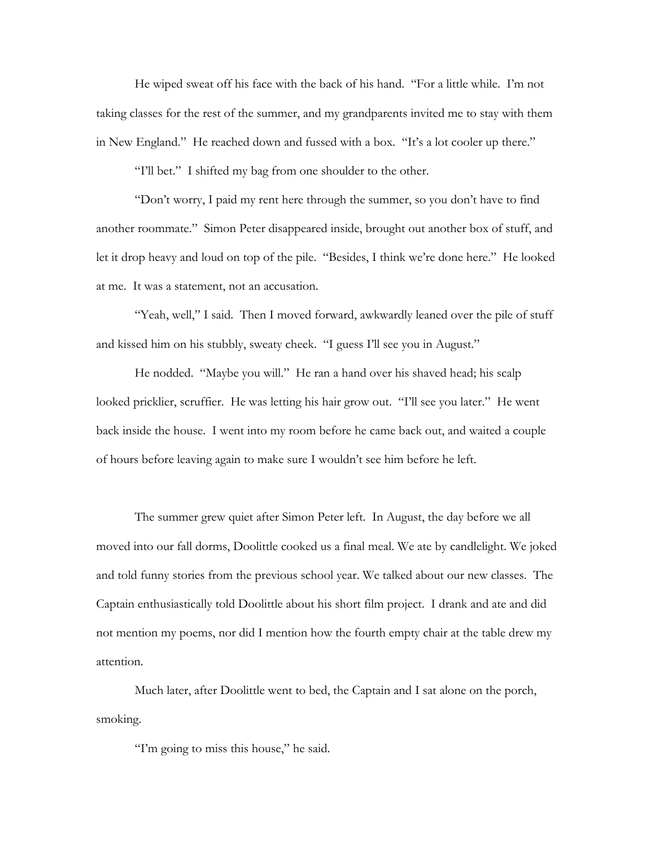He wiped sweat off his face with the back of his hand. "For a little while. I'm not taking classes for the rest of the summer, and my grandparents invited me to stay with them in New England." He reached down and fussed with a box. "It's a lot cooler up there."

"I'll bet." I shifted my bag from one shoulder to the other.

"Don't worry, I paid my rent here through the summer, so you don't have to find another roommate." Simon Peter disappeared inside, brought out another box of stuff, and let it drop heavy and loud on top of the pile. "Besides, I think we're done here." He looked at me. It was a statement, not an accusation.

"Yeah, well," I said. Then I moved forward, awkwardly leaned over the pile of stuff and kissed him on his stubbly, sweaty cheek. "I guess I'll see you in August."

 He nodded. "Maybe you will." He ran a hand over his shaved head; his scalp looked pricklier, scruffier. He was letting his hair grow out. "I'll see you later." He went back inside the house. I went into my room before he came back out, and waited a couple of hours before leaving again to make sure I wouldn't see him before he left.

 The summer grew quiet after Simon Peter left. In August, the day before we all moved into our fall dorms, Doolittle cooked us a final meal. We ate by candlelight. We joked and told funny stories from the previous school year. We talked about our new classes. The Captain enthusiastically told Doolittle about his short film project. I drank and ate and did not mention my poems, nor did I mention how the fourth empty chair at the table drew my attention.

 Much later, after Doolittle went to bed, the Captain and I sat alone on the porch, smoking.

"I'm going to miss this house," he said.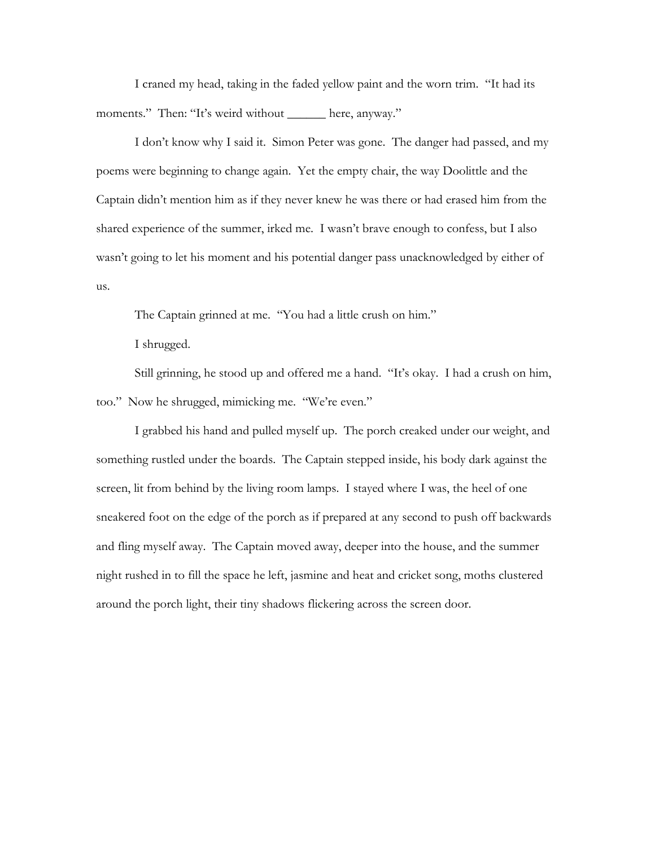I craned my head, taking in the faded yellow paint and the worn trim. "It had its moments." Then: "It's weird without \_\_\_\_\_\_ here, anyway."

 I don't know why I said it. Simon Peter was gone. The danger had passed, and my poems were beginning to change again. Yet the empty chair, the way Doolittle and the Captain didn't mention him as if they never knew he was there or had erased him from the shared experience of the summer, irked me. I wasn't brave enough to confess, but I also wasn't going to let his moment and his potential danger pass unacknowledged by either of us.

The Captain grinned at me. "You had a little crush on him."

I shrugged.

 Still grinning, he stood up and offered me a hand. "It's okay. I had a crush on him, too." Now he shrugged, mimicking me. "We're even."

 I grabbed his hand and pulled myself up. The porch creaked under our weight, and something rustled under the boards. The Captain stepped inside, his body dark against the screen, lit from behind by the living room lamps. I stayed where I was, the heel of one sneakered foot on the edge of the porch as if prepared at any second to push off backwards and fling myself away. The Captain moved away, deeper into the house, and the summer night rushed in to fill the space he left, jasmine and heat and cricket song, moths clustered around the porch light, their tiny shadows flickering across the screen door.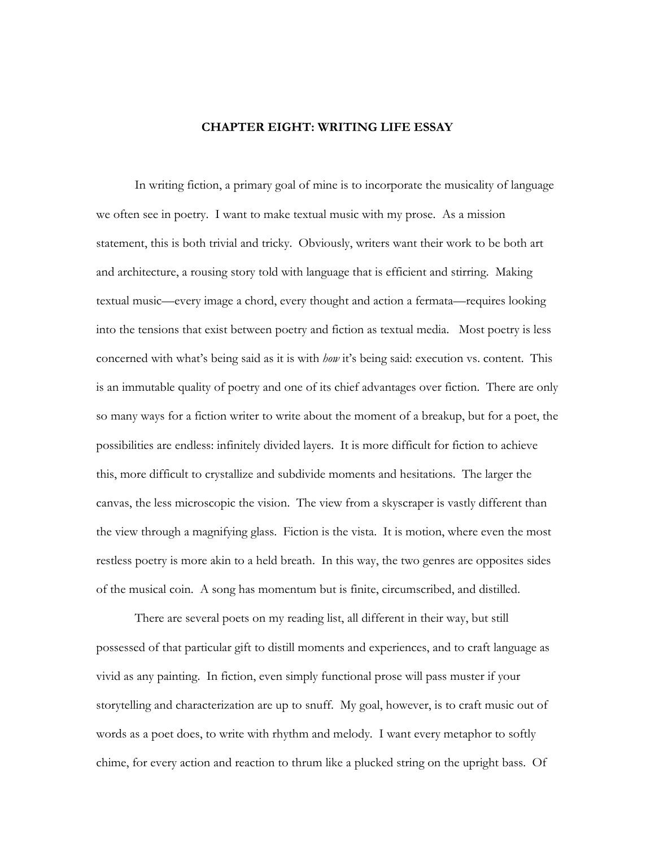## **CHAPTER EIGHT: WRITING LIFE ESSAY**

 In writing fiction, a primary goal of mine is to incorporate the musicality of language we often see in poetry. I want to make textual music with my prose. As a mission statement, this is both trivial and tricky. Obviously, writers want their work to be both art and architecture, a rousing story told with language that is efficient and stirring. Making textual music—every image a chord, every thought and action a fermata—requires looking into the tensions that exist between poetry and fiction as textual media. Most poetry is less concerned with what's being said as it is with *how* it's being said: execution vs. content. This is an immutable quality of poetry and one of its chief advantages over fiction. There are only so many ways for a fiction writer to write about the moment of a breakup, but for a poet, the possibilities are endless: infinitely divided layers. It is more difficult for fiction to achieve this, more difficult to crystallize and subdivide moments and hesitations. The larger the canvas, the less microscopic the vision. The view from a skyscraper is vastly different than the view through a magnifying glass. Fiction is the vista. It is motion, where even the most restless poetry is more akin to a held breath. In this way, the two genres are opposites sides of the musical coin. A song has momentum but is finite, circumscribed, and distilled.

 There are several poets on my reading list, all different in their way, but still possessed of that particular gift to distill moments and experiences, and to craft language as vivid as any painting. In fiction, even simply functional prose will pass muster if your storytelling and characterization are up to snuff. My goal, however, is to craft music out of words as a poet does, to write with rhythm and melody. I want every metaphor to softly chime, for every action and reaction to thrum like a plucked string on the upright bass. Of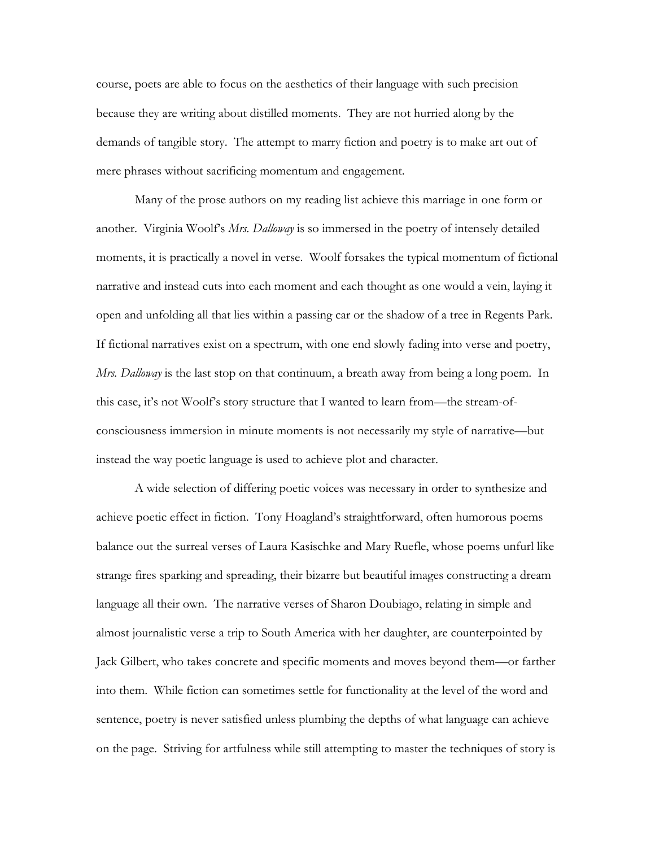course, poets are able to focus on the aesthetics of their language with such precision because they are writing about distilled moments. They are not hurried along by the demands of tangible story. The attempt to marry fiction and poetry is to make art out of mere phrases without sacrificing momentum and engagement.

 Many of the prose authors on my reading list achieve this marriage in one form or another. Virginia Woolf's *Mrs. Dalloway* is so immersed in the poetry of intensely detailed moments, it is practically a novel in verse. Woolf forsakes the typical momentum of fictional narrative and instead cuts into each moment and each thought as one would a vein, laying it open and unfolding all that lies within a passing car or the shadow of a tree in Regents Park. If fictional narratives exist on a spectrum, with one end slowly fading into verse and poetry, *Mrs. Dalloway* is the last stop on that continuum, a breath away from being a long poem. In this case, it's not Woolf's story structure that I wanted to learn from—the stream-ofconsciousness immersion in minute moments is not necessarily my style of narrative—but instead the way poetic language is used to achieve plot and character.

 A wide selection of differing poetic voices was necessary in order to synthesize and achieve poetic effect in fiction. Tony Hoagland's straightforward, often humorous poems balance out the surreal verses of Laura Kasischke and Mary Ruefle, whose poems unfurl like strange fires sparking and spreading, their bizarre but beautiful images constructing a dream language all their own. The narrative verses of Sharon Doubiago, relating in simple and almost journalistic verse a trip to South America with her daughter, are counterpointed by Jack Gilbert, who takes concrete and specific moments and moves beyond them—or farther into them. While fiction can sometimes settle for functionality at the level of the word and sentence, poetry is never satisfied unless plumbing the depths of what language can achieve on the page. Striving for artfulness while still attempting to master the techniques of story is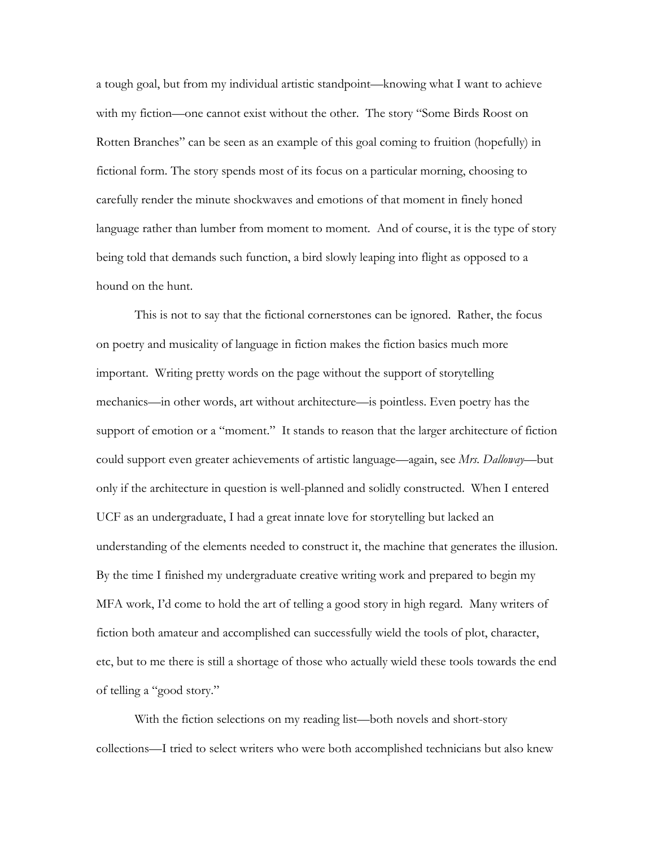a tough goal, but from my individual artistic standpoint—knowing what I want to achieve with my fiction—one cannot exist without the other. The story "Some Birds Roost on Rotten Branches" can be seen as an example of this goal coming to fruition (hopefully) in fictional form. The story spends most of its focus on a particular morning, choosing to carefully render the minute shockwaves and emotions of that moment in finely honed language rather than lumber from moment to moment. And of course, it is the type of story being told that demands such function, a bird slowly leaping into flight as opposed to a hound on the hunt.

 This is not to say that the fictional cornerstones can be ignored. Rather, the focus on poetry and musicality of language in fiction makes the fiction basics much more important. Writing pretty words on the page without the support of storytelling mechanics—in other words, art without architecture—is pointless. Even poetry has the support of emotion or a "moment." It stands to reason that the larger architecture of fiction could support even greater achievements of artistic language—again, see *Mrs. Dalloway*—but only if the architecture in question is well-planned and solidly constructed. When I entered UCF as an undergraduate, I had a great innate love for storytelling but lacked an understanding of the elements needed to construct it, the machine that generates the illusion. By the time I finished my undergraduate creative writing work and prepared to begin my MFA work, I'd come to hold the art of telling a good story in high regard. Many writers of fiction both amateur and accomplished can successfully wield the tools of plot, character, etc, but to me there is still a shortage of those who actually wield these tools towards the end of telling a "good story."

 With the fiction selections on my reading list—both novels and short-story collections—I tried to select writers who were both accomplished technicians but also knew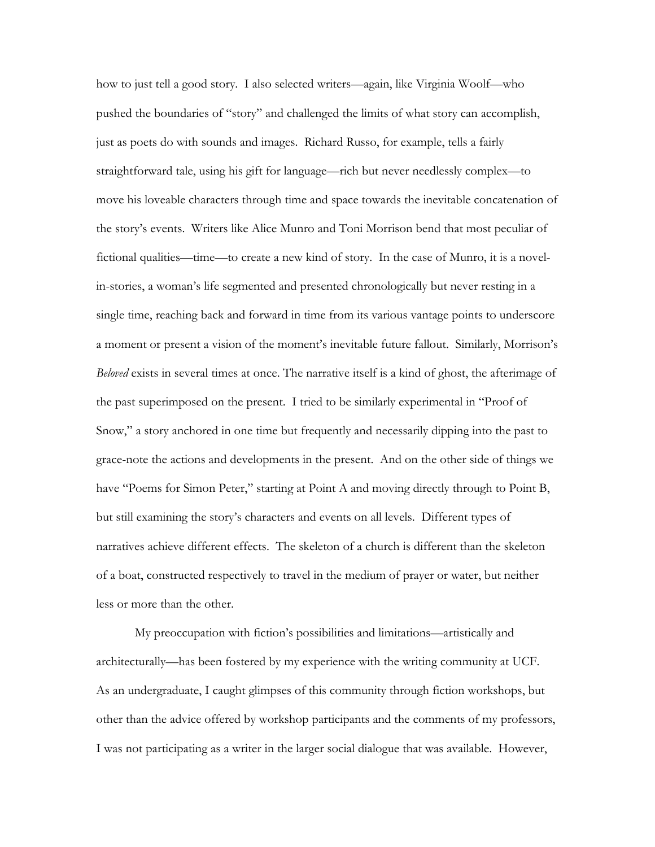how to just tell a good story. I also selected writers—again, like Virginia Woolf—who pushed the boundaries of "story" and challenged the limits of what story can accomplish, just as poets do with sounds and images. Richard Russo, for example, tells a fairly straightforward tale, using his gift for language—rich but never needlessly complex—to move his loveable characters through time and space towards the inevitable concatenation of the story's events. Writers like Alice Munro and Toni Morrison bend that most peculiar of fictional qualities—time—to create a new kind of story. In the case of Munro, it is a novelin-stories, a woman's life segmented and presented chronologically but never resting in a single time, reaching back and forward in time from its various vantage points to underscore a moment or present a vision of the moment's inevitable future fallout. Similarly, Morrison's *Beloved* exists in several times at once. The narrative itself is a kind of ghost, the afterimage of the past superimposed on the present. I tried to be similarly experimental in "Proof of Snow," a story anchored in one time but frequently and necessarily dipping into the past to grace-note the actions and developments in the present. And on the other side of things we have "Poems for Simon Peter," starting at Point A and moving directly through to Point B, but still examining the story's characters and events on all levels. Different types of narratives achieve different effects. The skeleton of a church is different than the skeleton of a boat, constructed respectively to travel in the medium of prayer or water, but neither less or more than the other.

 My preoccupation with fiction's possibilities and limitations—artistically and architecturally—has been fostered by my experience with the writing community at UCF. As an undergraduate, I caught glimpses of this community through fiction workshops, but other than the advice offered by workshop participants and the comments of my professors, I was not participating as a writer in the larger social dialogue that was available. However,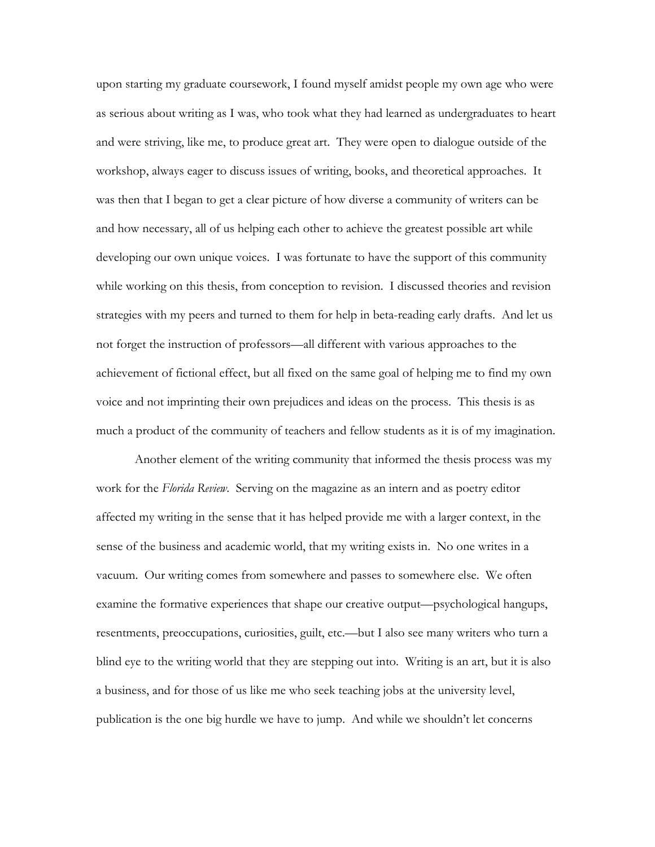upon starting my graduate coursework, I found myself amidst people my own age who were as serious about writing as I was, who took what they had learned as undergraduates to heart and were striving, like me, to produce great art. They were open to dialogue outside of the workshop, always eager to discuss issues of writing, books, and theoretical approaches. It was then that I began to get a clear picture of how diverse a community of writers can be and how necessary, all of us helping each other to achieve the greatest possible art while developing our own unique voices. I was fortunate to have the support of this community while working on this thesis, from conception to revision. I discussed theories and revision strategies with my peers and turned to them for help in beta-reading early drafts. And let us not forget the instruction of professors—all different with various approaches to the achievement of fictional effect, but all fixed on the same goal of helping me to find my own voice and not imprinting their own prejudices and ideas on the process. This thesis is as much a product of the community of teachers and fellow students as it is of my imagination.

 Another element of the writing community that informed the thesis process was my work for the *Florida Review*. Serving on the magazine as an intern and as poetry editor affected my writing in the sense that it has helped provide me with a larger context, in the sense of the business and academic world, that my writing exists in. No one writes in a vacuum. Our writing comes from somewhere and passes to somewhere else. We often examine the formative experiences that shape our creative output—psychological hangups, resentments, preoccupations, curiosities, guilt, etc.—but I also see many writers who turn a blind eye to the writing world that they are stepping out into. Writing is an art, but it is also a business, and for those of us like me who seek teaching jobs at the university level, publication is the one big hurdle we have to jump. And while we shouldn't let concerns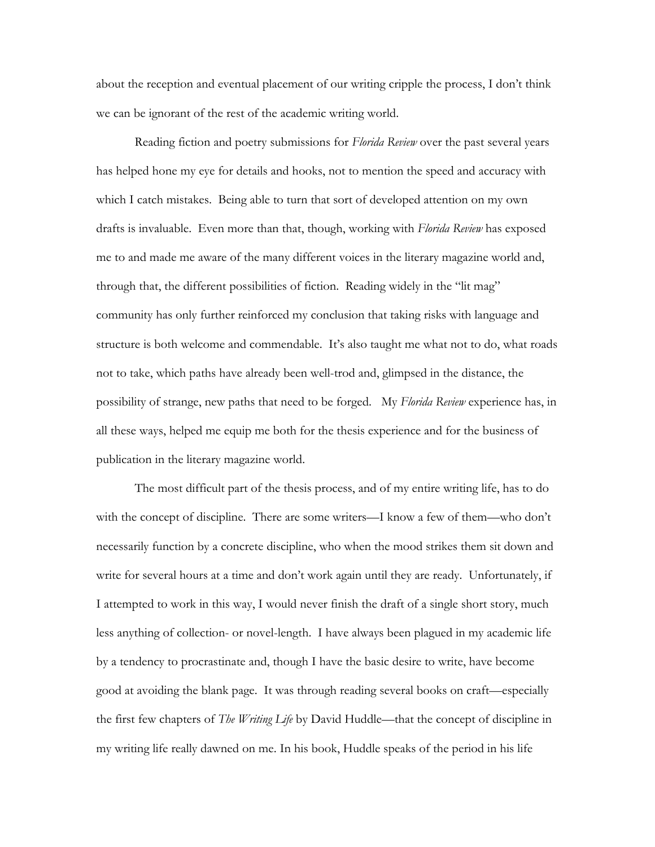about the reception and eventual placement of our writing cripple the process, I don't think we can be ignorant of the rest of the academic writing world.

 Reading fiction and poetry submissions for *Florida Review* over the past several years has helped hone my eye for details and hooks, not to mention the speed and accuracy with which I catch mistakes. Being able to turn that sort of developed attention on my own drafts is invaluable. Even more than that, though, working with *Florida Review* has exposed me to and made me aware of the many different voices in the literary magazine world and, through that, the different possibilities of fiction. Reading widely in the "lit mag" community has only further reinforced my conclusion that taking risks with language and structure is both welcome and commendable. It's also taught me what not to do, what roads not to take, which paths have already been well-trod and, glimpsed in the distance, the possibility of strange, new paths that need to be forged. My *Florida Review* experience has, in all these ways, helped me equip me both for the thesis experience and for the business of publication in the literary magazine world.

 The most difficult part of the thesis process, and of my entire writing life, has to do with the concept of discipline. There are some writers—I know a few of them—who don't necessarily function by a concrete discipline, who when the mood strikes them sit down and write for several hours at a time and don't work again until they are ready. Unfortunately, if I attempted to work in this way, I would never finish the draft of a single short story, much less anything of collection- or novel-length. I have always been plagued in my academic life by a tendency to procrastinate and, though I have the basic desire to write, have become good at avoiding the blank page. It was through reading several books on craft—especially the first few chapters of *The Writing Life* by David Huddle—that the concept of discipline in my writing life really dawned on me. In his book, Huddle speaks of the period in his life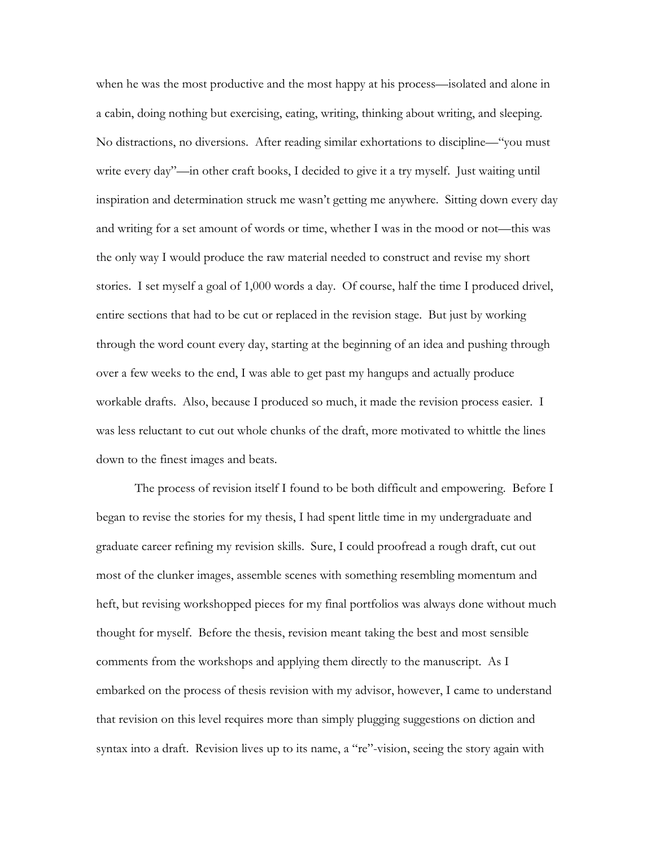when he was the most productive and the most happy at his process—isolated and alone in a cabin, doing nothing but exercising, eating, writing, thinking about writing, and sleeping. No distractions, no diversions. After reading similar exhortations to discipline—"you must write every day"—in other craft books, I decided to give it a try myself. Just waiting until inspiration and determination struck me wasn't getting me anywhere. Sitting down every day and writing for a set amount of words or time, whether I was in the mood or not—this was the only way I would produce the raw material needed to construct and revise my short stories. I set myself a goal of 1,000 words a day. Of course, half the time I produced drivel, entire sections that had to be cut or replaced in the revision stage. But just by working through the word count every day, starting at the beginning of an idea and pushing through over a few weeks to the end, I was able to get past my hangups and actually produce workable drafts. Also, because I produced so much, it made the revision process easier. I was less reluctant to cut out whole chunks of the draft, more motivated to whittle the lines down to the finest images and beats.

 The process of revision itself I found to be both difficult and empowering. Before I began to revise the stories for my thesis, I had spent little time in my undergraduate and graduate career refining my revision skills. Sure, I could proofread a rough draft, cut out most of the clunker images, assemble scenes with something resembling momentum and heft, but revising workshopped pieces for my final portfolios was always done without much thought for myself. Before the thesis, revision meant taking the best and most sensible comments from the workshops and applying them directly to the manuscript. As I embarked on the process of thesis revision with my advisor, however, I came to understand that revision on this level requires more than simply plugging suggestions on diction and syntax into a draft. Revision lives up to its name, a "re"-vision, seeing the story again with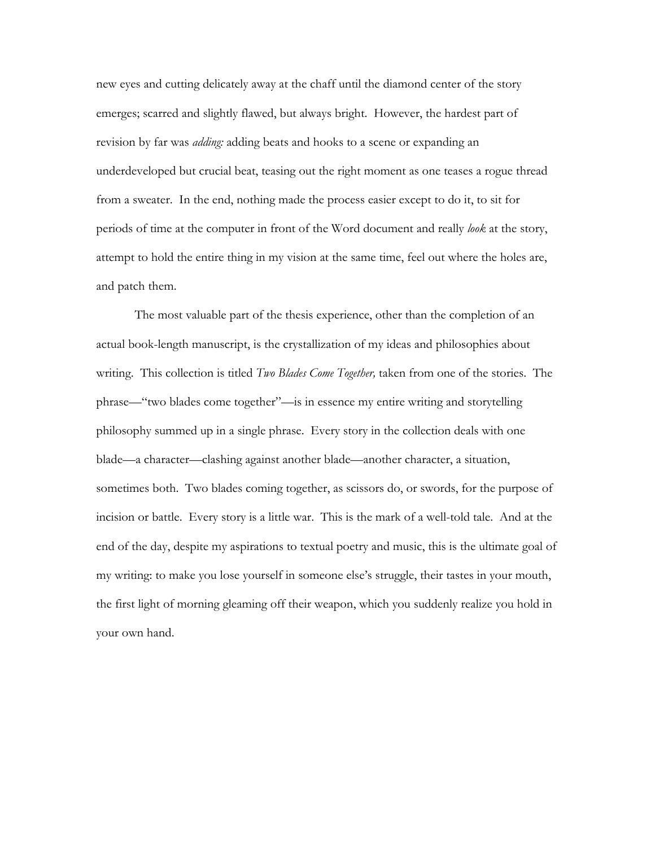new eyes and cutting delicately away at the chaff until the diamond center of the story emerges; scarred and slightly flawed, but always bright. However, the hardest part of revision by far was *adding:* adding beats and hooks to a scene or expanding an underdeveloped but crucial beat, teasing out the right moment as one teases a rogue thread from a sweater. In the end, nothing made the process easier except to do it, to sit for periods of time at the computer in front of the Word document and really *look* at the story, attempt to hold the entire thing in my vision at the same time, feel out where the holes are, and patch them.

 The most valuable part of the thesis experience, other than the completion of an actual book-length manuscript, is the crystallization of my ideas and philosophies about writing. This collection is titled *Two Blades Come Together,* taken from one of the stories. The phrase—"two blades come together"—is in essence my entire writing and storytelling philosophy summed up in a single phrase. Every story in the collection deals with one blade—a character—clashing against another blade—another character, a situation, sometimes both. Two blades coming together, as scissors do, or swords, for the purpose of incision or battle. Every story is a little war. This is the mark of a well-told tale. And at the end of the day, despite my aspirations to textual poetry and music, this is the ultimate goal of my writing: to make you lose yourself in someone else's struggle, their tastes in your mouth, the first light of morning gleaming off their weapon, which you suddenly realize you hold in your own hand.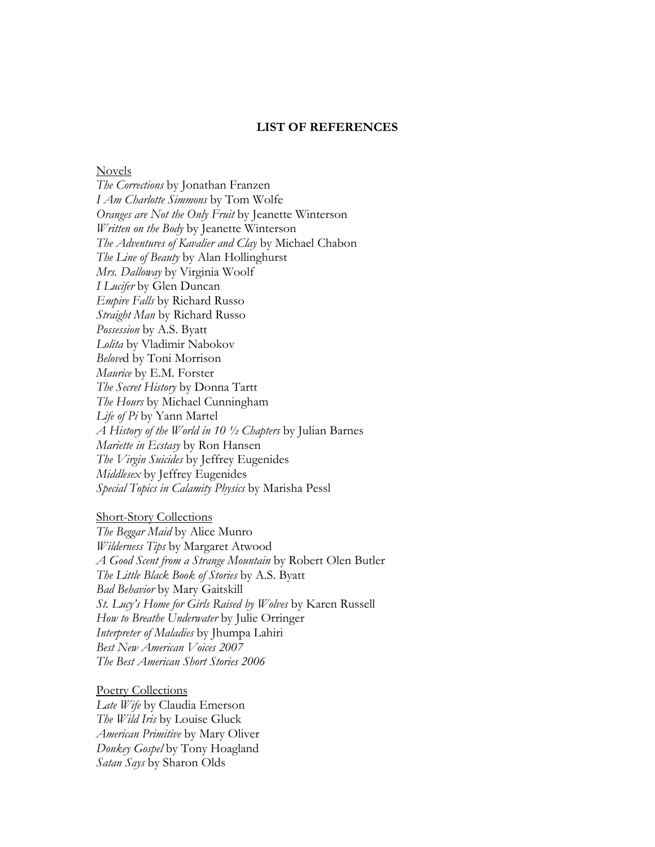## **LIST OF REFERENCES**

## Novels

*The Corrections* by Jonathan Franzen *I Am Charlotte Simmons* by Tom Wolfe *Oranges are Not the Only Fruit* by Jeanette Winterson *Written on the Body* by Jeanette Winterson *The Adventures of Kavalier and Clay* by Michael Chabon *The Line of Beauty* by Alan Hollinghurst *Mrs. Dalloway* by Virginia Woolf *I Lucifer* by Glen Duncan *Empire Falls* by Richard Russo *Straight Man* by Richard Russo *Possession* by A.S. Byatt *Lolita* by Vladimir Nabokov *Belove*d by Toni Morrison *Maurice* by E.M. Forster *The Secret History* by Donna Tartt *The Hours* by Michael Cunningham *Life of Pi* by Yann Martel *A History of the World in 10 ½ Chapters* by Julian Barnes *Mariette in Ecstasy* by Ron Hansen *The Virgin Suicides* by Jeffrey Eugenides *Middlesex* by Jeffrey Eugenides *Special Topics in Calamity Physics* by Marisha Pessl

## Short-Story Collections

*The Beggar Maid* by Alice Munro *Wilderness Tips* by Margaret Atwood *A Good Scent from a Strange Mountain* by Robert Olen Butler *The Little Black Book of Stories* by A.S. Byatt *Bad Behavior* by Mary Gaitskill *St. Lucy's Home for Girls Raised by Wolves* by Karen Russell *How to Breathe Underwater* by Julie Orringer *Interpreter of Maladies* by Jhumpa Lahiri *Best New American Voices 2007 The Best American Short Stories 2006*

Poetry Collections *Late Wife* by Claudia Emerson *The Wild Iris* by Louise Gluck *American Primitive* by Mary Oliver *Donkey Gospel* by Tony Hoagland *Satan Says* by Sharon Olds